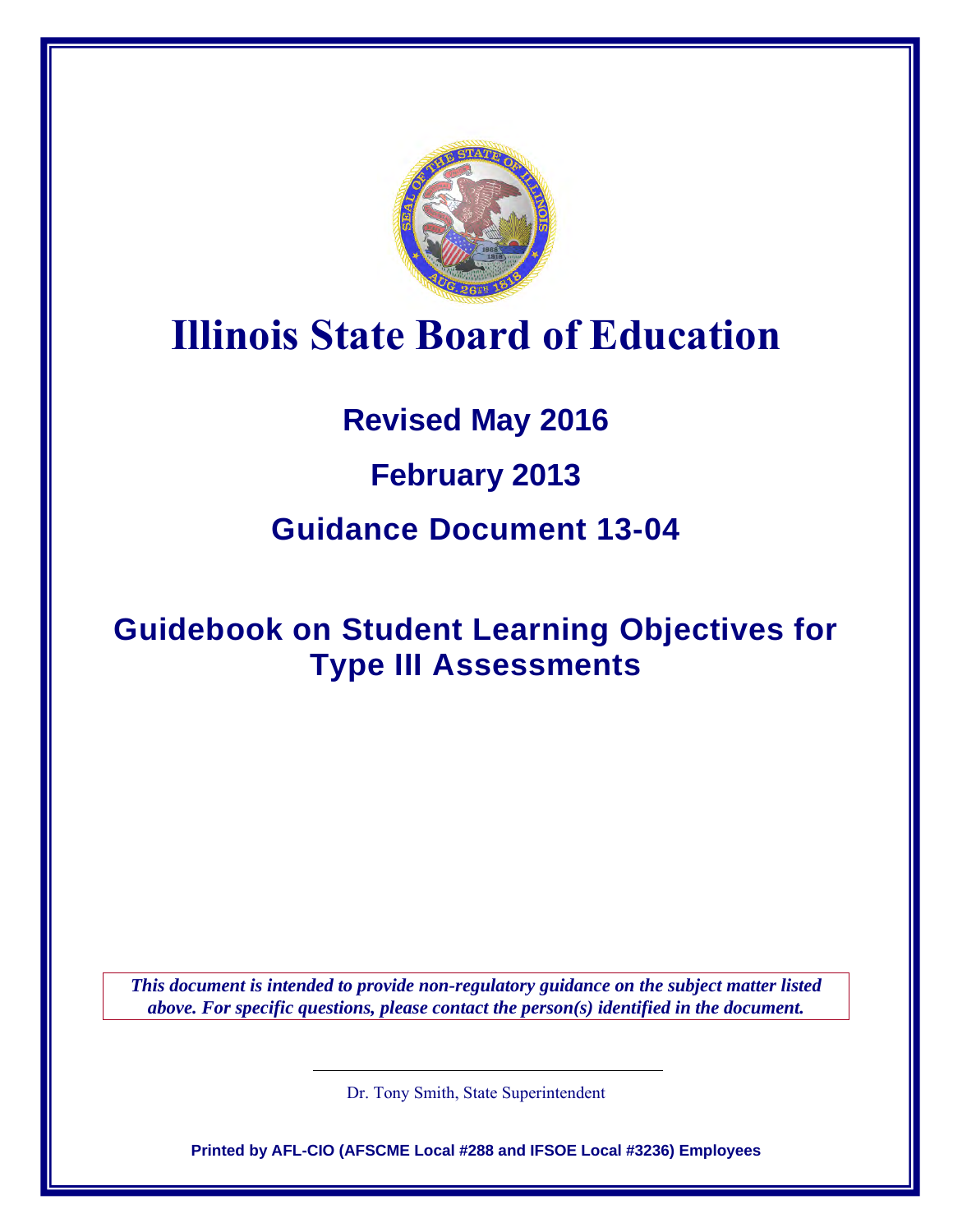

# **Illinois State Board of Education**

# **Revised May 2016**

# **February 2013**

# **Guidance Document 13-04**

# **Guidebook on Student Learning Objectives for Type III Assessments**

*This document is intended to provide non-regulatory guidance on the subject matter listed above. For specific questions, please contact the person(s) identified in the document.*

Dr. Tony Smith, State Superintendent

**Printed by AFL-CIO (AFSCME Local #288 and IFSOE Local #3236) Employees**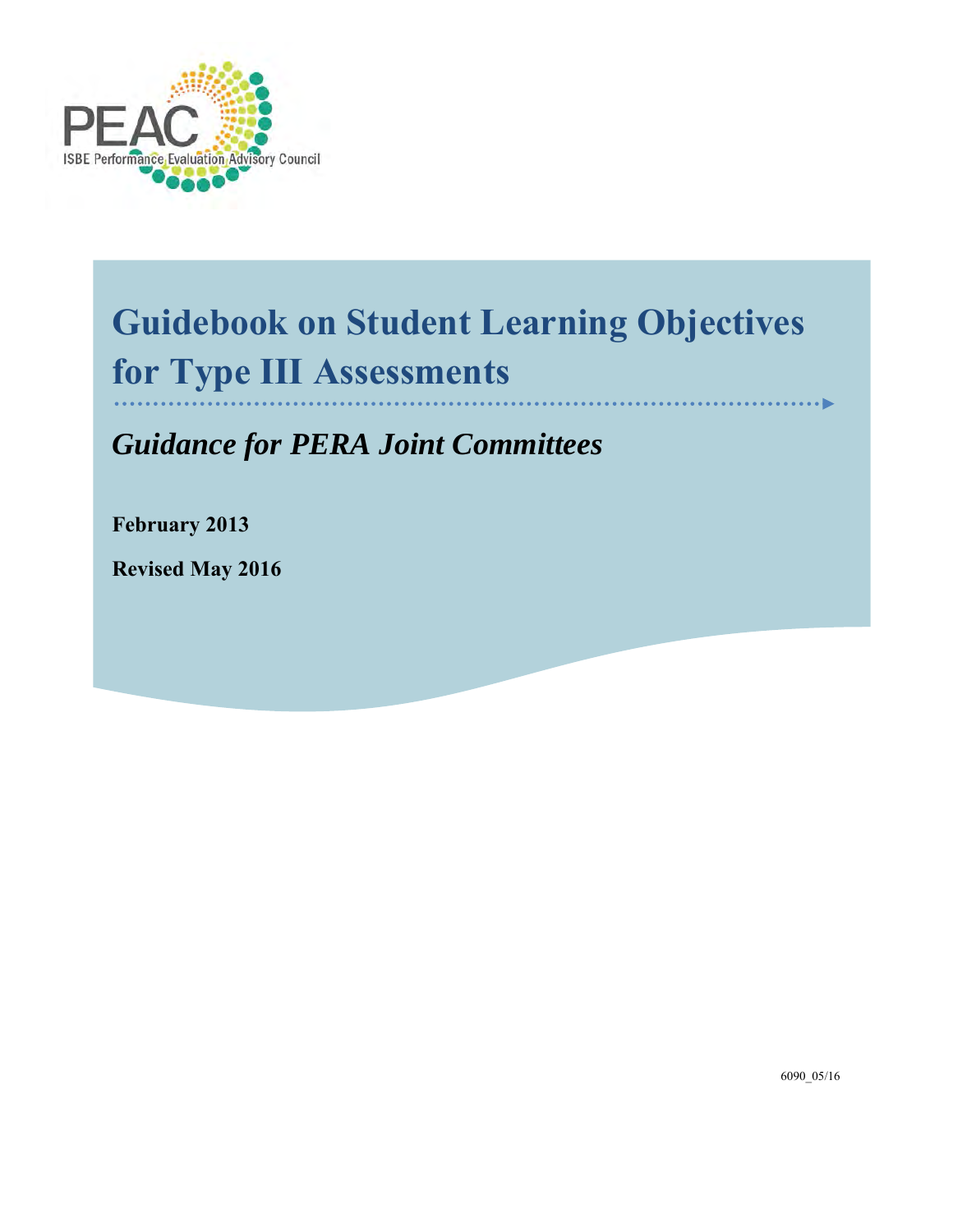

# **Guidebook on Student Learning Objectives for Type III Assessments**

*Guidance for PERA Joint Committees*

**February 2013**

**Revised May 2016**

6090\_05/16

ь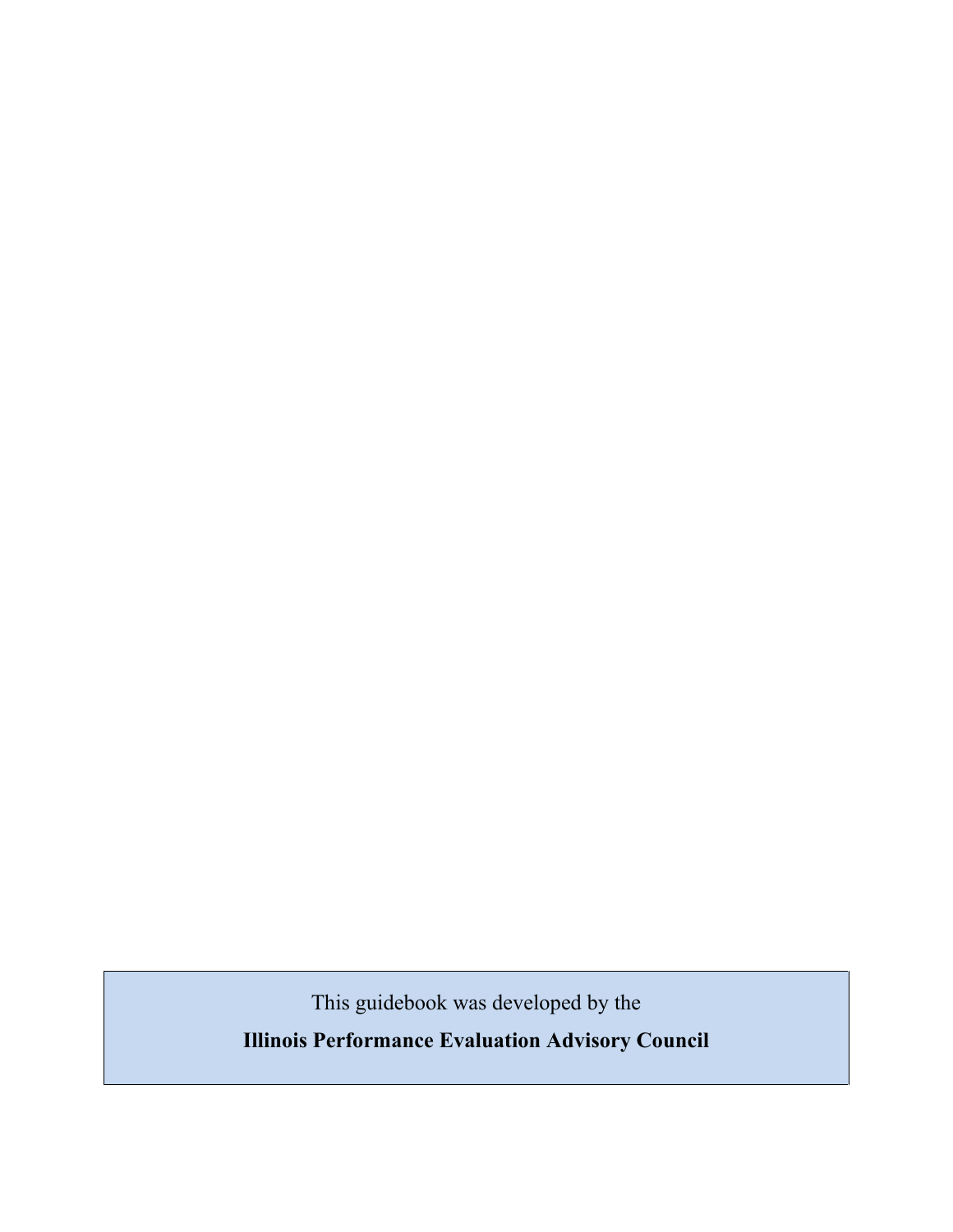This guidebook was developed by the

**Illinois Performance Evaluation Advisory Council**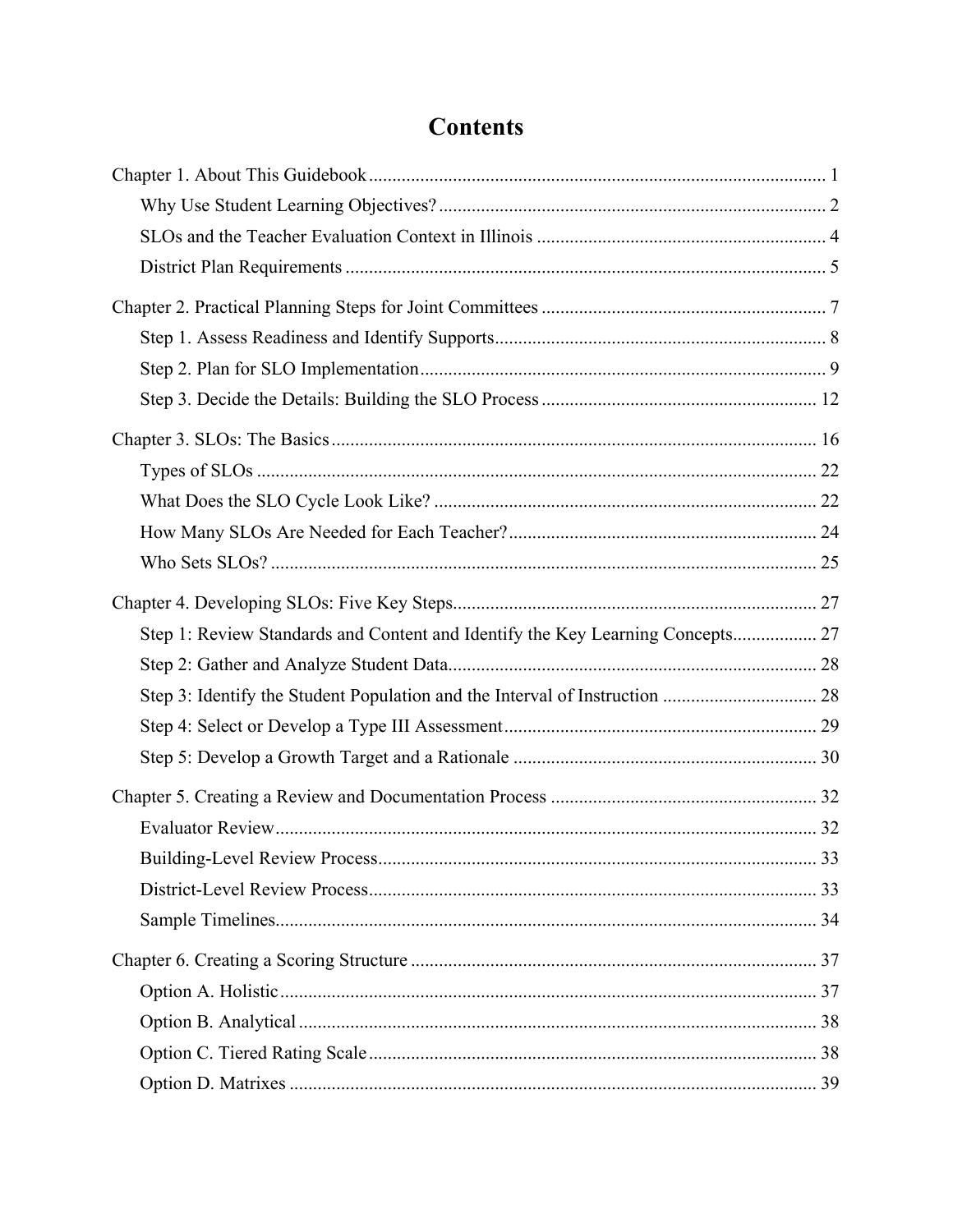# **Contents**

| Step 1: Review Standards and Content and Identify the Key Learning Concepts 27 |      |
|--------------------------------------------------------------------------------|------|
|                                                                                |      |
|                                                                                |      |
|                                                                                |      |
|                                                                                |      |
|                                                                                |      |
|                                                                                |      |
|                                                                                | . 33 |
|                                                                                |      |
|                                                                                |      |
|                                                                                |      |
|                                                                                |      |
|                                                                                |      |
|                                                                                |      |
|                                                                                |      |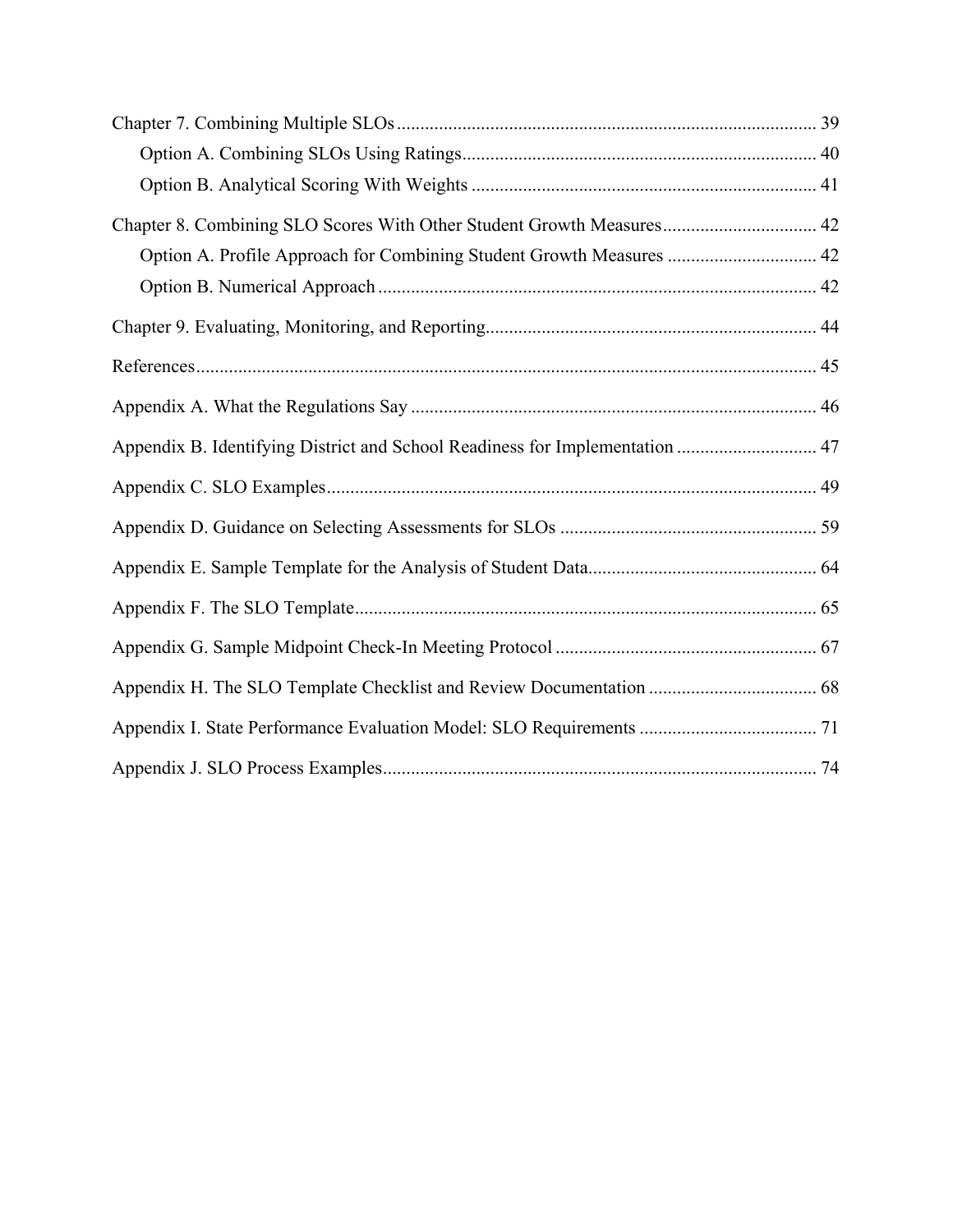| Chapter 8. Combining SLO Scores With Other Student Growth Measures 42        |  |
|------------------------------------------------------------------------------|--|
| Option A. Profile Approach for Combining Student Growth Measures  42         |  |
|                                                                              |  |
|                                                                              |  |
|                                                                              |  |
|                                                                              |  |
| Appendix B. Identifying District and School Readiness for Implementation  47 |  |
|                                                                              |  |
|                                                                              |  |
|                                                                              |  |
|                                                                              |  |
|                                                                              |  |
|                                                                              |  |
|                                                                              |  |
|                                                                              |  |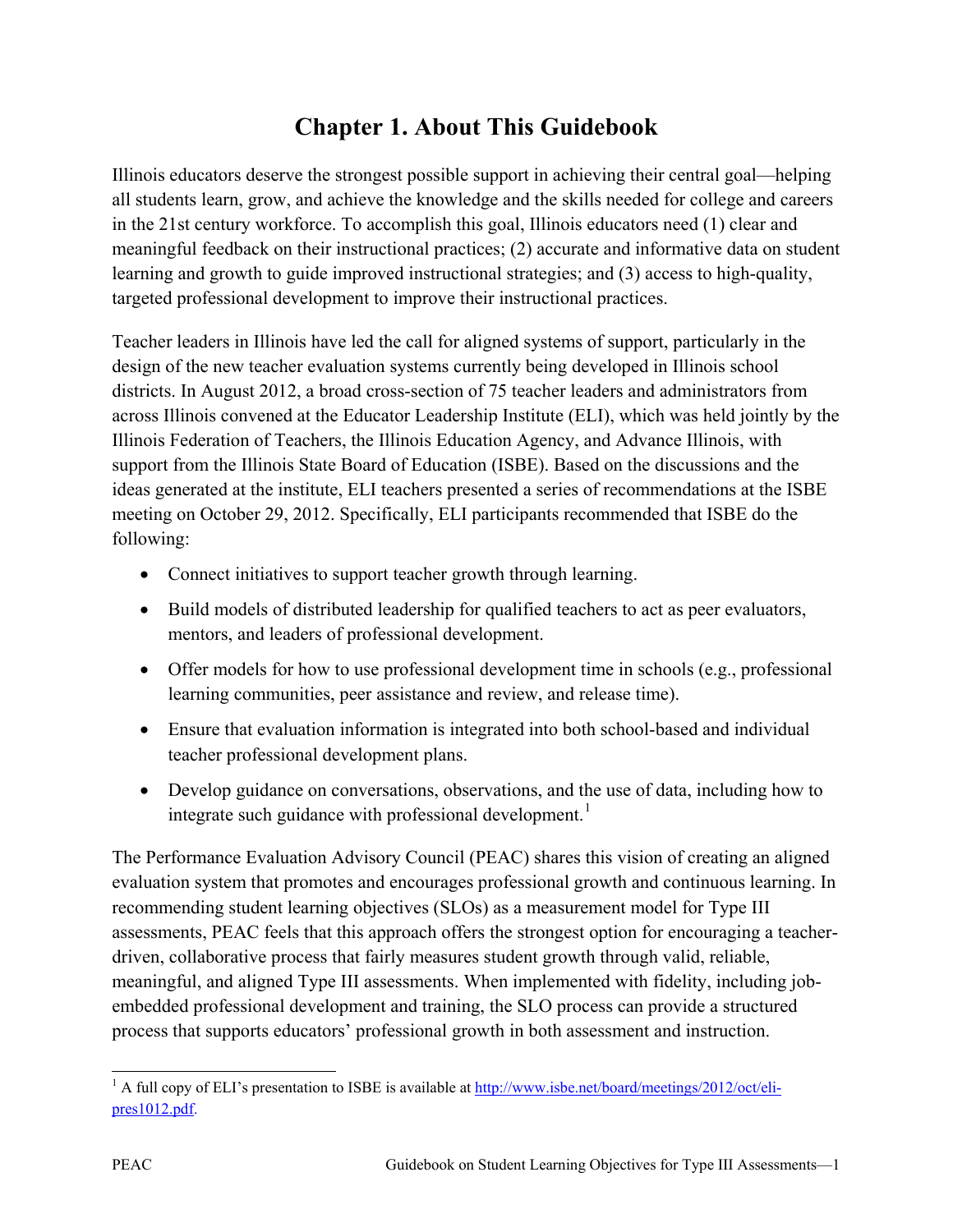# **Chapter 1. About This Guidebook**

Illinois educators deserve the strongest possible support in achieving their central goal—helping all students learn, grow, and achieve the knowledge and the skills needed for college and careers in the 21st century workforce. To accomplish this goal, Illinois educators need (1) clear and meaningful feedback on their instructional practices; (2) accurate and informative data on student learning and growth to guide improved instructional strategies; and (3) access to high-quality, targeted professional development to improve their instructional practices.

Teacher leaders in Illinois have led the call for aligned systems of support, particularly in the design of the new teacher evaluation systems currently being developed in Illinois school districts. In August 2012, a broad cross-section of 75 teacher leaders and administrators from across Illinois convened at the Educator Leadership Institute (ELI), which was held jointly by the Illinois Federation of Teachers, the Illinois Education Agency, and Advance Illinois, with support from the Illinois State Board of Education (ISBE). Based on the discussions and the ideas generated at the institute, ELI teachers presented a series of recommendations at the ISBE meeting on October 29, 2012. Specifically, ELI participants recommended that ISBE do the following:

- Connect initiatives to support teacher growth through learning.
- Build models of distributed leadership for qualified teachers to act as peer evaluators, mentors, and leaders of professional development.
- Offer models for how to use professional development time in schools (e.g., professional learning communities, peer assistance and review, and release time).
- Ensure that evaluation information is integrated into both school-based and individual teacher professional development plans.
- Develop guidance on conversations, observations, and the use of data, including how to integrate such guidance with professional development.<sup>[1](#page-6-0)</sup>

The Performance Evaluation Advisory Council (PEAC) shares this vision of creating an aligned evaluation system that promotes and encourages professional growth and continuous learning. In recommending student learning objectives (SLOs) as a measurement model for Type III assessments, PEAC feels that this approach offers the strongest option for encouraging a teacherdriven, collaborative process that fairly measures student growth through valid, reliable, meaningful, and aligned Type III assessments. When implemented with fidelity, including jobembedded professional development and training, the SLO process can provide a structured process that supports educators' professional growth in both assessment and instruction.

<span id="page-6-0"></span> $\overline{1}$ <sup>1</sup> A full copy of ELI's presentation to ISBE is available at [http://www.isbe.net/board/meetings/2012/oct/eli](http://www.isbe.net/board/meetings/2012/oct/eli-pres1012.pdf)[pres1012.pdf.](http://www.isbe.net/board/meetings/2012/oct/eli-pres1012.pdf)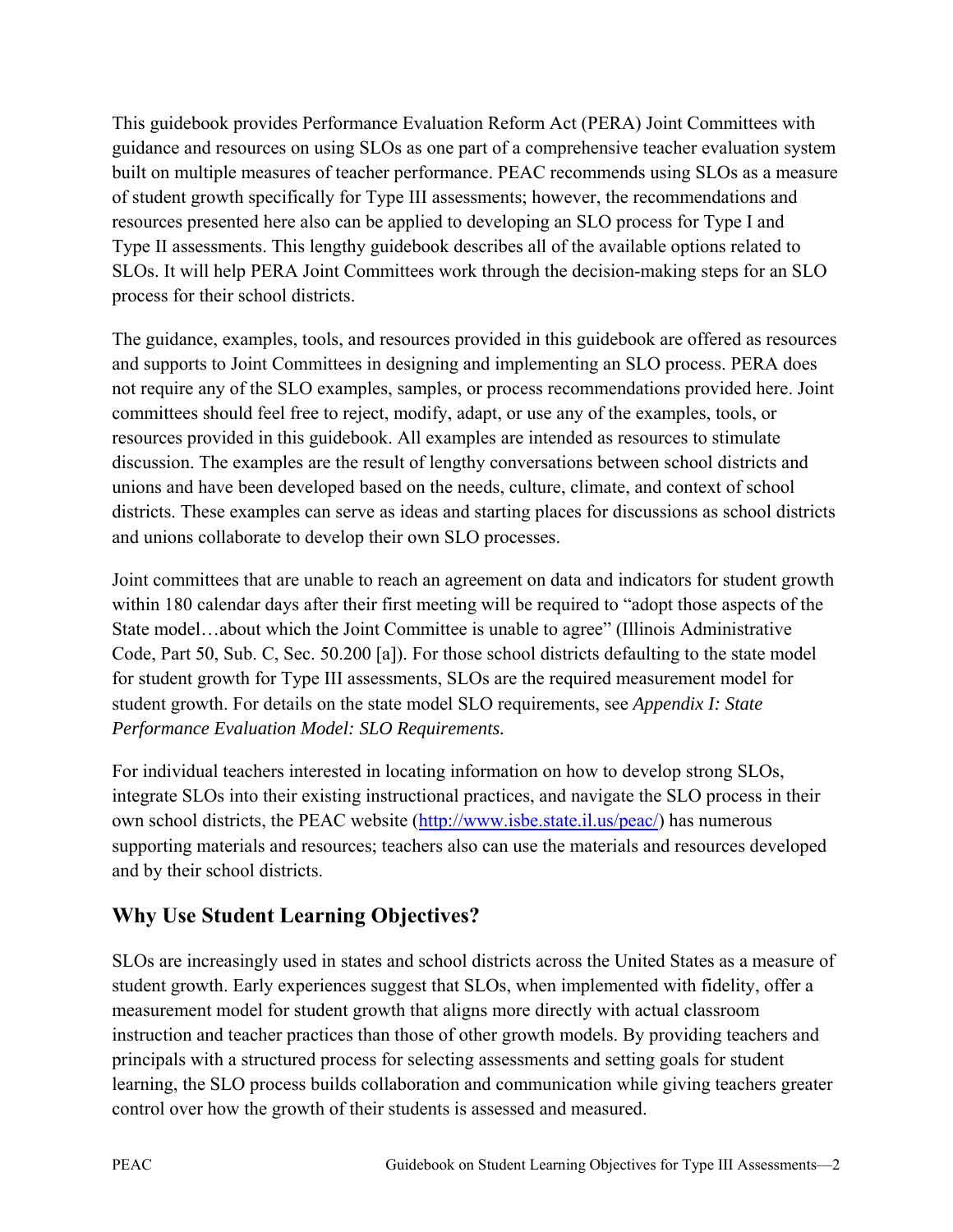This guidebook provides Performance Evaluation Reform Act (PERA) Joint Committees with guidance and resources on using SLOs as one part of a comprehensive teacher evaluation system built on multiple measures of teacher performance. PEAC recommends using SLOs as a measure of student growth specifically for Type III assessments; however, the recommendations and resources presented here also can be applied to developing an SLO process for Type I and Type II assessments. This lengthy guidebook describes all of the available options related to SLOs. It will help PERA Joint Committees work through the decision-making steps for an SLO process for their school districts.

The guidance, examples, tools, and resources provided in this guidebook are offered as resources and supports to Joint Committees in designing and implementing an SLO process. PERA does not require any of the SLO examples, samples, or process recommendations provided here. Joint committees should feel free to reject, modify, adapt, or use any of the examples, tools, or resources provided in this guidebook. All examples are intended as resources to stimulate discussion. The examples are the result of lengthy conversations between school districts and unions and have been developed based on the needs, culture, climate, and context of school districts. These examples can serve as ideas and starting places for discussions as school districts and unions collaborate to develop their own SLO processes.

Joint committees that are unable to reach an agreement on data and indicators for student growth within 180 calendar days after their first meeting will be required to "adopt those aspects of the State model…about which the Joint Committee is unable to agree" (Illinois Administrative Code, Part 50, Sub. C, Sec. 50.200 [a]). For those school districts defaulting to the state model for student growth for Type III assessments, SLOs are the required measurement model for student growth. For details on the state model SLO requirements, see *Appendix I: State Performance Evaluation Model: SLO Requirements.*

For individual teachers interested in locating information on how to develop strong SLOs, integrate SLOs into their existing instructional practices, and navigate the SLO process in their own school districts, the PEAC website [\(http://www.isbe.state.il.us/peac/\)](http://www.isbe.state.il.us/peac/) has numerous supporting materials and resources; teachers also can use the materials and resources developed and by their school districts.

# **Why Use Student Learning Objectives?**

SLOs are increasingly used in states and school districts across the United States as a measure of student growth. Early experiences suggest that SLOs, when implemented with fidelity, offer a measurement model for student growth that aligns more directly with actual classroom instruction and teacher practices than those of other growth models. By providing teachers and principals with a structured process for selecting assessments and setting goals for student learning, the SLO process builds collaboration and communication while giving teachers greater control over how the growth of their students is assessed and measured.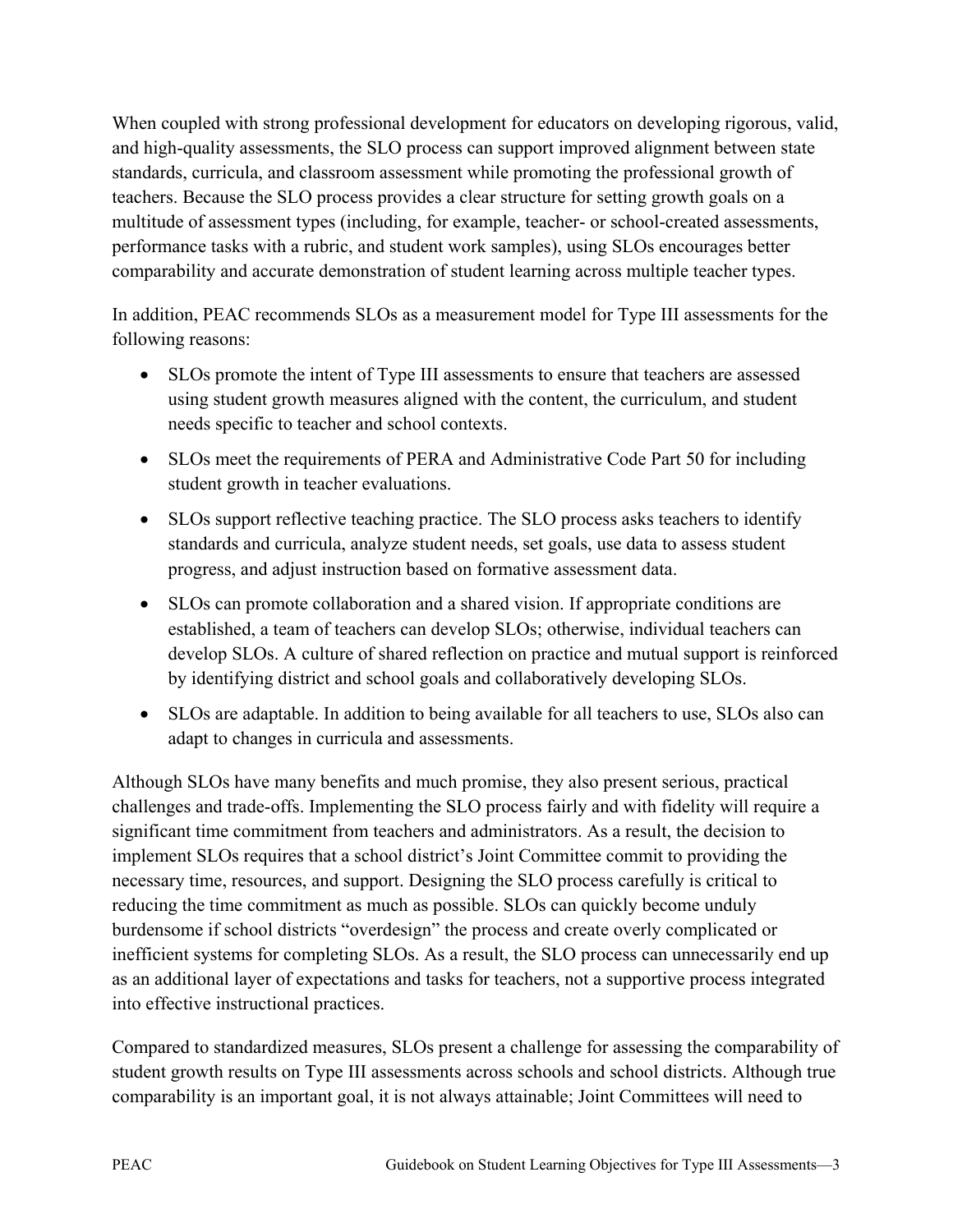When coupled with strong professional development for educators on developing rigorous, valid, and high-quality assessments, the SLO process can support improved alignment between state standards, curricula, and classroom assessment while promoting the professional growth of teachers. Because the SLO process provides a clear structure for setting growth goals on a multitude of assessment types (including, for example, teacher- or school-created assessments, performance tasks with a rubric, and student work samples), using SLOs encourages better comparability and accurate demonstration of student learning across multiple teacher types.

In addition, PEAC recommends SLOs as a measurement model for Type III assessments for the following reasons:

- SLOs promote the intent of Type III assessments to ensure that teachers are assessed using student growth measures aligned with the content, the curriculum, and student needs specific to teacher and school contexts.
- SLOs meet the requirements of PERA and Administrative Code Part 50 for including student growth in teacher evaluations.
- SLOs support reflective teaching practice. The SLO process asks teachers to identify standards and curricula, analyze student needs, set goals, use data to assess student progress, and adjust instruction based on formative assessment data.
- SLOs can promote collaboration and a shared vision. If appropriate conditions are established, a team of teachers can develop SLOs; otherwise, individual teachers can develop SLOs. A culture of shared reflection on practice and mutual support is reinforced by identifying district and school goals and collaboratively developing SLOs.
- SLOs are adaptable. In addition to being available for all teachers to use, SLOs also can adapt to changes in curricula and assessments.

Although SLOs have many benefits and much promise, they also present serious, practical challenges and trade-offs. Implementing the SLO process fairly and with fidelity will require a significant time commitment from teachers and administrators. As a result, the decision to implement SLOs requires that a school district's Joint Committee commit to providing the necessary time, resources, and support. Designing the SLO process carefully is critical to reducing the time commitment as much as possible. SLOs can quickly become unduly burdensome if school districts "overdesign" the process and create overly complicated or inefficient systems for completing SLOs. As a result, the SLO process can unnecessarily end up as an additional layer of expectations and tasks for teachers, not a supportive process integrated into effective instructional practices.

Compared to standardized measures, SLOs present a challenge for assessing the comparability of student growth results on Type III assessments across schools and school districts. Although true comparability is an important goal, it is not always attainable; Joint Committees will need to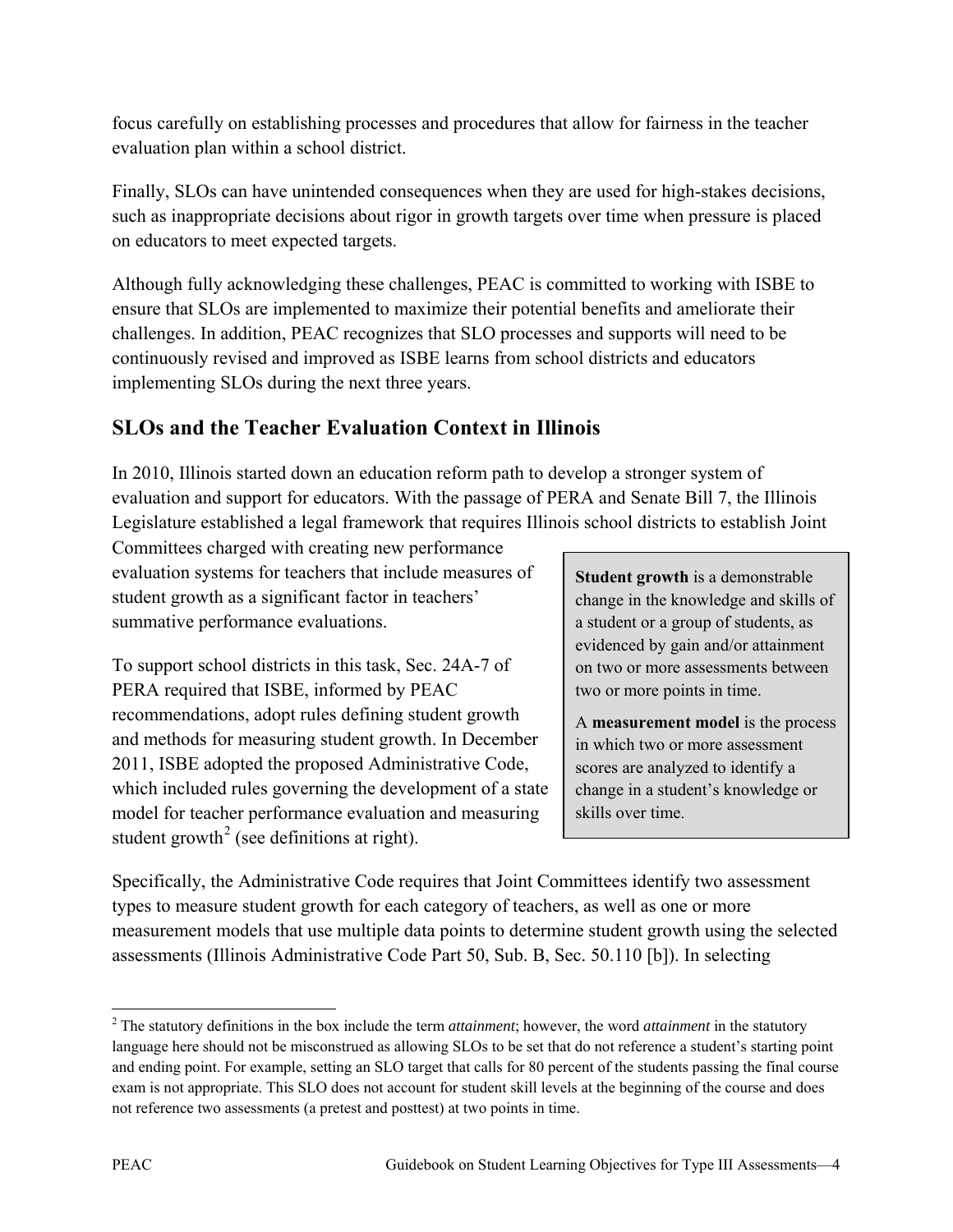focus carefully on establishing processes and procedures that allow for fairness in the teacher evaluation plan within a school district.

Finally, SLOs can have unintended consequences when they are used for high-stakes decisions, such as inappropriate decisions about rigor in growth targets over time when pressure is placed on educators to meet expected targets.

Although fully acknowledging these challenges, PEAC is committed to working with ISBE to ensure that SLOs are implemented to maximize their potential benefits and ameliorate their challenges. In addition, PEAC recognizes that SLO processes and supports will need to be continuously revised and improved as ISBE learns from school districts and educators implementing SLOs during the next three years.

# **SLOs and the Teacher Evaluation Context in Illinois**

In 2010, Illinois started down an education reform path to develop a stronger system of evaluation and support for educators. With the passage of PERA and Senate Bill 7, the Illinois Legislature established a legal framework that requires Illinois school districts to establish Joint

Committees charged with creating new performance evaluation systems for teachers that include measures of student growth as a significant factor in teachers' summative performance evaluations.

To support school districts in this task, Sec. 24A-7 of PERA required that ISBE, informed by PEAC recommendations, adopt rules defining student growth and methods for measuring student growth. In December 2011, ISBE adopted the proposed Administrative Code, which included rules governing the development of a state model for teacher performance evaluation and measuring student growth<sup>[2](#page-9-0)</sup> (see definitions at right).

**Student growth** is a demonstrable change in the knowledge and skills of a student or a group of students, as evidenced by gain and/or attainment on two or more assessments between two or more points in time.

A **measurement model** is the process in which two or more assessment scores are analyzed to identify a change in a student's knowledge or skills over time.

Specifically, the Administrative Code requires that Joint Committees identify two assessment types to measure student growth for each category of teachers, as well as one or more measurement models that use multiple data points to determine student growth using the selected assessments (Illinois Administrative Code Part 50, Sub. B, Sec. 50.110 [b]). In selecting

<span id="page-9-0"></span> $\overline{a}$ <sup>2</sup> The statutory definitions in the box include the term *attainment*; however, the word *attainment* in the statutory language here should not be misconstrued as allowing SLOs to be set that do not reference a student's starting point and ending point. For example, setting an SLO target that calls for 80 percent of the students passing the final course exam is not appropriate. This SLO does not account for student skill levels at the beginning of the course and does not reference two assessments (a pretest and posttest) at two points in time.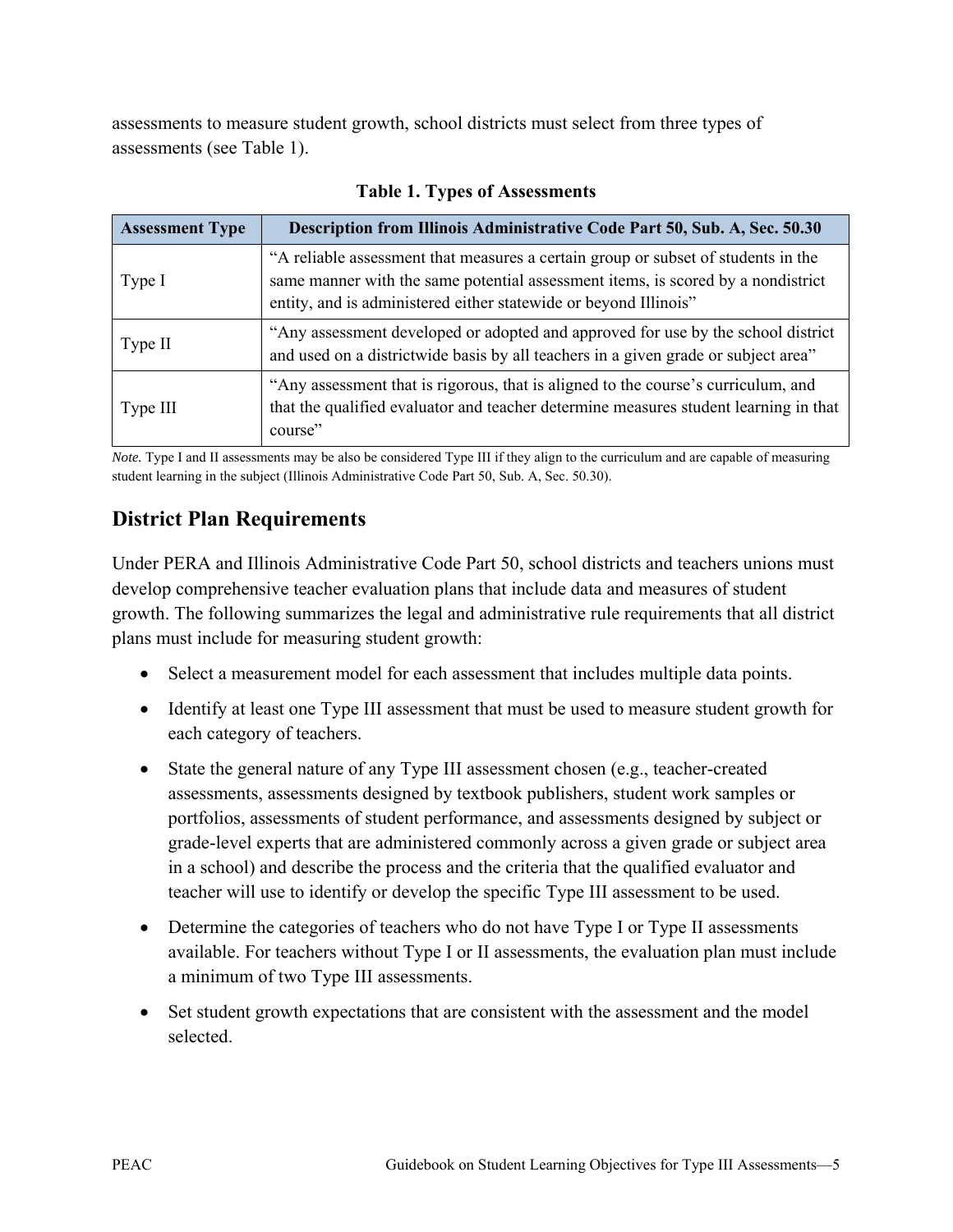assessments to measure student growth, school districts must select from three types of assessments (see Table 1).

| <b>Assessment Type</b> | <b>Description from Illinois Administrative Code Part 50, Sub. A, Sec. 50.30</b>                                                                                                                                                          |
|------------------------|-------------------------------------------------------------------------------------------------------------------------------------------------------------------------------------------------------------------------------------------|
| Type I                 | "A reliable assessment that measures a certain group or subset of students in the<br>same manner with the same potential assessment items, is scored by a nondistrict<br>entity, and is administered either statewide or beyond Illinois" |
| Type II                | "Any assessment developed or adopted and approved for use by the school district<br>and used on a districtwide basis by all teachers in a given grade or subject area"                                                                    |
| Type III               | "Any assessment that is rigorous, that is aligned to the course's curriculum, and<br>that the qualified evaluator and teacher determine measures student learning in that<br>course"                                                      |

#### **Table 1. Types of Assessments**

*Note.* Type I and II assessments may be also be considered Type III if they align to the curriculum and are capable of measuring student learning in the subject (Illinois Administrative Code Part 50, Sub. A, Sec. 50.30).

## **District Plan Requirements**

Under PERA and Illinois Administrative Code Part 50, school districts and teachers unions must develop comprehensive teacher evaluation plans that include data and measures of student growth. The following summarizes the legal and administrative rule requirements that all district plans must include for measuring student growth:

- Select a measurement model for each assessment that includes multiple data points.
- Identify at least one Type III assessment that must be used to measure student growth for each category of teachers.
- State the general nature of any Type III assessment chosen (e.g., teacher-created assessments, assessments designed by textbook publishers, student work samples or portfolios, assessments of student performance, and assessments designed by subject or grade-level experts that are administered commonly across a given grade or subject area in a school) and describe the process and the criteria that the qualified evaluator and teacher will use to identify or develop the specific Type III assessment to be used.
- Determine the categories of teachers who do not have Type I or Type II assessments available. For teachers without Type I or II assessments, the evaluation plan must include a minimum of two Type III assessments.
- Set student growth expectations that are consistent with the assessment and the model selected.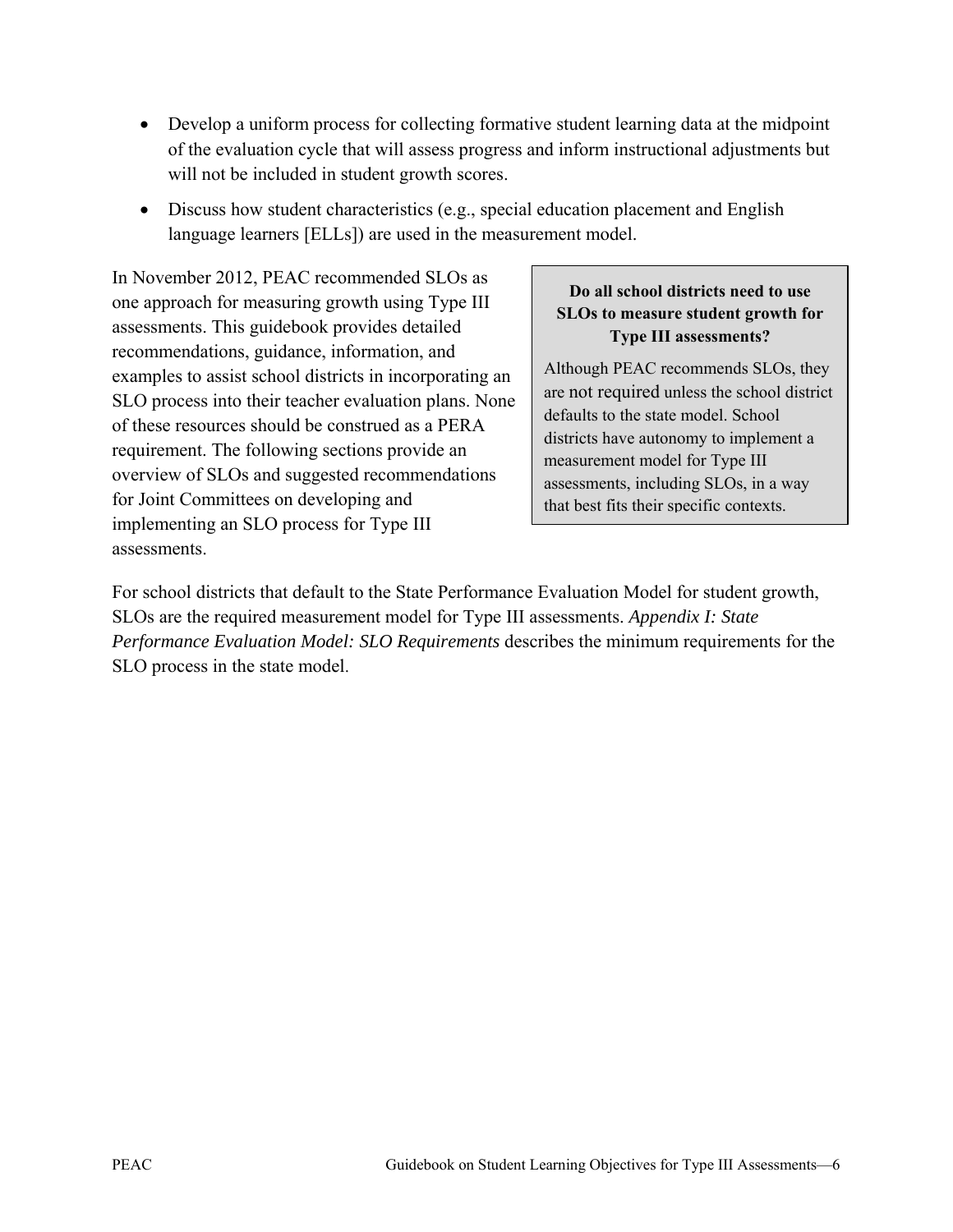- Develop a uniform process for collecting formative student learning data at the midpoint of the evaluation cycle that will assess progress and inform instructional adjustments but will not be included in student growth scores.
- Discuss how student characteristics (e.g., special education placement and English language learners [ELLs]) are used in the measurement model.

In November 2012, PEAC recommended SLOs as one approach for measuring growth using Type III assessments. This guidebook provides detailed recommendations, guidance, information, and examples to assist school districts in incorporating an SLO process into their teacher evaluation plans. None of these resources should be construed as a PERA requirement. The following sections provide an overview of SLOs and suggested recommendations for Joint Committees on developing and implementing an SLO process for Type III assessments.

#### **Do all school districts need to use SLOs to measure student growth for Type III assessments?**

Although PEAC recommends SLOs, they are not required unless the school district defaults to the state model. School districts have autonomy to implement a measurement model for Type III assessments, including SLOs, in a way that best fits their specific contexts.

For school districts that default to the State Performance Evaluation Model for student growth, SLOs are the required measurement model for Type III assessments. *Appendix I: State Performance Evaluation Model: SLO Requirements* describes the minimum requirements for the SLO process in the state model.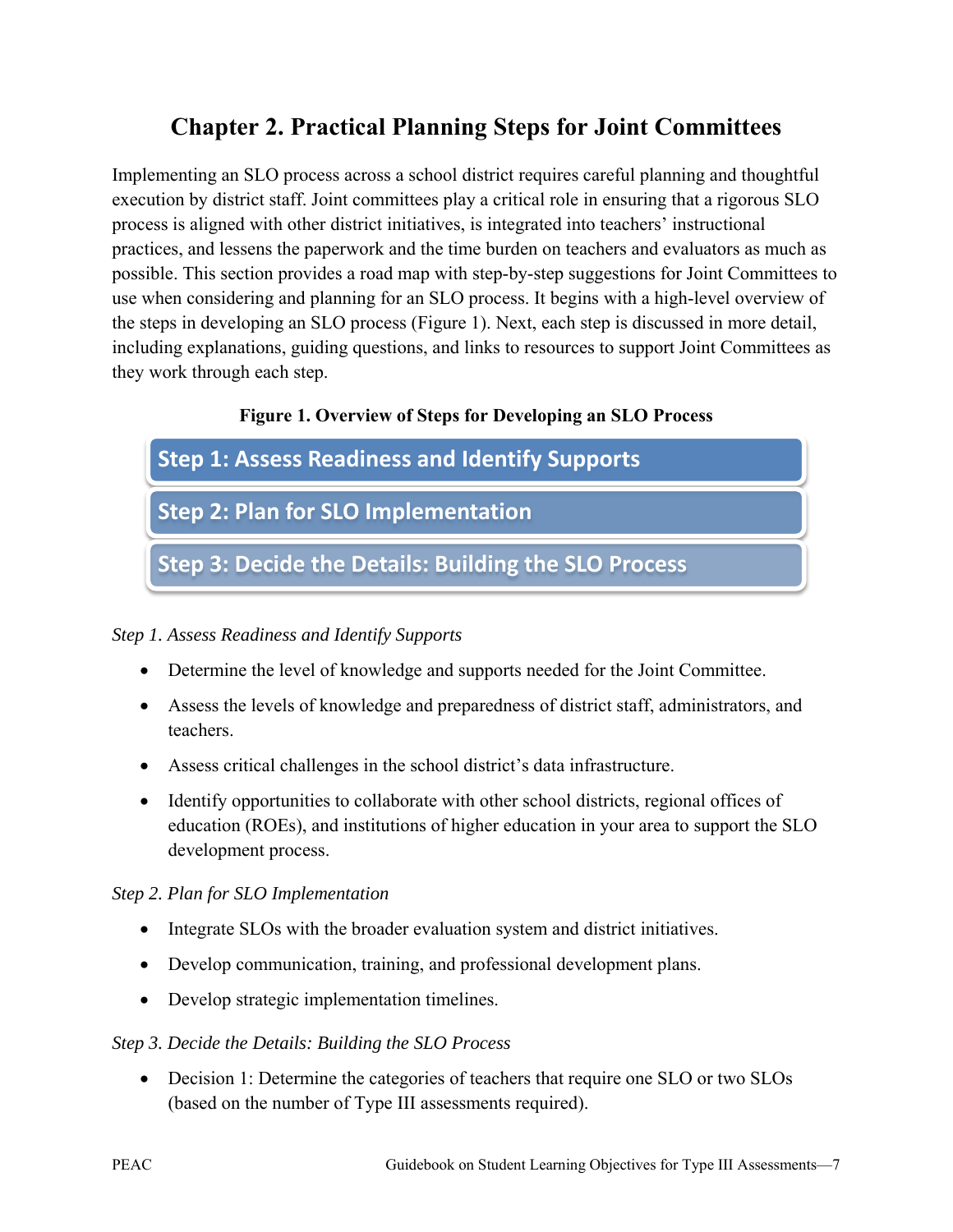# **Chapter 2. Practical Planning Steps for Joint Committees**

Implementing an SLO process across a school district requires careful planning and thoughtful execution by district staff. Joint committees play a critical role in ensuring that a rigorous SLO process is aligned with other district initiatives, is integrated into teachers' instructional practices, and lessens the paperwork and the time burden on teachers and evaluators as much as possible. This section provides a road map with step-by-step suggestions for Joint Committees to use when considering and planning for an SLO process. It begins with a high-level overview of the steps in developing an SLO process (Figure 1). Next, each step is discussed in more detail, including explanations, guiding questions, and links to resources to support Joint Committees as they work through each step.

#### **Figure 1. Overview of Steps for Developing an SLO Process**



#### *Step 1. Assess Readiness and Identify Supports*

- Determine the level of knowledge and supports needed for the Joint Committee.
- Assess the levels of knowledge and preparedness of district staff, administrators, and teachers.
- Assess critical challenges in the school district's data infrastructure.
- Identify opportunities to collaborate with other school districts, regional offices of education (ROEs), and institutions of higher education in your area to support the SLO development process.

#### *Step 2. Plan for SLO Implementation*

- Integrate SLOs with the broader evaluation system and district initiatives.
- Develop communication, training, and professional development plans.
- Develop strategic implementation timelines.

#### *Step 3. Decide the Details: Building the SLO Process*

• Decision 1: Determine the categories of teachers that require one SLO or two SLOs (based on the number of Type III assessments required).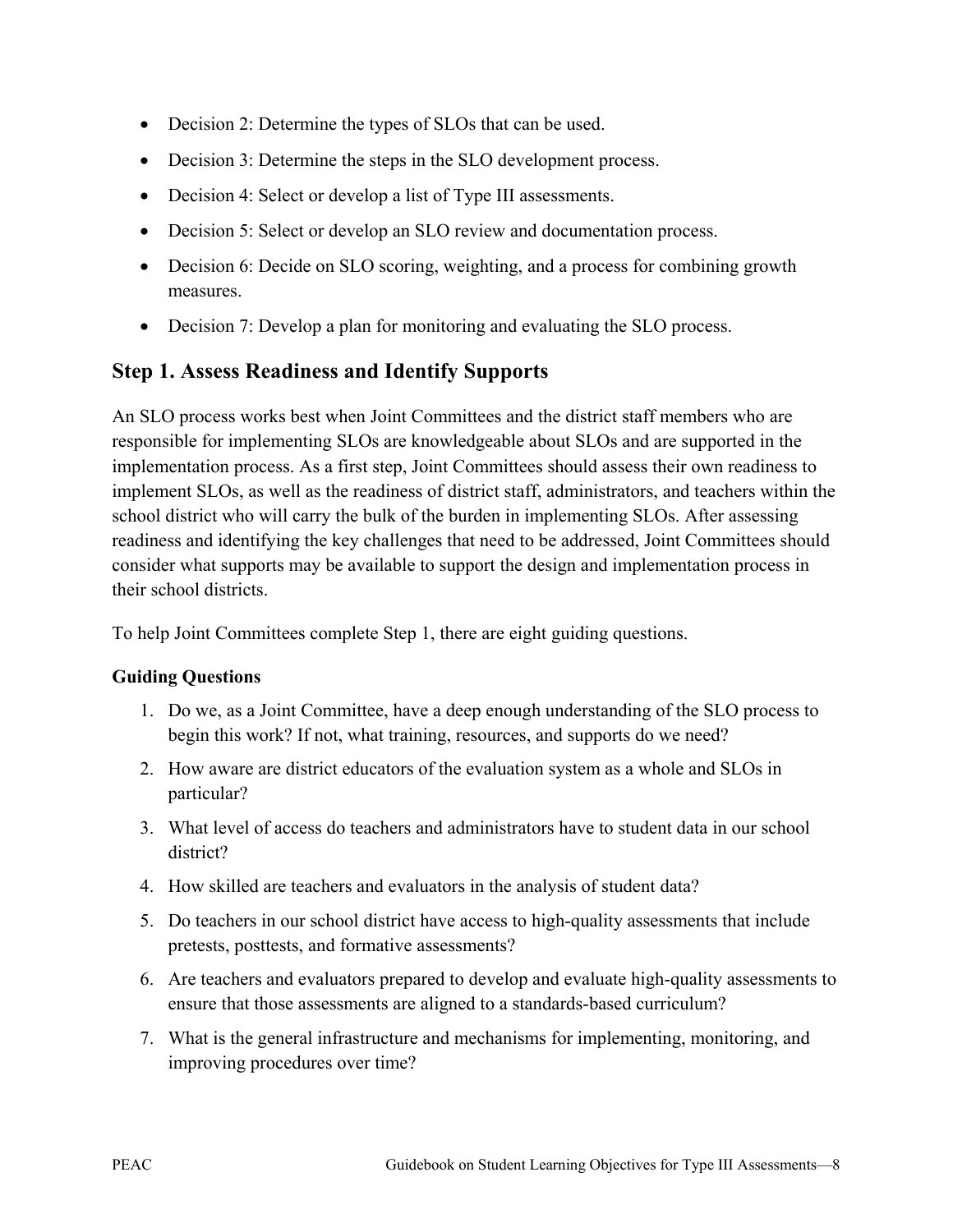- Decision 2: Determine the types of SLOs that can be used.
- Decision 3: Determine the steps in the SLO development process.
- Decision 4: Select or develop a list of Type III assessments.
- Decision 5: Select or develop an SLO review and documentation process.
- Decision 6: Decide on SLO scoring, weighting, and a process for combining growth measures.
- Decision 7: Develop a plan for monitoring and evaluating the SLO process.

### **Step 1. Assess Readiness and Identify Supports**

An SLO process works best when Joint Committees and the district staff members who are responsible for implementing SLOs are knowledgeable about SLOs and are supported in the implementation process. As a first step, Joint Committees should assess their own readiness to implement SLOs, as well as the readiness of district staff, administrators, and teachers within the school district who will carry the bulk of the burden in implementing SLOs. After assessing readiness and identifying the key challenges that need to be addressed, Joint Committees should consider what supports may be available to support the design and implementation process in their school districts.

To help Joint Committees complete Step 1, there are eight guiding questions.

#### **Guiding Questions**

- 1. Do we, as a Joint Committee, have a deep enough understanding of the SLO process to begin this work? If not, what training, resources, and supports do we need?
- 2. How aware are district educators of the evaluation system as a whole and SLOs in particular?
- 3. What level of access do teachers and administrators have to student data in our school district?
- 4. How skilled are teachers and evaluators in the analysis of student data?
- 5. Do teachers in our school district have access to high-quality assessments that include pretests, posttests, and formative assessments?
- 6. Are teachers and evaluators prepared to develop and evaluate high-quality assessments to ensure that those assessments are aligned to a standards-based curriculum?
- 7. What is the general infrastructure and mechanisms for implementing, monitoring, and improving procedures over time?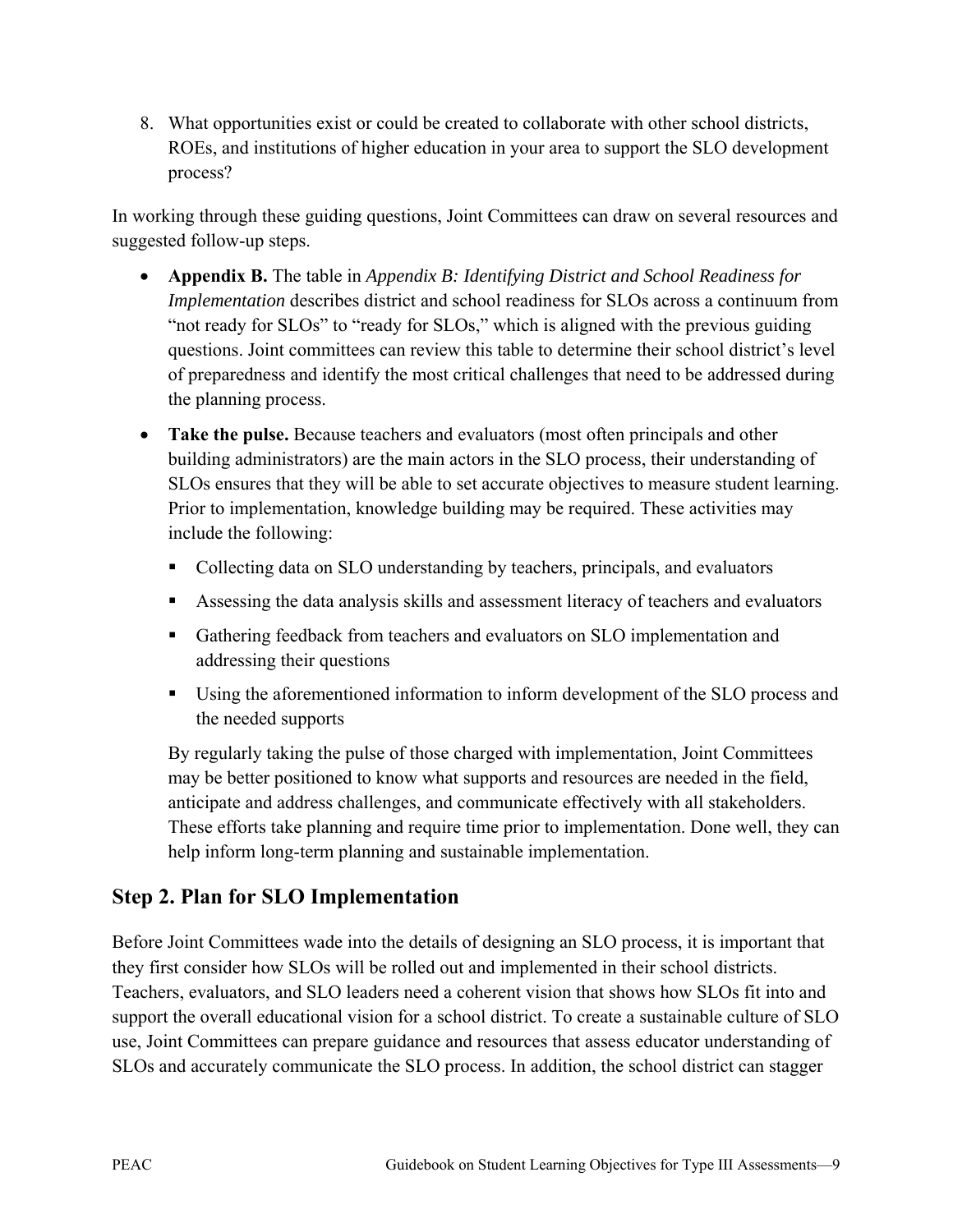8. What opportunities exist or could be created to collaborate with other school districts, ROEs, and institutions of higher education in your area to support the SLO development process?

In working through these guiding questions, Joint Committees can draw on several resources and suggested follow-up steps.

- **Appendix B.** The table in *Appendix B: Identifying District and School Readiness for Implementation* describes district and school readiness for SLOs across a continuum from "not ready for SLOs" to "ready for SLOs," which is aligned with the previous guiding questions. Joint committees can review this table to determine their school district's level of preparedness and identify the most critical challenges that need to be addressed during the planning process.
- **Take the pulse.** Because teachers and evaluators (most often principals and other building administrators) are the main actors in the SLO process, their understanding of SLOs ensures that they will be able to set accurate objectives to measure student learning. Prior to implementation, knowledge building may be required. These activities may include the following:
	- Collecting data on SLO understanding by teachers, principals, and evaluators
	- Assessing the data analysis skills and assessment literacy of teachers and evaluators
	- Gathering feedback from teachers and evaluators on SLO implementation and addressing their questions
	- Using the aforementioned information to inform development of the SLO process and the needed supports

By regularly taking the pulse of those charged with implementation, Joint Committees may be better positioned to know what supports and resources are needed in the field, anticipate and address challenges, and communicate effectively with all stakeholders. These efforts take planning and require time prior to implementation. Done well, they can help inform long-term planning and sustainable implementation.

# **Step 2. Plan for SLO Implementation**

Before Joint Committees wade into the details of designing an SLO process, it is important that they first consider how SLOs will be rolled out and implemented in their school districts. Teachers, evaluators, and SLO leaders need a coherent vision that shows how SLOs fit into and support the overall educational vision for a school district. To create a sustainable culture of SLO use, Joint Committees can prepare guidance and resources that assess educator understanding of SLOs and accurately communicate the SLO process. In addition, the school district can stagger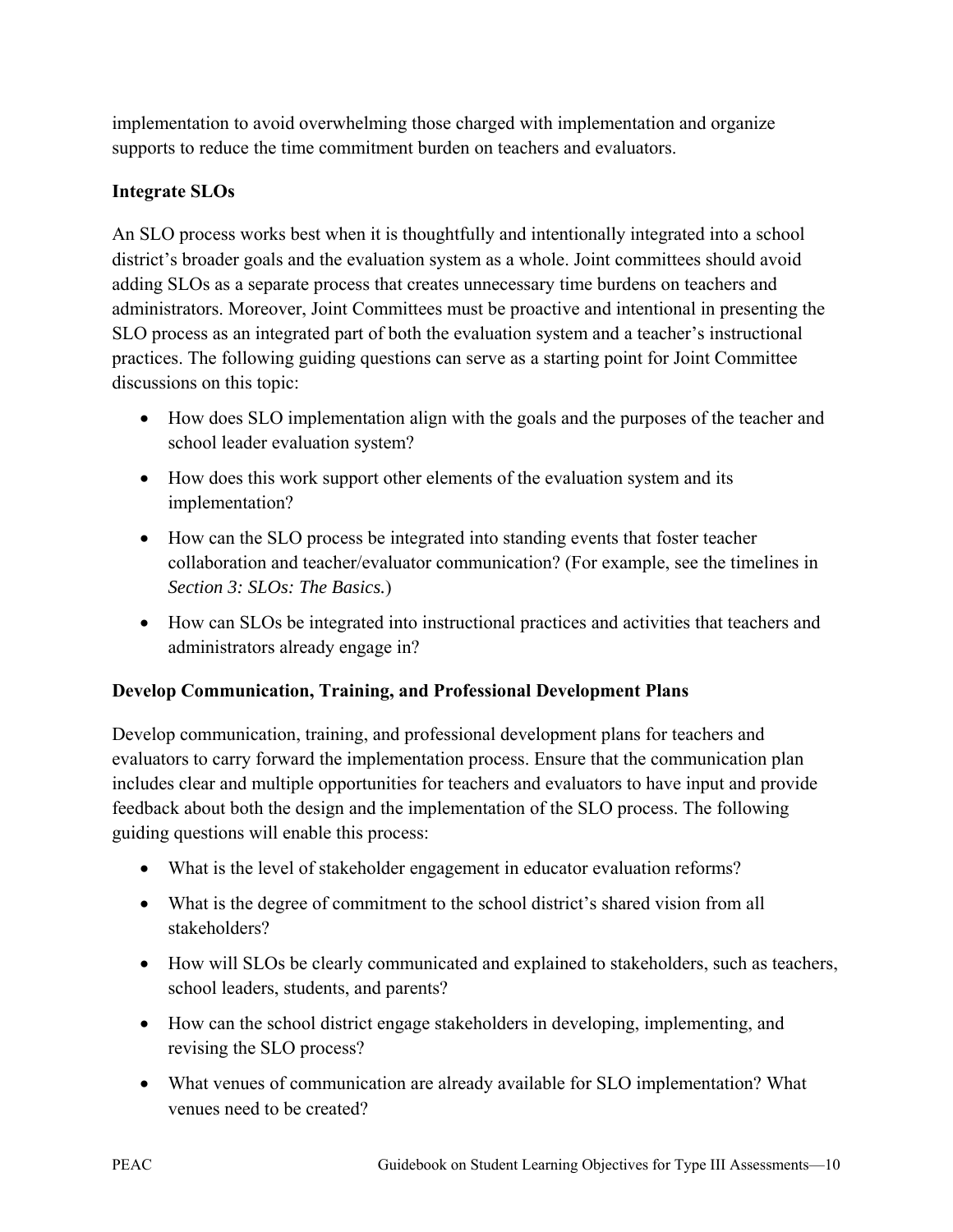implementation to avoid overwhelming those charged with implementation and organize supports to reduce the time commitment burden on teachers and evaluators.

#### **Integrate SLOs**

An SLO process works best when it is thoughtfully and intentionally integrated into a school district's broader goals and the evaluation system as a whole. Joint committees should avoid adding SLOs as a separate process that creates unnecessary time burdens on teachers and administrators. Moreover, Joint Committees must be proactive and intentional in presenting the SLO process as an integrated part of both the evaluation system and a teacher's instructional practices. The following guiding questions can serve as a starting point for Joint Committee discussions on this topic:

- How does SLO implementation align with the goals and the purposes of the teacher and school leader evaluation system?
- How does this work support other elements of the evaluation system and its implementation?
- How can the SLO process be integrated into standing events that foster teacher collaboration and teacher/evaluator communication? (For example, see the timelines in *Section 3: SLOs: The Basics.*)
- How can SLOs be integrated into instructional practices and activities that teachers and administrators already engage in?

#### **Develop Communication, Training, and Professional Development Plans**

Develop communication, training, and professional development plans for teachers and evaluators to carry forward the implementation process. Ensure that the communication plan includes clear and multiple opportunities for teachers and evaluators to have input and provide feedback about both the design and the implementation of the SLO process. The following guiding questions will enable this process:

- What is the level of stakeholder engagement in educator evaluation reforms?
- What is the degree of commitment to the school district's shared vision from all stakeholders?
- How will SLOs be clearly communicated and explained to stakeholders, such as teachers, school leaders, students, and parents?
- How can the school district engage stakeholders in developing, implementing, and revising the SLO process?
- What venues of communication are already available for SLO implementation? What venues need to be created?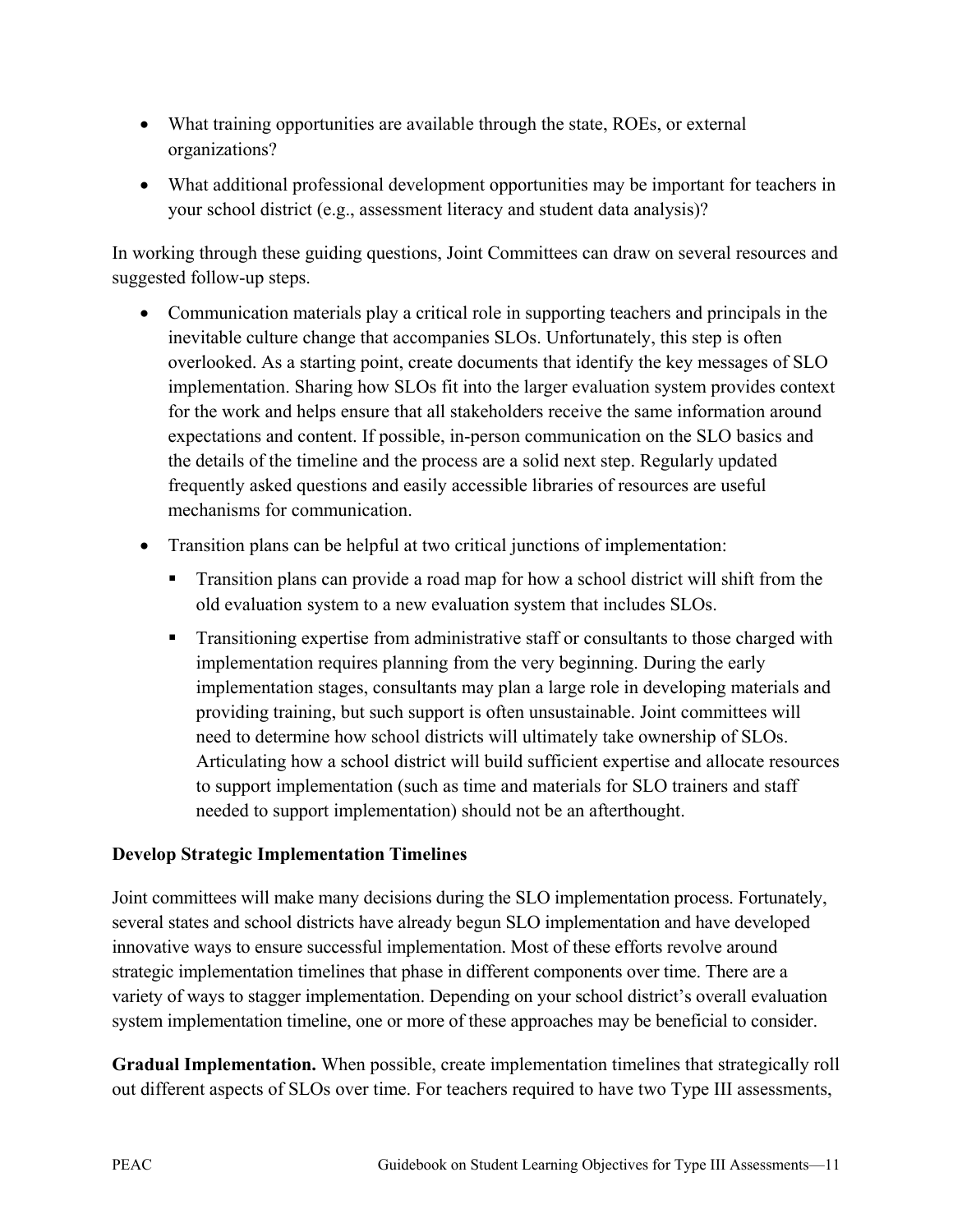- What training opportunities are available through the state, ROEs, or external organizations?
- What additional professional development opportunities may be important for teachers in your school district (e.g., assessment literacy and student data analysis)?

In working through these guiding questions, Joint Committees can draw on several resources and suggested follow-up steps.

- Communication materials play a critical role in supporting teachers and principals in the inevitable culture change that accompanies SLOs. Unfortunately, this step is often overlooked. As a starting point, create documents that identify the key messages of SLO implementation. Sharing how SLOs fit into the larger evaluation system provides context for the work and helps ensure that all stakeholders receive the same information around expectations and content. If possible, in-person communication on the SLO basics and the details of the timeline and the process are a solid next step. Regularly updated frequently asked questions and easily accessible libraries of resources are useful mechanisms for communication.
- Transition plans can be helpful at two critical junctions of implementation:
	- Transition plans can provide a road map for how a school district will shift from the old evaluation system to a new evaluation system that includes SLOs.
	- **Transitioning expertise from administrative staff or consultants to those charged with** implementation requires planning from the very beginning. During the early implementation stages, consultants may plan a large role in developing materials and providing training, but such support is often unsustainable. Joint committees will need to determine how school districts will ultimately take ownership of SLOs. Articulating how a school district will build sufficient expertise and allocate resources to support implementation (such as time and materials for SLO trainers and staff needed to support implementation) should not be an afterthought.

#### **Develop Strategic Implementation Timelines**

Joint committees will make many decisions during the SLO implementation process. Fortunately, several states and school districts have already begun SLO implementation and have developed innovative ways to ensure successful implementation. Most of these efforts revolve around strategic implementation timelines that phase in different components over time. There are a variety of ways to stagger implementation. Depending on your school district's overall evaluation system implementation timeline, one or more of these approaches may be beneficial to consider.

**Gradual Implementation.** When possible, create implementation timelines that strategically roll out different aspects of SLOs over time. For teachers required to have two Type III assessments,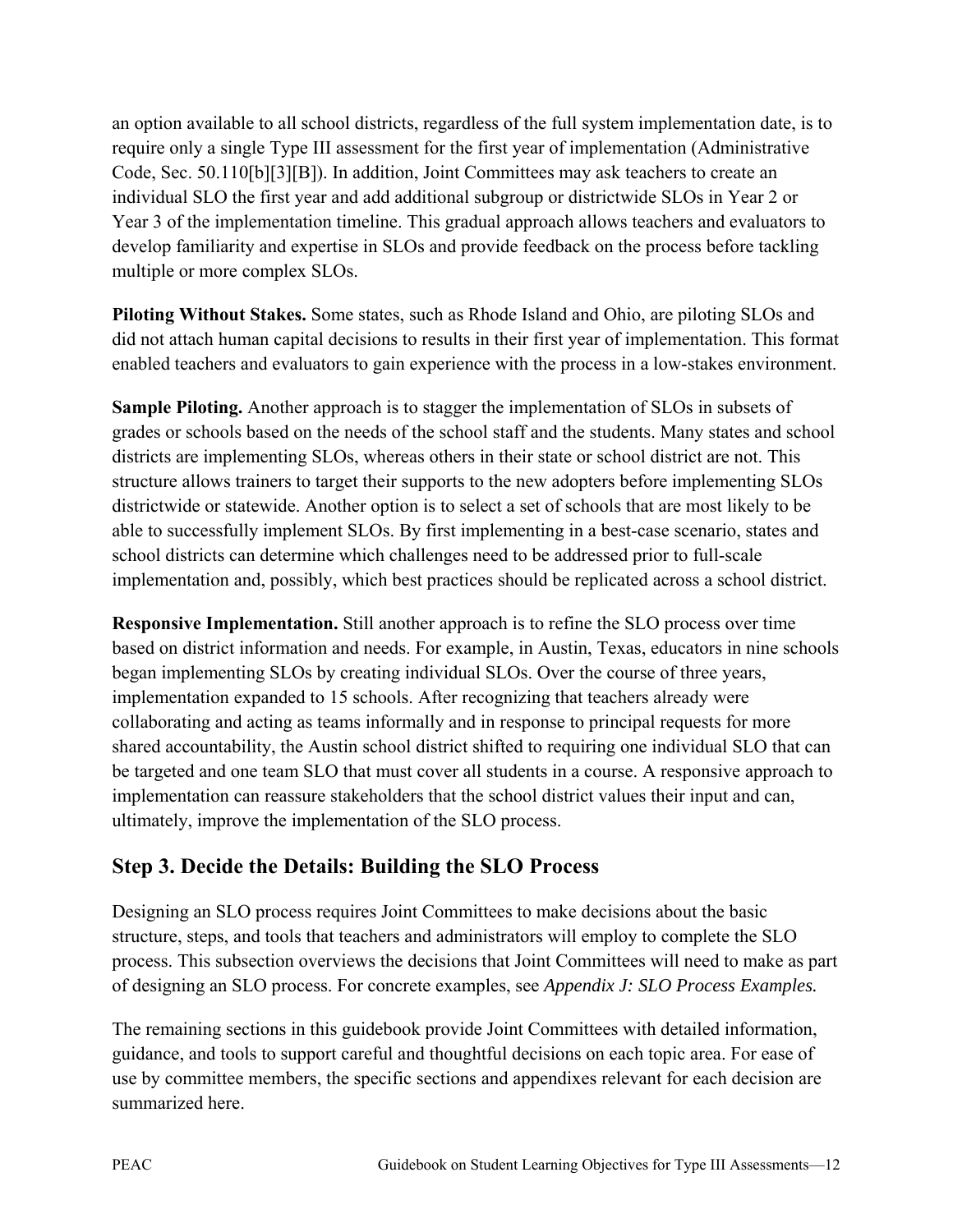an option available to all school districts, regardless of the full system implementation date, is to require only a single Type III assessment for the first year of implementation (Administrative Code, Sec. 50.110[b][3][B]). In addition, Joint Committees may ask teachers to create an individual SLO the first year and add additional subgroup or districtwide SLOs in Year 2 or Year 3 of the implementation timeline. This gradual approach allows teachers and evaluators to develop familiarity and expertise in SLOs and provide feedback on the process before tackling multiple or more complex SLOs.

**Piloting Without Stakes.** Some states, such as Rhode Island and Ohio, are piloting SLOs and did not attach human capital decisions to results in their first year of implementation. This format enabled teachers and evaluators to gain experience with the process in a low-stakes environment.

**Sample Piloting.** Another approach is to stagger the implementation of SLOs in subsets of grades or schools based on the needs of the school staff and the students. Many states and school districts are implementing SLOs, whereas others in their state or school district are not. This structure allows trainers to target their supports to the new adopters before implementing SLOs districtwide or statewide. Another option is to select a set of schools that are most likely to be able to successfully implement SLOs. By first implementing in a best-case scenario, states and school districts can determine which challenges need to be addressed prior to full-scale implementation and, possibly, which best practices should be replicated across a school district.

**Responsive Implementation.** Still another approach is to refine the SLO process over time based on district information and needs. For example, in Austin, Texas, educators in nine schools began implementing SLOs by creating individual SLOs. Over the course of three years, implementation expanded to 15 schools. After recognizing that teachers already were collaborating and acting as teams informally and in response to principal requests for more shared accountability, the Austin school district shifted to requiring one individual SLO that can be targeted and one team SLO that must cover all students in a course. A responsive approach to implementation can reassure stakeholders that the school district values their input and can, ultimately, improve the implementation of the SLO process.

# **Step 3. Decide the Details: Building the SLO Process**

Designing an SLO process requires Joint Committees to make decisions about the basic structure, steps, and tools that teachers and administrators will employ to complete the SLO process. This subsection overviews the decisions that Joint Committees will need to make as part of designing an SLO process. For concrete examples, see *Appendix J: SLO Process Examples.*

The remaining sections in this guidebook provide Joint Committees with detailed information, guidance, and tools to support careful and thoughtful decisions on each topic area. For ease of use by committee members, the specific sections and appendixes relevant for each decision are summarized here.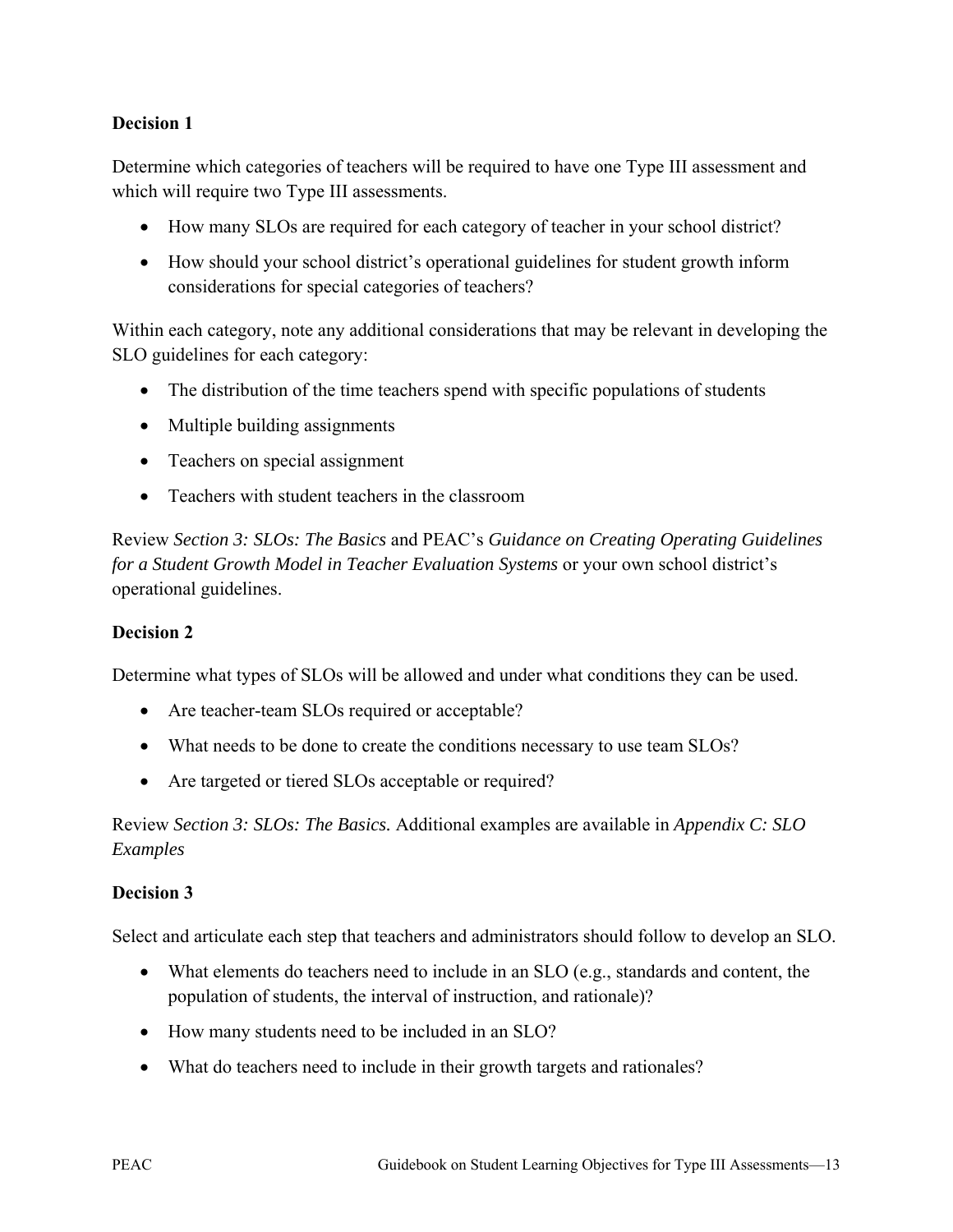#### **Decision 1**

Determine which categories of teachers will be required to have one Type III assessment and which will require two Type III assessments.

- How many SLOs are required for each category of teacher in your school district?
- How should your school district's operational guidelines for student growth inform considerations for special categories of teachers?

Within each category, note any additional considerations that may be relevant in developing the SLO guidelines for each category:

- The distribution of the time teachers spend with specific populations of students
- Multiple building assignments
- Teachers on special assignment
- Teachers with student teachers in the classroom

Review *Section 3: SLOs: The Basics* and PEAC's *Guidance on Creating Operating Guidelines for a Student Growth Model in Teacher Evaluation Systems* or your own school district's operational guidelines.

#### **Decision 2**

Determine what types of SLOs will be allowed and under what conditions they can be used.

- Are teacher-team SLOs required or acceptable?
- What needs to be done to create the conditions necessary to use team SLOs?
- Are targeted or tiered SLOs acceptable or required?

Review *Section 3: SLOs: The Basics.* Additional examples are available in *Appendix C: SLO Examples*

#### **Decision 3**

Select and articulate each step that teachers and administrators should follow to develop an SLO.

- What elements do teachers need to include in an SLO (e.g., standards and content, the population of students, the interval of instruction, and rationale)?
- How many students need to be included in an SLO?
- What do teachers need to include in their growth targets and rationales?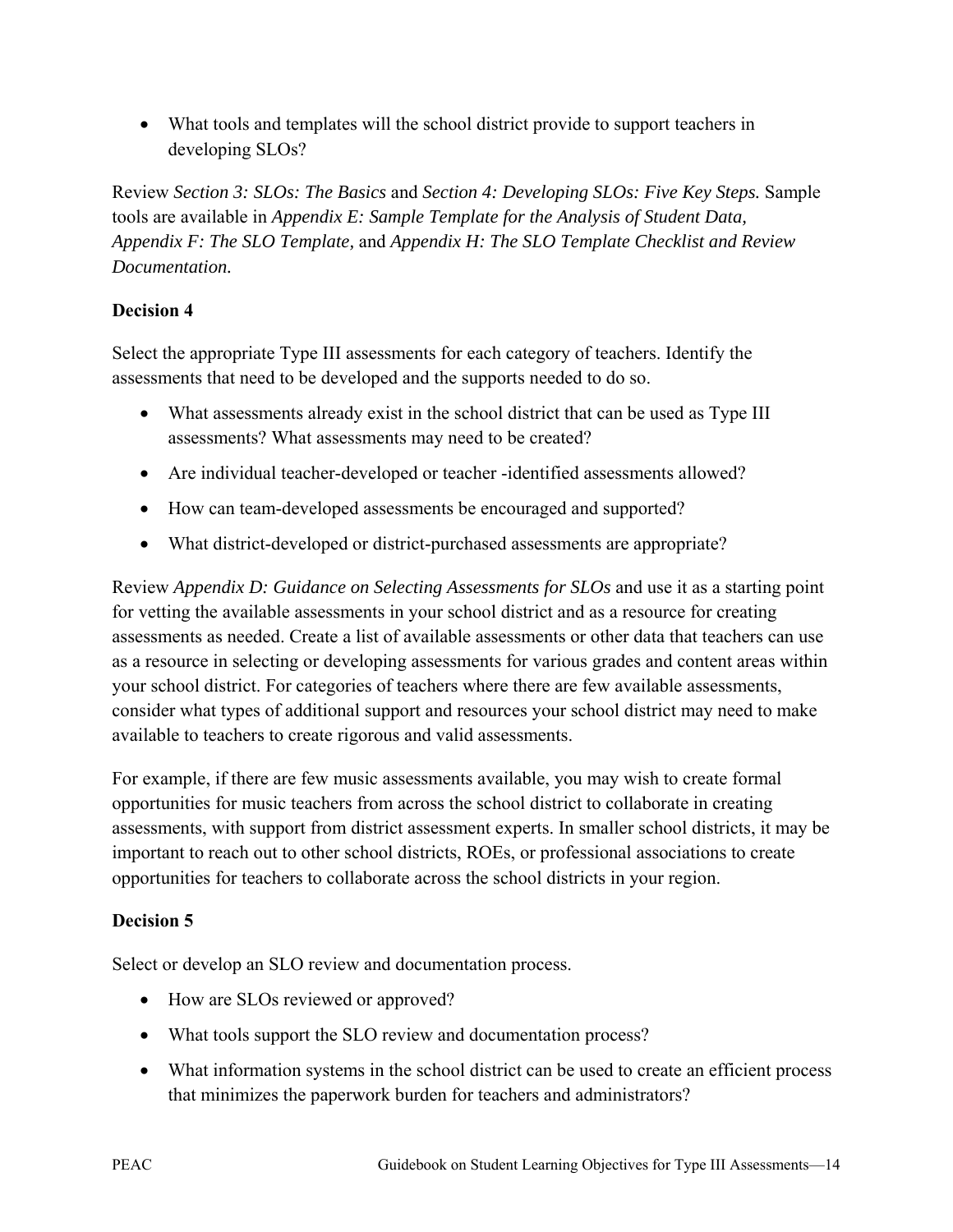• What tools and templates will the school district provide to support teachers in developing SLOs?

Review *Section 3: SLOs: The Basics* and *Section 4: Developing SLOs: Five Key Steps.* Sample tools are available in *Appendix E: Sample Template for the Analysis of Student Data, Appendix F: The SLO Template,* and *Appendix H: The SLO Template Checklist and Review Documentation.*

#### **Decision 4**

Select the appropriate Type III assessments for each category of teachers. Identify the assessments that need to be developed and the supports needed to do so.

- What assessments already exist in the school district that can be used as Type III assessments? What assessments may need to be created?
- Are individual teacher-developed or teacher -identified assessments allowed?
- How can team-developed assessments be encouraged and supported?
- What district-developed or district-purchased assessments are appropriate?

Review *Appendix D: Guidance on Selecting Assessments for SLOs* and use it as a starting point for vetting the available assessments in your school district and as a resource for creating assessments as needed. Create a list of available assessments or other data that teachers can use as a resource in selecting or developing assessments for various grades and content areas within your school district. For categories of teachers where there are few available assessments, consider what types of additional support and resources your school district may need to make available to teachers to create rigorous and valid assessments.

For example, if there are few music assessments available, you may wish to create formal opportunities for music teachers from across the school district to collaborate in creating assessments, with support from district assessment experts. In smaller school districts, it may be important to reach out to other school districts, ROEs, or professional associations to create opportunities for teachers to collaborate across the school districts in your region.

#### **Decision 5**

Select or develop an SLO review and documentation process.

- How are SLOs reviewed or approved?
- What tools support the SLO review and documentation process?
- What information systems in the school district can be used to create an efficient process that minimizes the paperwork burden for teachers and administrators?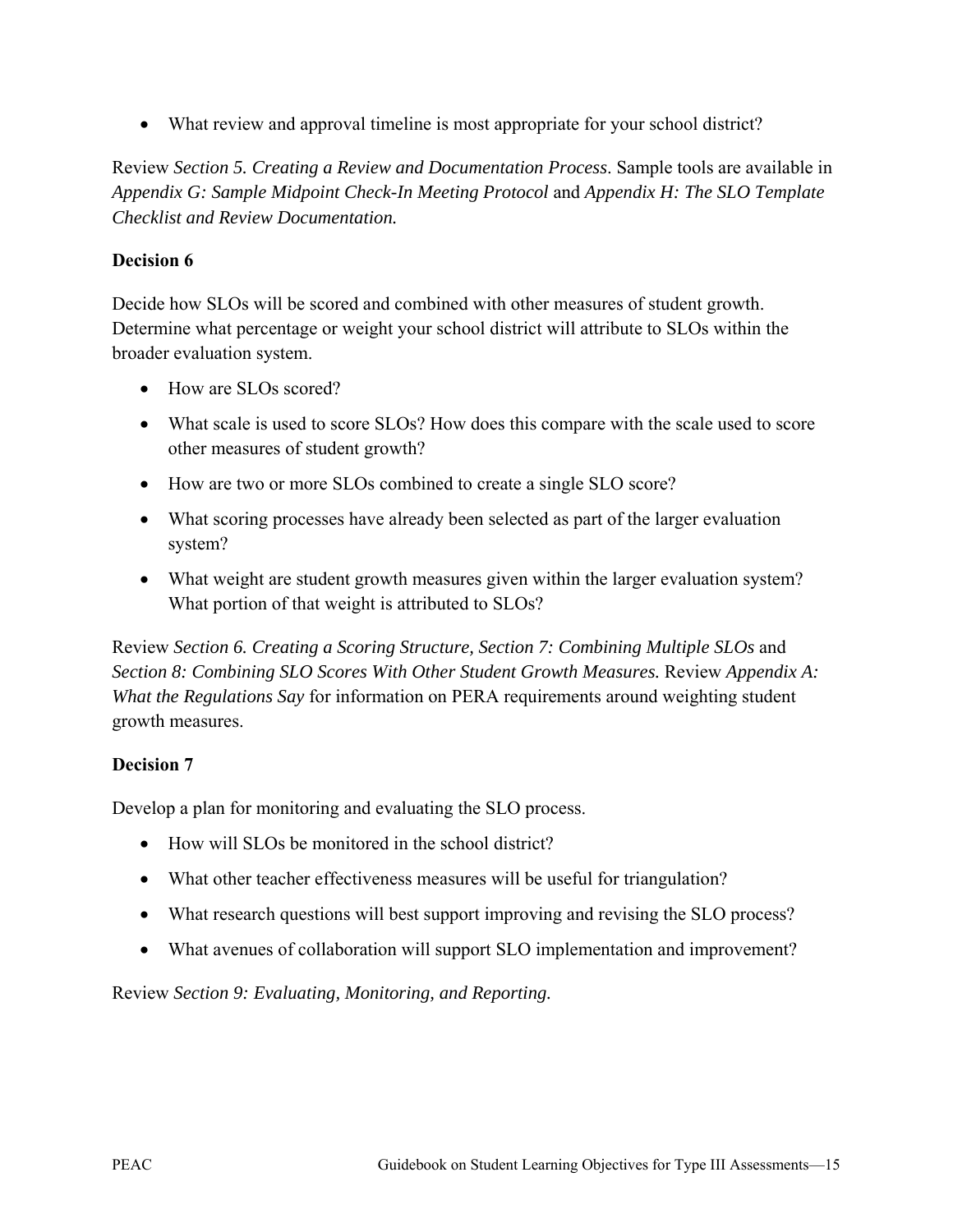• What review and approval timeline is most appropriate for your school district?

Review *Section 5. Creating a Review and Documentation Process*. Sample tools are available in *Appendix G: Sample Midpoint Check-In Meeting Protocol* and *Appendix H: The SLO Template Checklist and Review Documentation.*

#### **Decision 6**

Decide how SLOs will be scored and combined with other measures of student growth. Determine what percentage or weight your school district will attribute to SLOs within the broader evaluation system.

- How are SLOs scored?
- What scale is used to score SLOs? How does this compare with the scale used to score other measures of student growth?
- How are two or more SLOs combined to create a single SLO score?
- What scoring processes have already been selected as part of the larger evaluation system?
- What weight are student growth measures given within the larger evaluation system? What portion of that weight is attributed to SLOs?

Review *Section 6. Creating a Scoring Structure, Section 7: Combining Multiple SLOs* and *Section 8: Combining SLO Scores With Other Student Growth Measures. Review Appendix A: What the Regulations Say* for information on PERA requirements around weighting student growth measures.

#### **Decision 7**

Develop a plan for monitoring and evaluating the SLO process.

- How will SLOs be monitored in the school district?
- What other teacher effectiveness measures will be useful for triangulation?
- What research questions will best support improving and revising the SLO process?
- What avenues of collaboration will support SLO implementation and improvement?

Review *Section 9: Evaluating, Monitoring, and Reporting.*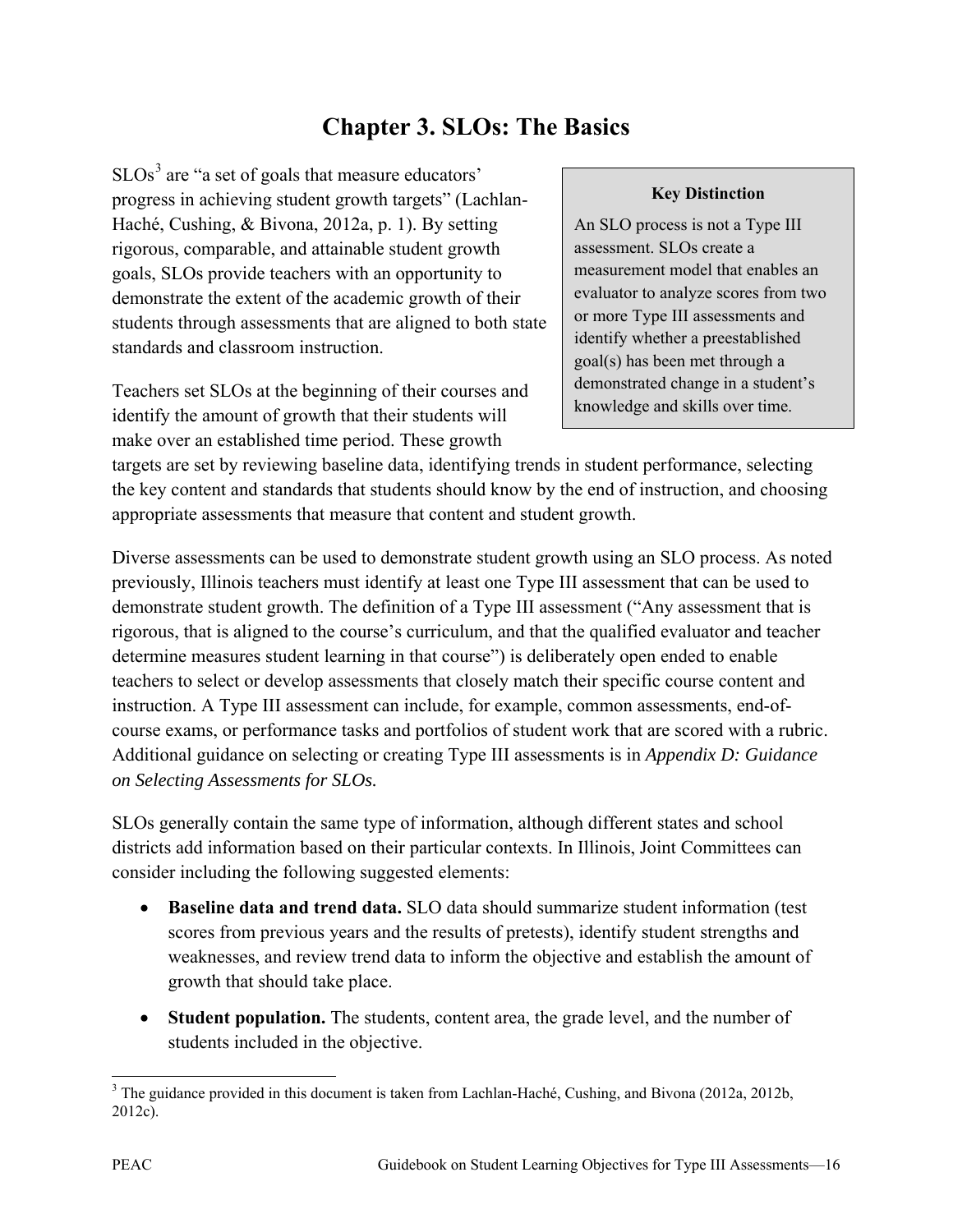# **Chapter 3. SLOs: The Basics**

 $SLOS<sup>3</sup>$  $SLOS<sup>3</sup>$  $SLOS<sup>3</sup>$  are "a set of goals that measure educators" progress in achieving student growth targets" (Lachlan-Haché, Cushing, & Bivona, 2012a, p. 1). By setting rigorous, comparable, and attainable student growth goals, SLOs provide teachers with an opportunity to demonstrate the extent of the academic growth of their students through assessments that are aligned to both state standards and classroom instruction.

Teachers set SLOs at the beginning of their courses and identify the amount of growth that their students will make over an established time period. These growth

#### **Key Distinction**

An SLO process is not a Type III assessment. SLOs create a measurement model that enables an evaluator to analyze scores from two or more Type III assessments and identify whether a preestablished goal(s) has been met through a demonstrated change in a student's knowledge and skills over time.

targets are set by reviewing baseline data, identifying trends in student performance, selecting the key content and standards that students should know by the end of instruction, and choosing appropriate assessments that measure that content and student growth.

Diverse assessments can be used to demonstrate student growth using an SLO process. As noted previously, Illinois teachers must identify at least one Type III assessment that can be used to demonstrate student growth. The definition of a Type III assessment ("Any assessment that is rigorous, that is aligned to the course's curriculum, and that the qualified evaluator and teacher determine measures student learning in that course") is deliberately open ended to enable teachers to select or develop assessments that closely match their specific course content and instruction. A Type III assessment can include, for example, common assessments, end-ofcourse exams, or performance tasks and portfolios of student work that are scored with a rubric. Additional guidance on selecting or creating Type III assessments is in *Appendix D: Guidance on Selecting Assessments for SLOs.* 

SLOs generally contain the same type of information, although different states and school districts add information based on their particular contexts. In Illinois, Joint Committees can consider including the following suggested elements:

- **Baseline data and trend data.** SLO data should summarize student information (test scores from previous years and the results of pretests), identify student strengths and weaknesses, and review trend data to inform the objective and establish the amount of growth that should take place.
- **Student population.** The students, content area, the grade level, and the number of students included in the objective.

<span id="page-21-0"></span> $\overline{1}$  $3$  The guidance provided in this document is taken from Lachlan-Haché, Cushing, and Bivona (2012a, 2012b, 2012c).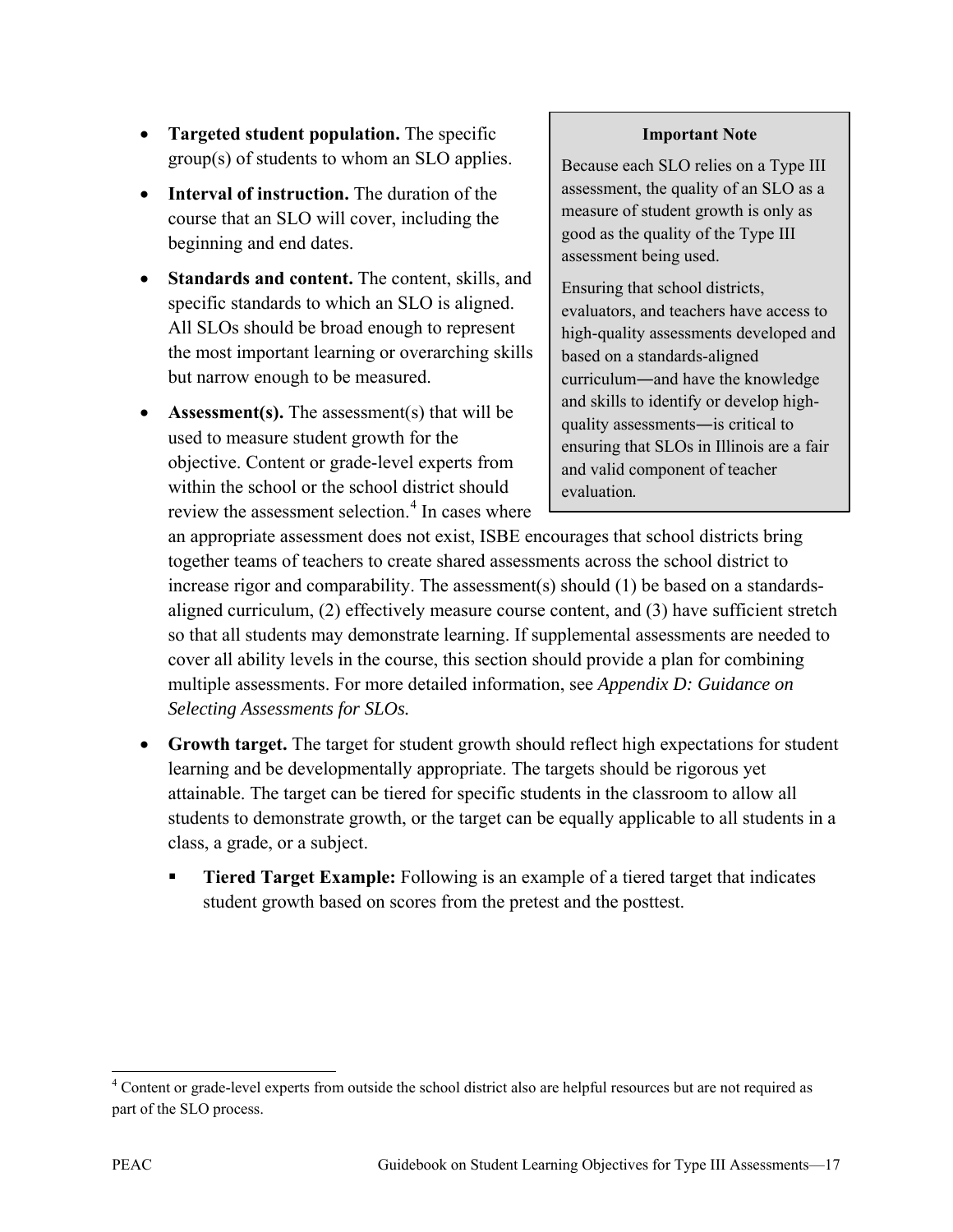- **Targeted student population.** The specific group(s) of students to whom an SLO applies.
- **Interval of instruction.** The duration of the course that an SLO will cover, including the beginning and end dates.
- **Standards and content.** The content, skills, and specific standards to which an SLO is aligned. All SLOs should be broad enough to represent the most important learning or overarching skills but narrow enough to be measured.
- **Assessment(s).** The assessment(s) that will be used to measure student growth for the objective. Content or grade-level experts from within the school or the school district should review the assessment selection.<sup>[4](#page-22-0)</sup> In cases where

#### **Important Note**

Because each SLO relies on a Type III assessment, the quality of an SLO as a measure of student growth is only as good as the quality of the Type III assessment being used.

Ensuring that school districts, evaluators, and teachers have access to high-quality assessments developed and based on a standards-aligned curriculum―and have the knowledge and skills to identify or develop highquality assessments―is critical to ensuring that SLOs in Illinois are a fair and valid component of teacher evaluation.

an appropriate assessment does not exist, ISBE encourages that school districts bring together teams of teachers to create shared assessments across the school district to increase rigor and comparability. The assessment(s) should (1) be based on a standardsaligned curriculum, (2) effectively measure course content, and (3) have sufficient stretch so that all students may demonstrate learning. If supplemental assessments are needed to cover all ability levels in the course, this section should provide a plan for combining multiple assessments. For more detailed information, see *Appendix D: Guidance on Selecting Assessments for SLOs.* 

- **Growth target.** The target for student growth should reflect high expectations for student learning and be developmentally appropriate. The targets should be rigorous yet attainable. The target can be tiered for specific students in the classroom to allow all students to demonstrate growth, or the target can be equally applicable to all students in a class, a grade, or a subject.
	- **Tiered Target Example:** Following is an example of a tiered target that indicates student growth based on scores from the pretest and the posttest.

<span id="page-22-0"></span> $\overline{a}$ <sup>4</sup> Content or grade-level experts from outside the school district also are helpful resources but are not required as part of the SLO process.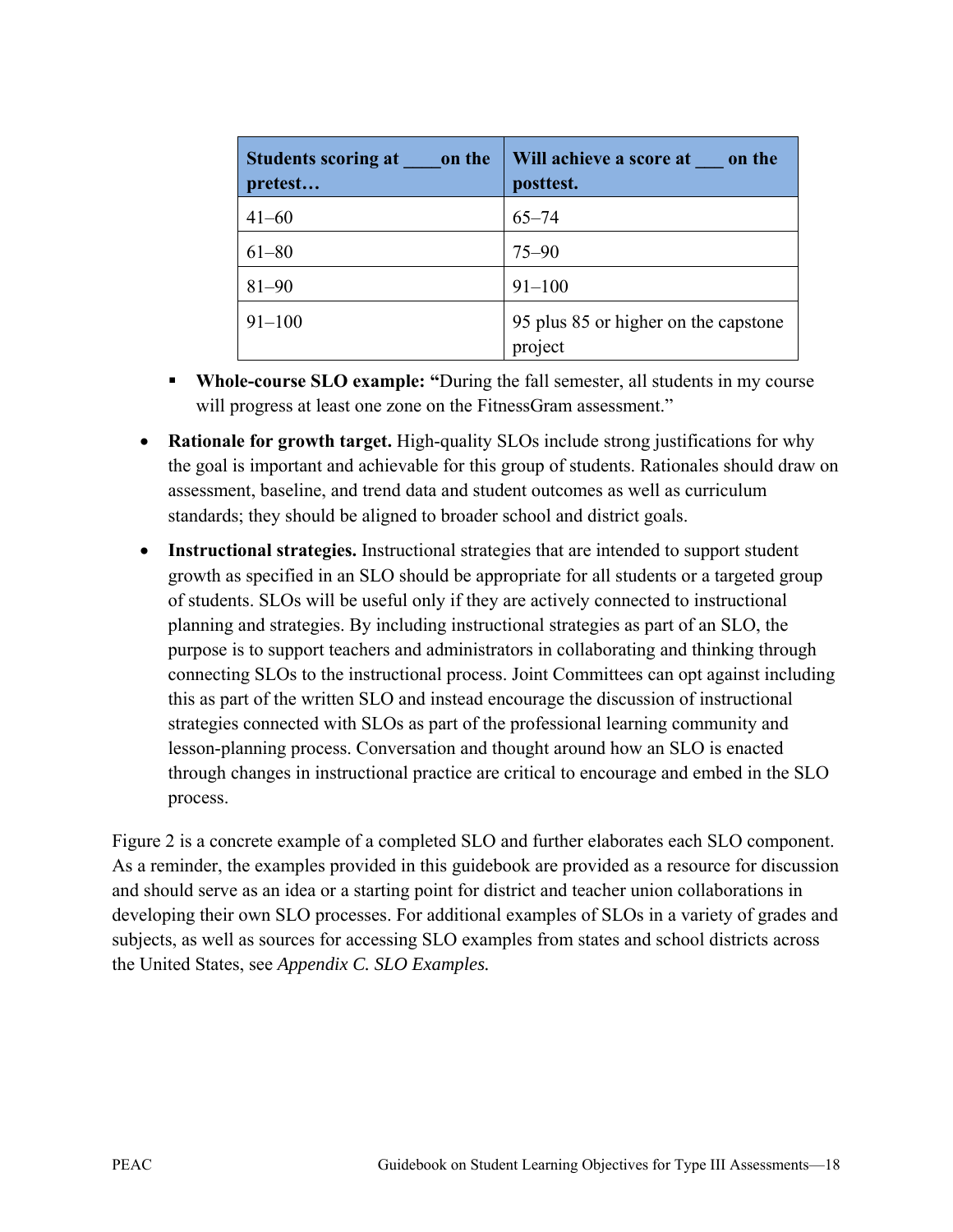| Students scoring at on the<br>pretest | Will achieve a score at on the<br>posttest.     |
|---------------------------------------|-------------------------------------------------|
| $41 - 60$                             | $65 - 74$                                       |
| $61 - 80$                             | $75 - 90$                                       |
| $81 - 90$                             | $91 - 100$                                      |
| $91 - 100$                            | 95 plus 85 or higher on the capstone<br>project |

- **Whole-course SLO example: "**During the fall semester, all students in my course will progress at least one zone on the FitnessGram assessment."
- **Rationale for growth target.** High-quality SLOs include strong justifications for why the goal is important and achievable for this group of students. Rationales should draw on assessment, baseline, and trend data and student outcomes as well as curriculum standards; they should be aligned to broader school and district goals.
- **Instructional strategies.** Instructional strategies that are intended to support student growth as specified in an SLO should be appropriate for all students or a targeted group of students. SLOs will be useful only if they are actively connected to instructional planning and strategies. By including instructional strategies as part of an SLO, the purpose is to support teachers and administrators in collaborating and thinking through connecting SLOs to the instructional process. Joint Committees can opt against including this as part of the written SLO and instead encourage the discussion of instructional strategies connected with SLOs as part of the professional learning community and lesson-planning process. Conversation and thought around how an SLO is enacted through changes in instructional practice are critical to encourage and embed in the SLO process.

Figure 2 is a concrete example of a completed SLO and further elaborates each SLO component. As a reminder, the examples provided in this guidebook are provided as a resource for discussion and should serve as an idea or a starting point for district and teacher union collaborations in developing their own SLO processes. For additional examples of SLOs in a variety of grades and subjects, as well as sources for accessing SLO examples from states and school districts across the United States, see *Appendix C. SLO Examples.*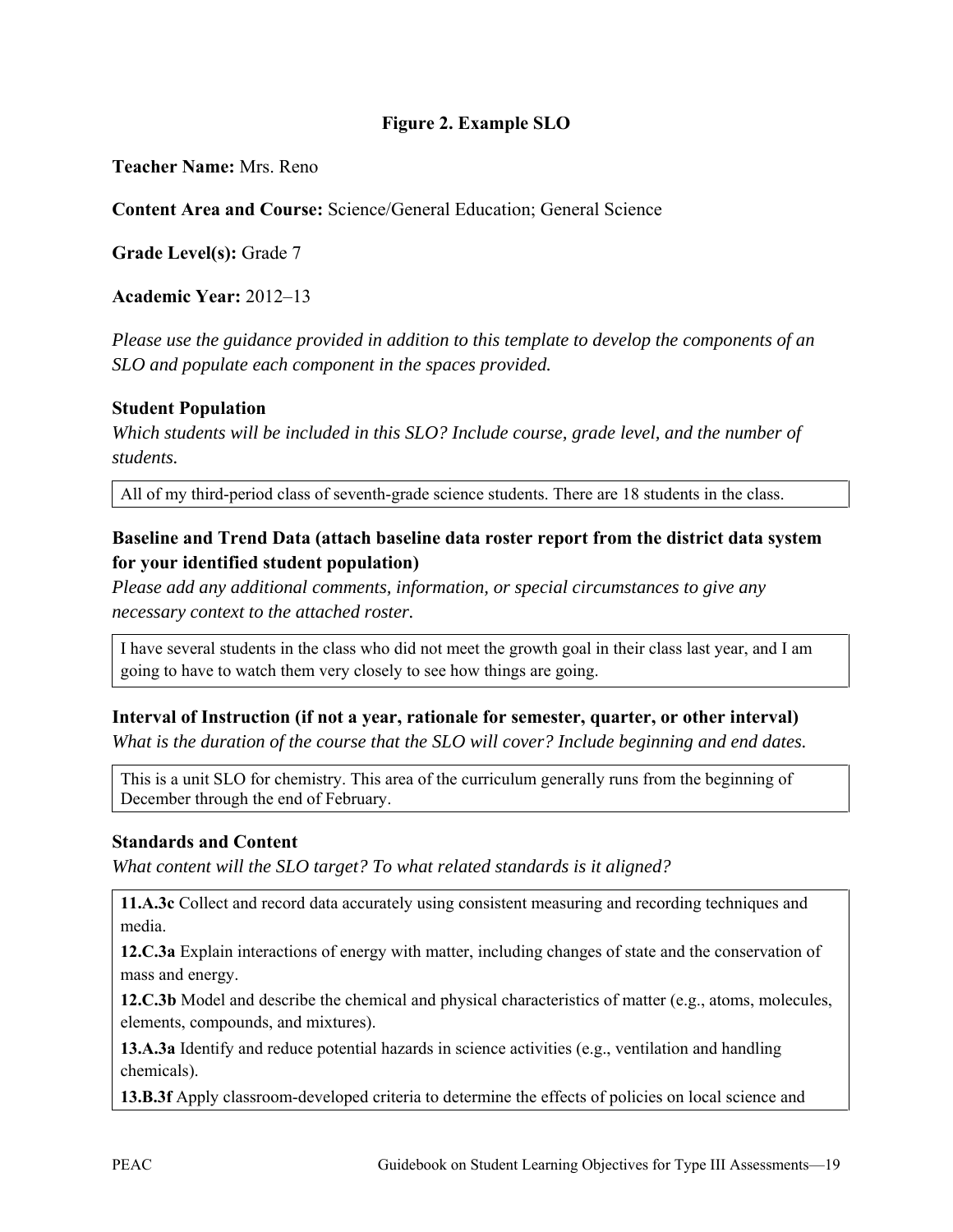#### **Figure 2. Example SLO**

**Teacher Name:** Mrs. Reno

**Content Area and Course:** Science/General Education; General Science

**Grade Level(s):** Grade 7

**Academic Year:** 2012–13

*Please use the guidance provided in addition to this template to develop the components of an SLO and populate each component in the spaces provided.* 

#### **Student Population**

*Which students will be included in this SLO? Include course, grade level, and the number of students.* 

All of my third-period class of seventh-grade science students. There are 18 students in the class.

#### **Baseline and Trend Data (attach baseline data roster report from the district data system for your identified student population)**

*Please add any additional comments, information, or special circumstances to give any necessary context to the attached roster.* 

I have several students in the class who did not meet the growth goal in their class last year, and I am going to have to watch them very closely to see how things are going.

#### **Interval of Instruction (if not a year, rationale for semester, quarter, or other interval)**

*What is the duration of the course that the SLO will cover? Include beginning and end dates.*

This is a unit SLO for chemistry. This area of the curriculum generally runs from the beginning of December through the end of February.

#### **Standards and Content**

*What content will the SLO target? To what related standards is it aligned?* 

**11.A.3c** Collect and record data accurately using consistent measuring and recording techniques and media.

**12.C.3a** Explain interactions of energy with matter, including changes of state and the conservation of mass and energy.

**12.C.3b** Model and describe the chemical and physical characteristics of matter (e.g., atoms, molecules, elements, compounds, and mixtures).

**13.A.3a** Identify and reduce potential hazards in science activities (e.g., ventilation and handling chemicals).

**13.B.3f** Apply classroom-developed criteria to determine the effects of policies on local science and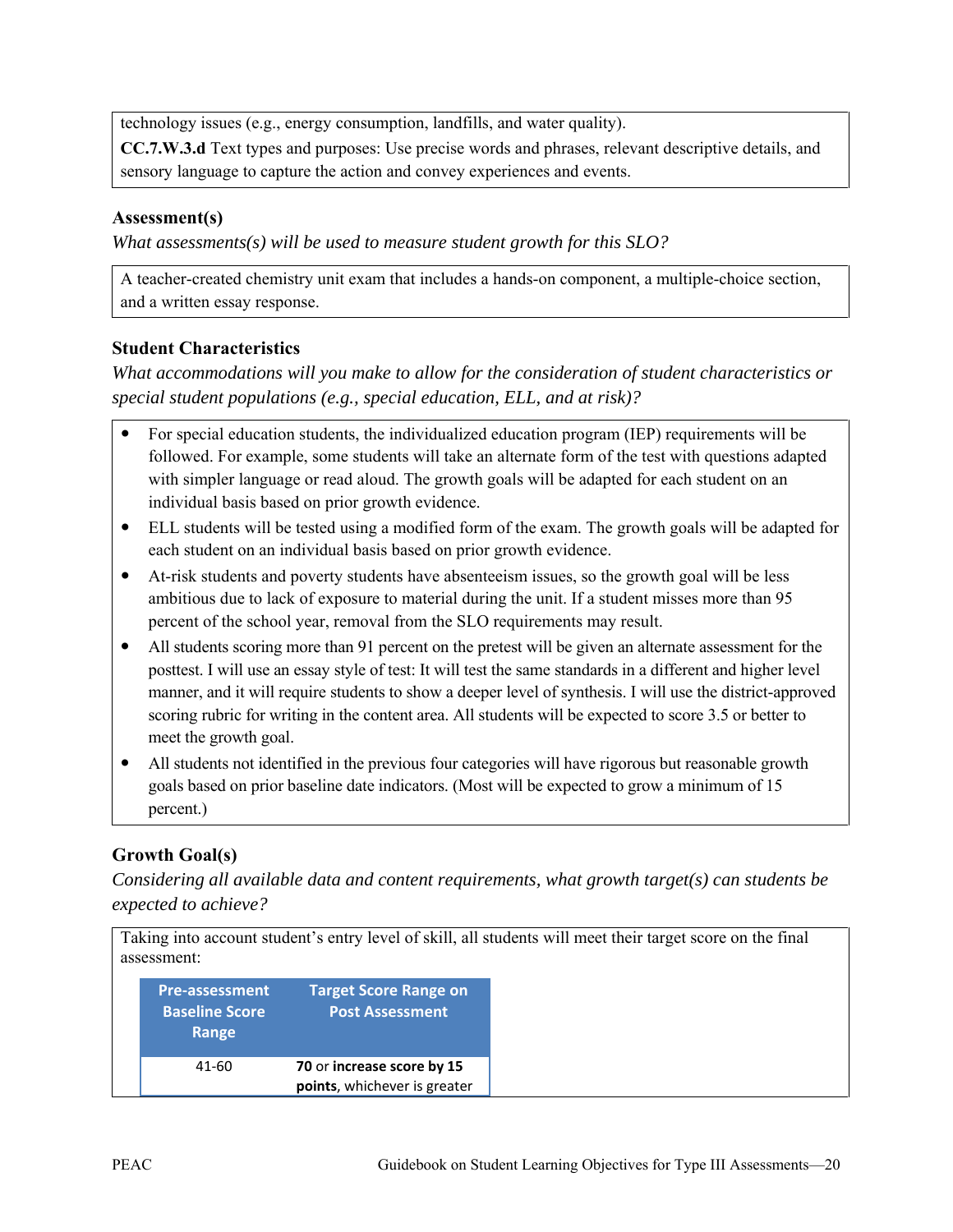technology issues (e.g., energy consumption, landfills, and water quality).

**CC.7.W.3.d** Text types and purposes: Use precise words and phrases, relevant descriptive details, and sensory language to capture the action and convey experiences and events.

#### **Assessment(s)**

*What assessments(s) will be used to measure student growth for this SLO?* 

A teacher-created chemistry unit exam that includes a hands-on component, a multiple-choice section, and a written essay response.

#### **Student Characteristics**

*What accommodations will you make to allow for the consideration of student characteristics or special student populations (e.g., special education, ELL, and at risk)?*

- For special education students, the individualized education program (IEP) requirements will be followed. For example, some students will take an alternate form of the test with questions adapted with simpler language or read aloud. The growth goals will be adapted for each student on an individual basis based on prior growth evidence.
- ELL students will be tested using a modified form of the exam. The growth goals will be adapted for each student on an individual basis based on prior growth evidence.
- At-risk students and poverty students have absenteeism issues, so the growth goal will be less ambitious due to lack of exposure to material during the unit. If a student misses more than 95 percent of the school year, removal from the SLO requirements may result.
- All students scoring more than 91 percent on the pretest will be given an alternate assessment for the posttest. I will use an essay style of test: It will test the same standards in a different and higher level manner, and it will require students to show a deeper level of synthesis. I will use the district-approved scoring rubric for writing in the content area. All students will be expected to score 3.5 or better to meet the growth goal.
- All students not identified in the previous four categories will have rigorous but reasonable growth goals based on prior baseline date indicators. (Most will be expected to grow a minimum of 15 percent.)

#### **Growth Goal(s)**

*Considering all available data and content requirements, what growth target(s) can students be expected to achieve?* 

| assessment:                                             |                                                            | Taking into account student's entry level of skill, all students will meet their target score on the final |
|---------------------------------------------------------|------------------------------------------------------------|------------------------------------------------------------------------------------------------------------|
| <b>Pre-assessment</b><br><b>Baseline Score</b><br>Range | <b>Target Score Range on</b><br><b>Post Assessment</b>     |                                                                                                            |
| 41-60                                                   | 70 or increase score by 15<br>points, whichever is greater |                                                                                                            |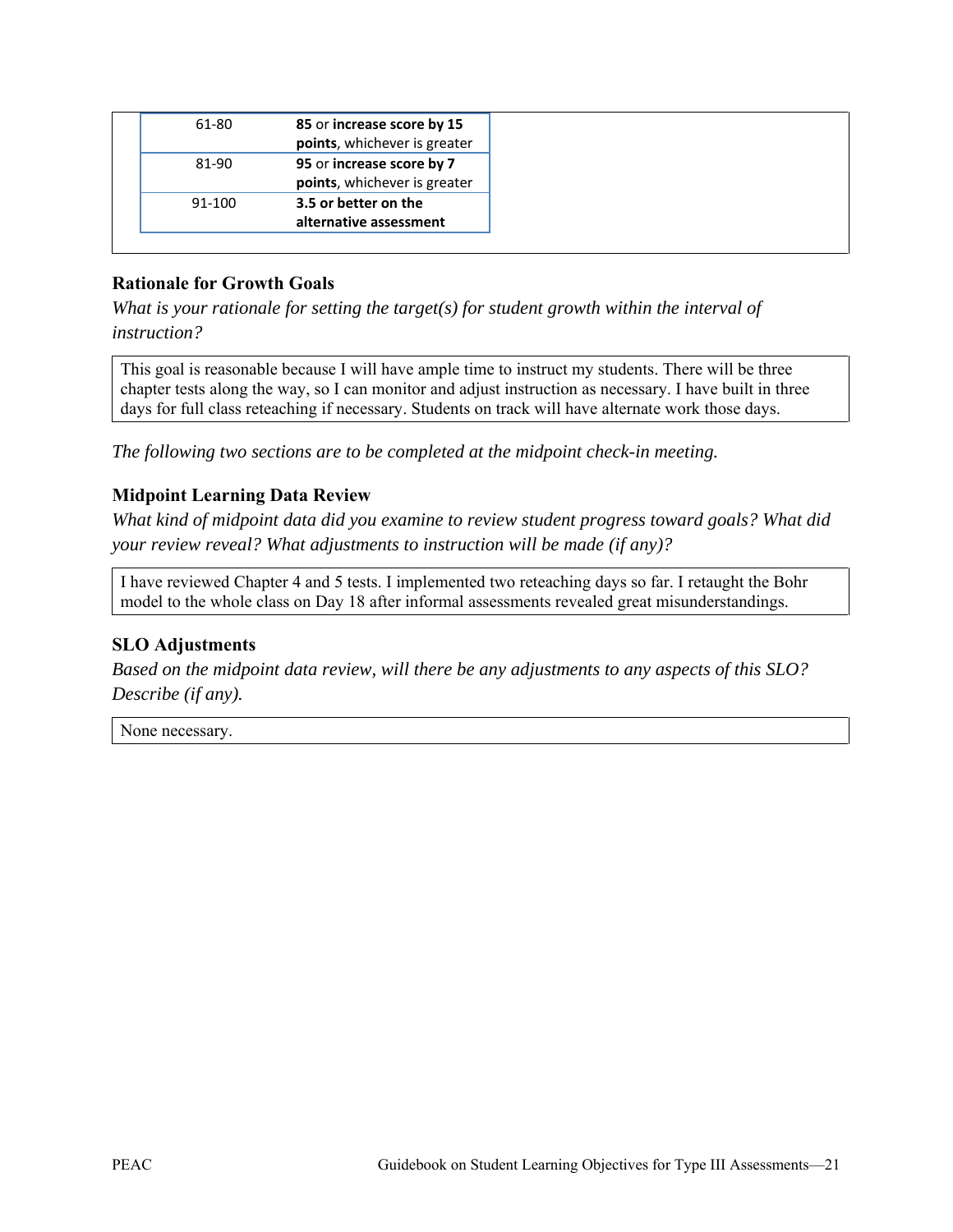| 61-80  | 85 or increase score by 15<br>points, whichever is greater |
|--------|------------------------------------------------------------|
| 81-90  | 95 or increase score by 7<br>points, whichever is greater  |
| 91-100 | 3.5 or better on the<br>alternative assessment             |

#### **Rationale for Growth Goals**

*What is your rationale for setting the target(s) for student growth within the interval of instruction?* 

This goal is reasonable because I will have ample time to instruct my students. There will be three chapter tests along the way, so I can monitor and adjust instruction as necessary. I have built in three days for full class reteaching if necessary. Students on track will have alternate work those days.

*The following two sections are to be completed at the midpoint check-in meeting.* 

#### **Midpoint Learning Data Review**

*What kind of midpoint data did you examine to review student progress toward goals? What did your review reveal? What adjustments to instruction will be made (if any)?* 

I have reviewed Chapter 4 and 5 tests. I implemented two reteaching days so far. I retaught the Bohr model to the whole class on Day 18 after informal assessments revealed great misunderstandings.

#### **SLO Adjustments**

*Based on the midpoint data review, will there be any adjustments to any aspects of this SLO? Describe (if any).* 

None necessary.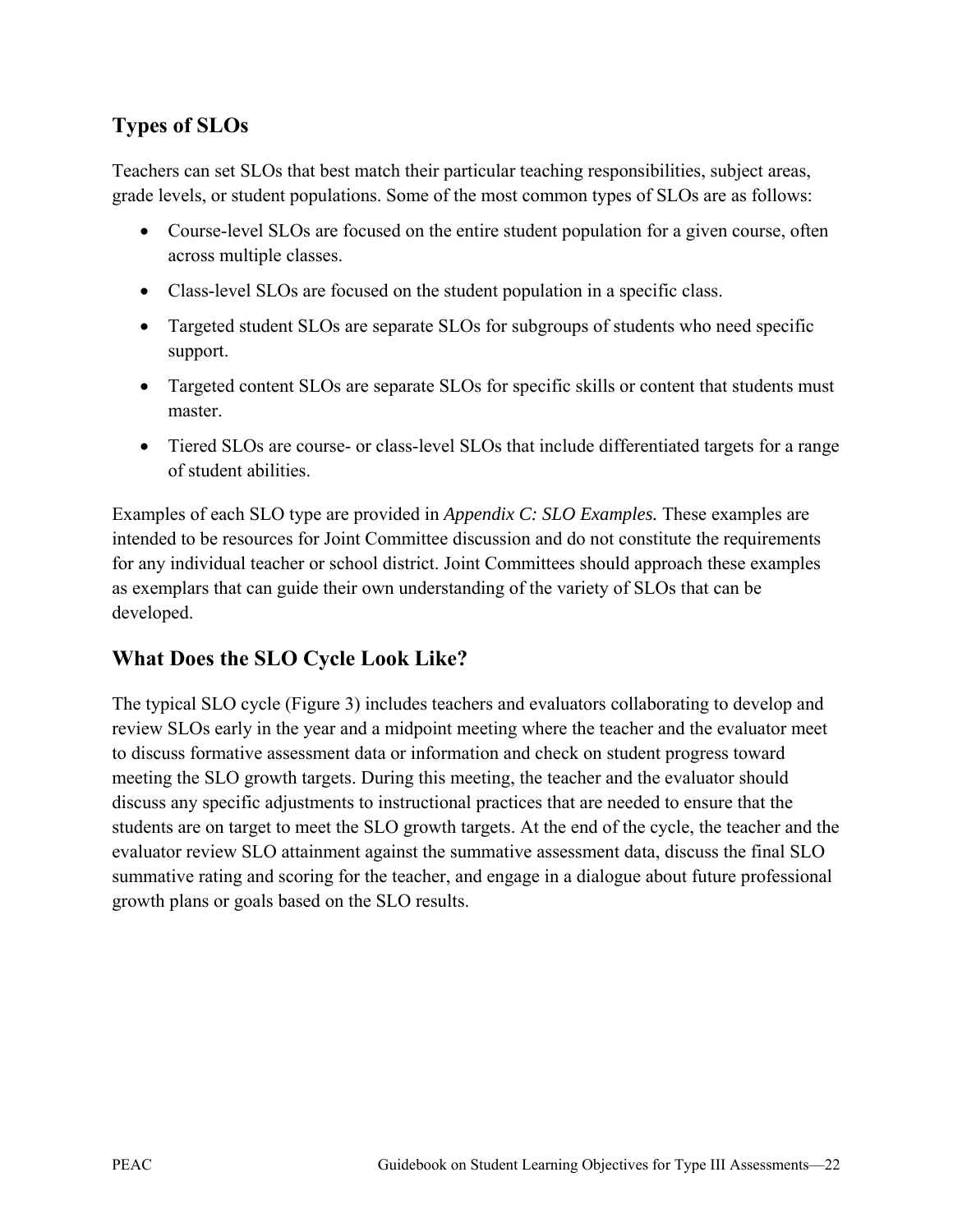# **Types of SLOs**

Teachers can set SLOs that best match their particular teaching responsibilities, subject areas, grade levels, or student populations. Some of the most common types of SLOs are as follows:

- Course-level SLOs are focused on the entire student population for a given course, often across multiple classes.
- Class-level SLOs are focused on the student population in a specific class.
- Targeted student SLOs are separate SLOs for subgroups of students who need specific support.
- Targeted content SLOs are separate SLOs for specific skills or content that students must master.
- Tiered SLOs are course- or class-level SLOs that include differentiated targets for a range of student abilities.

Examples of each SLO type are provided in *Appendix C: SLO Examples.* These examples are intended to be resources for Joint Committee discussion and do not constitute the requirements for any individual teacher or school district. Joint Committees should approach these examples as exemplars that can guide their own understanding of the variety of SLOs that can be developed.

## **What Does the SLO Cycle Look Like?**

The typical SLO cycle (Figure 3) includes teachers and evaluators collaborating to develop and review SLOs early in the year and a midpoint meeting where the teacher and the evaluator meet to discuss formative assessment data or information and check on student progress toward meeting the SLO growth targets. During this meeting, the teacher and the evaluator should discuss any specific adjustments to instructional practices that are needed to ensure that the students are on target to meet the SLO growth targets. At the end of the cycle, the teacher and the evaluator review SLO attainment against the summative assessment data, discuss the final SLO summative rating and scoring for the teacher, and engage in a dialogue about future professional growth plans or goals based on the SLO results.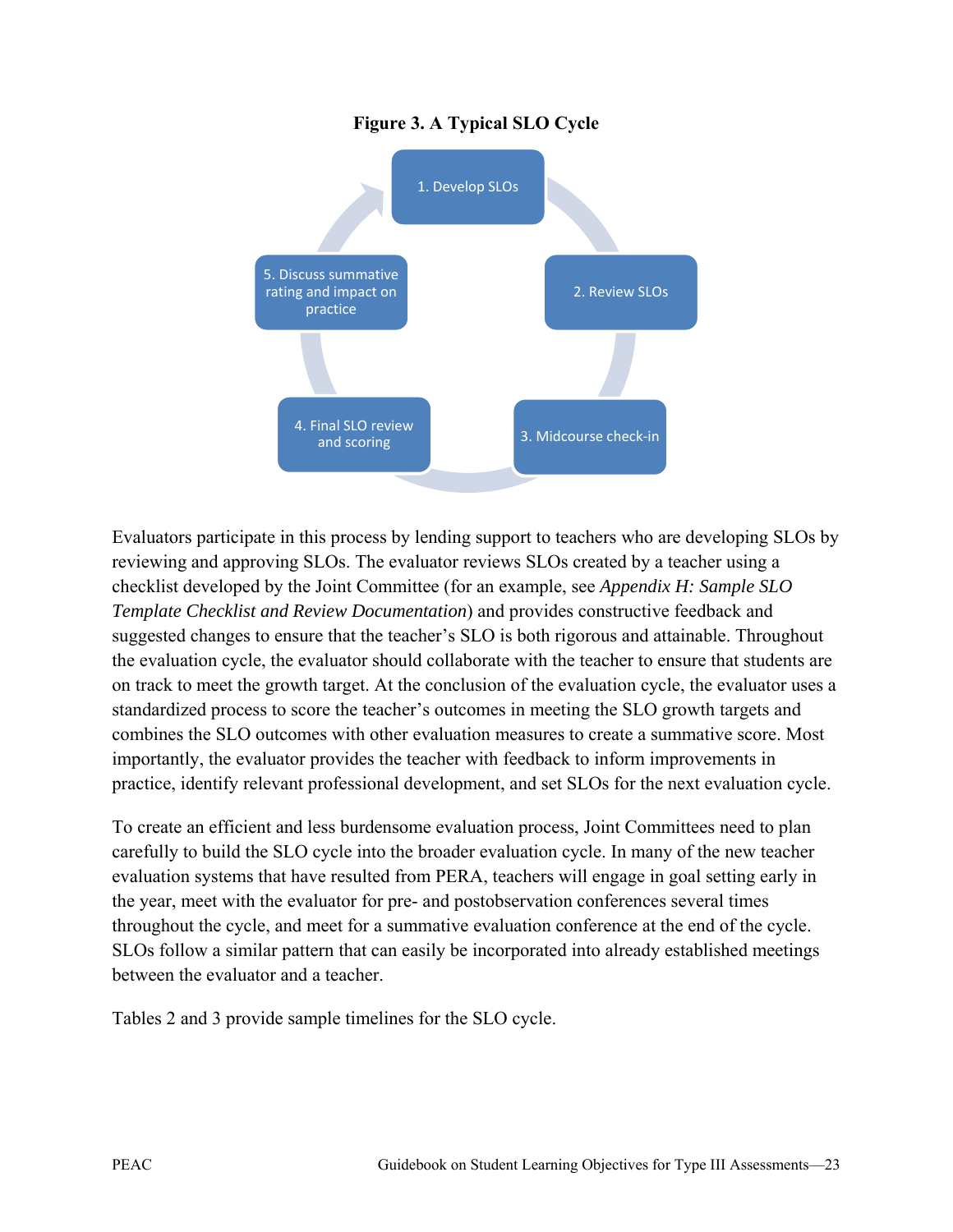#### **Figure 3. A Typical SLO Cycle**



Evaluators participate in this process by lending support to teachers who are developing SLOs by reviewing and approving SLOs. The evaluator reviews SLOs created by a teacher using a checklist developed by the Joint Committee (for an example, see *Appendix H: Sample SLO Template Checklist and Review Documentation*) and provides constructive feedback and suggested changes to ensure that the teacher's SLO is both rigorous and attainable. Throughout the evaluation cycle, the evaluator should collaborate with the teacher to ensure that students are on track to meet the growth target. At the conclusion of the evaluation cycle, the evaluator uses a standardized process to score the teacher's outcomes in meeting the SLO growth targets and combines the SLO outcomes with other evaluation measures to create a summative score. Most importantly, the evaluator provides the teacher with feedback to inform improvements in practice, identify relevant professional development, and set SLOs for the next evaluation cycle.

To create an efficient and less burdensome evaluation process, Joint Committees need to plan carefully to build the SLO cycle into the broader evaluation cycle. In many of the new teacher evaluation systems that have resulted from PERA, teachers will engage in goal setting early in the year, meet with the evaluator for pre- and postobservation conferences several times throughout the cycle, and meet for a summative evaluation conference at the end of the cycle. SLOs follow a similar pattern that can easily be incorporated into already established meetings between the evaluator and a teacher.

Tables 2 and 3 provide sample timelines for the SLO cycle.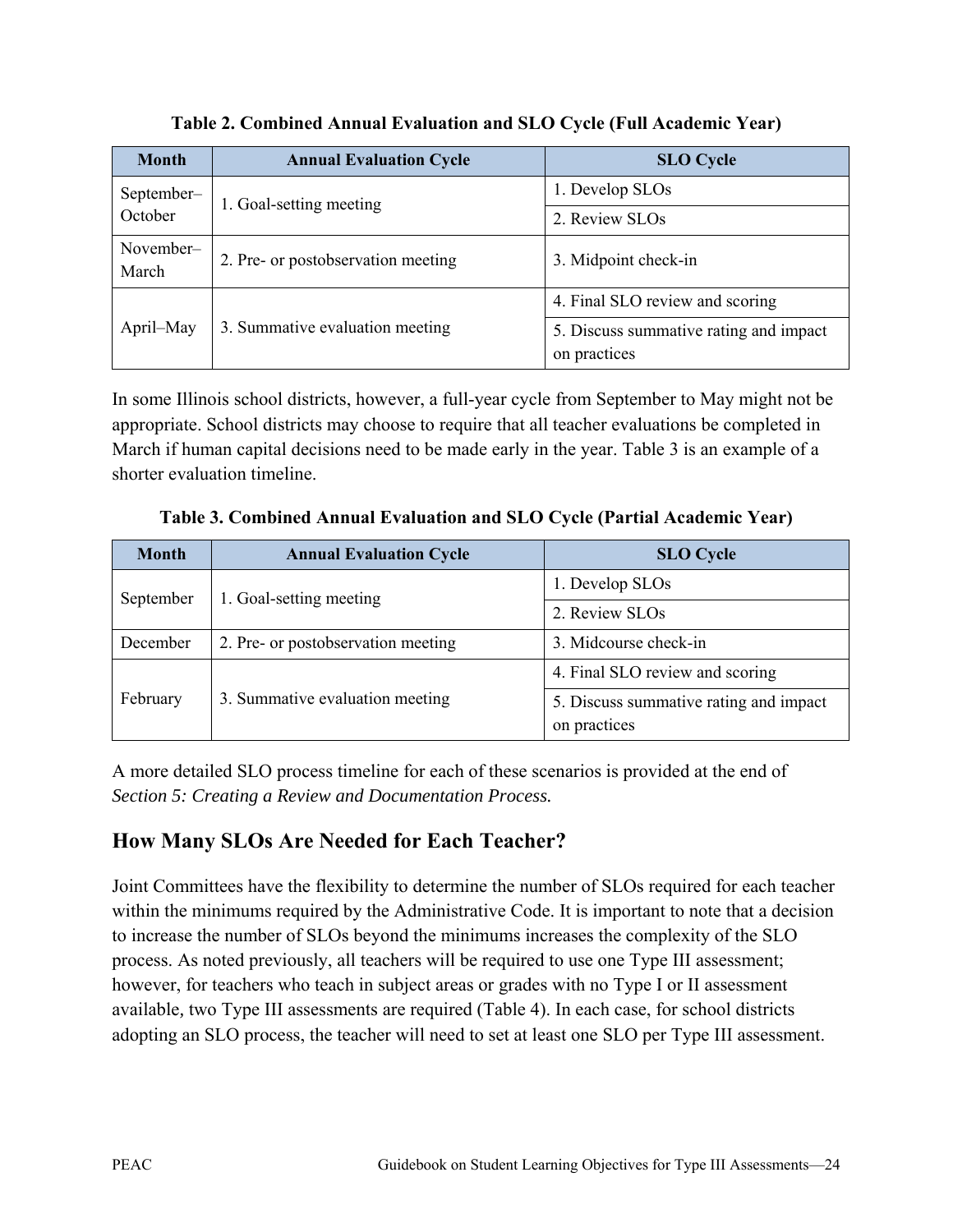| <b>Month</b>       | <b>Annual Evaluation Cycle</b>     | <b>SLO</b> Cycle                                       |  |
|--------------------|------------------------------------|--------------------------------------------------------|--|
| September-         | 1. Goal-setting meeting            | 1. Develop SLOs                                        |  |
| October            |                                    | 2. Review SLOs                                         |  |
| November-<br>March | 2. Pre- or postobservation meeting | 3. Midpoint check-in                                   |  |
|                    |                                    | 4. Final SLO review and scoring                        |  |
| April–May          | 3. Summative evaluation meeting    | 5. Discuss summative rating and impact<br>on practices |  |

**Table 2. Combined Annual Evaluation and SLO Cycle (Full Academic Year)**

In some Illinois school districts, however, a full-year cycle from September to May might not be appropriate. School districts may choose to require that all teacher evaluations be completed in March if human capital decisions need to be made early in the year. Table 3 is an example of a shorter evaluation timeline.

| <b>Month</b> | <b>Annual Evaluation Cycle</b>     | <b>SLO</b> Cycle                                       |  |
|--------------|------------------------------------|--------------------------------------------------------|--|
| September    | 1. Goal-setting meeting            | 1. Develop SLOs                                        |  |
|              |                                    | 2. Review SLOs                                         |  |
| December     | 2. Pre- or postobservation meeting | 3. Midcourse check-in                                  |  |
|              |                                    | 4. Final SLO review and scoring                        |  |
| February     | 3. Summative evaluation meeting    | 5. Discuss summative rating and impact<br>on practices |  |

**Table 3. Combined Annual Evaluation and SLO Cycle (Partial Academic Year)**

A more detailed SLO process timeline for each of these scenarios is provided at the end of *Section 5: Creating a Review and Documentation Process.*

# **How Many SLOs Are Needed for Each Teacher?**

Joint Committees have the flexibility to determine the number of SLOs required for each teacher within the minimums required by the Administrative Code. It is important to note that a decision to increase the number of SLOs beyond the minimums increases the complexity of the SLO process. As noted previously, all teachers will be required to use one Type III assessment; however, for teachers who teach in subject areas or grades with no Type I or II assessment available*,* two Type III assessments are required (Table 4). In each case, for school districts adopting an SLO process, the teacher will need to set at least one SLO per Type III assessment.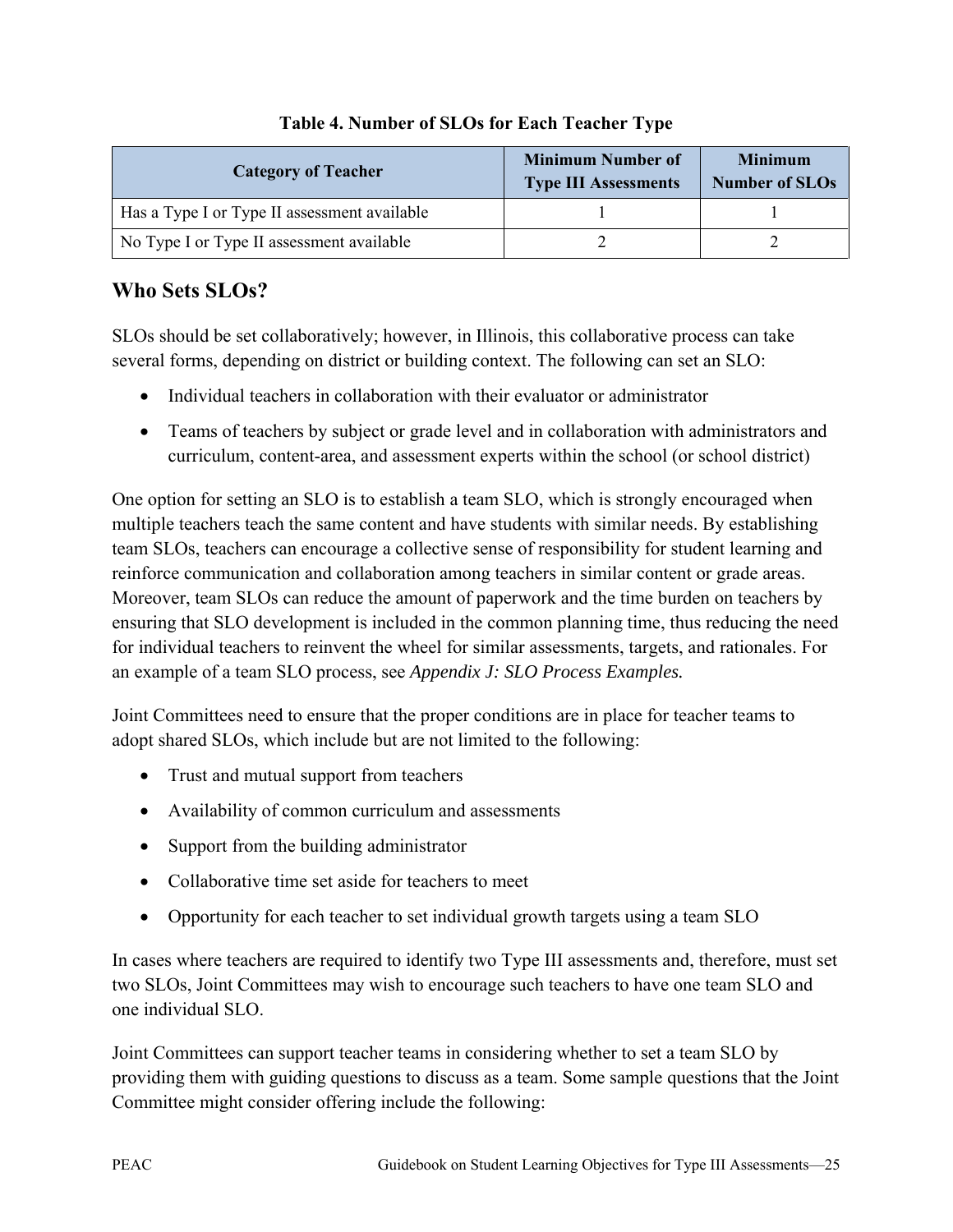| <b>Category of Teacher</b>                   | <b>Minimum Number of</b><br><b>Type III Assessments</b> | <b>Minimum</b><br><b>Number of SLOs</b> |
|----------------------------------------------|---------------------------------------------------------|-----------------------------------------|
| Has a Type I or Type II assessment available |                                                         |                                         |
| No Type I or Type II assessment available    |                                                         |                                         |

#### **Table 4. Number of SLOs for Each Teacher Type**

# **Who Sets SLOs?**

SLOs should be set collaboratively; however, in Illinois, this collaborative process can take several forms, depending on district or building context. The following can set an SLO:

- Individual teachers in collaboration with their evaluator or administrator
- Teams of teachers by subject or grade level and in collaboration with administrators and curriculum, content-area, and assessment experts within the school (or school district)

One option for setting an SLO is to establish a team SLO, which is strongly encouraged when multiple teachers teach the same content and have students with similar needs. By establishing team SLOs, teachers can encourage a collective sense of responsibility for student learning and reinforce communication and collaboration among teachers in similar content or grade areas. Moreover, team SLOs can reduce the amount of paperwork and the time burden on teachers by ensuring that SLO development is included in the common planning time, thus reducing the need for individual teachers to reinvent the wheel for similar assessments, targets, and rationales. For an example of a team SLO process, see *Appendix J: SLO Process Examples.*

Joint Committees need to ensure that the proper conditions are in place for teacher teams to adopt shared SLOs, which include but are not limited to the following:

- Trust and mutual support from teachers
- Availability of common curriculum and assessments
- Support from the building administrator
- Collaborative time set aside for teachers to meet
- Opportunity for each teacher to set individual growth targets using a team SLO

In cases where teachers are required to identify two Type III assessments and, therefore, must set two SLOs, Joint Committees may wish to encourage such teachers to have one team SLO and one individual SLO.

Joint Committees can support teacher teams in considering whether to set a team SLO by providing them with guiding questions to discuss as a team. Some sample questions that the Joint Committee might consider offering include the following: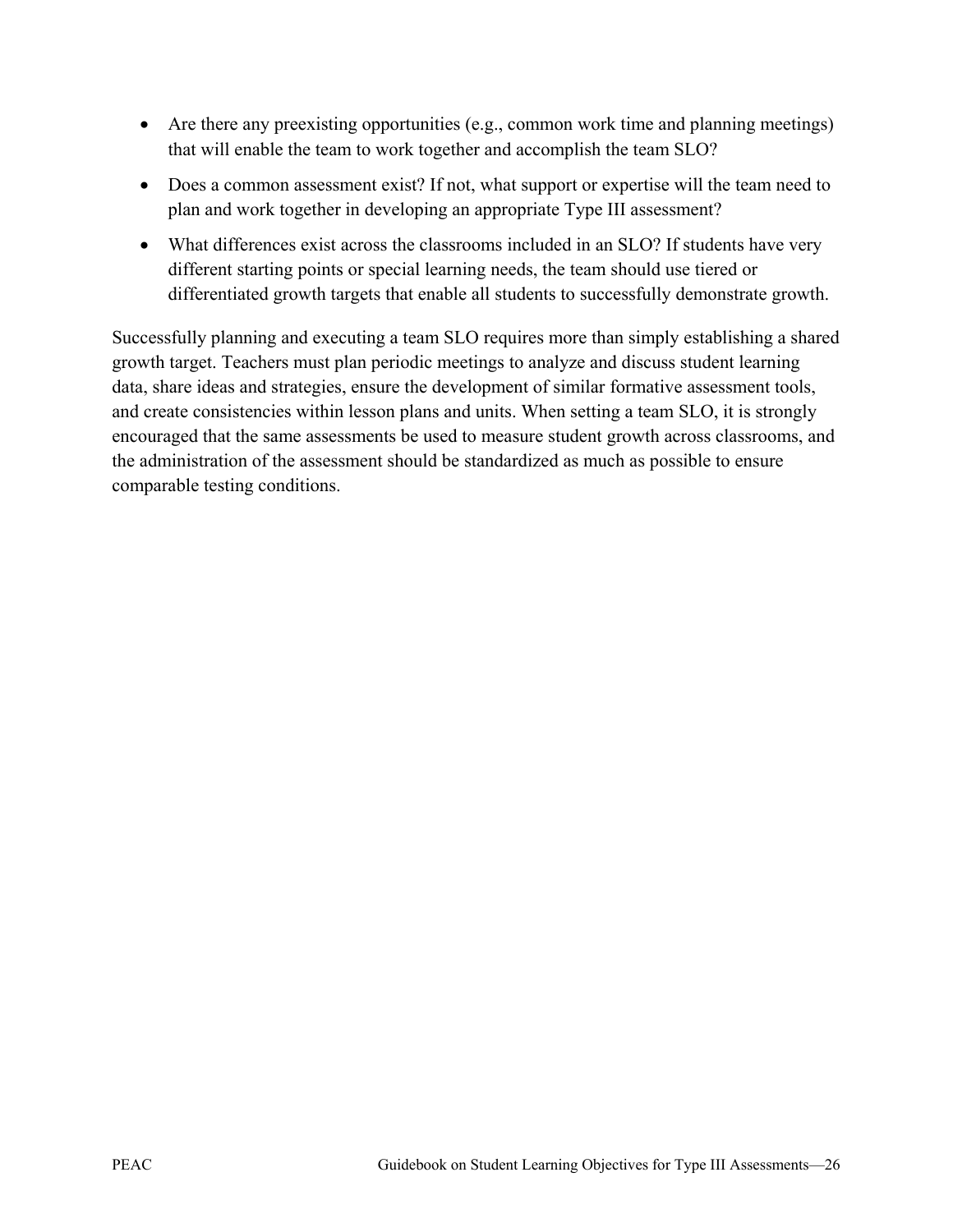- Are there any preexisting opportunities (e.g., common work time and planning meetings) that will enable the team to work together and accomplish the team SLO?
- Does a common assessment exist? If not, what support or expertise will the team need to plan and work together in developing an appropriate Type III assessment?
- What differences exist across the classrooms included in an SLO? If students have very different starting points or special learning needs, the team should use tiered or differentiated growth targets that enable all students to successfully demonstrate growth.

Successfully planning and executing a team SLO requires more than simply establishing a shared growth target. Teachers must plan periodic meetings to analyze and discuss student learning data, share ideas and strategies, ensure the development of similar formative assessment tools, and create consistencies within lesson plans and units. When setting a team SLO, it is strongly encouraged that the same assessments be used to measure student growth across classrooms, and the administration of the assessment should be standardized as much as possible to ensure comparable testing conditions.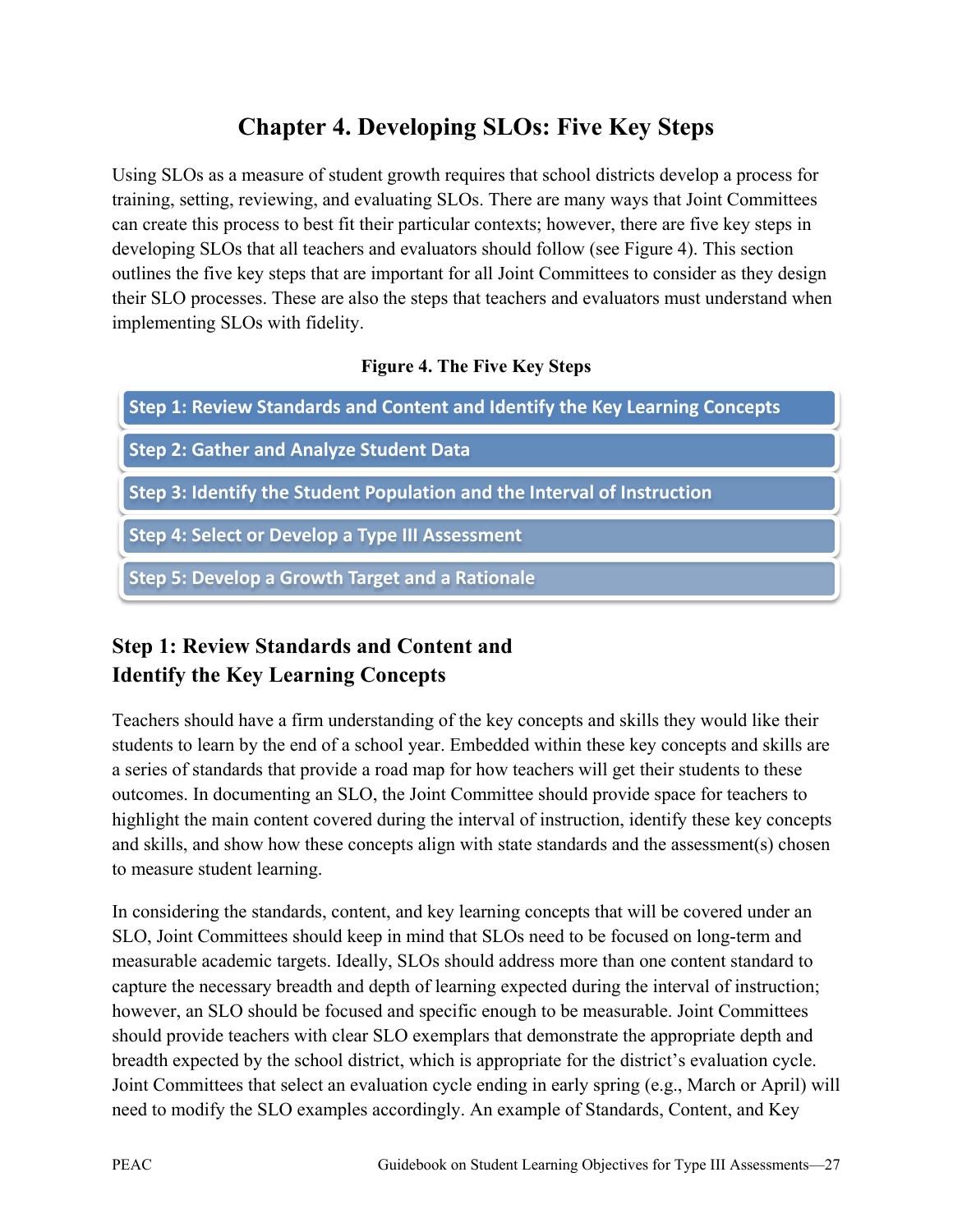# **Chapter 4. Developing SLOs: Five Key Steps**

Using SLOs as a measure of student growth requires that school districts develop a process for training, setting, reviewing, and evaluating SLOs. There are many ways that Joint Committees can create this process to best fit their particular contexts; however, there are five key steps in developing SLOs that all teachers and evaluators should follow (see Figure 4). This section outlines the five key steps that are important for all Joint Committees to consider as they design their SLO processes. These are also the steps that teachers and evaluators must understand when implementing SLOs with fidelity.

#### **Figure 4. The Five Key Steps**

| Step 1: Review Standards and Content and Identify the Key Learning Concepts |
|-----------------------------------------------------------------------------|
| <b>Step 2: Gather and Analyze Student Data</b>                              |
| Step 3: Identify the Student Population and the Interval of Instruction     |
| <b>Step 4: Select or Develop a Type III Assessment</b>                      |
| <b>Step 5: Develop a Growth Target and a Rationale</b>                      |

# **Step 1: Review Standards and Content and Identify the Key Learning Concepts**

Teachers should have a firm understanding of the key concepts and skills they would like their students to learn by the end of a school year. Embedded within these key concepts and skills are a series of standards that provide a road map for how teachers will get their students to these outcomes. In documenting an SLO, the Joint Committee should provide space for teachers to highlight the main content covered during the interval of instruction, identify these key concepts and skills, and show how these concepts align with state standards and the assessment(s) chosen to measure student learning.

In considering the standards, content, and key learning concepts that will be covered under an SLO, Joint Committees should keep in mind that SLOs need to be focused on long-term and measurable academic targets. Ideally, SLOs should address more than one content standard to capture the necessary breadth and depth of learning expected during the interval of instruction; however, an SLO should be focused and specific enough to be measurable. Joint Committees should provide teachers with clear SLO exemplars that demonstrate the appropriate depth and breadth expected by the school district, which is appropriate for the district's evaluation cycle. Joint Committees that select an evaluation cycle ending in early spring (e.g., March or April) will need to modify the SLO examples accordingly. An example of Standards, Content, and Key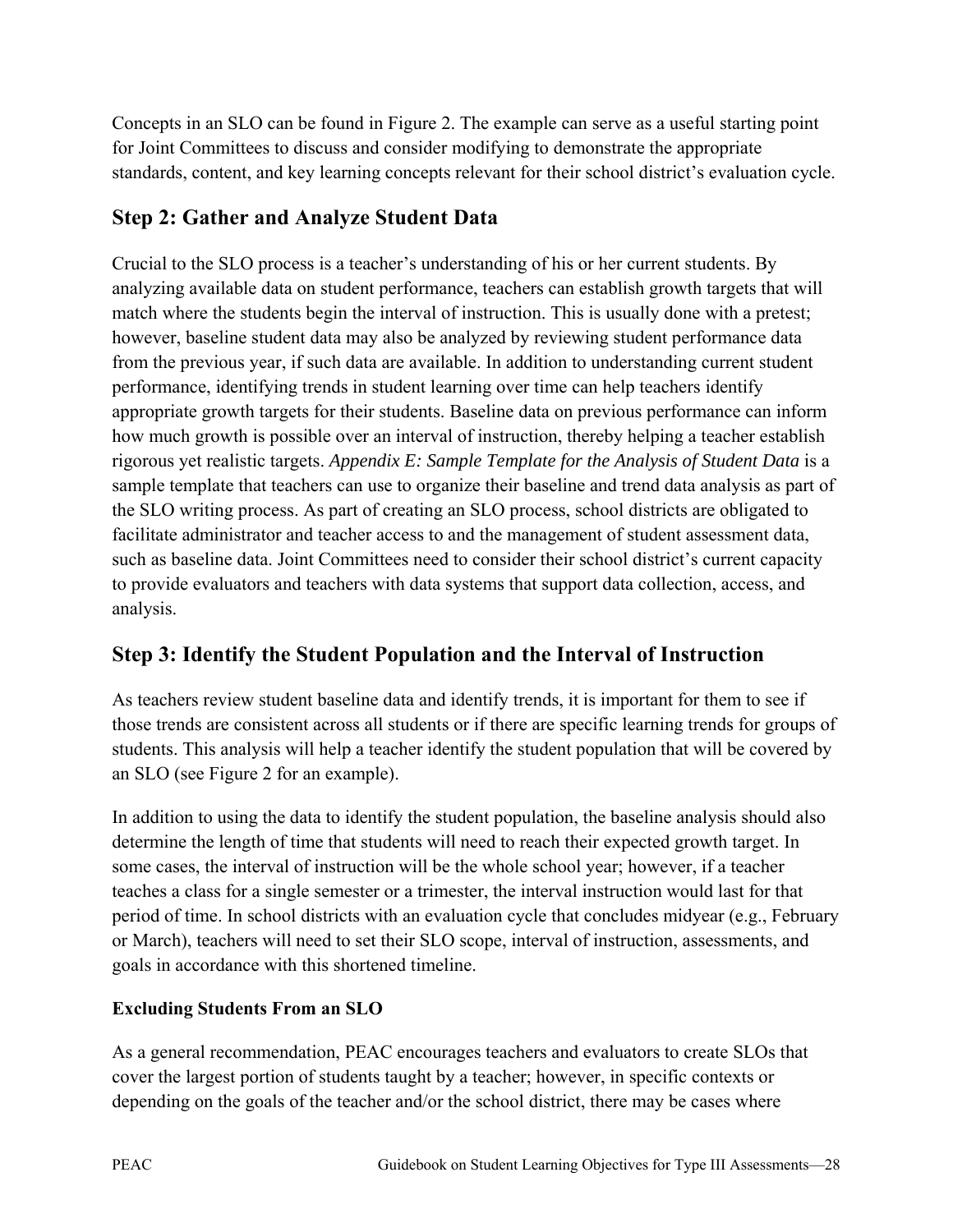Concepts in an SLO can be found in Figure 2. The example can serve as a useful starting point for Joint Committees to discuss and consider modifying to demonstrate the appropriate standards, content, and key learning concepts relevant for their school district's evaluation cycle.

# **Step 2: Gather and Analyze Student Data**

Crucial to the SLO process is a teacher's understanding of his or her current students. By analyzing available data on student performance, teachers can establish growth targets that will match where the students begin the interval of instruction. This is usually done with a pretest; however, baseline student data may also be analyzed by reviewing student performance data from the previous year, if such data are available. In addition to understanding current student performance, identifying trends in student learning over time can help teachers identify appropriate growth targets for their students. Baseline data on previous performance can inform how much growth is possible over an interval of instruction, thereby helping a teacher establish rigorous yet realistic targets. *Appendix E: Sample Template for the Analysis of Student Data* is a sample template that teachers can use to organize their baseline and trend data analysis as part of the SLO writing process. As part of creating an SLO process, school districts are obligated to facilitate administrator and teacher access to and the management of student assessment data, such as baseline data. Joint Committees need to consider their school district's current capacity to provide evaluators and teachers with data systems that support data collection, access, and analysis.

# **Step 3: Identify the Student Population and the Interval of Instruction**

As teachers review student baseline data and identify trends, it is important for them to see if those trends are consistent across all students or if there are specific learning trends for groups of students. This analysis will help a teacher identify the student population that will be covered by an SLO (see Figure 2 for an example).

In addition to using the data to identify the student population, the baseline analysis should also determine the length of time that students will need to reach their expected growth target. In some cases, the interval of instruction will be the whole school year; however, if a teacher teaches a class for a single semester or a trimester, the interval instruction would last for that period of time. In school districts with an evaluation cycle that concludes midyear (e.g., February or March), teachers will need to set their SLO scope, interval of instruction, assessments, and goals in accordance with this shortened timeline.

#### **Excluding Students From an SLO**

As a general recommendation, PEAC encourages teachers and evaluators to create SLOs that cover the largest portion of students taught by a teacher; however, in specific contexts or depending on the goals of the teacher and/or the school district, there may be cases where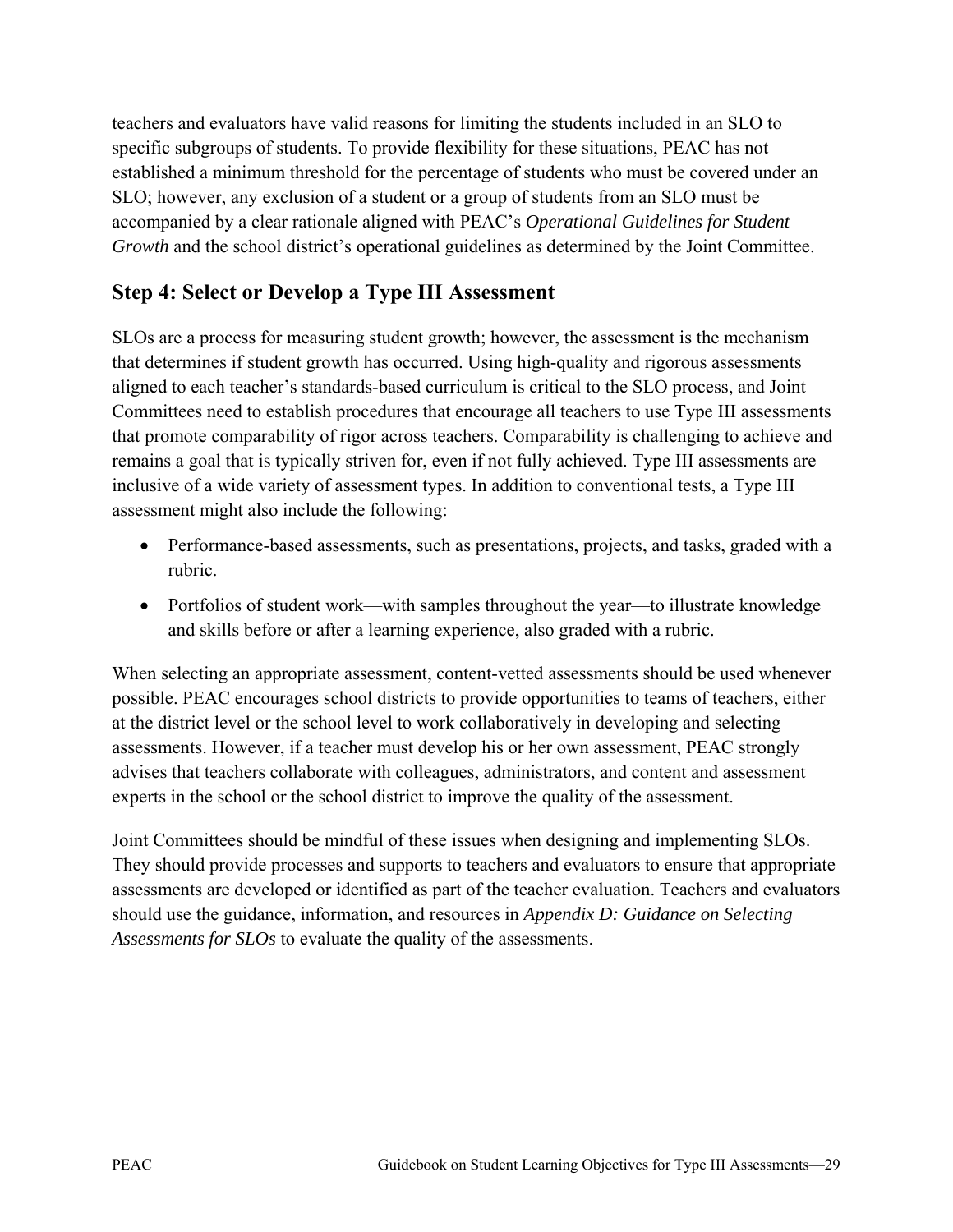teachers and evaluators have valid reasons for limiting the students included in an SLO to specific subgroups of students. To provide flexibility for these situations, PEAC has not established a minimum threshold for the percentage of students who must be covered under an SLO; however, any exclusion of a student or a group of students from an SLO must be accompanied by a clear rationale aligned with PEAC's *Operational Guidelines for Student Growth* and the school district's operational guidelines as determined by the Joint Committee.

## **Step 4: Select or Develop a Type III Assessment**

SLOs are a process for measuring student growth; however, the assessment is the mechanism that determines if student growth has occurred. Using high-quality and rigorous assessments aligned to each teacher's standards-based curriculum is critical to the SLO process, and Joint Committees need to establish procedures that encourage all teachers to use Type III assessments that promote comparability of rigor across teachers. Comparability is challenging to achieve and remains a goal that is typically striven for, even if not fully achieved. Type III assessments are inclusive of a wide variety of assessment types. In addition to conventional tests, a Type III assessment might also include the following:

- Performance-based assessments, such as presentations, projects, and tasks, graded with a rubric.
- Portfolios of student work—with samples throughout the year—to illustrate knowledge and skills before or after a learning experience, also graded with a rubric.

When selecting an appropriate assessment, content-vetted assessments should be used whenever possible. PEAC encourages school districts to provide opportunities to teams of teachers, either at the district level or the school level to work collaboratively in developing and selecting assessments. However, if a teacher must develop his or her own assessment, PEAC strongly advises that teachers collaborate with colleagues, administrators, and content and assessment experts in the school or the school district to improve the quality of the assessment.

Joint Committees should be mindful of these issues when designing and implementing SLOs. They should provide processes and supports to teachers and evaluators to ensure that appropriate assessments are developed or identified as part of the teacher evaluation. Teachers and evaluators should use the guidance, information, and resources in *Appendix D: Guidance on Selecting Assessments for SLOs* to evaluate the quality of the assessments.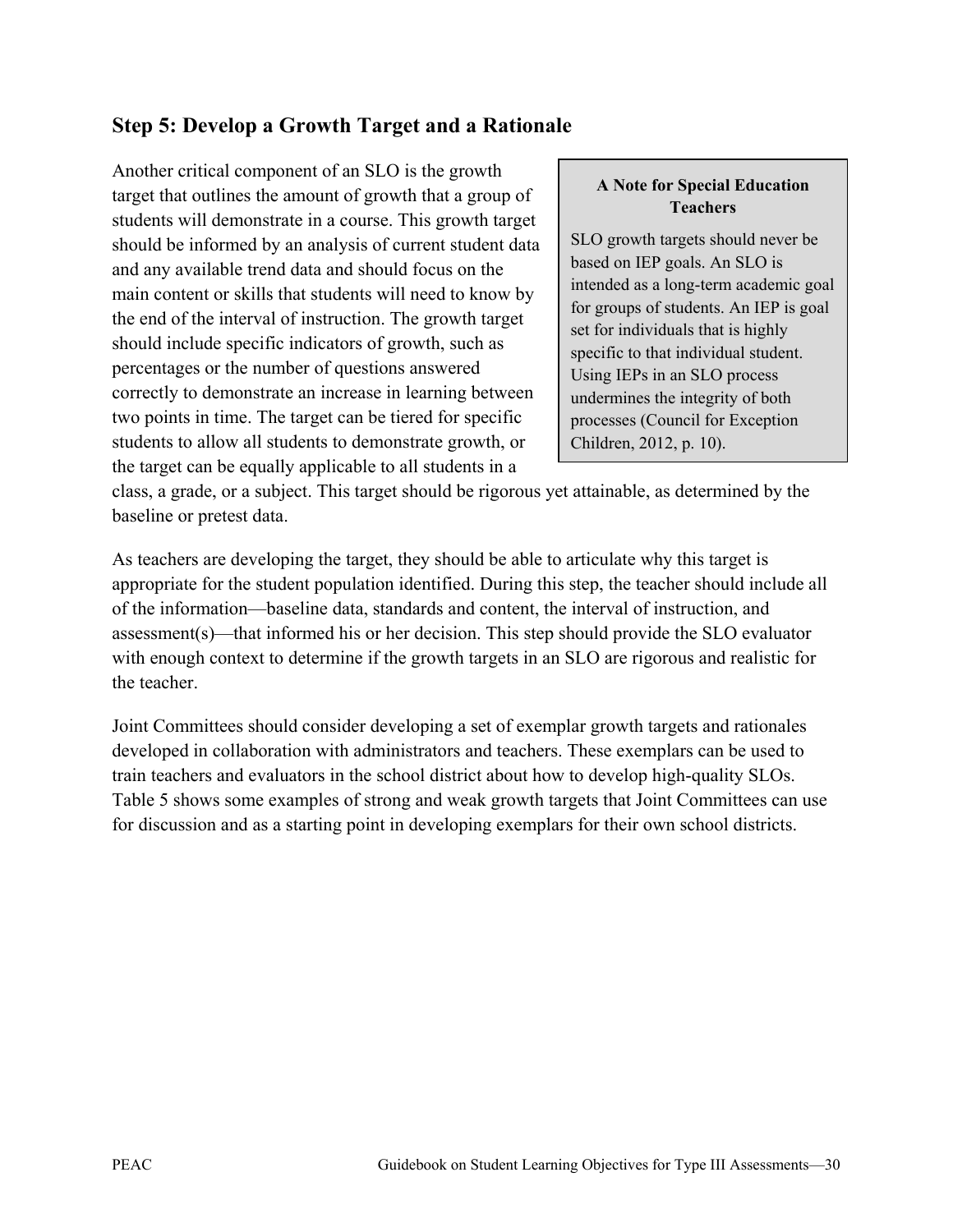## **Step 5: Develop a Growth Target and a Rationale**

Another critical component of an SLO is the growth target that outlines the amount of growth that a group of students will demonstrate in a course. This growth target should be informed by an analysis of current student data and any available trend data and should focus on the main content or skills that students will need to know by the end of the interval of instruction. The growth target should include specific indicators of growth, such as percentages or the number of questions answered correctly to demonstrate an increase in learning between two points in time. The target can be tiered for specific students to allow all students to demonstrate growth, or the target can be equally applicable to all students in a

#### **A Note for Special Education Teachers**

SLO growth targets should never be based on IEP goals. An SLO is intended as a long-term academic goal for groups of students. An IEP is goal set for individuals that is highly specific to that individual student. Using IEPs in an SLO process undermines the integrity of both processes (Council for Exception Children, 2012, p. 10).

class, a grade, or a subject. This target should be rigorous yet attainable, as determined by the baseline or pretest data.

As teachers are developing the target, they should be able to articulate why this target is appropriate for the student population identified. During this step, the teacher should include all of the information—baseline data, standards and content, the interval of instruction, and assessment(s)—that informed his or her decision. This step should provide the SLO evaluator with enough context to determine if the growth targets in an SLO are rigorous and realistic for the teacher.

Joint Committees should consider developing a set of exemplar growth targets and rationales developed in collaboration with administrators and teachers. These exemplars can be used to train teachers and evaluators in the school district about how to develop high-quality SLOs. Table 5 shows some examples of strong and weak growth targets that Joint Committees can use for discussion and as a starting point in developing exemplars for their own school districts.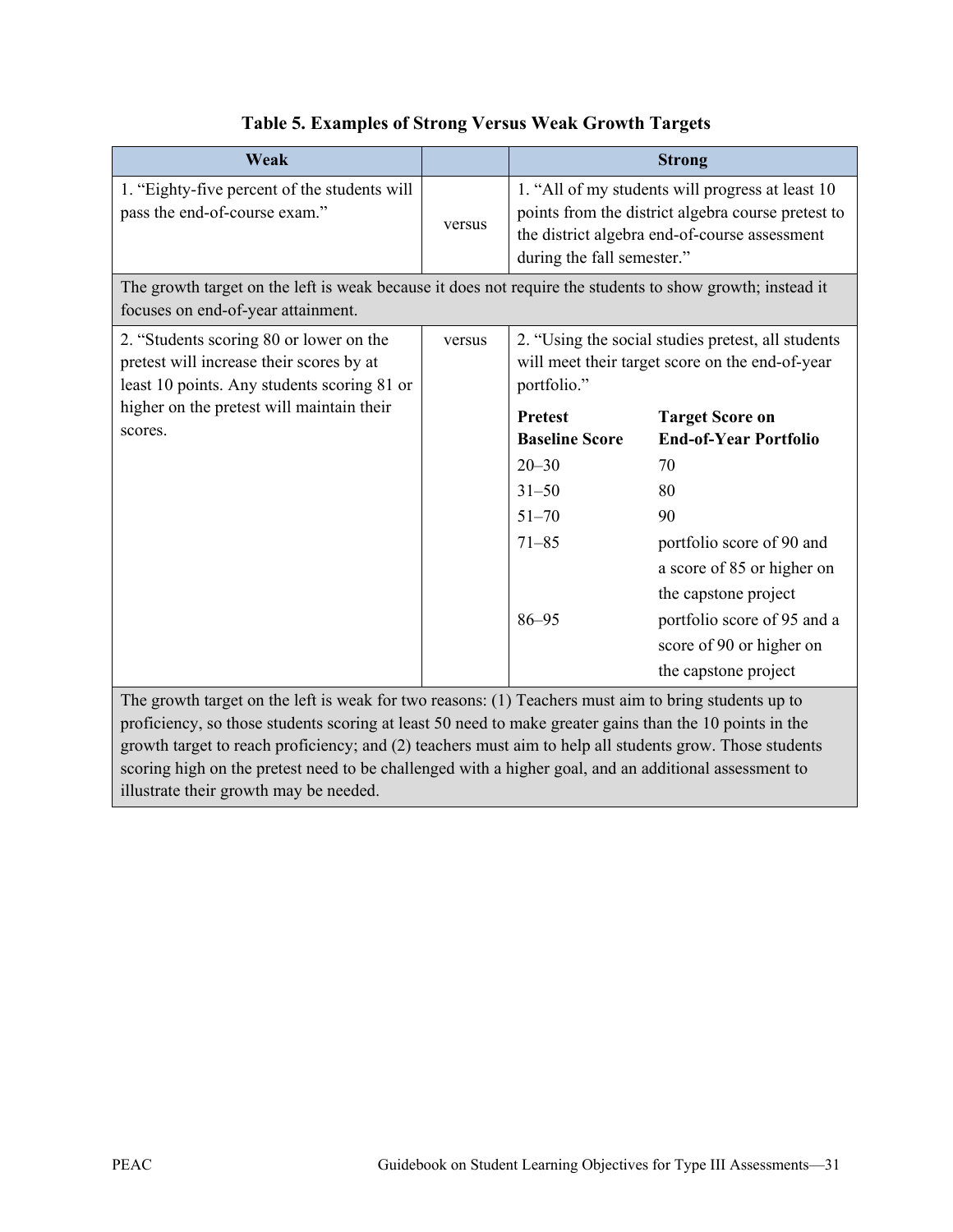| Weak                                                                                                                                                                                                                                                                                                                                                                                                                                                                          |        | <b>Strong</b>                                                                                                                                                                         |                                                                                                                                                                                            |  |
|-------------------------------------------------------------------------------------------------------------------------------------------------------------------------------------------------------------------------------------------------------------------------------------------------------------------------------------------------------------------------------------------------------------------------------------------------------------------------------|--------|---------------------------------------------------------------------------------------------------------------------------------------------------------------------------------------|--------------------------------------------------------------------------------------------------------------------------------------------------------------------------------------------|--|
| 1. "Eighty-five percent of the students will<br>pass the end-of-course exam."                                                                                                                                                                                                                                                                                                                                                                                                 | versus | 1. "All of my students will progress at least 10<br>points from the district algebra course pretest to<br>the district algebra end-of-course assessment<br>during the fall semester." |                                                                                                                                                                                            |  |
| The growth target on the left is weak because it does not require the students to show growth; instead it<br>focuses on end-of-year attainment.                                                                                                                                                                                                                                                                                                                               |        |                                                                                                                                                                                       |                                                                                                                                                                                            |  |
| 2. "Students scoring 80 or lower on the<br>pretest will increase their scores by at<br>least 10 points. Any students scoring 81 or                                                                                                                                                                                                                                                                                                                                            | versus | 2. "Using the social studies pretest, all students<br>will meet their target score on the end-of-year<br>portfolio."                                                                  |                                                                                                                                                                                            |  |
| higher on the pretest will maintain their<br>scores.                                                                                                                                                                                                                                                                                                                                                                                                                          |        | <b>Pretest</b><br><b>Baseline Score</b><br>$20 - 30$<br>$31 - 50$<br>$51 - 70$<br>$71 - 85$<br>$86 - 95$                                                                              | <b>Target Score on</b><br><b>End-of-Year Portfolio</b><br>70<br>80<br>90<br>portfolio score of 90 and<br>a score of 85 or higher on<br>the capstone project<br>portfolio score of 95 and a |  |
|                                                                                                                                                                                                                                                                                                                                                                                                                                                                               |        |                                                                                                                                                                                       | score of 90 or higher on<br>the capstone project                                                                                                                                           |  |
| The growth target on the left is weak for two reasons: (1) Teachers must aim to bring students up to<br>proficiency, so those students scoring at least 50 need to make greater gains than the 10 points in the<br>growth target to reach proficiency; and (2) teachers must aim to help all students grow. Those students<br>scoring high on the pretest need to be challenged with a higher goal, and an additional assessment to<br>illustrate their growth may be needed. |        |                                                                                                                                                                                       |                                                                                                                                                                                            |  |

# **Table 5. Examples of Strong Versus Weak Growth Targets**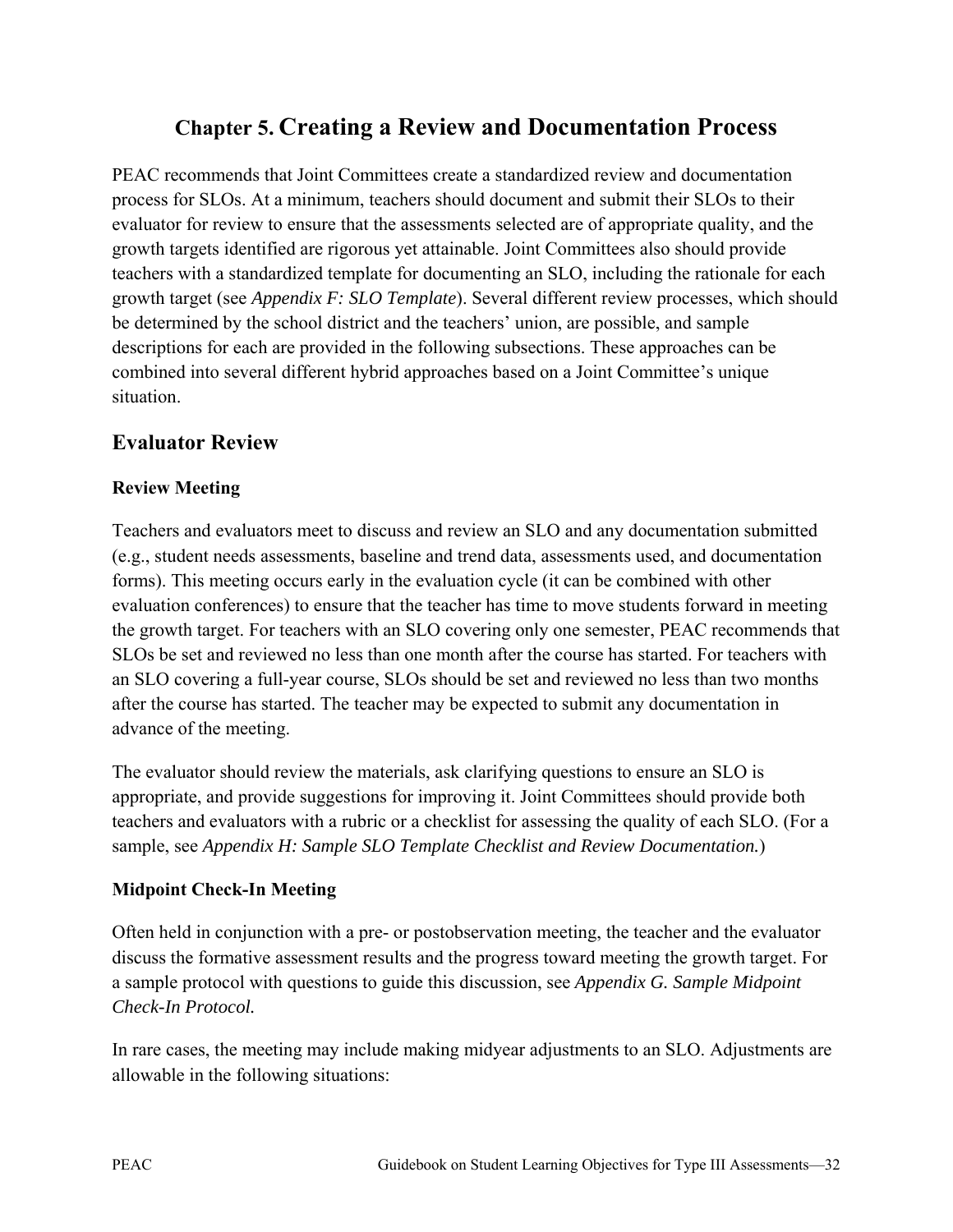# **Chapter 5. Creating a Review and Documentation Process**

PEAC recommends that Joint Committees create a standardized review and documentation process for SLOs. At a minimum, teachers should document and submit their SLOs to their evaluator for review to ensure that the assessments selected are of appropriate quality, and the growth targets identified are rigorous yet attainable. Joint Committees also should provide teachers with a standardized template for documenting an SLO, including the rationale for each growth target (see *Appendix F: SLO Template*). Several different review processes, which should be determined by the school district and the teachers' union, are possible, and sample descriptions for each are provided in the following subsections. These approaches can be combined into several different hybrid approaches based on a Joint Committee's unique situation.

# **Evaluator Review**

## **Review Meeting**

Teachers and evaluators meet to discuss and review an SLO and any documentation submitted (e.g., student needs assessments, baseline and trend data, assessments used, and documentation forms). This meeting occurs early in the evaluation cycle (it can be combined with other evaluation conferences) to ensure that the teacher has time to move students forward in meeting the growth target. For teachers with an SLO covering only one semester, PEAC recommends that SLOs be set and reviewed no less than one month after the course has started. For teachers with an SLO covering a full-year course, SLOs should be set and reviewed no less than two months after the course has started. The teacher may be expected to submit any documentation in advance of the meeting.

The evaluator should review the materials, ask clarifying questions to ensure an SLO is appropriate, and provide suggestions for improving it. Joint Committees should provide both teachers and evaluators with a rubric or a checklist for assessing the quality of each SLO. (For a sample, see *Appendix H: Sample SLO Template Checklist and Review Documentation.*)

## **Midpoint Check-In Meeting**

Often held in conjunction with a pre- or postobservation meeting, the teacher and the evaluator discuss the formative assessment results and the progress toward meeting the growth target. For a sample protocol with questions to guide this discussion, see *Appendix G. Sample Midpoint Check-In Protocol.*

In rare cases, the meeting may include making midyear adjustments to an SLO. Adjustments are allowable in the following situations: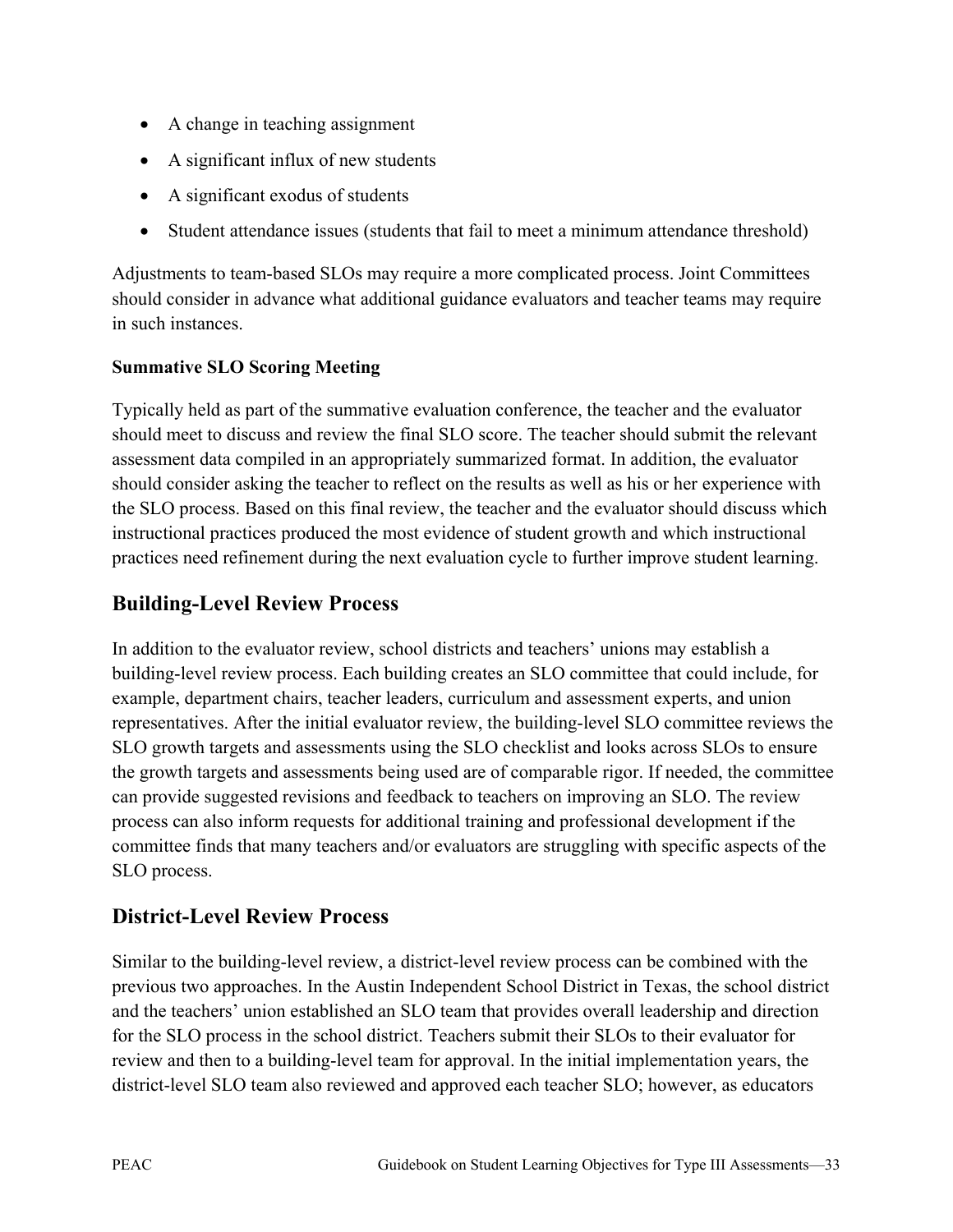- A change in teaching assignment
- A significant influx of new students
- A significant exodus of students
- Student attendance issues (students that fail to meet a minimum attendance threshold)

Adjustments to team-based SLOs may require a more complicated process. Joint Committees should consider in advance what additional guidance evaluators and teacher teams may require in such instances.

#### **Summative SLO Scoring Meeting**

Typically held as part of the summative evaluation conference, the teacher and the evaluator should meet to discuss and review the final SLO score. The teacher should submit the relevant assessment data compiled in an appropriately summarized format. In addition, the evaluator should consider asking the teacher to reflect on the results as well as his or her experience with the SLO process. Based on this final review, the teacher and the evaluator should discuss which instructional practices produced the most evidence of student growth and which instructional practices need refinement during the next evaluation cycle to further improve student learning.

# **Building-Level Review Process**

In addition to the evaluator review, school districts and teachers' unions may establish a building-level review process. Each building creates an SLO committee that could include, for example, department chairs, teacher leaders, curriculum and assessment experts, and union representatives. After the initial evaluator review, the building-level SLO committee reviews the SLO growth targets and assessments using the SLO checklist and looks across SLOs to ensure the growth targets and assessments being used are of comparable rigor. If needed, the committee can provide suggested revisions and feedback to teachers on improving an SLO. The review process can also inform requests for additional training and professional development if the committee finds that many teachers and/or evaluators are struggling with specific aspects of the SLO process.

# **District-Level Review Process**

Similar to the building-level review, a district-level review process can be combined with the previous two approaches. In the Austin Independent School District in Texas, the school district and the teachers' union established an SLO team that provides overall leadership and direction for the SLO process in the school district. Teachers submit their SLOs to their evaluator for review and then to a building-level team for approval. In the initial implementation years, the district-level SLO team also reviewed and approved each teacher SLO; however, as educators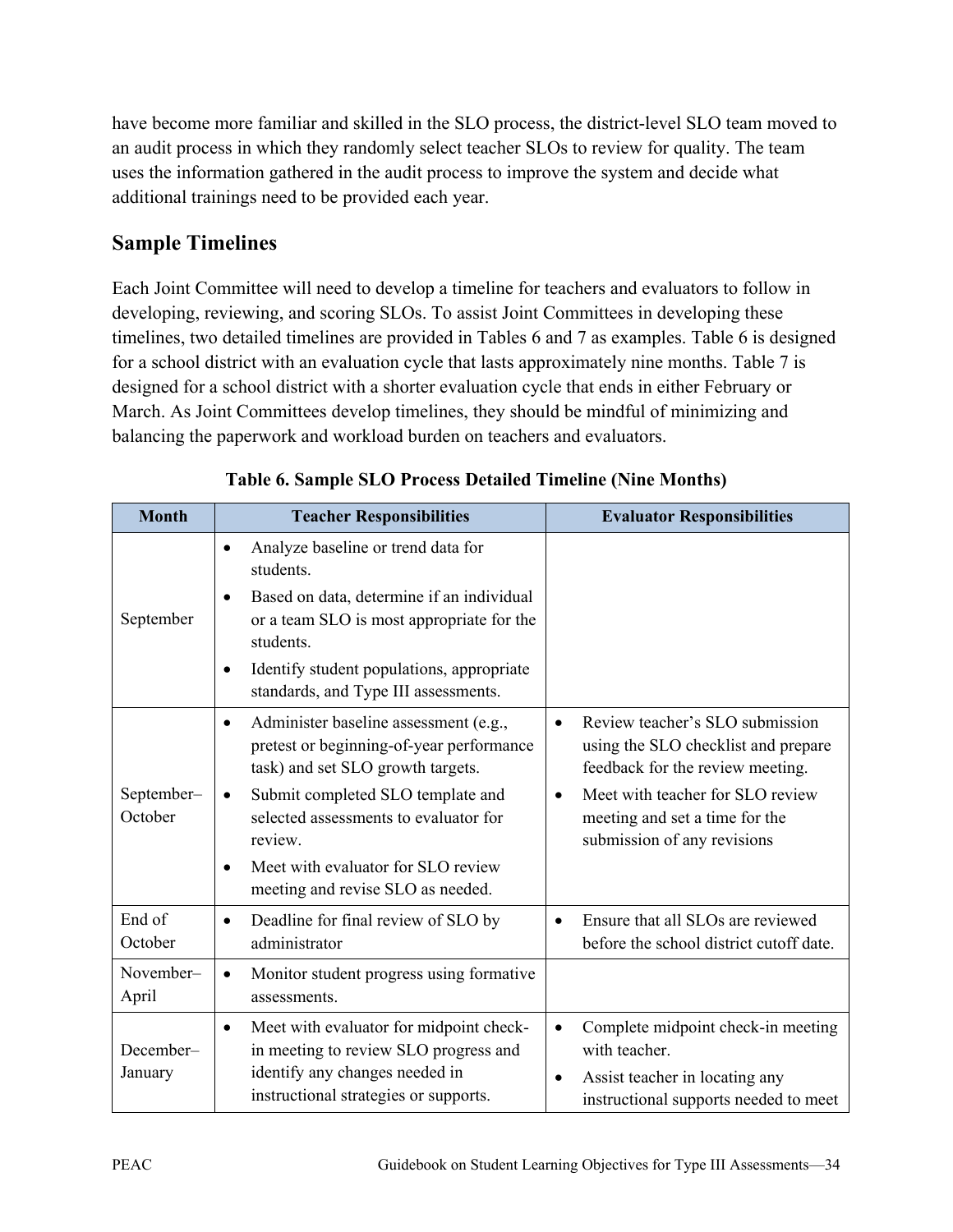have become more familiar and skilled in the SLO process, the district-level SLO team moved to an audit process in which they randomly select teacher SLOs to review for quality. The team uses the information gathered in the audit process to improve the system and decide what additional trainings need to be provided each year.

# **Sample Timelines**

Each Joint Committee will need to develop a timeline for teachers and evaluators to follow in developing, reviewing, and scoring SLOs. To assist Joint Committees in developing these timelines, two detailed timelines are provided in Tables 6 and 7 as examples. Table 6 is designed for a school district with an evaluation cycle that lasts approximately nine months. Table 7 is designed for a school district with a shorter evaluation cycle that ends in either February or March. As Joint Committees develop timelines, they should be mindful of minimizing and balancing the paperwork and workload burden on teachers and evaluators.

| <b>Month</b>          | <b>Teacher Responsibilities</b>                                                                                                                                                                                       | <b>Evaluator Responsibilities</b>                                                                                                                        |
|-----------------------|-----------------------------------------------------------------------------------------------------------------------------------------------------------------------------------------------------------------------|----------------------------------------------------------------------------------------------------------------------------------------------------------|
| September             | Analyze baseline or trend data for<br>students.<br>Based on data, determine if an individual<br>٠<br>or a team SLO is most appropriate for the<br>students.<br>Identify student populations, appropriate<br>$\bullet$ |                                                                                                                                                          |
|                       | standards, and Type III assessments.                                                                                                                                                                                  |                                                                                                                                                          |
|                       | Administer baseline assessment (e.g.,<br>$\bullet$<br>pretest or beginning-of-year performance<br>task) and set SLO growth targets.                                                                                   | Review teacher's SLO submission<br>$\bullet$<br>using the SLO checklist and prepare<br>feedback for the review meeting.                                  |
| September-<br>October | Submit completed SLO template and<br>$\bullet$<br>selected assessments to evaluator for<br>review.                                                                                                                    | Meet with teacher for SLO review<br>$\bullet$<br>meeting and set a time for the<br>submission of any revisions                                           |
|                       | Meet with evaluator for SLO review<br>meeting and revise SLO as needed.                                                                                                                                               |                                                                                                                                                          |
| End of<br>October     | Deadline for final review of SLO by<br>$\bullet$<br>administrator                                                                                                                                                     | Ensure that all SLOs are reviewed<br>before the school district cutoff date.                                                                             |
| November-<br>April    | Monitor student progress using formative<br>assessments.                                                                                                                                                              |                                                                                                                                                          |
| December-<br>January  | Meet with evaluator for midpoint check-<br>$\bullet$<br>in meeting to review SLO progress and<br>identify any changes needed in<br>instructional strategies or supports.                                              | Complete midpoint check-in meeting<br>$\bullet$<br>with teacher.<br>Assist teacher in locating any<br>$\bullet$<br>instructional supports needed to meet |

## **Table 6. Sample SLO Process Detailed Timeline (Nine Months)**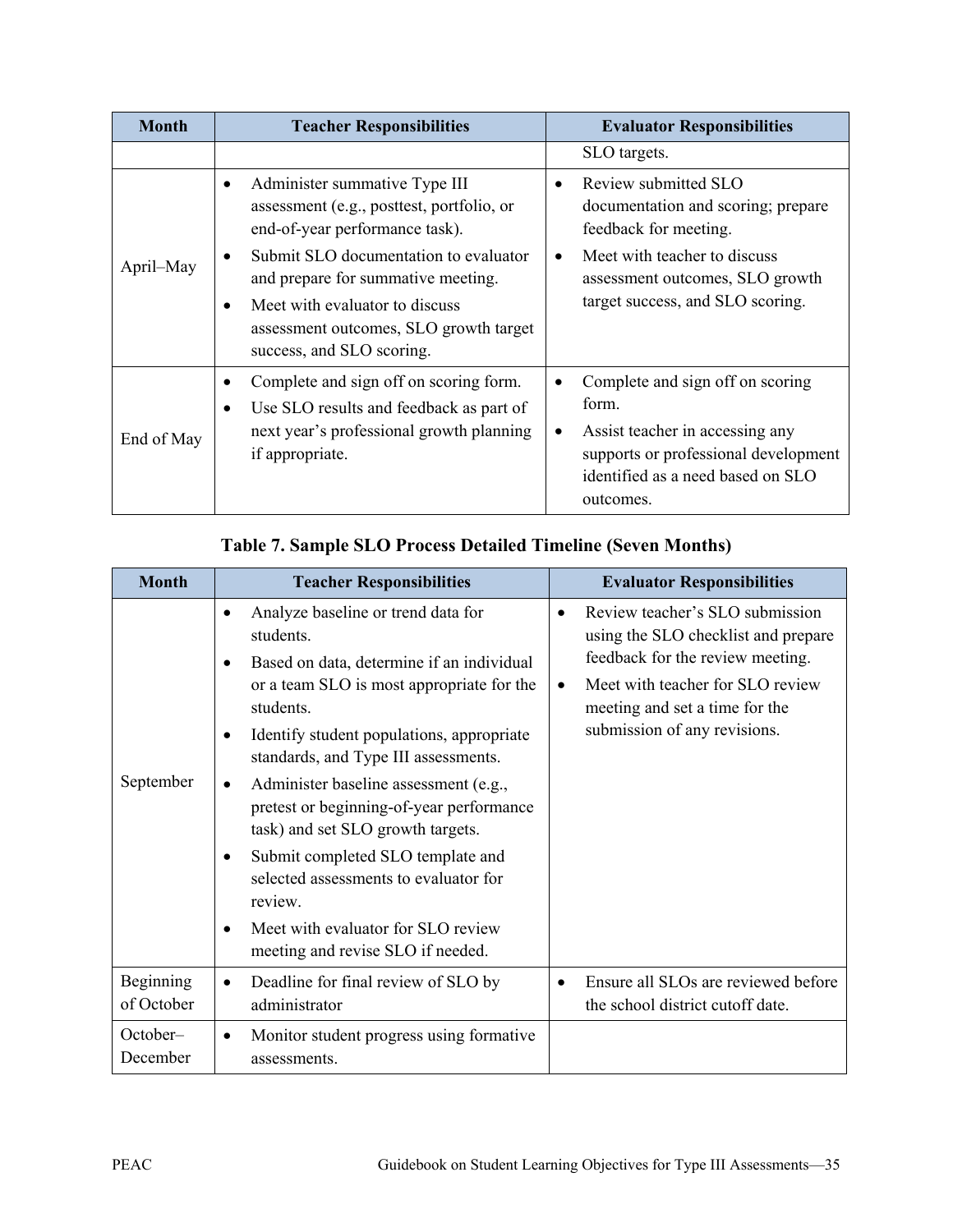| <b>Month</b> | <b>Teacher Responsibilities</b>                                                                                                                                                                                                                                                                                                     | <b>Evaluator Responsibilities</b>                                                                                                                                                                                    |  |
|--------------|-------------------------------------------------------------------------------------------------------------------------------------------------------------------------------------------------------------------------------------------------------------------------------------------------------------------------------------|----------------------------------------------------------------------------------------------------------------------------------------------------------------------------------------------------------------------|--|
|              |                                                                                                                                                                                                                                                                                                                                     | SLO targets.                                                                                                                                                                                                         |  |
| April–May    | Administer summative Type III<br>$\bullet$<br>assessment (e.g., posttest, portfolio, or<br>end-of-year performance task).<br>Submit SLO documentation to evaluator<br>$\bullet$<br>and prepare for summative meeting.<br>Meet with evaluator to discuss<br>٠<br>assessment outcomes, SLO growth target<br>success, and SLO scoring. | Review submitted SLO<br>$\bullet$<br>documentation and scoring; prepare<br>feedback for meeting.<br>Meet with teacher to discuss<br>$\bullet$<br>assessment outcomes, SLO growth<br>target success, and SLO scoring. |  |
| End of May   | Complete and sign off on scoring form.<br>٠<br>Use SLO results and feedback as part of<br>٠<br>next year's professional growth planning<br>if appropriate.                                                                                                                                                                          | Complete and sign off on scoring<br>form.<br>Assist teacher in accessing any<br>$\bullet$<br>supports or professional development<br>identified as a need based on SLO<br>outcomes.                                  |  |

## **Table 7. Sample SLO Process Detailed Timeline (Seven Months)**

| <b>Month</b>            | <b>Teacher Responsibilities</b>                                                                                                                                                                                                                                                                                                                                                                                                                                                                                                                          | <b>Evaluator Responsibilities</b>                                                                                                                                                                                                          |
|-------------------------|----------------------------------------------------------------------------------------------------------------------------------------------------------------------------------------------------------------------------------------------------------------------------------------------------------------------------------------------------------------------------------------------------------------------------------------------------------------------------------------------------------------------------------------------------------|--------------------------------------------------------------------------------------------------------------------------------------------------------------------------------------------------------------------------------------------|
| September               | Analyze baseline or trend data for<br>٠<br>students.<br>Based on data, determine if an individual<br>٠<br>or a team SLO is most appropriate for the<br>students.<br>Identify student populations, appropriate<br>٠<br>standards, and Type III assessments.<br>Administer baseline assessment (e.g.,<br>pretest or beginning-of-year performance<br>task) and set SLO growth targets.<br>Submit completed SLO template and<br>selected assessments to evaluator for<br>review.<br>Meet with evaluator for SLO review<br>meeting and revise SLO if needed. | Review teacher's SLO submission<br>$\bullet$<br>using the SLO checklist and prepare<br>feedback for the review meeting.<br>Meet with teacher for SLO review<br>$\bullet$<br>meeting and set a time for the<br>submission of any revisions. |
| Beginning<br>of October | Deadline for final review of SLO by<br>administrator                                                                                                                                                                                                                                                                                                                                                                                                                                                                                                     | Ensure all SLOs are reviewed before<br>the school district cutoff date.                                                                                                                                                                    |
| October-<br>December    | Monitor student progress using formative<br>assessments.                                                                                                                                                                                                                                                                                                                                                                                                                                                                                                 |                                                                                                                                                                                                                                            |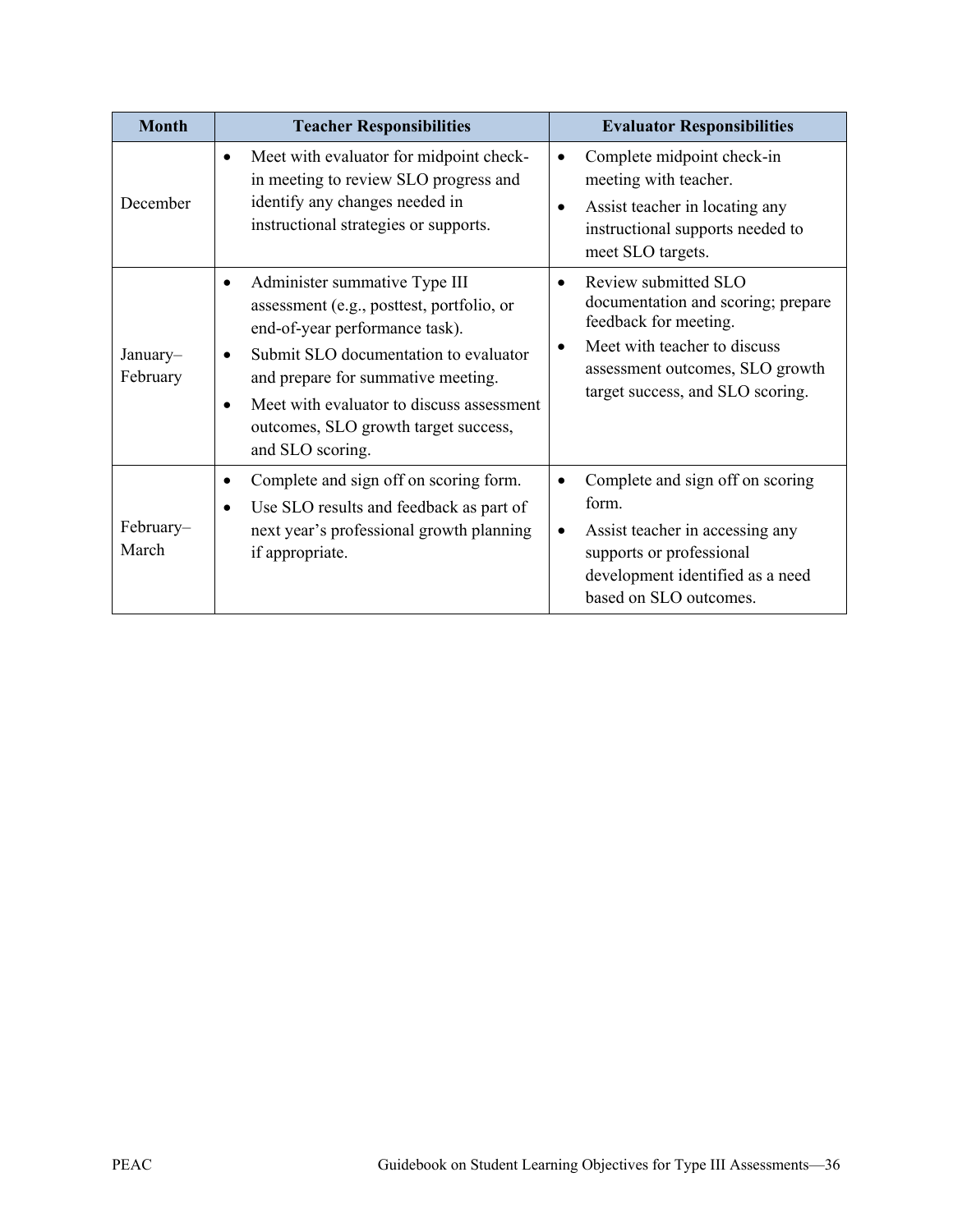| <b>Month</b>         | <b>Teacher Responsibilities</b>                                                                                                                                                                                                                                                                                                | <b>Evaluator Responsibilities</b>                                                                                                                                                                                    |
|----------------------|--------------------------------------------------------------------------------------------------------------------------------------------------------------------------------------------------------------------------------------------------------------------------------------------------------------------------------|----------------------------------------------------------------------------------------------------------------------------------------------------------------------------------------------------------------------|
| December             | Meet with evaluator for midpoint check-<br>$\bullet$<br>in meeting to review SLO progress and<br>identify any changes needed in<br>instructional strategies or supports.                                                                                                                                                       | Complete midpoint check-in<br>$\bullet$<br>meeting with teacher.<br>Assist teacher in locating any<br>instructional supports needed to<br>meet SLO targets.                                                          |
| January-<br>February | Administer summative Type III<br>$\bullet$<br>assessment (e.g., posttest, portfolio, or<br>end-of-year performance task).<br>Submit SLO documentation to evaluator<br>and prepare for summative meeting.<br>Meet with evaluator to discuss assessment<br>$\bullet$<br>outcomes, SLO growth target success,<br>and SLO scoring. | Review submitted SLO<br>$\bullet$<br>documentation and scoring; prepare<br>feedback for meeting.<br>Meet with teacher to discuss<br>$\bullet$<br>assessment outcomes, SLO growth<br>target success, and SLO scoring. |
| February-<br>March   | Complete and sign off on scoring form.<br>٠<br>Use SLO results and feedback as part of<br>$\bullet$<br>next year's professional growth planning<br>if appropriate.                                                                                                                                                             | Complete and sign off on scoring<br>form.<br>Assist teacher in accessing any<br>supports or professional<br>development identified as a need<br>based on SLO outcomes.                                               |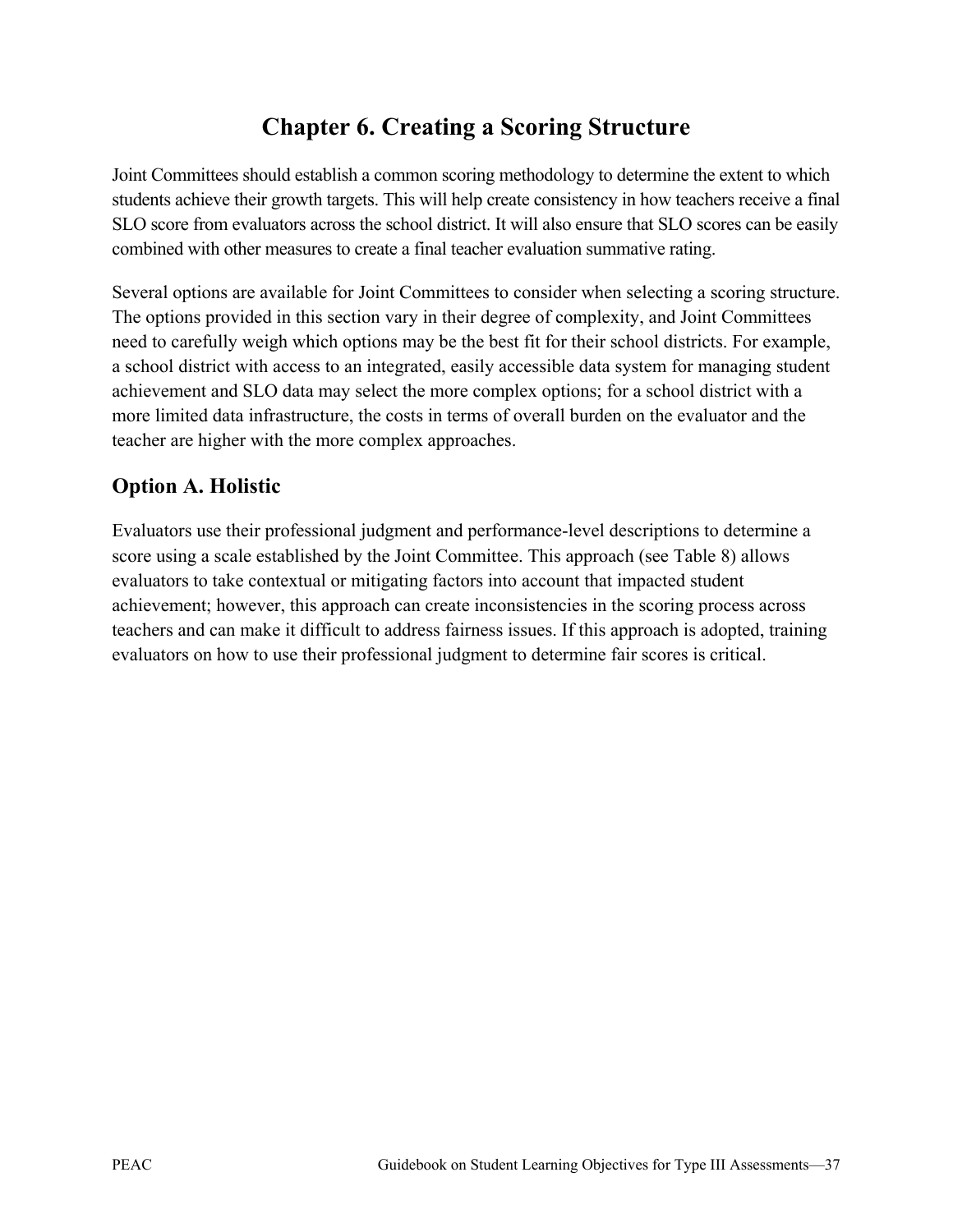# **Chapter 6. Creating a Scoring Structure**

Joint Committees should establish a common scoring methodology to determine the extent to which students achieve their growth targets. This will help create consistency in how teachers receive a final SLO score from evaluators across the school district. It will also ensure that SLO scores can be easily combined with other measures to create a final teacher evaluation summative rating.

Several options are available for Joint Committees to consider when selecting a scoring structure. The options provided in this section vary in their degree of complexity, and Joint Committees need to carefully weigh which options may be the best fit for their school districts. For example, a school district with access to an integrated, easily accessible data system for managing student achievement and SLO data may select the more complex options; for a school district with a more limited data infrastructure, the costs in terms of overall burden on the evaluator and the teacher are higher with the more complex approaches.

# **Option A. Holistic**

Evaluators use their professional judgment and performance-level descriptions to determine a score using a scale established by the Joint Committee. This approach (see Table 8) allows evaluators to take contextual or mitigating factors into account that impacted student achievement; however, this approach can create inconsistencies in the scoring process across teachers and can make it difficult to address fairness issues. If this approach is adopted, training evaluators on how to use their professional judgment to determine fair scores is critical.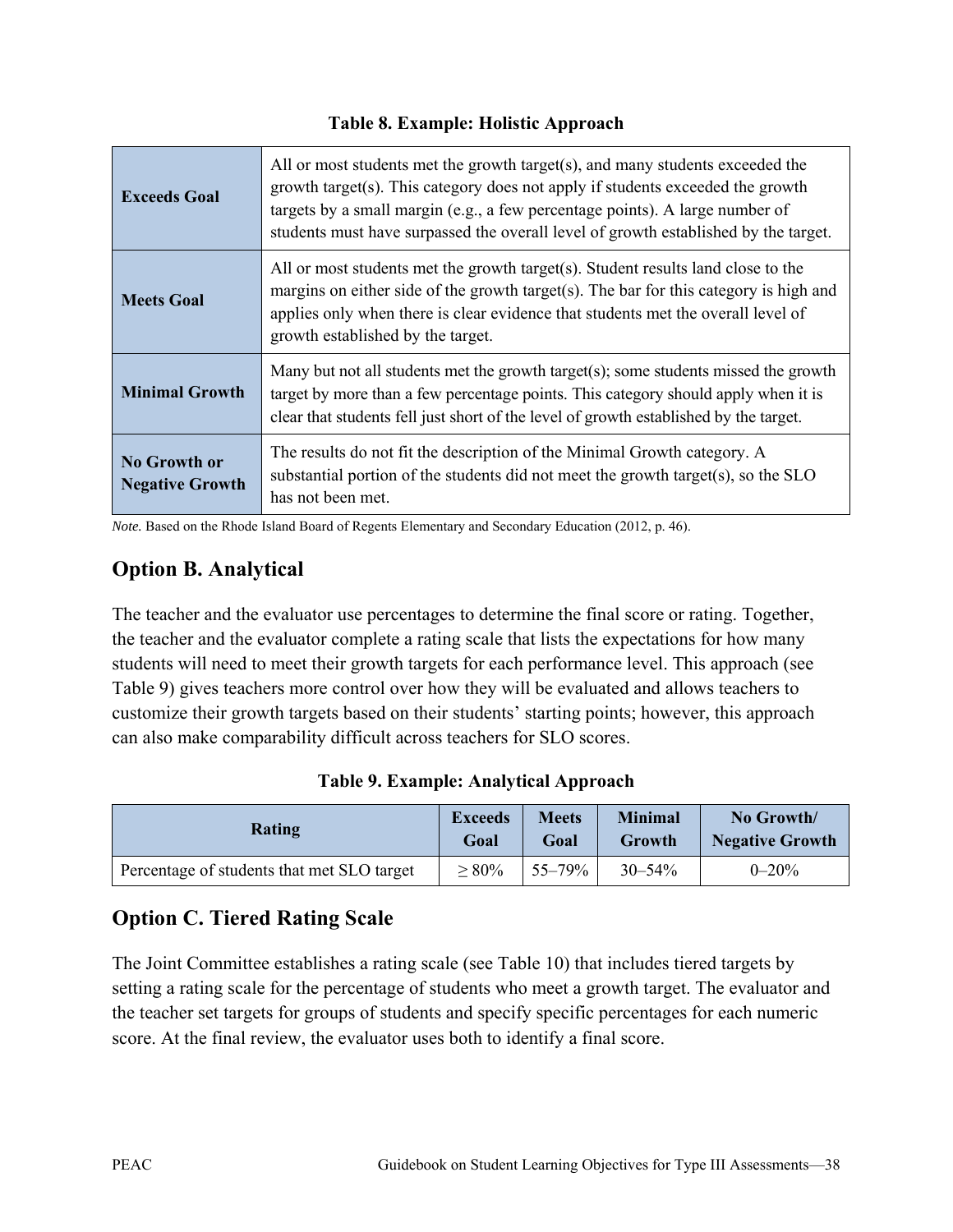#### **Table 8. Example: Holistic Approach**

| <b>Exceeds Goal</b>                           | All or most students met the growth target(s), and many students exceeded the<br>growth target(s). This category does not apply if students exceeded the growth<br>targets by a small margin (e.g., a few percentage points). A large number of<br>students must have surpassed the overall level of growth established by the target. |
|-----------------------------------------------|----------------------------------------------------------------------------------------------------------------------------------------------------------------------------------------------------------------------------------------------------------------------------------------------------------------------------------------|
| <b>Meets Goal</b>                             | All or most students met the growth target(s). Student results land close to the<br>margins on either side of the growth target(s). The bar for this category is high and<br>applies only when there is clear evidence that students met the overall level of<br>growth established by the target.                                     |
| <b>Minimal Growth</b>                         | Many but not all students met the growth target(s); some students missed the growth<br>target by more than a few percentage points. This category should apply when it is<br>clear that students fell just short of the level of growth established by the target.                                                                     |
| <b>No Growth or</b><br><b>Negative Growth</b> | The results do not fit the description of the Minimal Growth category. A<br>substantial portion of the students did not meet the growth target(s), so the SLO<br>has not been met.                                                                                                                                                     |

*Note.* Based on the Rhode Island Board of Regents Elementary and Secondary Education (2012, p. 46).

# **Option B. Analytical**

The teacher and the evaluator use percentages to determine the final score or rating. Together, the teacher and the evaluator complete a rating scale that lists the expectations for how many students will need to meet their growth targets for each performance level. This approach (see Table 9) gives teachers more control over how they will be evaluated and allows teachers to customize their growth targets based on their students' starting points; however, this approach can also make comparability difficult across teachers for SLO scores.

|  |  | Table 9. Example: Analytical Approach |
|--|--|---------------------------------------|
|--|--|---------------------------------------|

| Rating                                     | <b>Exceeds</b> | <b>Meets</b> | <b>Minimal</b> | No Growth/             |
|--------------------------------------------|----------------|--------------|----------------|------------------------|
|                                            | Goal           | Goal         | Growth         | <b>Negative Growth</b> |
| Percentage of students that met SLO target | $> 80\%$       | $55 - 79%$   | $30 - 54\%$    | $0 - 20\%$             |

# **Option C. Tiered Rating Scale**

The Joint Committee establishes a rating scale (see Table 10) that includes tiered targets by setting a rating scale for the percentage of students who meet a growth target. The evaluator and the teacher set targets for groups of students and specify specific percentages for each numeric score. At the final review, the evaluator uses both to identify a final score.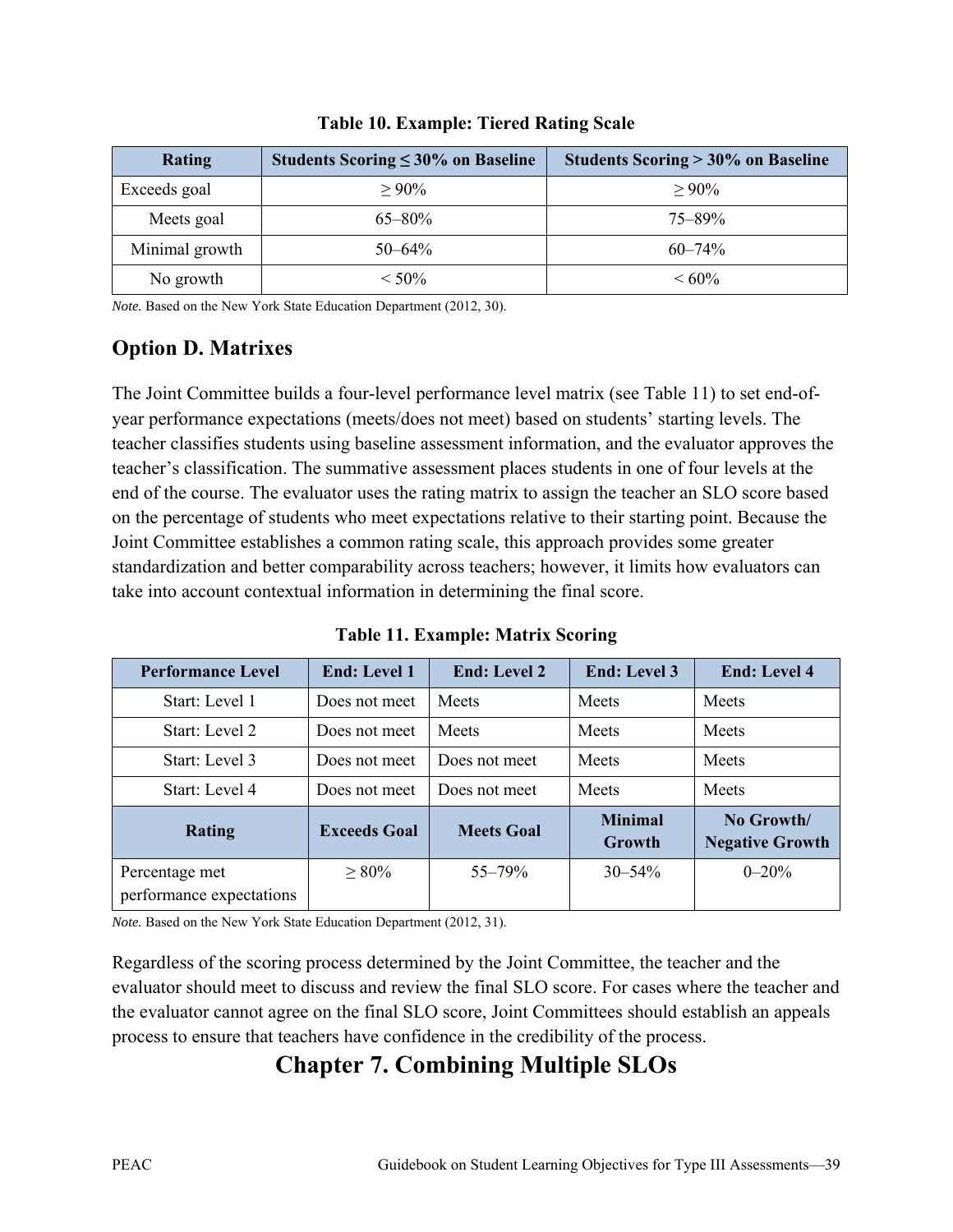| Rating         | Students Scoring $\leq 30\%$ on Baseline | Students Scoring $>30\%$ on Baseline |
|----------------|------------------------------------------|--------------------------------------|
| Exceeds goal   | $> 90\%$                                 | $> 90\%$                             |
| Meets goal     | $65 - 80\%$                              | $75 - 89\%$                          |
| Minimal growth | $50 - 64\%$                              | $60 - 74\%$                          |
| No growth      | $< 50\%$                                 | $\leq 60\%$                          |

**Table 10. Example: Tiered Rating Scale**

*Note.* Based on the New York State Education Department (2012, 30).

# **Option D. Matrixes**

The Joint Committee builds a four-level performance level matrix (see Table 11) to set end-ofyear performance expectations (meets/does not meet) based on students' starting levels. The teacher classifies students using baseline assessment information, and the evaluator approves the teacher's classification. The summative assessment places students in one of four levels at the end of the course. The evaluator uses the rating matrix to assign the teacher an SLO score based on the percentage of students who meet expectations relative to their starting point. Because the Joint Committee establishes a common rating scale, this approach provides some greater standardization and better comparability across teachers; however, it limits how evaluators can take into account contextual information in determining the final score.

**Table 11. Example: Matrix Scoring**

| <b>Performance Level</b>                   | <b>End: Level 1</b> | <b>End: Level 2</b> | <b>End: Level 3</b>      | <b>End: Level 4</b>                  |
|--------------------------------------------|---------------------|---------------------|--------------------------|--------------------------------------|
| Start: Level 1                             | Does not meet       | Meets               | Meets                    | Meets                                |
| Start: Level 2                             | Does not meet       | Meets               | Meets                    | Meets                                |
| Start: Level 3                             | Does not meet       | Does not meet       | Meets                    | Meets                                |
| Start: Level 4                             | Does not meet       | Does not meet       | Meets                    | <b>Meets</b>                         |
| <b>Rating</b>                              | <b>Exceeds Goal</b> | <b>Meets Goal</b>   | <b>Minimal</b><br>Growth | No Growth/<br><b>Negative Growth</b> |
| Percentage met<br>performance expectations | $\geq 80\%$         | $55 - 79\%$         | $30 - 54\%$              | $0 - 20%$                            |

*Note.* Based on the New York State Education Department (2012, 31).

Regardless of the scoring process determined by the Joint Committee, the teacher and the evaluator should meet to discuss and review the final SLO score. For cases where the teacher and the evaluator cannot agree on the final SLO score, Joint Committees should establish an appeals process to ensure that teachers have confidence in the credibility of the process.

# **Chapter 7. Combining Multiple SLOs**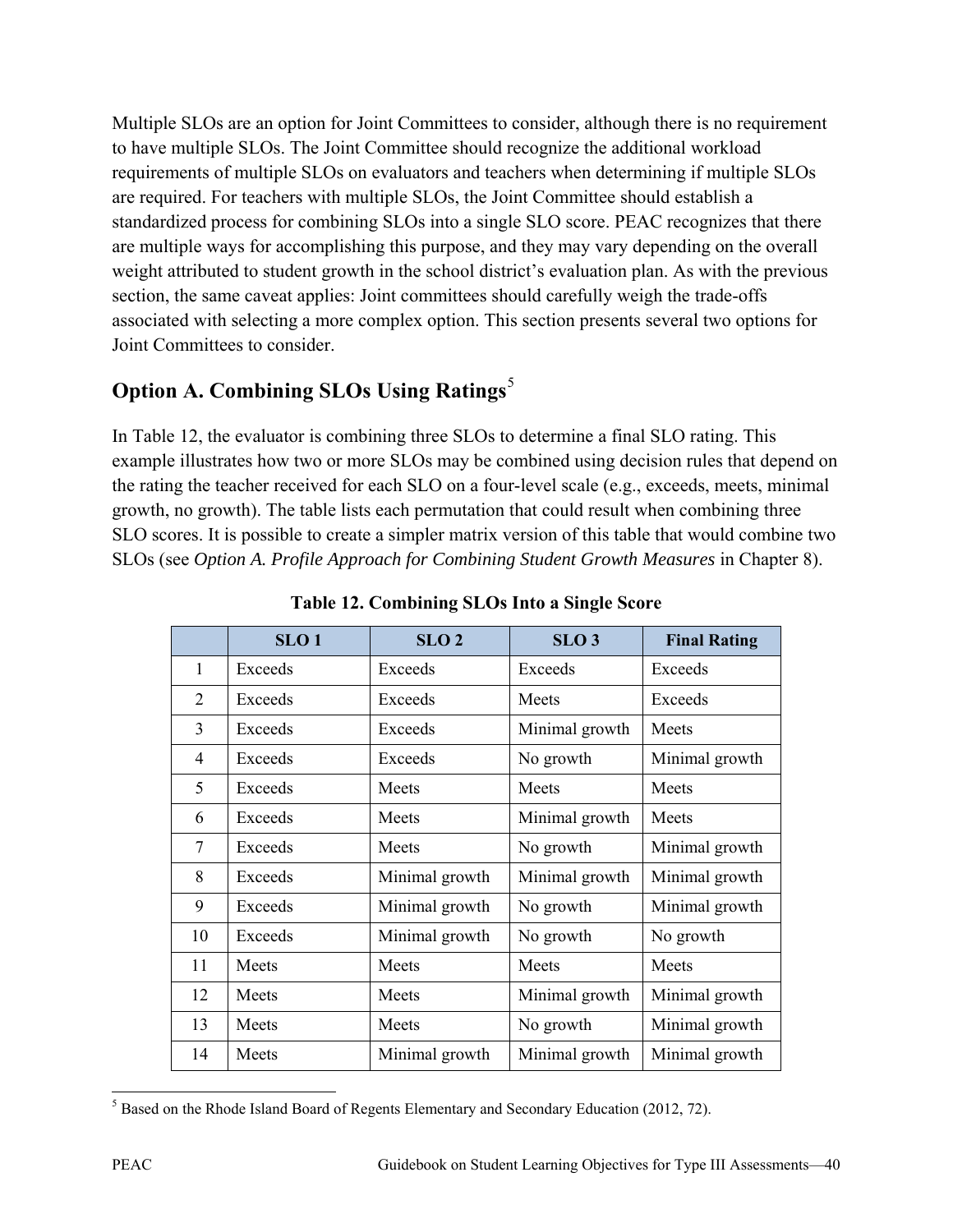Multiple SLOs are an option for Joint Committees to consider, although there is no requirement to have multiple SLOs. The Joint Committee should recognize the additional workload requirements of multiple SLOs on evaluators and teachers when determining if multiple SLOs are required. For teachers with multiple SLOs, the Joint Committee should establish a standardized process for combining SLOs into a single SLO score. PEAC recognizes that there are multiple ways for accomplishing this purpose, and they may vary depending on the overall weight attributed to student growth in the school district's evaluation plan. As with the previous section, the same caveat applies: Joint committees should carefully weigh the trade-offs associated with selecting a more complex option. This section presents several two options for Joint Committees to consider.

# **Option A. Combining SLOs Using Ratings**[5](#page-45-0)

In Table 12, the evaluator is combining three SLOs to determine a final SLO rating. This example illustrates how two or more SLOs may be combined using decision rules that depend on the rating the teacher received for each SLO on a four-level scale (e.g., exceeds, meets, minimal growth, no growth). The table lists each permutation that could result when combining three SLO scores. It is possible to create a simpler matrix version of this table that would combine two SLOs (see *Option A. Profile Approach for Combining Student Growth Measures* in Chapter 8).

|                | SLO <sub>1</sub> | SLO <sub>2</sub> | SLO <sub>3</sub> | <b>Final Rating</b> |
|----------------|------------------|------------------|------------------|---------------------|
| 1              | Exceeds          | Exceeds          | Exceeds          | Exceeds             |
| $\overline{2}$ | Exceeds          | Exceeds          | <b>Meets</b>     | Exceeds             |
| 3              | Exceeds          | Exceeds          | Minimal growth   | Meets               |
| $\overline{4}$ | Exceeds          | Exceeds          | No growth        | Minimal growth      |
| 5              | Exceeds          | <b>Meets</b>     | Meets            | Meets               |
| 6              | Exceeds          | <b>Meets</b>     | Minimal growth   | Meets               |
| 7              | Exceeds          | <b>Meets</b>     | No growth        | Minimal growth      |
| 8              | Exceeds          | Minimal growth   | Minimal growth   | Minimal growth      |
| 9              | Exceeds          | Minimal growth   | No growth        | Minimal growth      |
| 10             | Exceeds          | Minimal growth   | No growth        | No growth           |
| 11             | Meets            | Meets            | Meets            | <b>Meets</b>        |
| 12             | Meets            | Meets            | Minimal growth   | Minimal growth      |
| 13             | Meets            | Meets            | No growth        | Minimal growth      |
| 14             | Meets            | Minimal growth   | Minimal growth   | Minimal growth      |

**Table 12. Combining SLOs Into a Single Score**

<span id="page-45-0"></span> $\overline{\phantom{a}}$  $<sup>5</sup>$  Based on the Rhode Island Board of Regents Elementary and Secondary Education (2012, 72).</sup>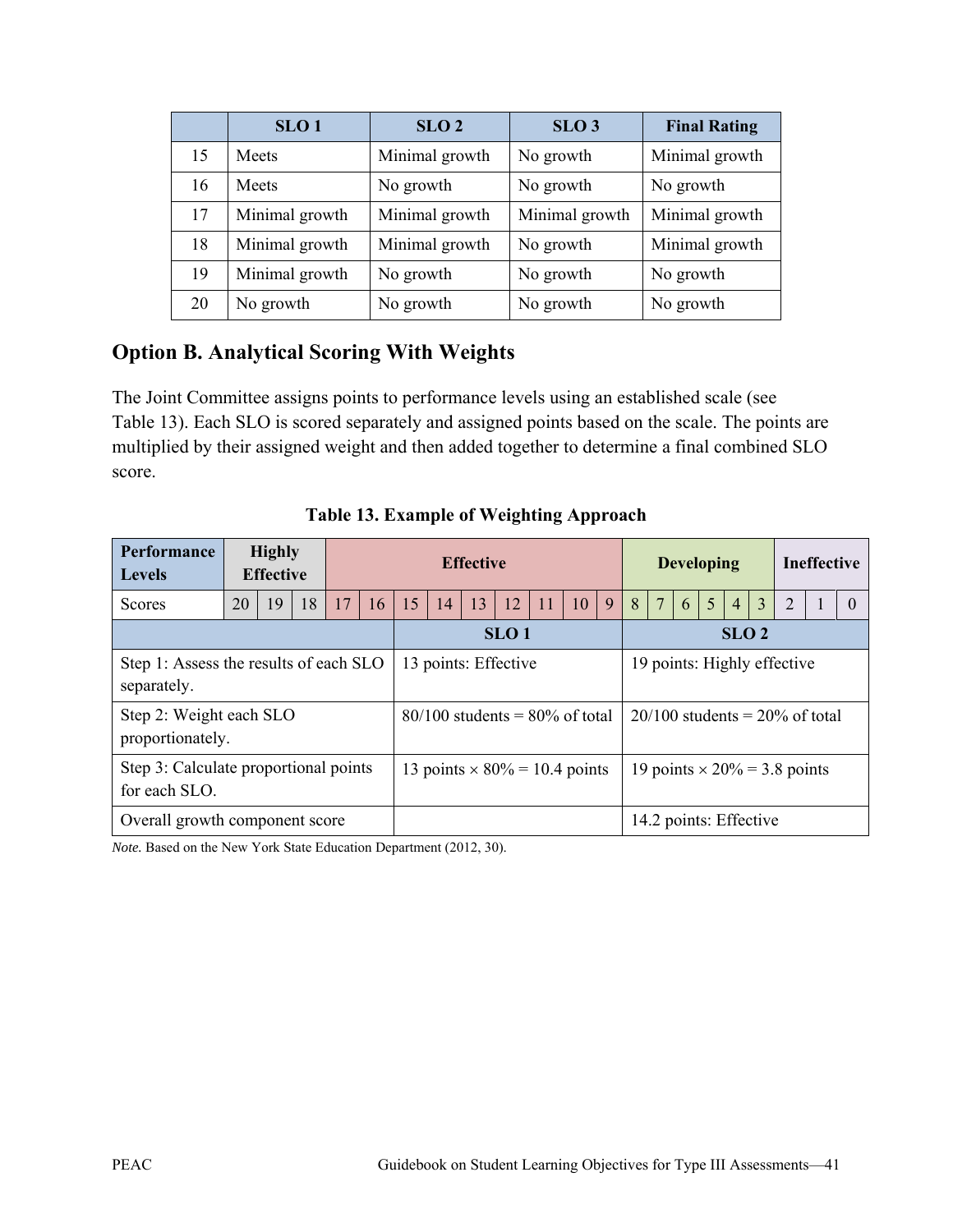|    | SLO <sub>1</sub> | SLO <sub>2</sub> | SLO <sub>3</sub> | <b>Final Rating</b> |
|----|------------------|------------------|------------------|---------------------|
| 15 | Meets            | Minimal growth   | No growth        | Minimal growth      |
| 16 | <b>Meets</b>     | No growth        | No growth        | No growth           |
| 17 | Minimal growth   | Minimal growth   | Minimal growth   | Minimal growth      |
| 18 | Minimal growth   | Minimal growth   | No growth        | Minimal growth      |
| 19 | Minimal growth   | No growth        | No growth        | No growth           |
| 20 | No growth        | No growth        | No growth        | No growth           |

# **Option B. Analytical Scoring With Weights**

The Joint Committee assigns points to performance levels using an established scale (see Table 13). Each SLO is scored separately and assigned points based on the scale. The points are multiplied by their assigned weight and then added together to determine a final combined SLO score.

| <b>Performance</b><br><b>Levels</b>                    |                                        | <b>Highly</b><br><b>Effective</b> |                  |                      |                                     | <b>Effective</b>                     |    |                             |                                     |    | <b>Developing</b> |   |   |                 | <b>Ineffective</b>     |                                     |                |                |   |  |          |
|--------------------------------------------------------|----------------------------------------|-----------------------------------|------------------|----------------------|-------------------------------------|--------------------------------------|----|-----------------------------|-------------------------------------|----|-------------------|---|---|-----------------|------------------------|-------------------------------------|----------------|----------------|---|--|----------|
| Scores                                                 | 20                                     | 19                                | 18               | 17                   | 16                                  | 15                                   | 14 | 13                          | 12                                  | 11 | 10                | 9 | 8 | $7\phantom{.0}$ | 6 <sup>7</sup>         | 5                                   | $\overline{4}$ | $\overline{3}$ | 2 |  | $\Omega$ |
|                                                        |                                        |                                   | SLO <sub>1</sub> |                      |                                     | SLO <sub>2</sub>                     |    |                             |                                     |    |                   |   |   |                 |                        |                                     |                |                |   |  |          |
| separately.                                            | Step 1: Assess the results of each SLO |                                   |                  | 13 points: Effective |                                     |                                      |    | 19 points: Highly effective |                                     |    |                   |   |   |                 |                        |                                     |                |                |   |  |          |
| Step 2: Weight each SLO<br>proportionately.            |                                        |                                   |                  |                      | $80/100$ students = $80\%$ of total |                                      |    |                             |                                     |    |                   |   |   |                 |                        | $20/100$ students = $20\%$ of total |                |                |   |  |          |
| Step 3: Calculate proportional points<br>for each SLO. |                                        |                                   |                  |                      |                                     | 13 points $\times$ 80% = 10.4 points |    |                             | 19 points $\times$ 20% = 3.8 points |    |                   |   |   |                 |                        |                                     |                |                |   |  |          |
| Overall growth component score                         |                                        |                                   |                  |                      |                                     |                                      |    |                             |                                     |    |                   |   |   |                 | 14.2 points: Effective |                                     |                |                |   |  |          |

### **Table 13. Example of Weighting Approach**

*Note.* Based on the New York State Education Department (2012, 30).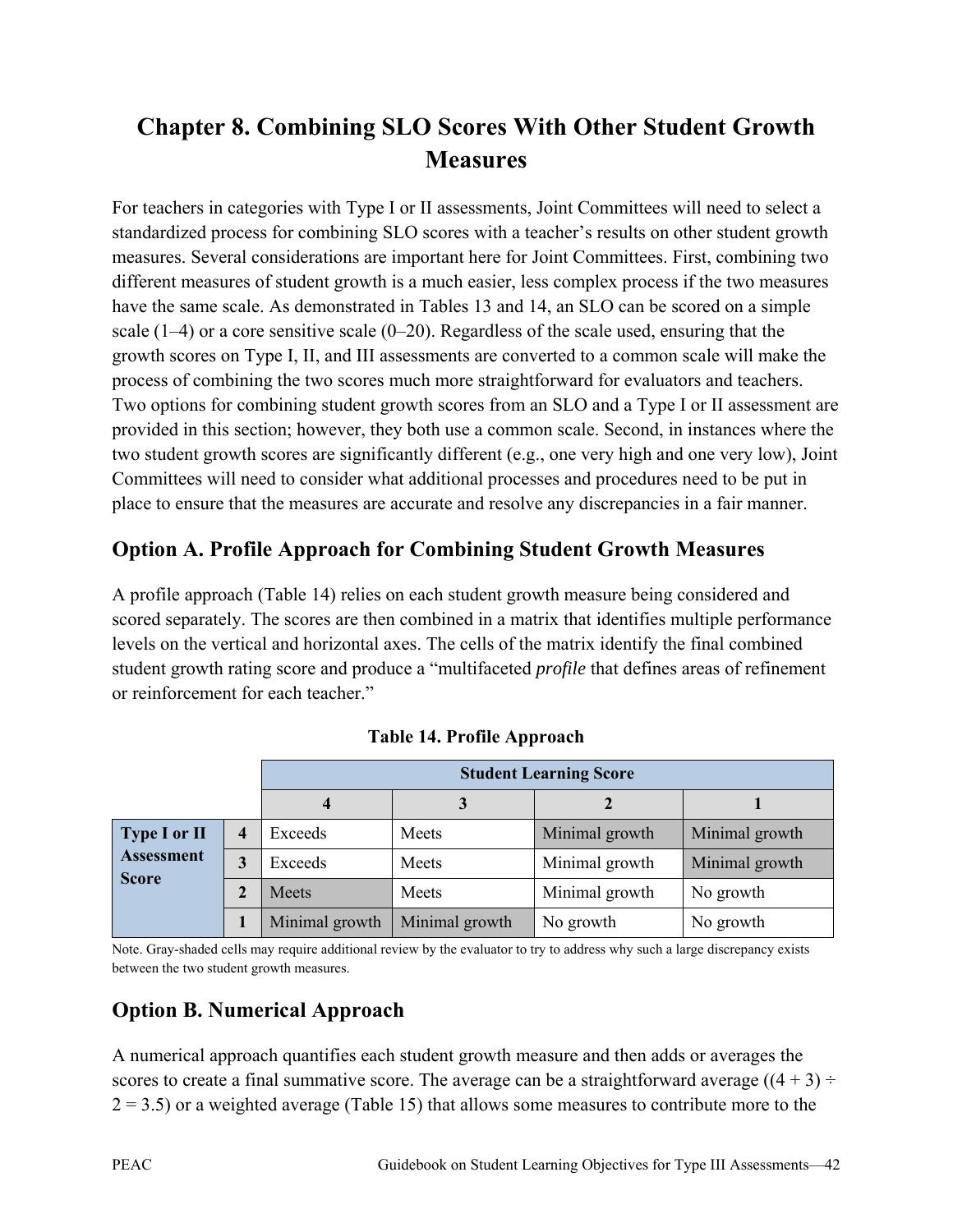# **Chapter 8. Combining SLO Scores With Other Student Growth Measures**

For teachers in categories with Type I or II assessments, Joint Committees will need to select a standardized process for combining SLO scores with a teacher's results on other student growth measures. Several considerations are important here for Joint Committees. First, combining two different measures of student growth is a much easier, less complex process if the two measures have the same scale. As demonstrated in Tables 13 and 14, an SLO can be scored on a simple scale (1–4) or a core sensitive scale (0–20). Regardless of the scale used, ensuring that the growth scores on Type I, II, and III assessments are converted to a common scale will make the process of combining the two scores much more straightforward for evaluators and teachers. Two options for combining student growth scores from an SLO and a Type I or II assessment are provided in this section; however, they both use a common scale. Second, in instances where the two student growth scores are significantly different (e.g., one very high and one very low), Joint Committees will need to consider what additional processes and procedures need to be put in place to ensure that the measures are accurate and resolve any discrepancies in a fair manner.

# **Option A. Profile Approach for Combining Student Growth Measures**

A profile approach (Table 14) relies on each student growth measure being considered and scored separately. The scores are then combined in a matrix that identifies multiple performance levels on the vertical and horizontal axes. The cells of the matrix identify the final combined student growth rating score and produce a "multifaceted *profile* that defines areas of refinement or reinforcement for each teacher."

|                     |   | <b>Student Learning Score</b> |                |                |                |  |  |
|---------------------|---|-------------------------------|----------------|----------------|----------------|--|--|
|                     |   |                               |                |                |                |  |  |
| <b>Type I or II</b> |   | Exceeds                       | Meets          | Minimal growth | Minimal growth |  |  |
| <b>Assessment</b>   | 3 | Exceeds                       | Meets          | Minimal growth | Minimal growth |  |  |
| <b>Score</b>        |   | Meets                         | Meets          | Minimal growth | No growth      |  |  |
|                     |   | Minimal growth                | Minimal growth | No growth      | No growth      |  |  |

|  |  |  | Table 14. Profile Approach |
|--|--|--|----------------------------|
|--|--|--|----------------------------|

Note. Gray-shaded cells may require additional review by the evaluator to try to address why such a large discrepancy exists between the two student growth measures.

# **Option B. Numerical Approach**

A numerical approach quantifies each student growth measure and then adds or averages the scores to create a final summative score. The average can be a straightforward average  $((4 + 3) \div$  $2 = 3.5$ ) or a weighted average (Table 15) that allows some measures to contribute more to the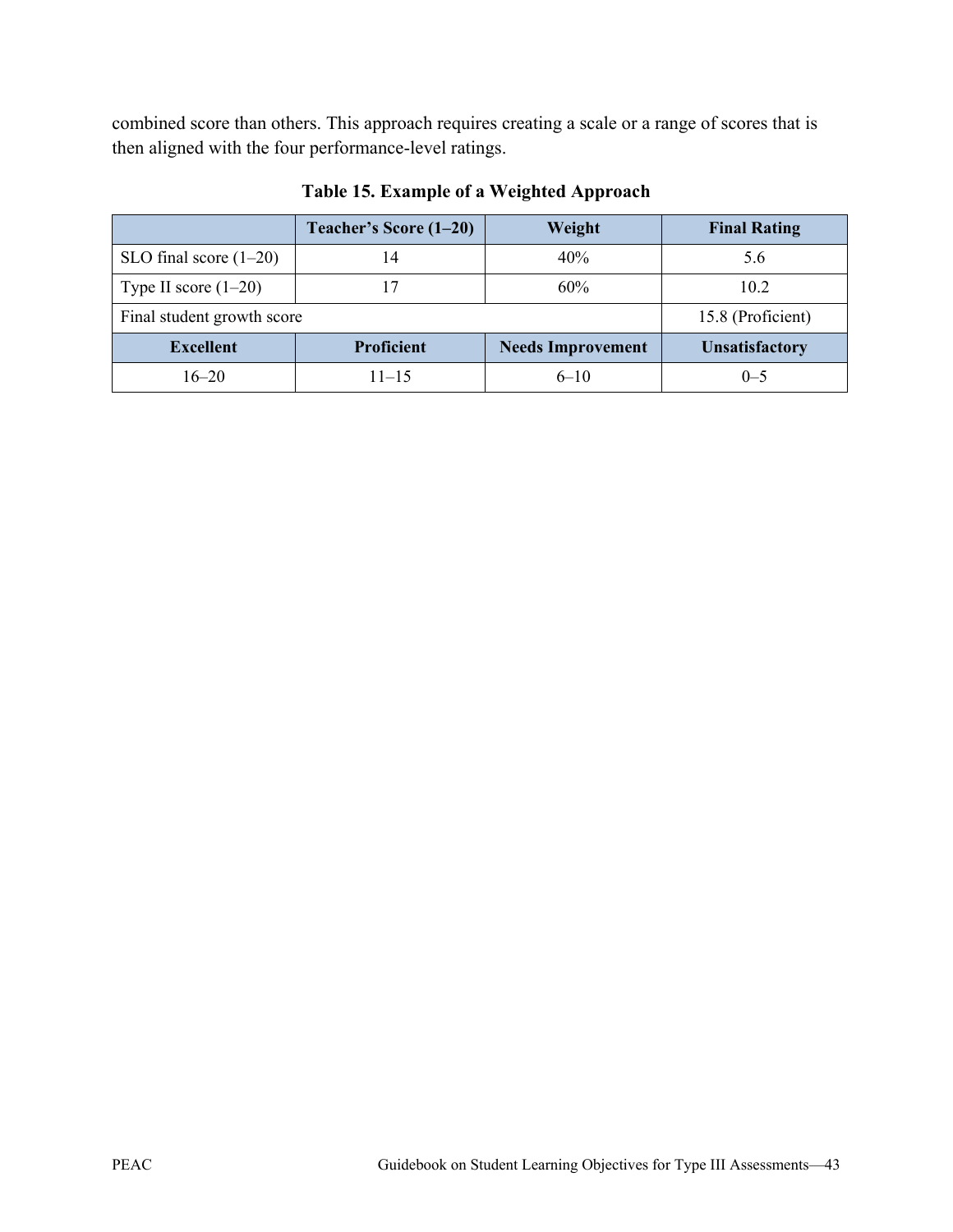combined score than others. This approach requires creating a scale or a range of scores that is then aligned with the four performance-level ratings.

|                            | Teacher's Score (1–20) | Weight                   | <b>Final Rating</b>   |
|----------------------------|------------------------|--------------------------|-----------------------|
| SLO final score $(1-20)$   | 14                     | 40%                      | 5.6                   |
| Type II score $(1-20)$     | 17                     | 60%                      | 10.2                  |
| Final student growth score | 15.8 (Proficient)      |                          |                       |
| <b>Excellent</b>           | <b>Proficient</b>      | <b>Needs Improvement</b> | <b>Unsatisfactory</b> |
| $16 - 20$                  | $11 - 15$              | $6 - 10$                 | $(1 - 5)$             |

## **Table 15. Example of a Weighted Approach**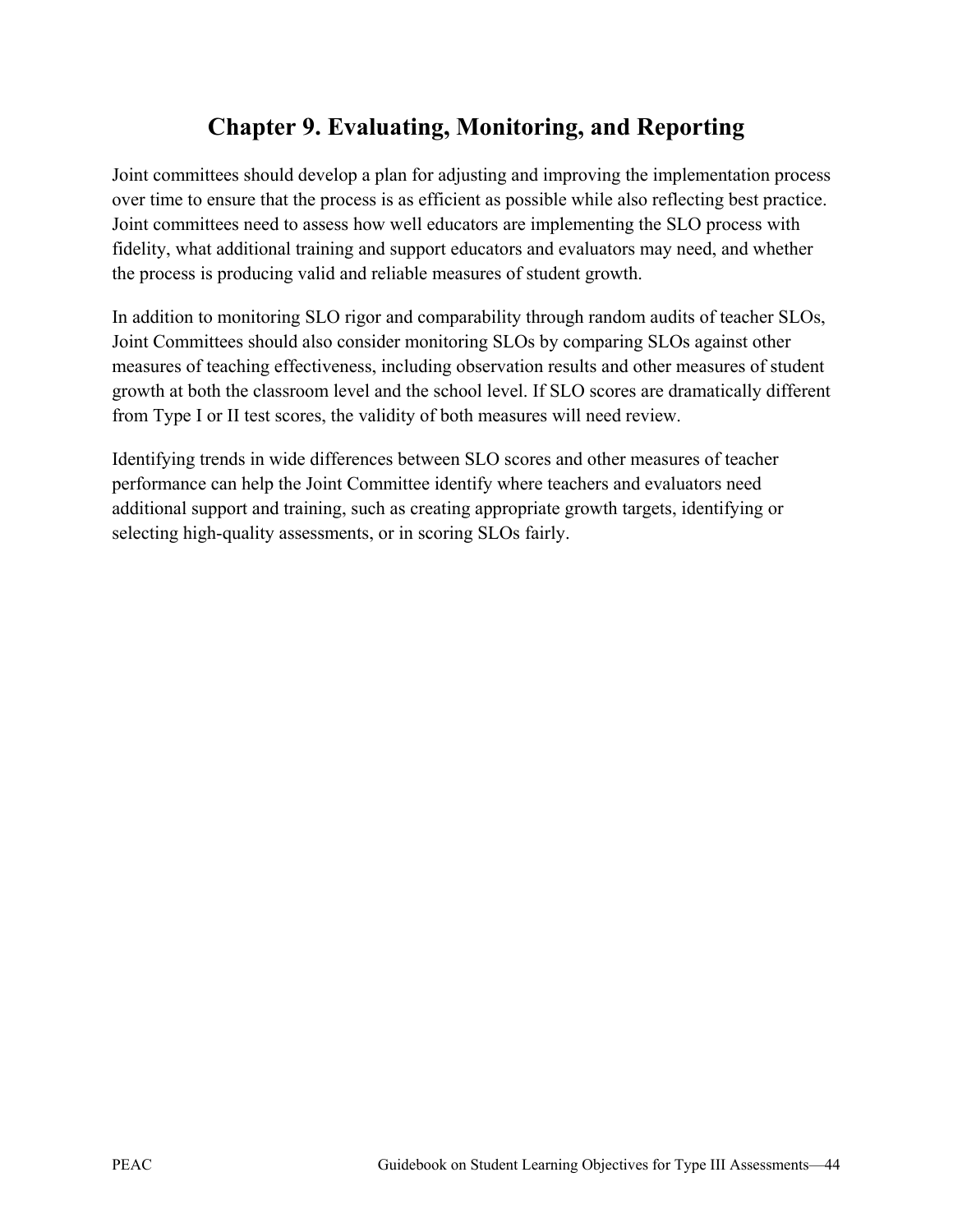# **Chapter 9. Evaluating, Monitoring, and Reporting**

Joint committees should develop a plan for adjusting and improving the implementation process over time to ensure that the process is as efficient as possible while also reflecting best practice. Joint committees need to assess how well educators are implementing the SLO process with fidelity, what additional training and support educators and evaluators may need, and whether the process is producing valid and reliable measures of student growth.

In addition to monitoring SLO rigor and comparability through random audits of teacher SLOs, Joint Committees should also consider monitoring SLOs by comparing SLOs against other measures of teaching effectiveness, including observation results and other measures of student growth at both the classroom level and the school level. If SLO scores are dramatically different from Type I or II test scores, the validity of both measures will need review.

Identifying trends in wide differences between SLO scores and other measures of teacher performance can help the Joint Committee identify where teachers and evaluators need additional support and training, such as creating appropriate growth targets, identifying or selecting high-quality assessments, or in scoring SLOs fairly.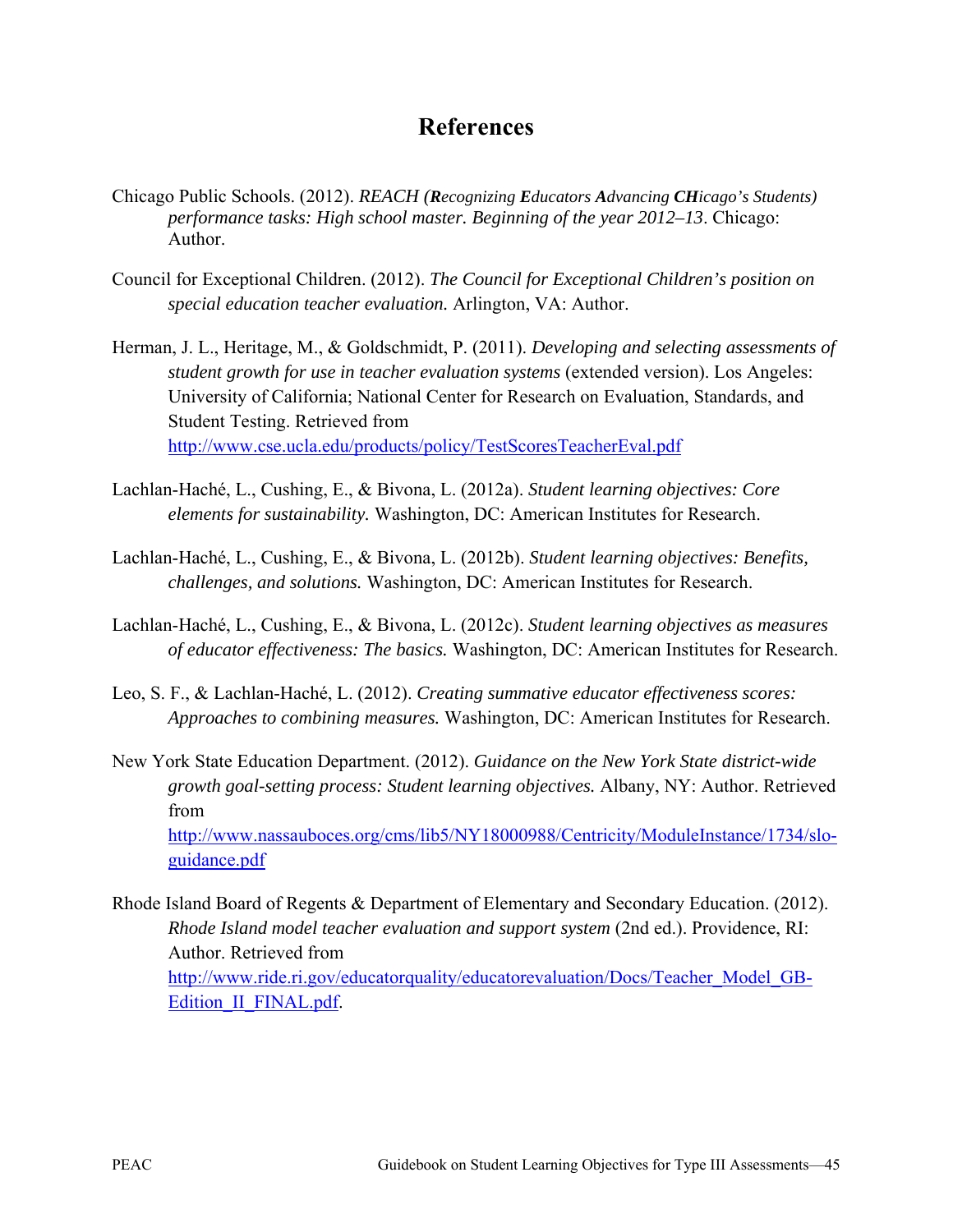# **References**

- Chicago Public Schools. (2012). *REACH (Recognizing Educators Advancing CHicago's Students) performance tasks: High school master. Beginning of the year 2012–13*. Chicago: Author.
- Council for Exceptional Children. (2012). *The Council for Exceptional Children's position on special education teacher evaluation.* Arlington, VA: Author.
- Herman, J. L., Heritage, M., & Goldschmidt, P. (2011). *Developing and selecting assessments of student growth for use in teacher evaluation systems* (extended version). Los Angeles: University of California; National Center for Research on Evaluation, Standards, and Student Testing. Retrieved from <http://www.cse.ucla.edu/products/policy/TestScoresTeacherEval.pdf>
- Lachlan-Haché, L., Cushing, E., & Bivona, L. (2012a). *Student learning objectives: Core elements for sustainability.* Washington, DC: American Institutes for Research.
- Lachlan-Haché, L., Cushing, E., & Bivona, L. (2012b). *Student learning objectives: Benefits, challenges, and solutions.* Washington, DC: American Institutes for Research.
- Lachlan-Haché, L., Cushing, E., & Bivona, L. (2012c). *Student learning objectives as measures of educator effectiveness: The basics.* Washington, DC: American Institutes for Research.
- Leo, S. F., & Lachlan-Haché, L. (2012). *Creating summative educator effectiveness scores: Approaches to combining measures.* Washington, DC: American Institutes for Research.
- New York State Education Department. (2012). *Guidance on the New York State district-wide growth goal-setting process: Student learning objectives.* Albany, NY: Author. Retrieved from [http://www.nassauboces.org/cms/lib5/NY18000988/Centricity/ModuleInstance/1734/slo](http://www.nassauboces.org/cms/lib5/NY18000988/Centricity/ModuleInstance/1734/slo-guidance.pdf)[guidance.pdf](http://www.nassauboces.org/cms/lib5/NY18000988/Centricity/ModuleInstance/1734/slo-guidance.pdf)
- Rhode Island Board of Regents & Department of Elementary and Secondary Education. (2012). *Rhode Island model teacher evaluation and support system* (2nd ed.). Providence, RI: Author. Retrieved from [http://www.ride.ri.gov/educatorquality/educatorevaluation/Docs/Teacher\\_Model\\_GB-](http://www.ride.ri.gov/educatorquality/educatorevaluation/Docs/Teacher_Model_GB-Edition_II_FINAL.pdf)[Edition\\_II\\_FINAL.pdf.](http://www.ride.ri.gov/educatorquality/educatorevaluation/Docs/Teacher_Model_GB-Edition_II_FINAL.pdf)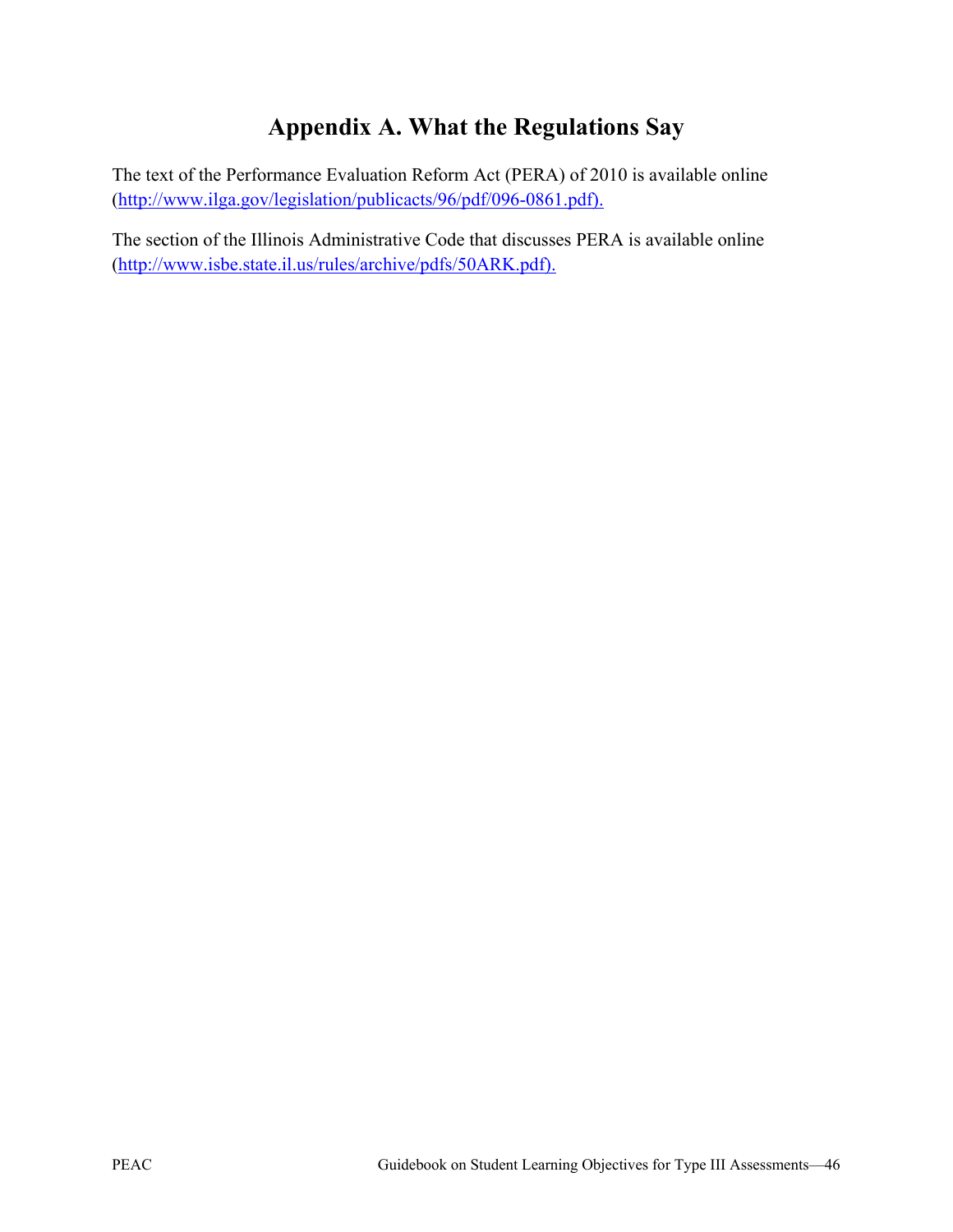# **Appendix A. What the Regulations Say**

The text of the Performance Evaluation Reform Act (PERA) of 2010 is available online [\(http://www.ilga.gov/legislation/publicacts/96/pdf/096-0861.pdf\)](http://www.ilga.gov/legislation/publicacts/96/pdf/096-0861.pdf).

The section of the Illinois Administrative Code that discusses PERA is available online [\(http://www.isbe.state.il.us/rules/archive/pdfs/50ARK.pdf\)](http://www.isbe.state.il.us/rules/archive/pdfs/50ARK.pdf).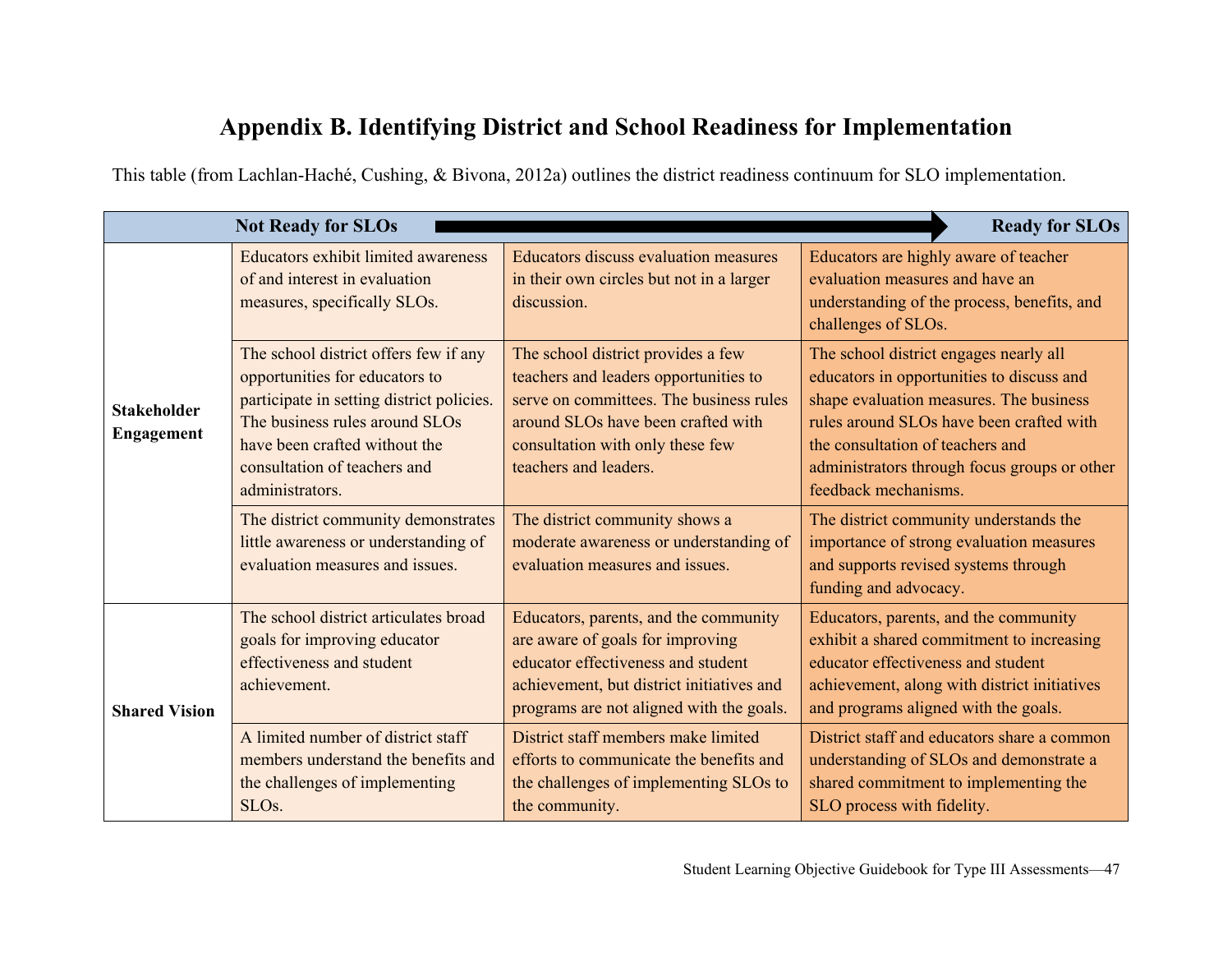# **Appendix B. Identifying District and School Readiness for Implementation**

This table (from Lachlan-Haché, Cushing, & Bivona, 2012a) outlines the district readiness continuum for SLO implementation.

|                                  | <b>Not Ready for SLOs</b>                                                                                                                                                                                                                  |                                                                                                                                                                                                                           | <b>Ready for SLOs</b>                                                                                                                                                                                                                                                                  |
|----------------------------------|--------------------------------------------------------------------------------------------------------------------------------------------------------------------------------------------------------------------------------------------|---------------------------------------------------------------------------------------------------------------------------------------------------------------------------------------------------------------------------|----------------------------------------------------------------------------------------------------------------------------------------------------------------------------------------------------------------------------------------------------------------------------------------|
|                                  | <b>Educators exhibit limited awareness</b><br>of and interest in evaluation<br>measures, specifically SLOs.                                                                                                                                | <b>Educators discuss evaluation measures</b><br>in their own circles but not in a larger<br>discussion.                                                                                                                   | Educators are highly aware of teacher<br>evaluation measures and have an<br>understanding of the process, benefits, and<br>challenges of SLOs.                                                                                                                                         |
| <b>Stakeholder</b><br>Engagement | The school district offers few if any<br>opportunities for educators to<br>participate in setting district policies.<br>The business rules around SLOs<br>have been crafted without the<br>consultation of teachers and<br>administrators. | The school district provides a few<br>teachers and leaders opportunities to<br>serve on committees. The business rules<br>around SLOs have been crafted with<br>consultation with only these few<br>teachers and leaders. | The school district engages nearly all<br>educators in opportunities to discuss and<br>shape evaluation measures. The business<br>rules around SLOs have been crafted with<br>the consultation of teachers and<br>administrators through focus groups or other<br>feedback mechanisms. |
|                                  | The district community demonstrates<br>little awareness or understanding of<br>evaluation measures and issues.                                                                                                                             | The district community shows a<br>moderate awareness or understanding of<br>evaluation measures and issues.                                                                                                               | The district community understands the<br>importance of strong evaluation measures<br>and supports revised systems through<br>funding and advocacy.                                                                                                                                    |
| <b>Shared Vision</b>             | The school district articulates broad<br>goals for improving educator<br>effectiveness and student<br>achievement.                                                                                                                         | Educators, parents, and the community<br>are aware of goals for improving<br>educator effectiveness and student<br>achievement, but district initiatives and<br>programs are not aligned with the goals.                  | Educators, parents, and the community<br>exhibit a shared commitment to increasing<br>educator effectiveness and student<br>achievement, along with district initiatives<br>and programs aligned with the goals.                                                                       |
|                                  | A limited number of district staff<br>members understand the benefits and<br>the challenges of implementing<br>SLO <sub>s.</sub>                                                                                                           | District staff members make limited<br>efforts to communicate the benefits and<br>the challenges of implementing SLOs to<br>the community.                                                                                | District staff and educators share a common<br>understanding of SLOs and demonstrate a<br>shared commitment to implementing the<br>SLO process with fidelity.                                                                                                                          |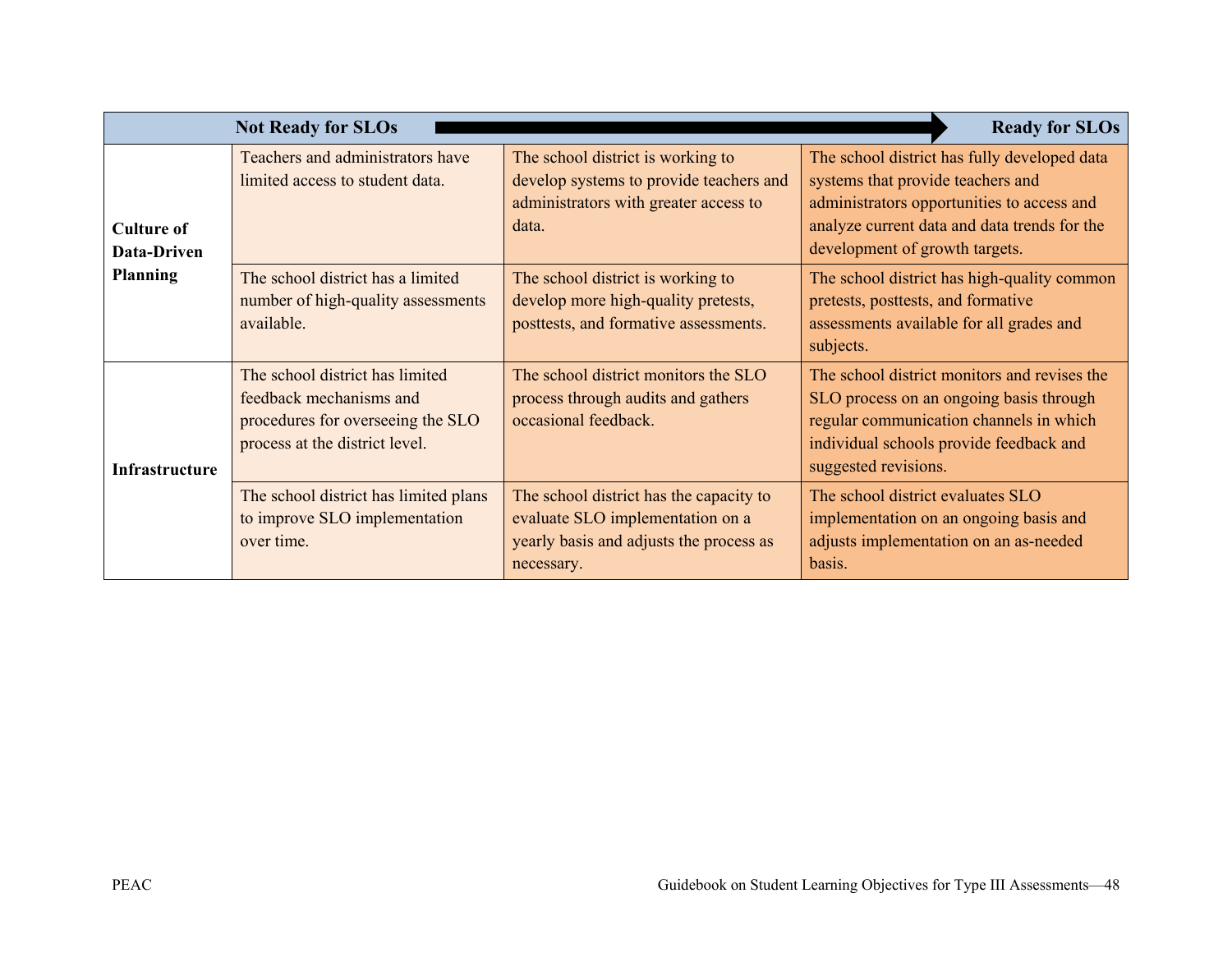|                                  | <b>Not Ready for SLOs</b>                                                                                                         |                                                                                                                                      | <b>Ready for SLOs</b>                                                                                                                                                                                             |
|----------------------------------|-----------------------------------------------------------------------------------------------------------------------------------|--------------------------------------------------------------------------------------------------------------------------------------|-------------------------------------------------------------------------------------------------------------------------------------------------------------------------------------------------------------------|
| <b>Culture of</b><br>Data-Driven | Teachers and administrators have<br>limited access to student data.                                                               | The school district is working to<br>develop systems to provide teachers and<br>administrators with greater access to<br>data.       | The school district has fully developed data<br>systems that provide teachers and<br>administrators opportunities to access and<br>analyze current data and data trends for the<br>development of growth targets. |
| <b>Planning</b>                  | The school district has a limited<br>number of high-quality assessments<br>available.                                             | The school district is working to<br>develop more high-quality pretests,<br>posttests, and formative assessments.                    | The school district has high-quality common<br>pretests, posttests, and formative<br>assessments available for all grades and<br>subjects.                                                                        |
| <b>Infrastructure</b>            | The school district has limited<br>feedback mechanisms and<br>procedures for overseeing the SLO<br>process at the district level. | The school district monitors the SLO<br>process through audits and gathers<br>occasional feedback.                                   | The school district monitors and revises the<br>SLO process on an ongoing basis through<br>regular communication channels in which<br>individual schools provide feedback and<br>suggested revisions.             |
|                                  | The school district has limited plans<br>to improve SLO implementation<br>over time.                                              | The school district has the capacity to<br>evaluate SLO implementation on a<br>yearly basis and adjusts the process as<br>necessary. | The school district evaluates SLO<br>implementation on an ongoing basis and<br>adjusts implementation on an as-needed<br>basis.                                                                                   |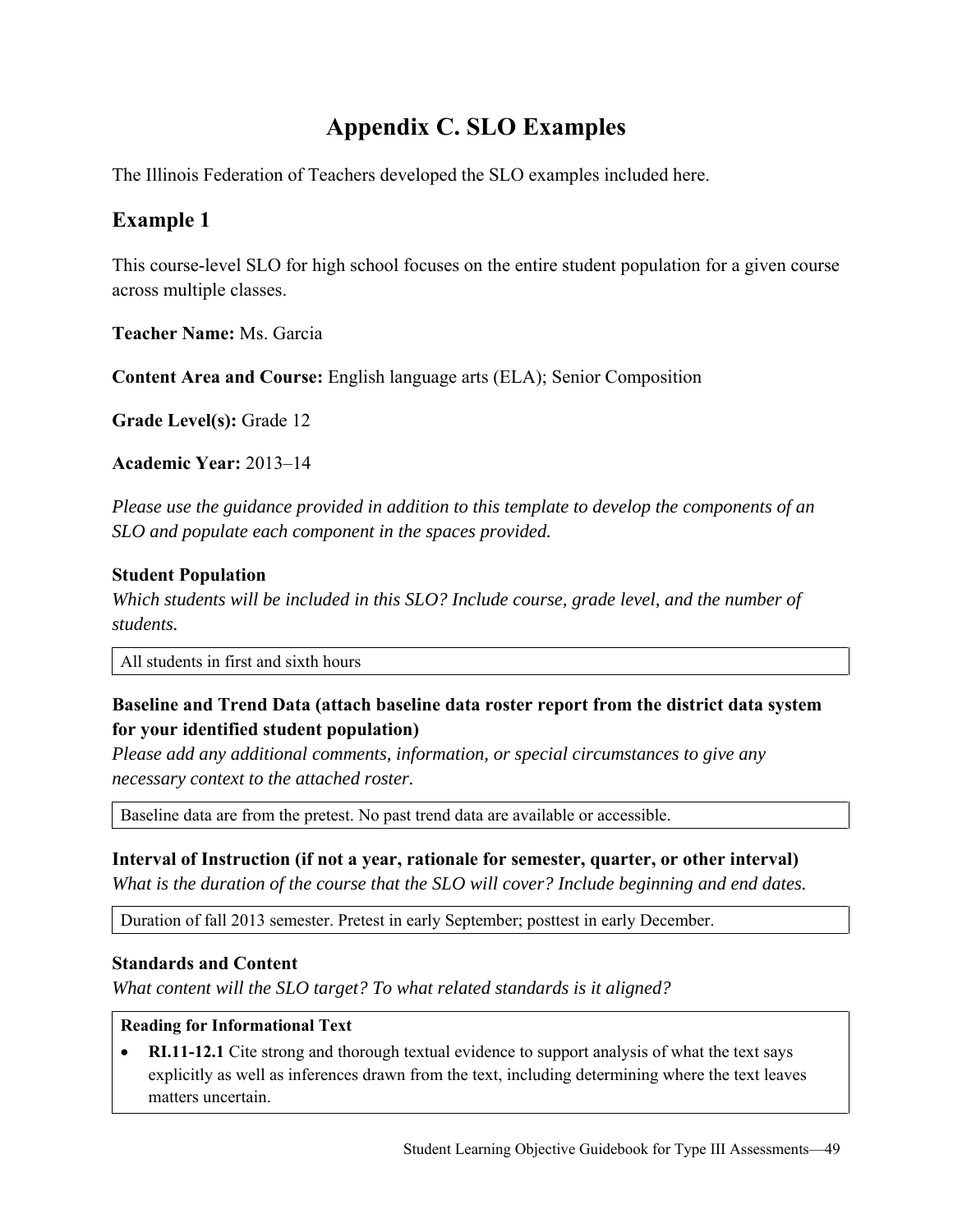# **Appendix C. SLO Examples**

The Illinois Federation of Teachers developed the SLO examples included here.

# **Example 1**

This course-level SLO for high school focuses on the entire student population for a given course across multiple classes.

**Teacher Name:** Ms. Garcia

**Content Area and Course:** English language arts (ELA); Senior Composition

**Grade Level(s):** Grade 12

**Academic Year:** 2013–14

*Please use the guidance provided in addition to this template to develop the components of an SLO and populate each component in the spaces provided.* 

### **Student Population**

*Which students will be included in this SLO? Include course, grade level, and the number of students.*

All students in first and sixth hours

## **Baseline and Trend Data (attach baseline data roster report from the district data system for your identified student population)**

*Please add any additional comments, information, or special circumstances to give any necessary context to the attached roster.*

Baseline data are from the pretest. No past trend data are available or accessible.

#### **Interval of Instruction (if not a year, rationale for semester, quarter, or other interval)**

*What is the duration of the course that the SLO will cover? Include beginning and end dates.*

Duration of fall 2013 semester. Pretest in early September; posttest in early December.

#### **Standards and Content**

*What content will the SLO target? To what related standards is it aligned?* 

#### **Reading for Informational Text**

• **RI.11-12.1** Cite strong and thorough textual evidence to support analysis of what the text says explicitly as well as inferences drawn from the text, including determining where the text leaves matters uncertain.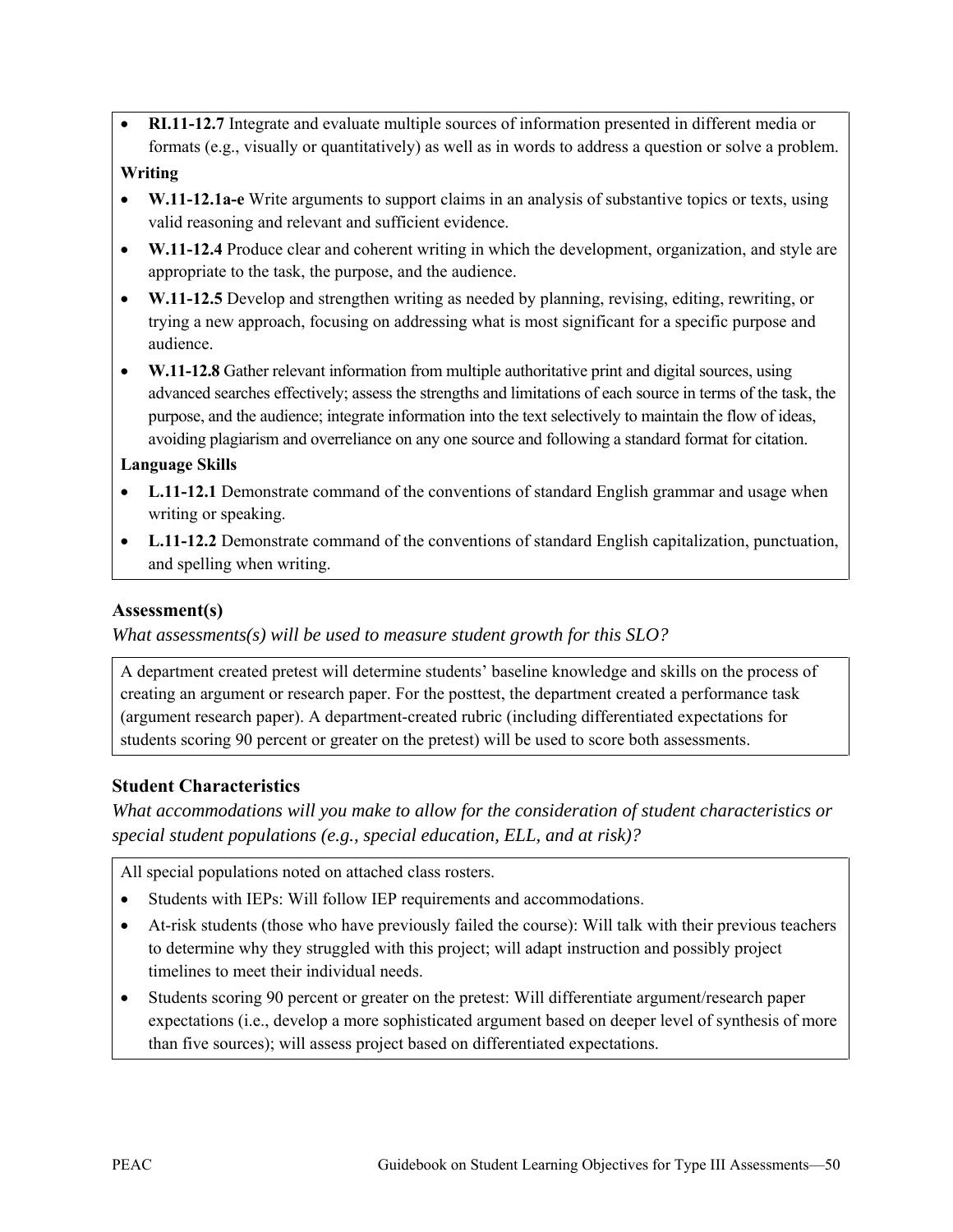- **RI.11-12.7** Integrate and evaluate multiple sources of information presented in different media or formats (e.g., visually or quantitatively) as well as in words to address a question or solve a problem. **Writing**
- **W.11-12.1a-e** Write arguments to support claims in an analysis of substantive topics or texts, using valid reasoning and relevant and sufficient evidence.
- **W.11-12.4** Produce clear and coherent writing in which the development, organization, and style are appropriate to the task, the purpose, and the audience.
- **W.11-12.5** Develop and strengthen writing as needed by planning, revising, editing, rewriting, or trying a new approach, focusing on addressing what is most significant for a specific purpose and audience.
- **W.11-12.8** Gather relevant information from multiple authoritative print and digital sources, using advanced searches effectively; assess the strengths and limitations of each source in terms of the task, the purpose, and the audience; integrate information into the text selectively to maintain the flow of ideas, avoiding plagiarism and overreliance on any one source and following a standard format for citation.

#### **Language Skills**

- **L.11-12.1** Demonstrate command of the conventions of standard English grammar and usage when writing or speaking.
- **L.11-12.2** Demonstrate command of the conventions of standard English capitalization, punctuation, and spelling when writing.

#### **Assessment(s)**

*What assessments(s) will be used to measure student growth for this SLO?* 

A department created pretest will determine students' baseline knowledge and skills on the process of creating an argument or research paper. For the posttest, the department created a performance task (argument research paper). A department-created rubric (including differentiated expectations for students scoring 90 percent or greater on the pretest) will be used to score both assessments.

## **Student Characteristics**

*What accommodations will you make to allow for the consideration of student characteristics or special student populations (e.g., special education, ELL, and at risk)?*

All special populations noted on attached class rosters.

- Students with IEPs: Will follow IEP requirements and accommodations.
- At-risk students (those who have previously failed the course): Will talk with their previous teachers to determine why they struggled with this project; will adapt instruction and possibly project timelines to meet their individual needs.
- Students scoring 90 percent or greater on the pretest: Will differentiate argument/research paper expectations (i.e., develop a more sophisticated argument based on deeper level of synthesis of more than five sources); will assess project based on differentiated expectations.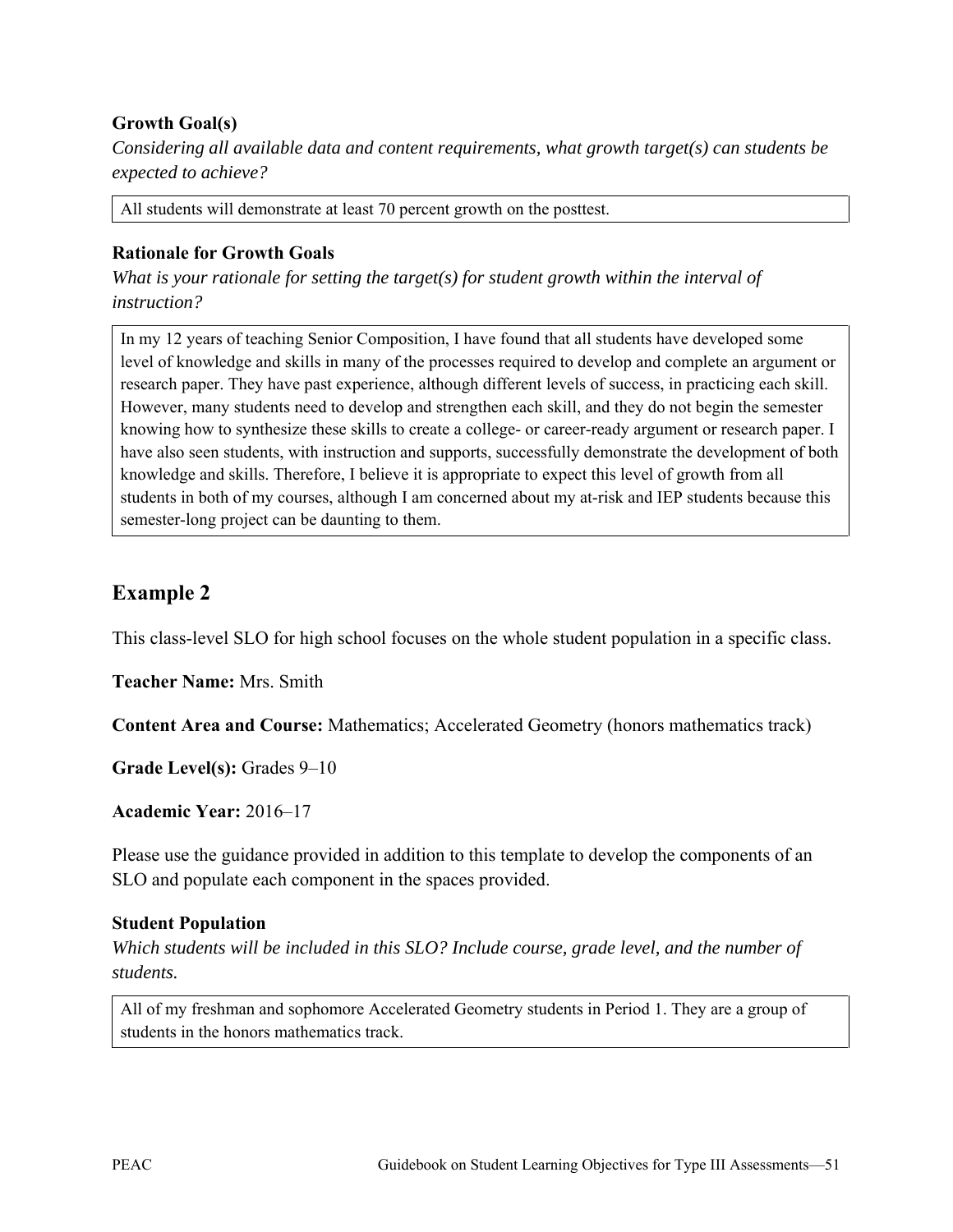### **Growth Goal(s)**

*Considering all available data and content requirements, what growth target(s) can students be expected to achieve?* 

All students will demonstrate at least 70 percent growth on the posttest.

#### **Rationale for Growth Goals**

*What is your rationale for setting the target(s) for student growth within the interval of instruction?* 

In my 12 years of teaching Senior Composition, I have found that all students have developed some level of knowledge and skills in many of the processes required to develop and complete an argument or research paper. They have past experience, although different levels of success, in practicing each skill. However, many students need to develop and strengthen each skill, and they do not begin the semester knowing how to synthesize these skills to create a college- or career-ready argument or research paper. I have also seen students, with instruction and supports, successfully demonstrate the development of both knowledge and skills. Therefore, I believe it is appropriate to expect this level of growth from all students in both of my courses, although I am concerned about my at-risk and IEP students because this semester-long project can be daunting to them.

# **Example 2**

This class-level SLO for high school focuses on the whole student population in a specific class.

**Teacher Name:** Mrs. Smith

**Content Area and Course:** Mathematics; Accelerated Geometry (honors mathematics track)

**Grade Level(s):** Grades 9–10

**Academic Year:** 2016–17

Please use the guidance provided in addition to this template to develop the components of an SLO and populate each component in the spaces provided.

#### **Student Population**

*Which students will be included in this SLO? Include course, grade level, and the number of students.* 

All of my freshman and sophomore Accelerated Geometry students in Period 1. They are a group of students in the honors mathematics track.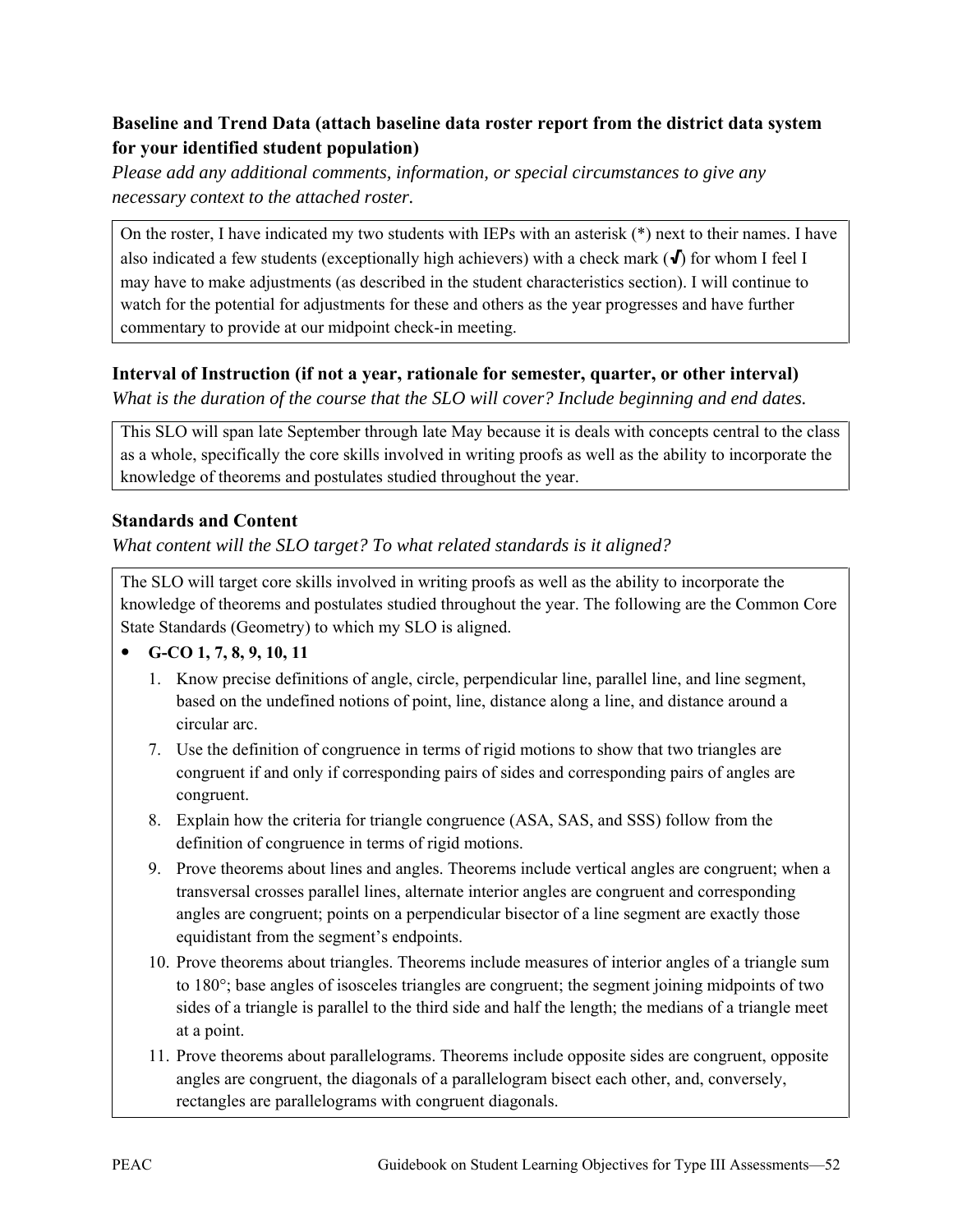## **Baseline and Trend Data (attach baseline data roster report from the district data system for your identified student population)**

*Please add any additional comments, information, or special circumstances to give any necessary context to the attached roster.*

On the roster, I have indicated my two students with IEPs with an asterisk (\*) next to their names. I have also indicated a few students (exceptionally high achievers) with a check mark  $(\bigvee)$  for whom I feel I may have to make adjustments (as described in the student characteristics section). I will continue to watch for the potential for adjustments for these and others as the year progresses and have further commentary to provide at our midpoint check-in meeting.

## **Interval of Instruction (if not a year, rationale for semester, quarter, or other interval)**

*What is the duration of the course that the SLO will cover? Include beginning and end dates.* 

This SLO will span late September through late May because it is deals with concepts central to the class as a whole, specifically the core skills involved in writing proofs as well as the ability to incorporate the knowledge of theorems and postulates studied throughout the year.

### **Standards and Content**

*What content will the SLO target? To what related standards is it aligned?* 

The SLO will target core skills involved in writing proofs as well as the ability to incorporate the knowledge of theorems and postulates studied throughout the year. The following are the Common Core State Standards (Geometry) to which my SLO is aligned.

## **G-CO 1, 7, 8, 9, 10, 11**

- 1. Know precise definitions of angle, circle, perpendicular line, parallel line, and line segment, based on the undefined notions of point, line, distance along a line, and distance around a circular arc.
- 7. Use the definition of congruence in terms of rigid motions to show that two triangles are congruent if and only if corresponding pairs of sides and corresponding pairs of angles are congruent.
- 8. Explain how the criteria for triangle congruence (ASA, SAS, and SSS) follow from the definition of congruence in terms of rigid motions.
- 9. Prove theorems about lines and angles. Theorems include vertical angles are congruent; when a transversal crosses parallel lines, alternate interior angles are congruent and corresponding angles are congruent; points on a perpendicular bisector of a line segment are exactly those equidistant from the segment's endpoints.
- 10. Prove theorems about triangles. Theorems include measures of interior angles of a triangle sum to 180°; base angles of isosceles triangles are congruent; the segment joining midpoints of two sides of a triangle is parallel to the third side and half the length; the medians of a triangle meet at a point.
- 11. Prove theorems about parallelograms. Theorems include opposite sides are congruent, opposite angles are congruent, the diagonals of a parallelogram bisect each other, and, conversely, rectangles are parallelograms with congruent diagonals.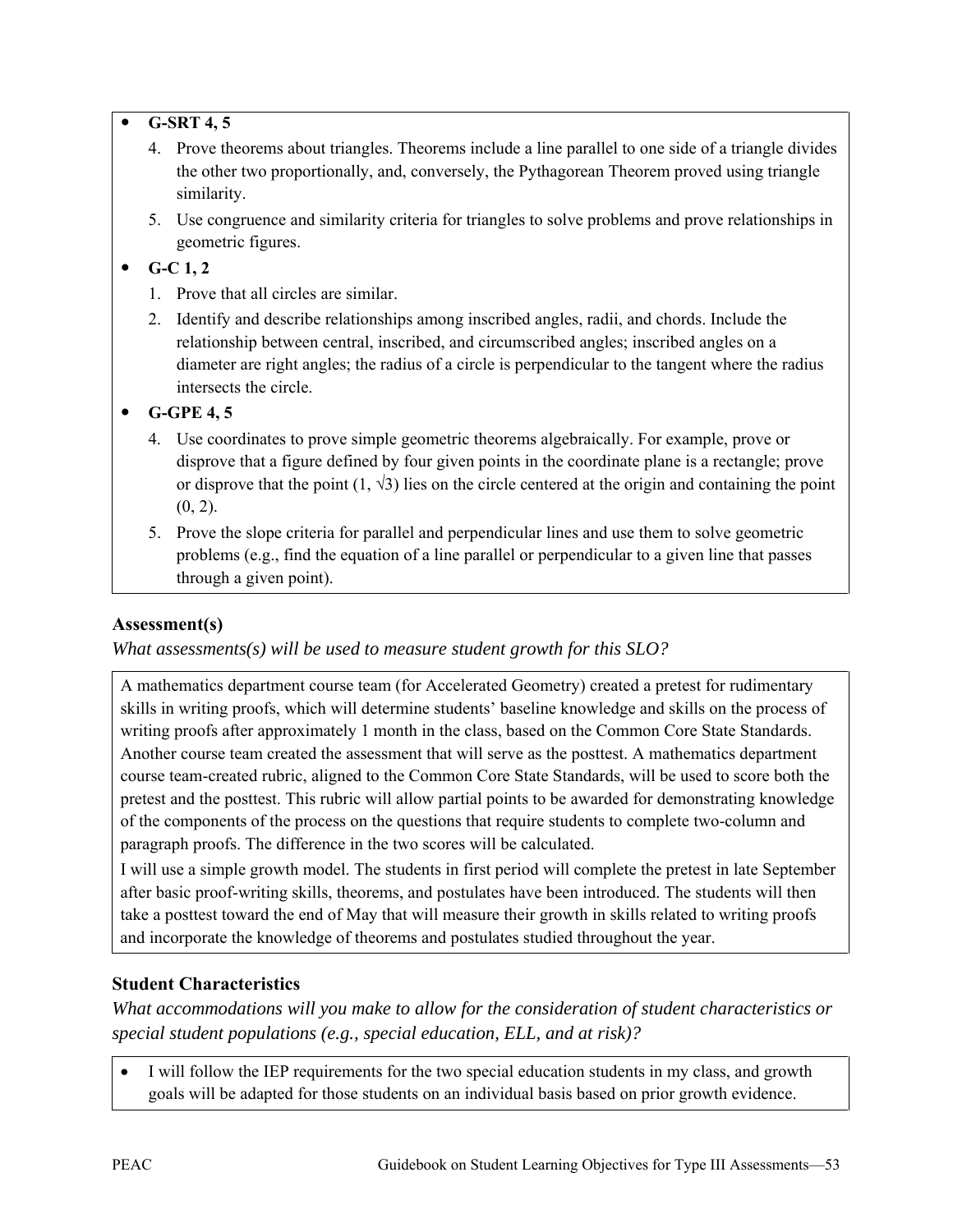#### **G-SRT 4, 5**

- 4. Prove theorems about triangles. Theorems include a line parallel to one side of a triangle divides the other two proportionally, and, conversely, the Pythagorean Theorem proved using triangle similarity.
- 5. Use congruence and similarity criteria for triangles to solve problems and prove relationships in geometric figures.

## $\bullet$  **G-C 1, 2**

- 1. Prove that all circles are similar.
- 2. Identify and describe relationships among inscribed angles, radii, and chords. Include the relationship between central, inscribed, and circumscribed angles; inscribed angles on a diameter are right angles; the radius of a circle is perpendicular to the tangent where the radius intersects the circle.

## **G-GPE 4, 5**

- 4.Use coordinates to prove simple geometric theorems algebraically. For example, prove or disprove that a figure defined by four given points in the coordinate plane is a rectangle; prove or disprove that the point  $(1, \sqrt{3})$  lies on the circle centered at the origin and containing the point  $(0, 2)$ .
- 5.Prove the slope criteria for parallel and perpendicular lines and use them to solve geometric problems (e.g., find the equation of a line parallel or perpendicular to a given line that passes through a given point).

## **Assessment(s)**

*What assessments(s) will be used to measure student growth for this SLO?* 

A mathematics department course team (for Accelerated Geometry) created a pretest for rudimentary skills in writing proofs, which will determine students' baseline knowledge and skills on the process of writing proofs after approximately 1 month in the class, based on the Common Core State Standards. Another course team created the assessment that will serve as the posttest. A mathematics department course team-created rubric, aligned to the Common Core State Standards, will be used to score both the pretest and the posttest. This rubric will allow partial points to be awarded for demonstrating knowledge of the components of the process on the questions that require students to complete two-column and paragraph proofs. The difference in the two scores will be calculated.

I will use a simple growth model. The students in first period will complete the pretest in late September after basic proof-writing skills, theorems, and postulates have been introduced. The students will then take a posttest toward the end of May that will measure their growth in skills related to writing proofs and incorporate the knowledge of theorems and postulates studied throughout the year.

# **Student Characteristics**

*What accommodations will you make to allow for the consideration of student characteristics or special student populations (e.g., special education, ELL, and at risk)?*

I will follow the IEP requirements for the two special education students in my class, and growth goals will be adapted for those students on an individual basis based on prior growth evidence.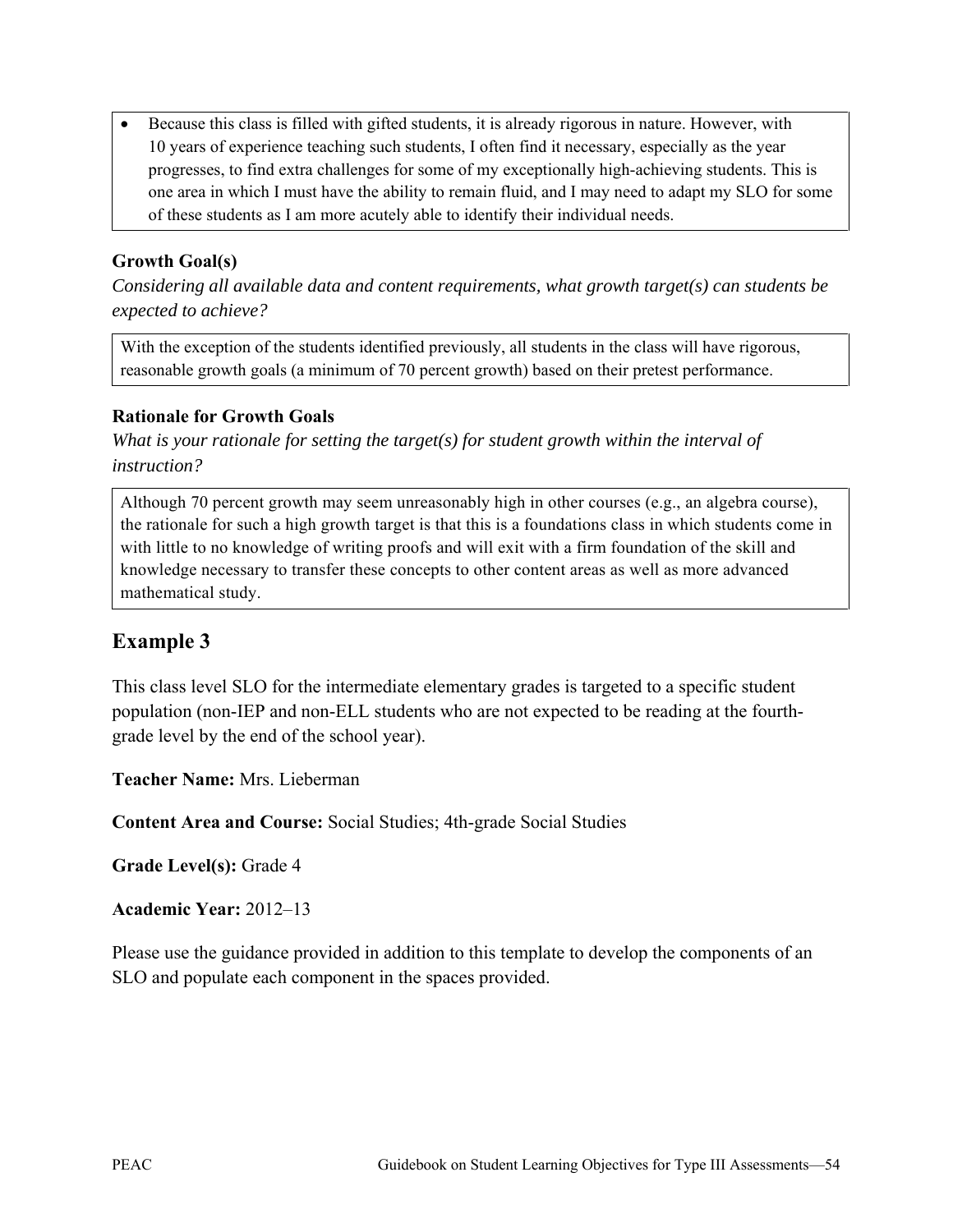• Because this class is filled with gifted students, it is already rigorous in nature. However, with 10 years of experience teaching such students, I often find it necessary, especially as the year progresses, to find extra challenges for some of my exceptionally high-achieving students. This is one area in which I must have the ability to remain fluid, and I may need to adapt my SLO for some of these students as I am more acutely able to identify their individual needs.

### **Growth Goal(s)**

*Considering all available data and content requirements, what growth target(s) can students be expected to achieve?* 

With the exception of the students identified previously, all students in the class will have rigorous, reasonable growth goals (a minimum of 70 percent growth) based on their pretest performance.

#### **Rationale for Growth Goals**

*What is your rationale for setting the target(s) for student growth within the interval of instruction?* 

Although 70 percent growth may seem unreasonably high in other courses (e.g., an algebra course), the rationale for such a high growth target is that this is a foundations class in which students come in with little to no knowledge of writing proofs and will exit with a firm foundation of the skill and knowledge necessary to transfer these concepts to other content areas as well as more advanced mathematical study.

# **Example 3**

This class level SLO for the intermediate elementary grades is targeted to a specific student population (non-IEP and non-ELL students who are not expected to be reading at the fourthgrade level by the end of the school year).

**Teacher Name:** Mrs. Lieberman

**Content Area and Course:** Social Studies; 4th-grade Social Studies

**Grade Level(s):** Grade 4

**Academic Year:** 2012–13

Please use the guidance provided in addition to this template to develop the components of an SLO and populate each component in the spaces provided.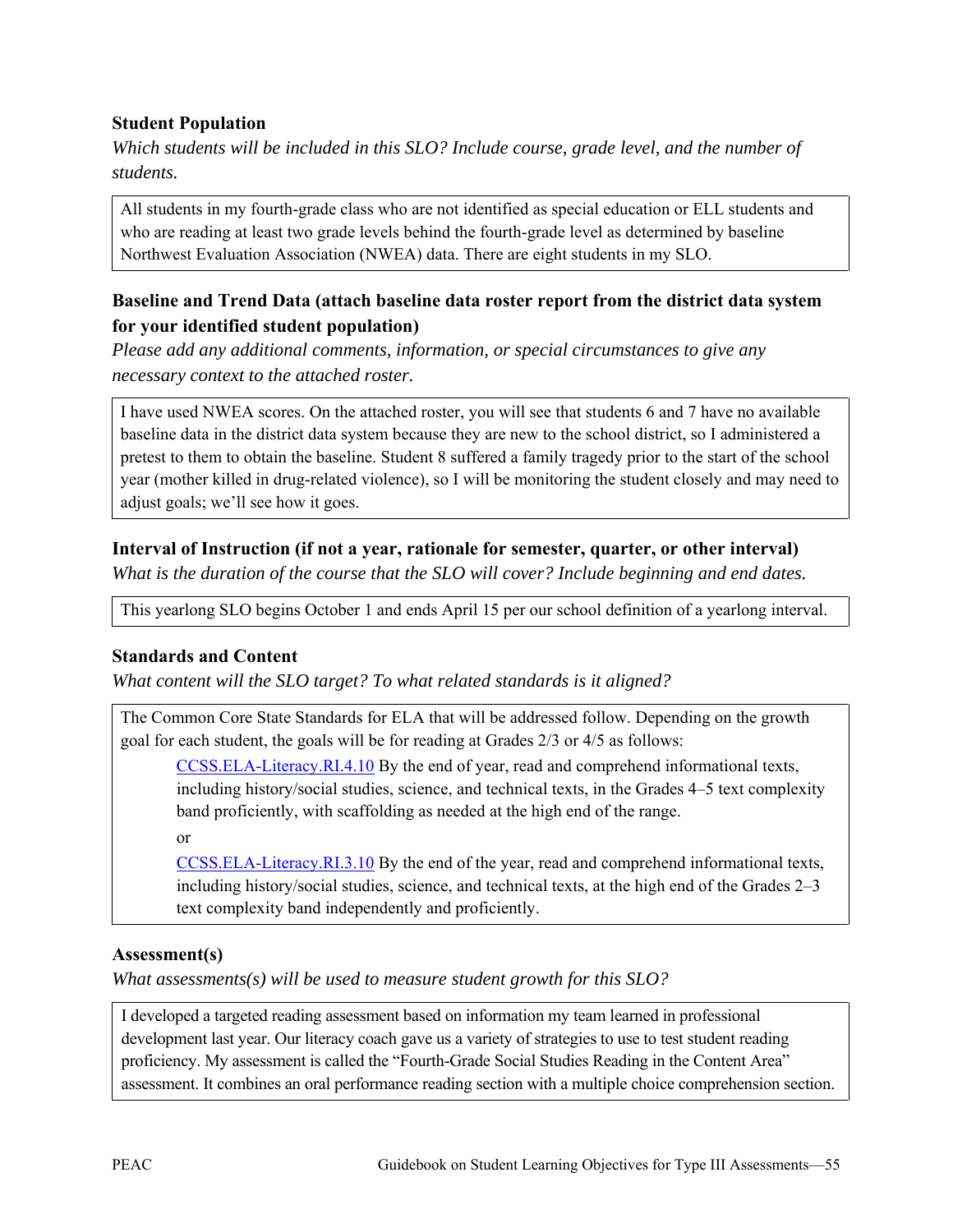#### **Student Population**

*Which students will be included in this SLO? Include course, grade level, and the number of students.* 

All students in my fourth-grade class who are not identified as special education or ELL students and who are reading at least two grade levels behind the fourth-grade level as determined by baseline Northwest Evaluation Association (NWEA) data. There are eight students in my SLO.

#### **Baseline and Trend Data (attach baseline data roster report from the district data system for your identified student population)**

*Please add any additional comments, information, or special circumstances to give any necessary context to the attached roster.*

I have used NWEA scores. On the attached roster, you will see that students 6 and 7 have no available baseline data in the district data system because they are new to the school district, so I administered a pretest to them to obtain the baseline. Student 8 suffered a family tragedy prior to the start of the school year (mother killed in drug-related violence), so I will be monitoring the student closely and may need to adjust goals; we'll see how it goes.

#### **Interval of Instruction (if not a year, rationale for semester, quarter, or other interval)**

*What is the duration of the course that the SLO will cover? Include beginning and end dates.* 

This yearlong SLO begins October 1 and ends April 15 per our school definition of a yearlong interval.

#### **Standards and Content**

*What content will the SLO target? To what related standards is it aligned?* 

The Common Core State Standards for ELA that will be addressed follow. Depending on the growth goal for each student, the goals will be for reading at Grades 2/3 or 4/5 as follows:

[CCSS.ELA-Literacy.RI.4.10](http://www.corestandards.org/ELA-Literacy/RI/4/10/) By the end of year, read and comprehend informational texts, including history/social studies, science, and technical texts, in the Grades 4–5 text complexity band proficiently, with scaffolding as needed at the high end of the range.

or

[CCSS.ELA-Literacy.RI.3.10](http://www.corestandards.org/ELA-Literacy/RI/3/10/) By the end of the year, read and comprehend informational texts, including history/social studies, science, and technical texts, at the high end of the Grades 2–3 text complexity band independently and proficiently.

#### **Assessment(s)**

*What assessments(s) will be used to measure student growth for this SLO?* 

I developed a targeted reading assessment based on information my team learned in professional development last year. Our literacy coach gave us a variety of strategies to use to test student reading proficiency. My assessment is called the "Fourth-Grade Social Studies Reading in the Content Area" assessment. It combines an oral performance reading section with a multiple choice comprehension section.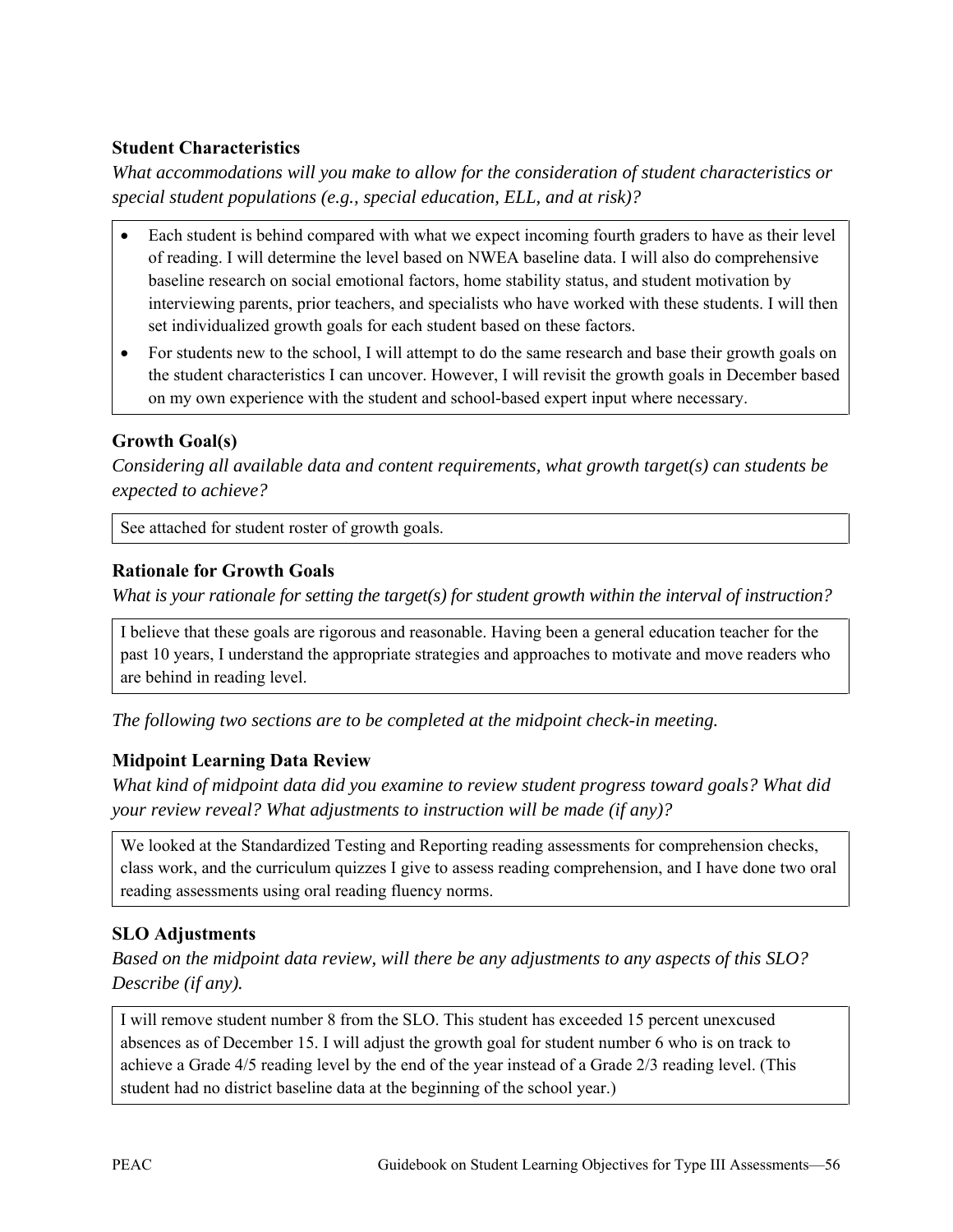### **Student Characteristics**

*What accommodations will you make to allow for the consideration of student characteristics or special student populations (e.g., special education, ELL, and at risk)?*

- Each student is behind compared with what we expect incoming fourth graders to have as their level of reading. I will determine the level based on NWEA baseline data. I will also do comprehensive baseline research on social emotional factors, home stability status, and student motivation by interviewing parents, prior teachers, and specialists who have worked with these students. I will then set individualized growth goals for each student based on these factors.
- For students new to the school, I will attempt to do the same research and base their growth goals on the student characteristics I can uncover. However, I will revisit the growth goals in December based on my own experience with the student and school-based expert input where necessary.

### **Growth Goal(s)**

*Considering all available data and content requirements, what growth target(s) can students be expected to achieve?* 

See attached for student roster of growth goals.

#### **Rationale for Growth Goals**

*What is your rationale for setting the target(s) for student growth within the interval of instruction?*

I believe that these goals are rigorous and reasonable. Having been a general education teacher for the past 10 years, I understand the appropriate strategies and approaches to motivate and move readers who are behind in reading level.

*The following two sections are to be completed at the midpoint check-in meeting.* 

#### **Midpoint Learning Data Review**

*What kind of midpoint data did you examine to review student progress toward goals? What did your review reveal? What adjustments to instruction will be made (if any)?* 

We looked at the Standardized Testing and Reporting reading assessments for comprehension checks, class work, and the curriculum quizzes I give to assess reading comprehension, and I have done two oral reading assessments using oral reading fluency norms.

## **SLO Adjustments**

*Based on the midpoint data review, will there be any adjustments to any aspects of this SLO? Describe (if any).* 

I will remove student number 8 from the SLO. This student has exceeded 15 percent unexcused absences as of December 15. I will adjust the growth goal for student number 6 who is on track to achieve a Grade 4/5 reading level by the end of the year instead of a Grade 2/3 reading level. (This student had no district baseline data at the beginning of the school year.)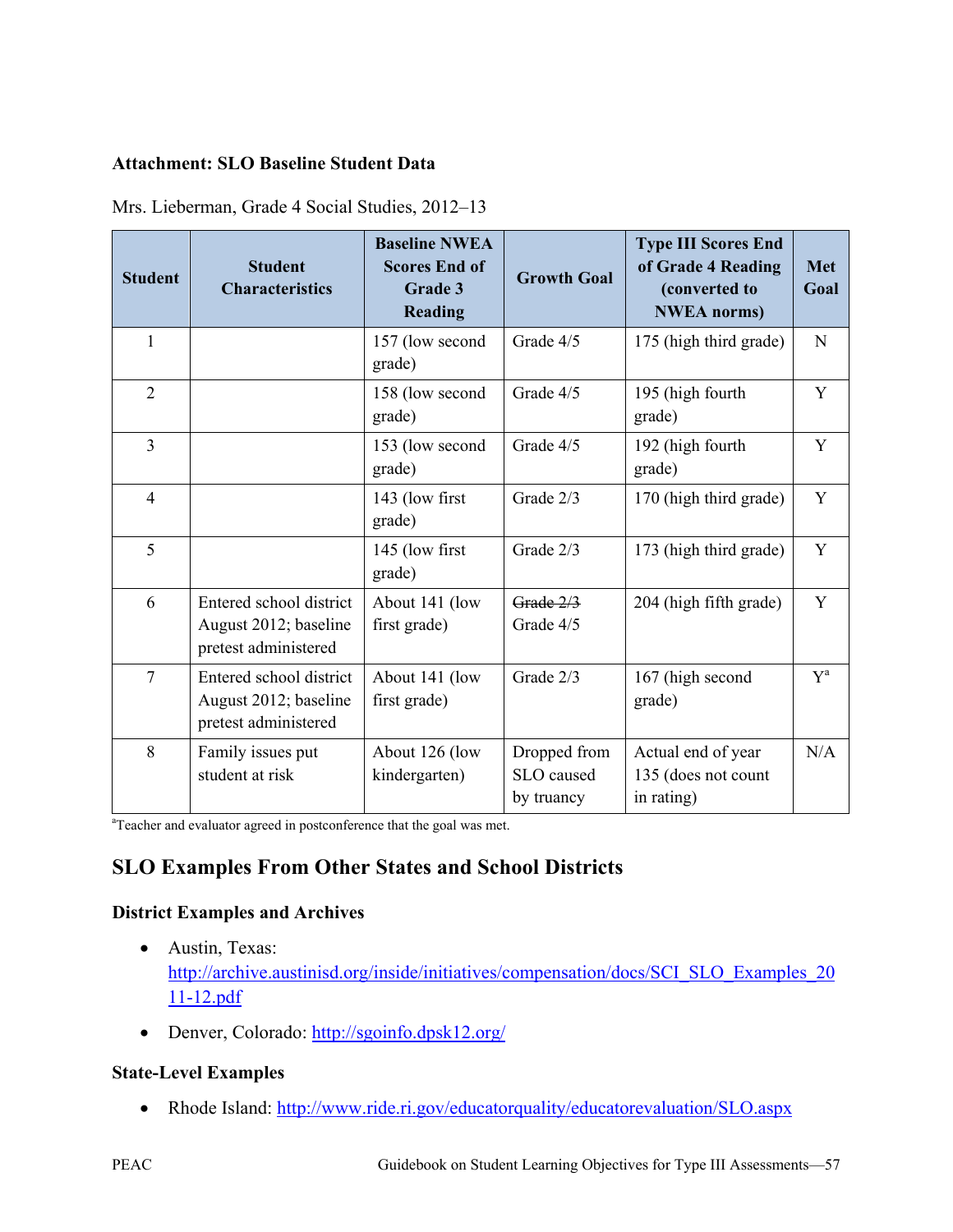#### **Attachment: SLO Baseline Student Data**

| <b>Student</b> | <b>Student</b><br><b>Characteristics</b>                                 | <b>Baseline NWEA</b><br><b>Scores End of</b><br>Grade 3<br><b>Reading</b> | <b>Growth Goal</b>                       | <b>Type III Scores End</b><br>of Grade 4 Reading<br>(converted to<br><b>NWEA</b> norms) | <b>Met</b><br>Goal |
|----------------|--------------------------------------------------------------------------|---------------------------------------------------------------------------|------------------------------------------|-----------------------------------------------------------------------------------------|--------------------|
| 1              |                                                                          | 157 (low second<br>grade)                                                 | Grade 4/5                                | 175 (high third grade)                                                                  | $\mathbf N$        |
| $\overline{2}$ |                                                                          | 158 (low second<br>grade)                                                 | Grade 4/5                                | 195 (high fourth<br>grade)                                                              | Y                  |
| $\overline{3}$ |                                                                          | 153 (low second<br>grade)                                                 | Grade 4/5                                | 192 (high fourth<br>grade)                                                              | Y                  |
| $\overline{4}$ |                                                                          | 143 (low first<br>grade)                                                  | Grade 2/3                                | 170 (high third grade)                                                                  | Y                  |
| 5              |                                                                          | 145 (low first<br>grade)                                                  | Grade 2/3                                | 173 (high third grade)                                                                  | Y                  |
| 6              | Entered school district<br>August 2012; baseline<br>pretest administered | About 141 (low<br>first grade)                                            | Grade 2/3<br>Grade 4/5                   | 204 (high fifth grade)                                                                  | Y                  |
| $\overline{7}$ | Entered school district<br>August 2012; baseline<br>pretest administered | About 141 (low<br>first grade)                                            | Grade 2/3                                | 167 (high second<br>grade)                                                              | $Y^a$              |
| 8              | Family issues put<br>student at risk                                     | About 126 (low<br>kindergarten)                                           | Dropped from<br>SLO caused<br>by truancy | Actual end of year<br>135 (does not count<br>in rating)                                 | N/A                |

Mrs. Lieberman, Grade 4 Social Studies, 2012–13

<sup>a</sup>Teacher and evaluator agreed in postconference that the goal was met.

# **SLO Examples From Other States and School Districts**

#### **District Examples and Archives**

- Austin, Texas: [http://archive.austinisd.org/inside/initiatives/compensation/docs/SCI\\_SLO\\_Examples\\_20](http://archive.austinisd.org/inside/initiatives/compensation/docs/SCI_SLO_Examples_2011-12.pdf) [11-12.pdf](http://archive.austinisd.org/inside/initiatives/compensation/docs/SCI_SLO_Examples_2011-12.pdf)
- Denver, Colorado:<http://sgoinfo.dpsk12.org/>

## **State-Level Examples**

• Rhode Island:<http://www.ride.ri.gov/educatorquality/educatorevaluation/SLO.aspx>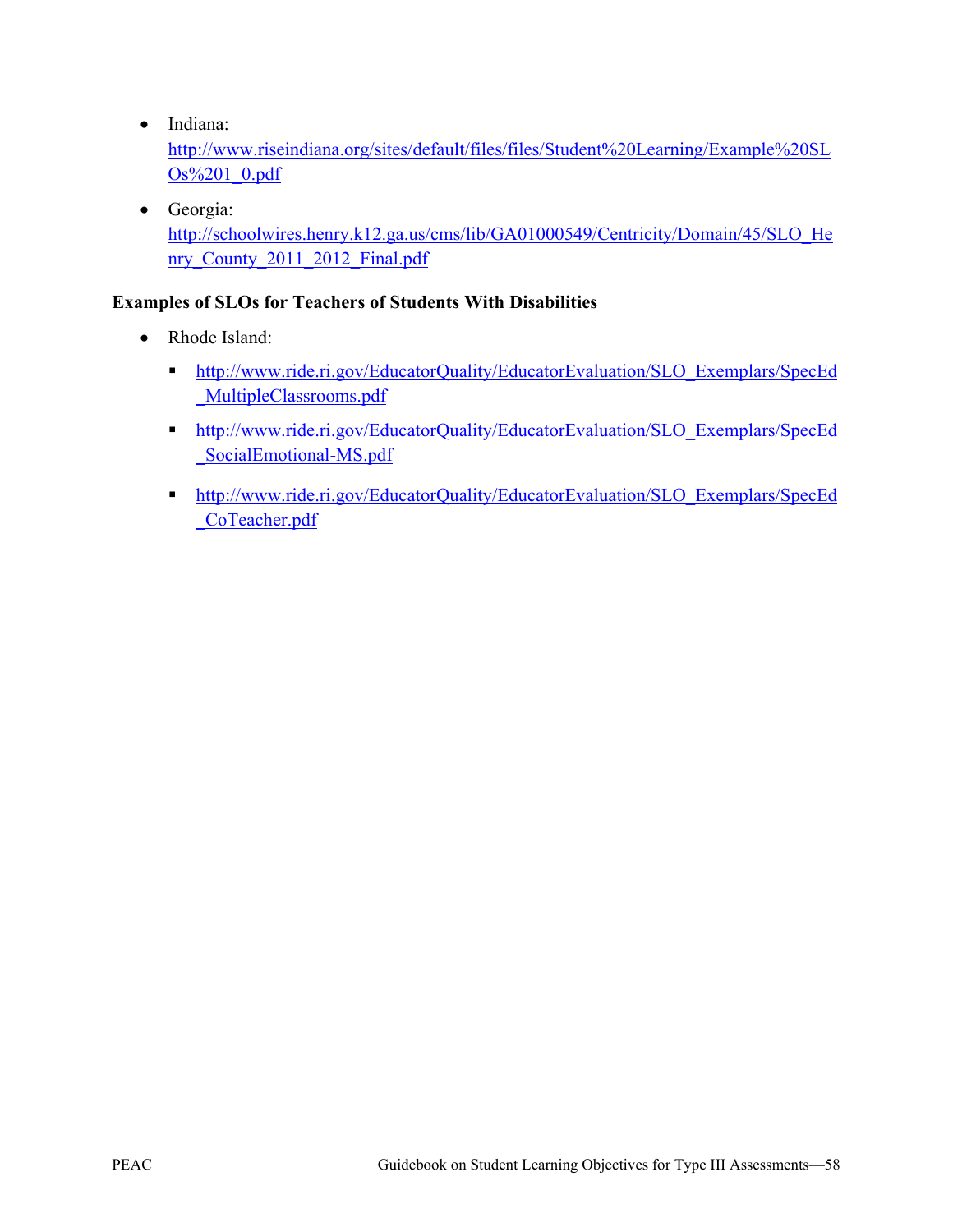• Indiana:

[http://www.riseindiana.org/sites/default/files/files/Student%20Learning/Example%20SL](http://www.riseindiana.org/sites/default/files/files/Student%20Learning/Example%20SLOs%201_0.pdf) [Os%201\\_0.pdf](http://www.riseindiana.org/sites/default/files/files/Student%20Learning/Example%20SLOs%201_0.pdf)

• Georgia: [http://schoolwires.henry.k12.ga.us/cms/lib/GA01000549/Centricity/Domain/45/SLO\\_He](http://schoolwires.henry.k12.ga.us/cms/lib/GA01000549/Centricity/Domain/45/SLO_Henry_County_2011_2012_Final.pdf) nry County 2011 2012 Final.pdf

#### **Examples of SLOs for Teachers of Students With Disabilities**

- Rhode Island<sup>-</sup>
	- [http://www.ride.ri.gov/EducatorQuality/EducatorEvaluation/SLO\\_Exemplars/SpecEd](http://www.ride.ri.gov/EducatorQuality/EducatorEvaluation/SLO_Exemplars/SpecEd_MultipleClassrooms.pdf) [\\_MultipleClassrooms.pdf](http://www.ride.ri.gov/EducatorQuality/EducatorEvaluation/SLO_Exemplars/SpecEd_MultipleClassrooms.pdf)
	- **[http://www.ride.ri.gov/EducatorQuality/EducatorEvaluation/SLO\\_Exemplars/SpecEd](http://www.ride.ri.gov/EducatorQuality/EducatorEvaluation/SLO_Exemplars/SpecEd_SocialEmotional-MS.pdf)** [\\_SocialEmotional-MS.pdf](http://www.ride.ri.gov/EducatorQuality/EducatorEvaluation/SLO_Exemplars/SpecEd_SocialEmotional-MS.pdf)
	- **[http://www.ride.ri.gov/EducatorQuality/EducatorEvaluation/SLO\\_Exemplars/SpecEd](http://www.ride.ri.gov/EducatorQuality/EducatorEvaluation/SLO_Exemplars/SpecEd_CoTeacher.pdf)** [\\_CoTeacher.pdf](http://www.ride.ri.gov/EducatorQuality/EducatorEvaluation/SLO_Exemplars/SpecEd_CoTeacher.pdf)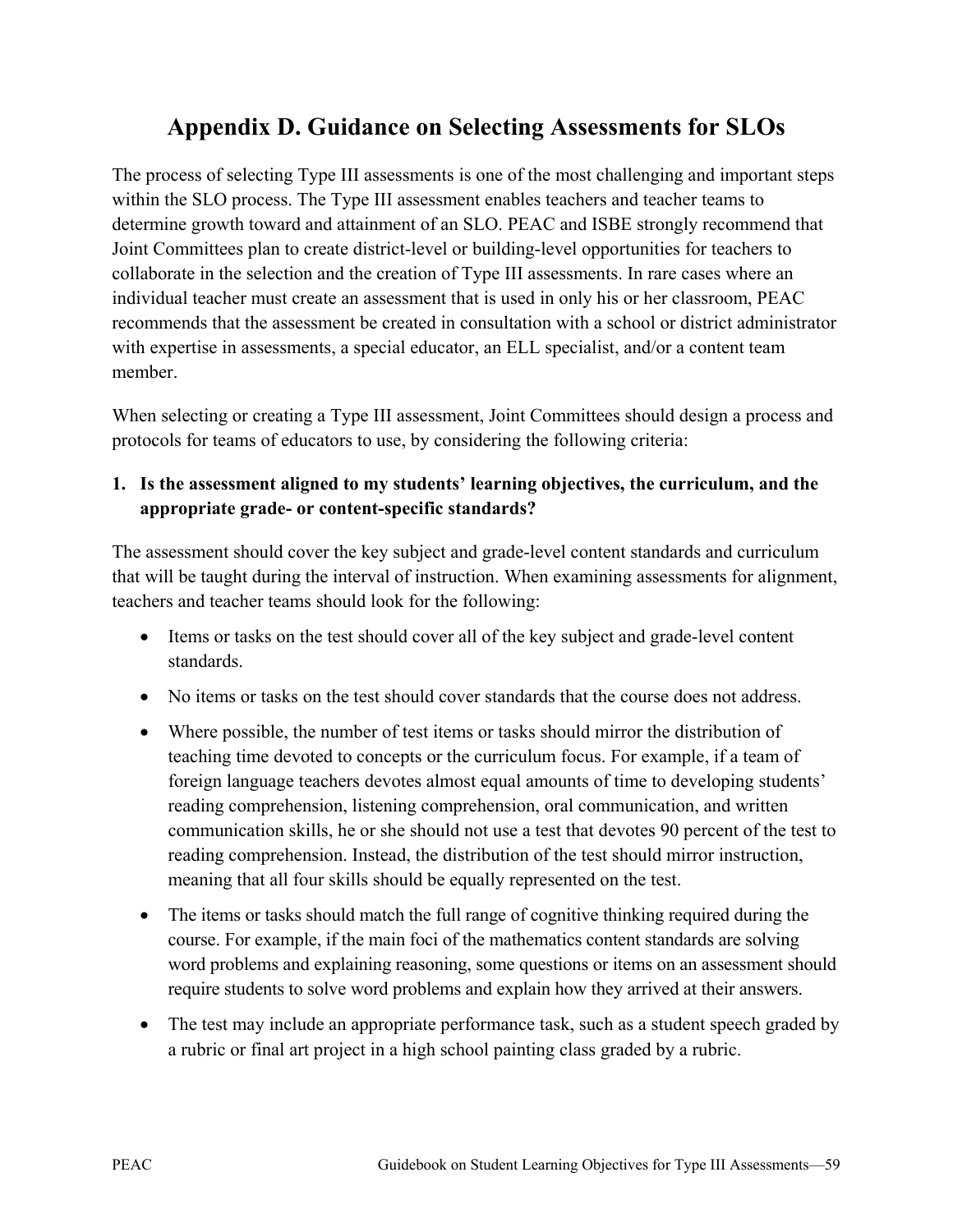# **Appendix D. Guidance on Selecting Assessments for SLOs**

The process of selecting Type III assessments is one of the most challenging and important steps within the SLO process. The Type III assessment enables teachers and teacher teams to determine growth toward and attainment of an SLO. PEAC and ISBE strongly recommend that Joint Committees plan to create district-level or building-level opportunities for teachers to collaborate in the selection and the creation of Type III assessments. In rare cases where an individual teacher must create an assessment that is used in only his or her classroom, PEAC recommends that the assessment be created in consultation with a school or district administrator with expertise in assessments, a special educator, an ELL specialist, and/or a content team member.

When selecting or creating a Type III assessment, Joint Committees should design a process and protocols for teams of educators to use, by considering the following criteria:

## **1. Is the assessment aligned to my students' learning objectives, the curriculum, and the appropriate grade- or content-specific standards?**

The assessment should cover the key subject and grade-level content standards and curriculum that will be taught during the interval of instruction. When examining assessments for alignment, teachers and teacher teams should look for the following:

- Items or tasks on the test should cover all of the key subject and grade-level content standards.
- No items or tasks on the test should cover standards that the course does not address.
- Where possible, the number of test items or tasks should mirror the distribution of teaching time devoted to concepts or the curriculum focus. For example, if a team of foreign language teachers devotes almost equal amounts of time to developing students' reading comprehension, listening comprehension, oral communication, and written communication skills, he or she should not use a test that devotes 90 percent of the test to reading comprehension. Instead, the distribution of the test should mirror instruction, meaning that all four skills should be equally represented on the test.
- The items or tasks should match the full range of cognitive thinking required during the course. For example, if the main foci of the mathematics content standards are solving word problems and explaining reasoning, some questions or items on an assessment should require students to solve word problems and explain how they arrived at their answers.
- The test may include an appropriate performance task, such as a student speech graded by a rubric or final art project in a high school painting class graded by a rubric.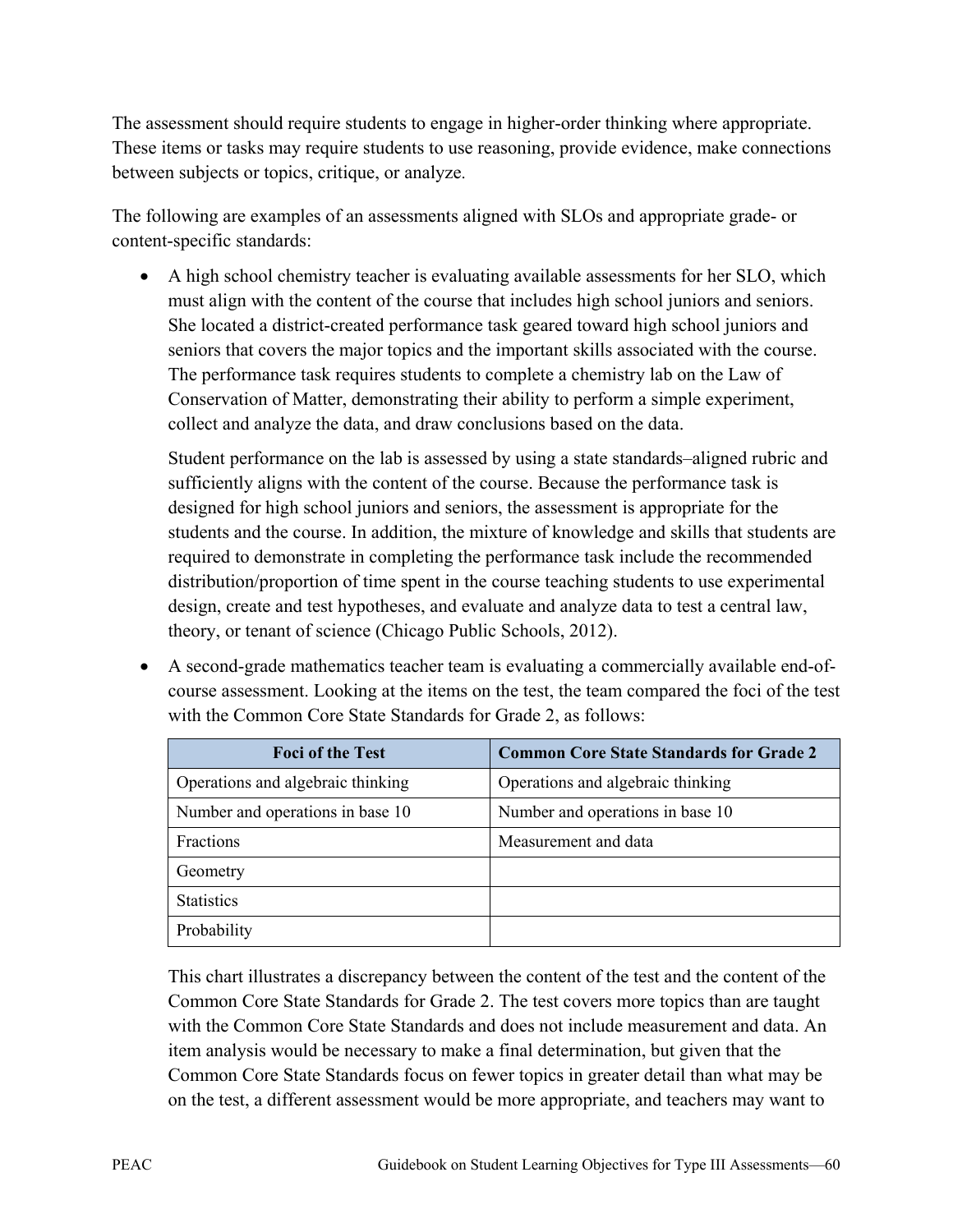The assessment should require students to engage in higher-order thinking where appropriate. These items or tasks may require students to use reasoning, provide evidence, make connections between subjects or topics, critique, or analyze.

The following are examples of an assessments aligned with SLOs and appropriate grade- or content-specific standards:

• A high school chemistry teacher is evaluating available assessments for her SLO, which must align with the content of the course that includes high school juniors and seniors. She located a district-created performance task geared toward high school juniors and seniors that covers the major topics and the important skills associated with the course. The performance task requires students to complete a chemistry lab on the Law of Conservation of Matter, demonstrating their ability to perform a simple experiment, collect and analyze the data, and draw conclusions based on the data.

Student performance on the lab is assessed by using a state standards–aligned rubric and sufficiently aligns with the content of the course. Because the performance task is designed for high school juniors and seniors, the assessment is appropriate for the students and the course. In addition, the mixture of knowledge and skills that students are required to demonstrate in completing the performance task include the recommended distribution/proportion of time spent in the course teaching students to use experimental design, create and test hypotheses, and evaluate and analyze data to test a central law, theory, or tenant of science (Chicago Public Schools, 2012).

• A second-grade mathematics teacher team is evaluating a commercially available end-ofcourse assessment. Looking at the items on the test, the team compared the foci of the test with the Common Core State Standards for Grade 2, as follows:

| <b>Foci of the Test</b>           | <b>Common Core State Standards for Grade 2</b> |
|-----------------------------------|------------------------------------------------|
| Operations and algebraic thinking | Operations and algebraic thinking              |
| Number and operations in base 10  | Number and operations in base 10               |
| Fractions                         | Measurement and data                           |
| Geometry                          |                                                |
| <b>Statistics</b>                 |                                                |
| Probability                       |                                                |

This chart illustrates a discrepancy between the content of the test and the content of the Common Core State Standards for Grade 2. The test covers more topics than are taught with the Common Core State Standards and does not include measurement and data. An item analysis would be necessary to make a final determination, but given that the Common Core State Standards focus on fewer topics in greater detail than what may be on the test, a different assessment would be more appropriate, and teachers may want to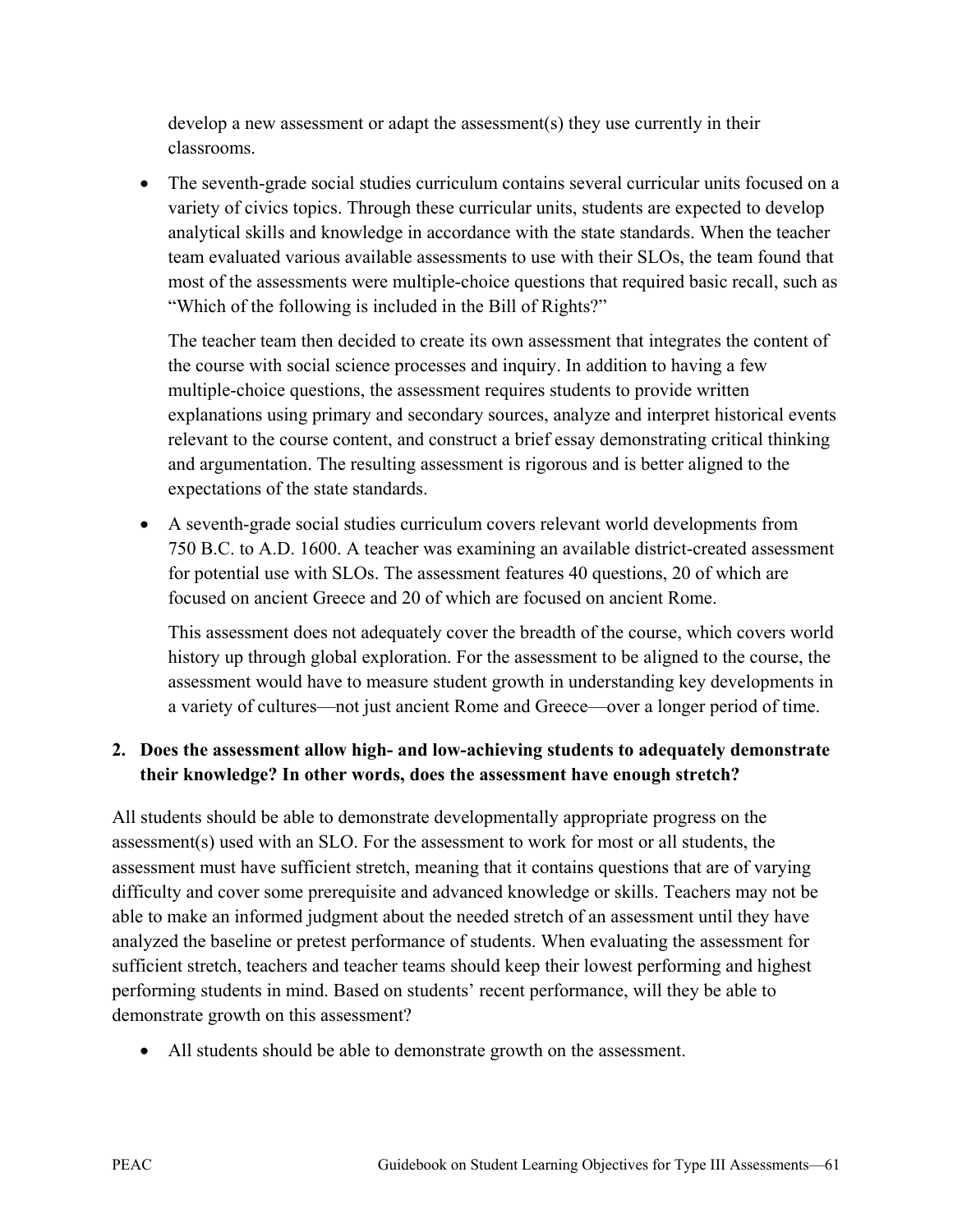develop a new assessment or adapt the assessment(s) they use currently in their classrooms.

• The seventh-grade social studies curriculum contains several curricular units focused on a variety of civics topics. Through these curricular units, students are expected to develop analytical skills and knowledge in accordance with the state standards. When the teacher team evaluated various available assessments to use with their SLOs, the team found that most of the assessments were multiple-choice questions that required basic recall, such as "Which of the following is included in the Bill of Rights?"

The teacher team then decided to create its own assessment that integrates the content of the course with social science processes and inquiry. In addition to having a few multiple-choice questions, the assessment requires students to provide written explanations using primary and secondary sources, analyze and interpret historical events relevant to the course content, and construct a brief essay demonstrating critical thinking and argumentation. The resulting assessment is rigorous and is better aligned to the expectations of the state standards.

• A seventh-grade social studies curriculum covers relevant world developments from 750 B.C. to A.D. 1600. A teacher was examining an available district-created assessment for potential use with SLOs. The assessment features 40 questions, 20 of which are focused on ancient Greece and 20 of which are focused on ancient Rome.

This assessment does not adequately cover the breadth of the course, which covers world history up through global exploration. For the assessment to be aligned to the course, the assessment would have to measure student growth in understanding key developments in a variety of cultures—not just ancient Rome and Greece—over a longer period of time.

## **2. Does the assessment allow high- and low-achieving students to adequately demonstrate their knowledge? In other words, does the assessment have enough stretch?**

All students should be able to demonstrate developmentally appropriate progress on the assessment(s) used with an SLO. For the assessment to work for most or all students, the assessment must have sufficient stretch, meaning that it contains questions that are of varying difficulty and cover some prerequisite and advanced knowledge or skills. Teachers may not be able to make an informed judgment about the needed stretch of an assessment until they have analyzed the baseline or pretest performance of students. When evaluating the assessment for sufficient stretch, teachers and teacher teams should keep their lowest performing and highest performing students in mind. Based on students' recent performance, will they be able to demonstrate growth on this assessment?

• All students should be able to demonstrate growth on the assessment.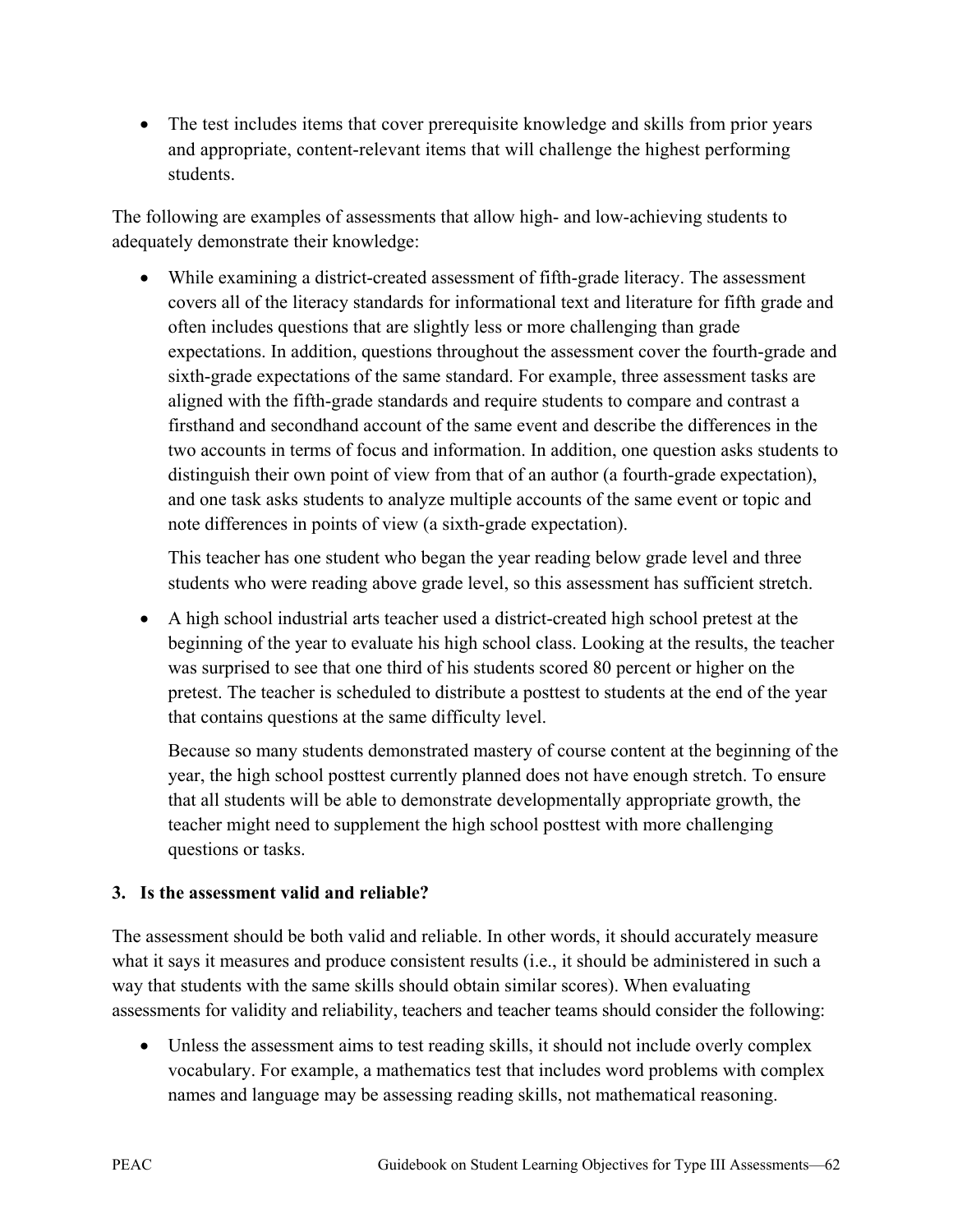• The test includes items that cover prerequisite knowledge and skills from prior years and appropriate, content-relevant items that will challenge the highest performing students.

The following are examples of assessments that allow high- and low-achieving students to adequately demonstrate their knowledge:

• While examining a district-created assessment of fifth-grade literacy. The assessment covers all of the literacy standards for informational text and literature for fifth grade and often includes questions that are slightly less or more challenging than grade expectations. In addition, questions throughout the assessment cover the fourth-grade and sixth-grade expectations of the same standard. For example, three assessment tasks are aligned with the fifth-grade standards and require students to compare and contrast a firsthand and secondhand account of the same event and describe the differences in the two accounts in terms of focus and information. In addition, one question asks students to distinguish their own point of view from that of an author (a fourth-grade expectation), and one task asks students to analyze multiple accounts of the same event or topic and note differences in points of view (a sixth-grade expectation).

This teacher has one student who began the year reading below grade level and three students who were reading above grade level, so this assessment has sufficient stretch.

• A high school industrial arts teacher used a district-created high school pretest at the beginning of the year to evaluate his high school class. Looking at the results, the teacher was surprised to see that one third of his students scored 80 percent or higher on the pretest. The teacher is scheduled to distribute a posttest to students at the end of the year that contains questions at the same difficulty level.

Because so many students demonstrated mastery of course content at the beginning of the year, the high school posttest currently planned does not have enough stretch. To ensure that all students will be able to demonstrate developmentally appropriate growth, the teacher might need to supplement the high school posttest with more challenging questions or tasks.

## **3. Is the assessment valid and reliable?**

The assessment should be both valid and reliable. In other words, it should accurately measure what it says it measures and produce consistent results (i.e., it should be administered in such a way that students with the same skills should obtain similar scores). When evaluating assessments for validity and reliability, teachers and teacher teams should consider the following:

• Unless the assessment aims to test reading skills, it should not include overly complex vocabulary. For example, a mathematics test that includes word problems with complex names and language may be assessing reading skills, not mathematical reasoning.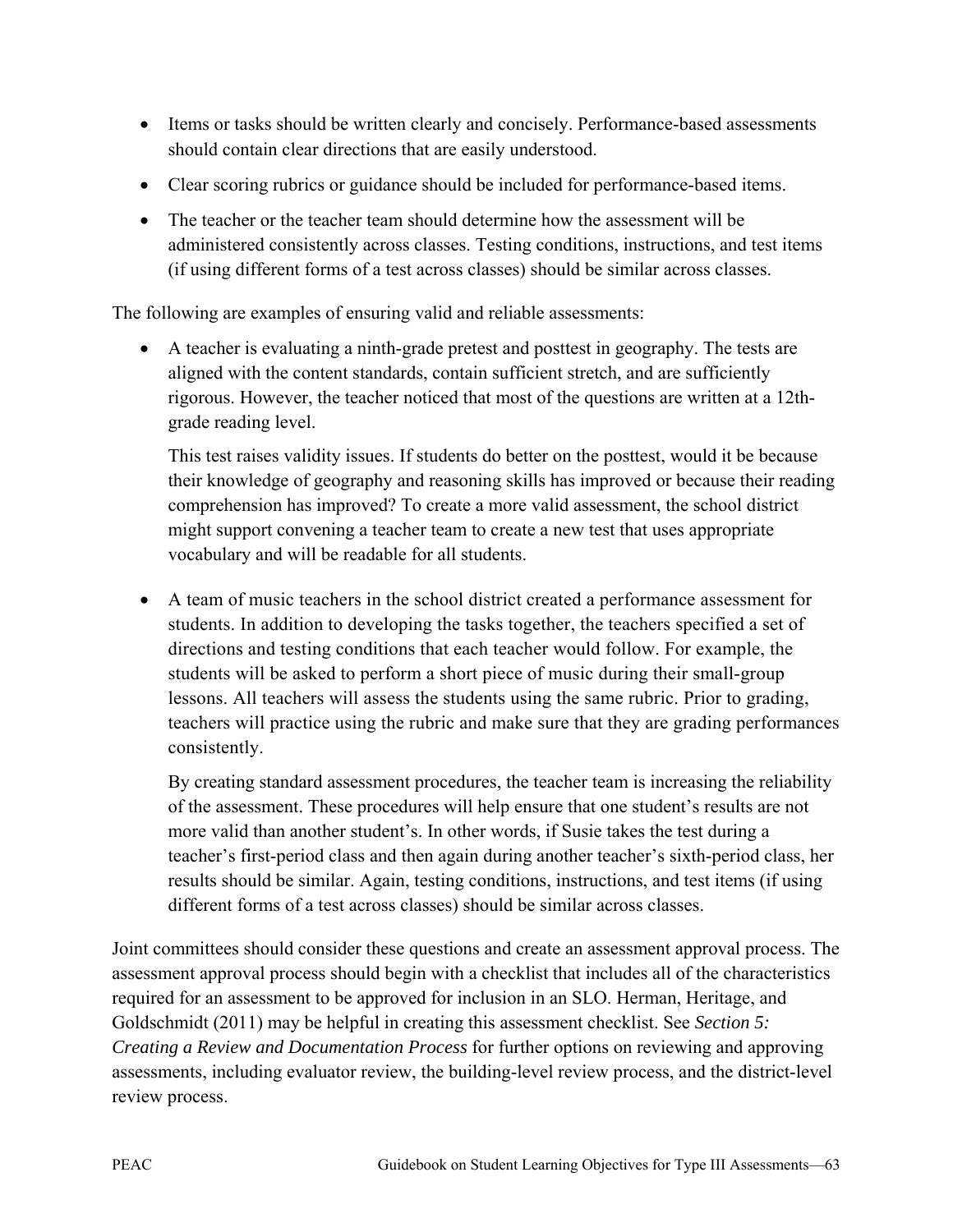- Items or tasks should be written clearly and concisely. Performance-based assessments should contain clear directions that are easily understood.
- Clear scoring rubrics or guidance should be included for performance-based items.
- The teacher or the teacher team should determine how the assessment will be administered consistently across classes. Testing conditions, instructions, and test items (if using different forms of a test across classes) should be similar across classes.

The following are examples of ensuring valid and reliable assessments:

• A teacher is evaluating a ninth-grade pretest and posttest in geography. The tests are aligned with the content standards, contain sufficient stretch, and are sufficiently rigorous. However, the teacher noticed that most of the questions are written at a 12thgrade reading level.

This test raises validity issues. If students do better on the posttest, would it be because their knowledge of geography and reasoning skills has improved or because their reading comprehension has improved? To create a more valid assessment, the school district might support convening a teacher team to create a new test that uses appropriate vocabulary and will be readable for all students.

• A team of music teachers in the school district created a performance assessment for students. In addition to developing the tasks together, the teachers specified a set of directions and testing conditions that each teacher would follow. For example, the students will be asked to perform a short piece of music during their small-group lessons. All teachers will assess the students using the same rubric. Prior to grading, teachers will practice using the rubric and make sure that they are grading performances consistently.

By creating standard assessment procedures, the teacher team is increasing the reliability of the assessment. These procedures will help ensure that one student's results are not more valid than another student's. In other words, if Susie takes the test during a teacher's first-period class and then again during another teacher's sixth-period class, her results should be similar. Again, testing conditions, instructions, and test items (if using different forms of a test across classes) should be similar across classes.

Joint committees should consider these questions and create an assessment approval process. The assessment approval process should begin with a checklist that includes all of the characteristics required for an assessment to be approved for inclusion in an SLO. Herman, Heritage, and Goldschmidt (2011) may be helpful in creating this assessment checklist. See *Section 5: Creating a Review and Documentation Process* for further options on reviewing and approving assessments, including evaluator review, the building-level review process, and the district-level review process.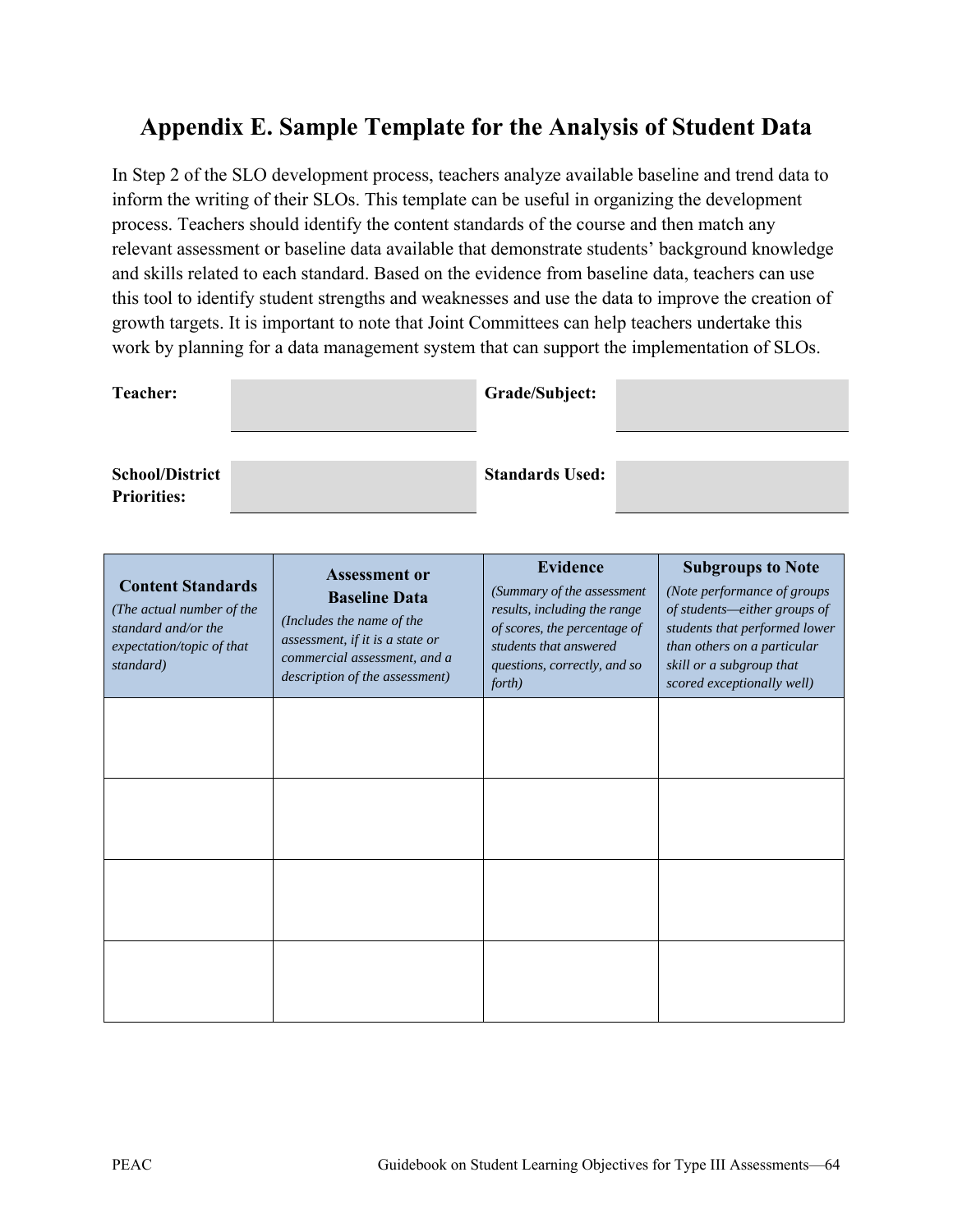# **Appendix E. Sample Template for the Analysis of Student Data**

In Step 2 of the SLO development process, teachers analyze available baseline and trend data to inform the writing of their SLOs. This template can be useful in organizing the development process. Teachers should identify the content standards of the course and then match any relevant assessment or baseline data available that demonstrate students' background knowledge and skills related to each standard. Based on the evidence from baseline data, teachers can use this tool to identify student strengths and weaknesses and use the data to improve the creation of growth targets. It is important to note that Joint Committees can help teachers undertake this work by planning for a data management system that can support the implementation of SLOs.

| <b>Teacher:</b>                              | Grade/Subject:         |  |
|----------------------------------------------|------------------------|--|
| <b>School/District</b><br><b>Priorities:</b> | <b>Standards Used:</b> |  |

| <b>Content Standards</b><br>(The actual number of the<br>standard and/or the<br>expectation/topic of that<br>standard) | <b>Assessment or</b><br><b>Baseline Data</b><br>(Includes the name of the<br>assessment, if it is a state or<br>commercial assessment, and a<br>description of the assessment) | <b>Evidence</b><br>(Summary of the assessment<br>results, including the range<br>of scores, the percentage of<br>students that answered<br>questions, correctly, and so<br>forth) | <b>Subgroups to Note</b><br>(Note performance of groups<br>of students-either groups of<br>students that performed lower<br>than others on a particular<br>skill or a subgroup that<br>scored exceptionally well) |
|------------------------------------------------------------------------------------------------------------------------|--------------------------------------------------------------------------------------------------------------------------------------------------------------------------------|-----------------------------------------------------------------------------------------------------------------------------------------------------------------------------------|-------------------------------------------------------------------------------------------------------------------------------------------------------------------------------------------------------------------|
|                                                                                                                        |                                                                                                                                                                                |                                                                                                                                                                                   |                                                                                                                                                                                                                   |
|                                                                                                                        |                                                                                                                                                                                |                                                                                                                                                                                   |                                                                                                                                                                                                                   |
|                                                                                                                        |                                                                                                                                                                                |                                                                                                                                                                                   |                                                                                                                                                                                                                   |
|                                                                                                                        |                                                                                                                                                                                |                                                                                                                                                                                   |                                                                                                                                                                                                                   |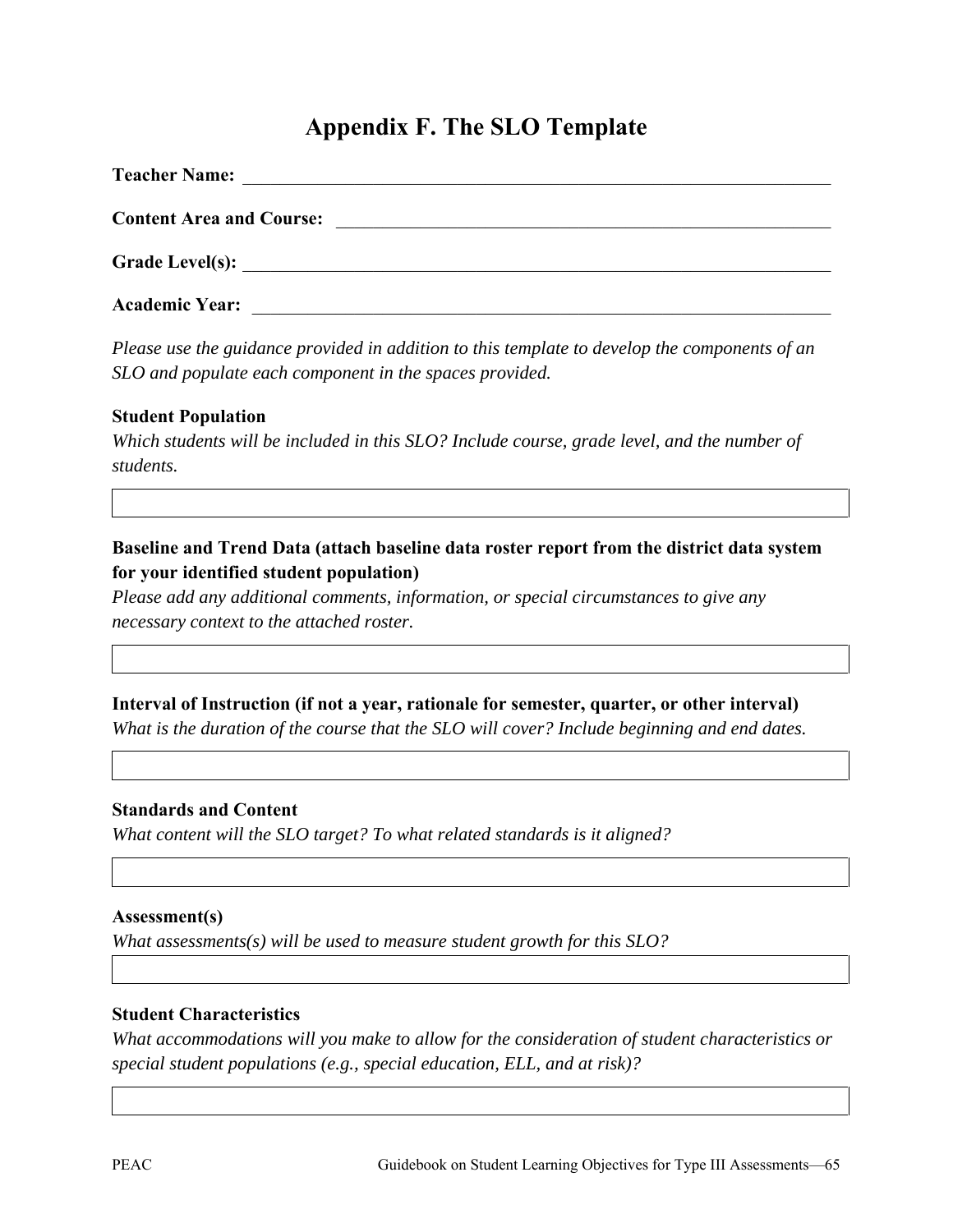# **Appendix F. The SLO Template**

| <b>Teacher Name:</b>            |  |
|---------------------------------|--|
| <b>Content Area and Course:</b> |  |
|                                 |  |
| <b>Academic Year:</b>           |  |

*Please use the guidance provided in addition to this template to develop the components of an SLO and populate each component in the spaces provided.* 

#### **Student Population**

*Which students will be included in this SLO? Include course, grade level, and the number of students.* 

### **Baseline and Trend Data (attach baseline data roster report from the district data system for your identified student population)**

*Please add any additional comments, information, or special circumstances to give any necessary context to the attached roster.*

## **Interval of Instruction (if not a year, rationale for semester, quarter, or other interval)**

*What is the duration of the course that the SLO will cover? Include beginning and end dates.* 

#### **Standards and Content**

*What content will the SLO target? To what related standards is it aligned?* 

#### **Assessment(s)**

*What assessments(s) will be used to measure student growth for this SLO?*

#### **Student Characteristics**

*What accommodations will you make to allow for the consideration of student characteristics or special student populations (e.g., special education, ELL, and at risk)?*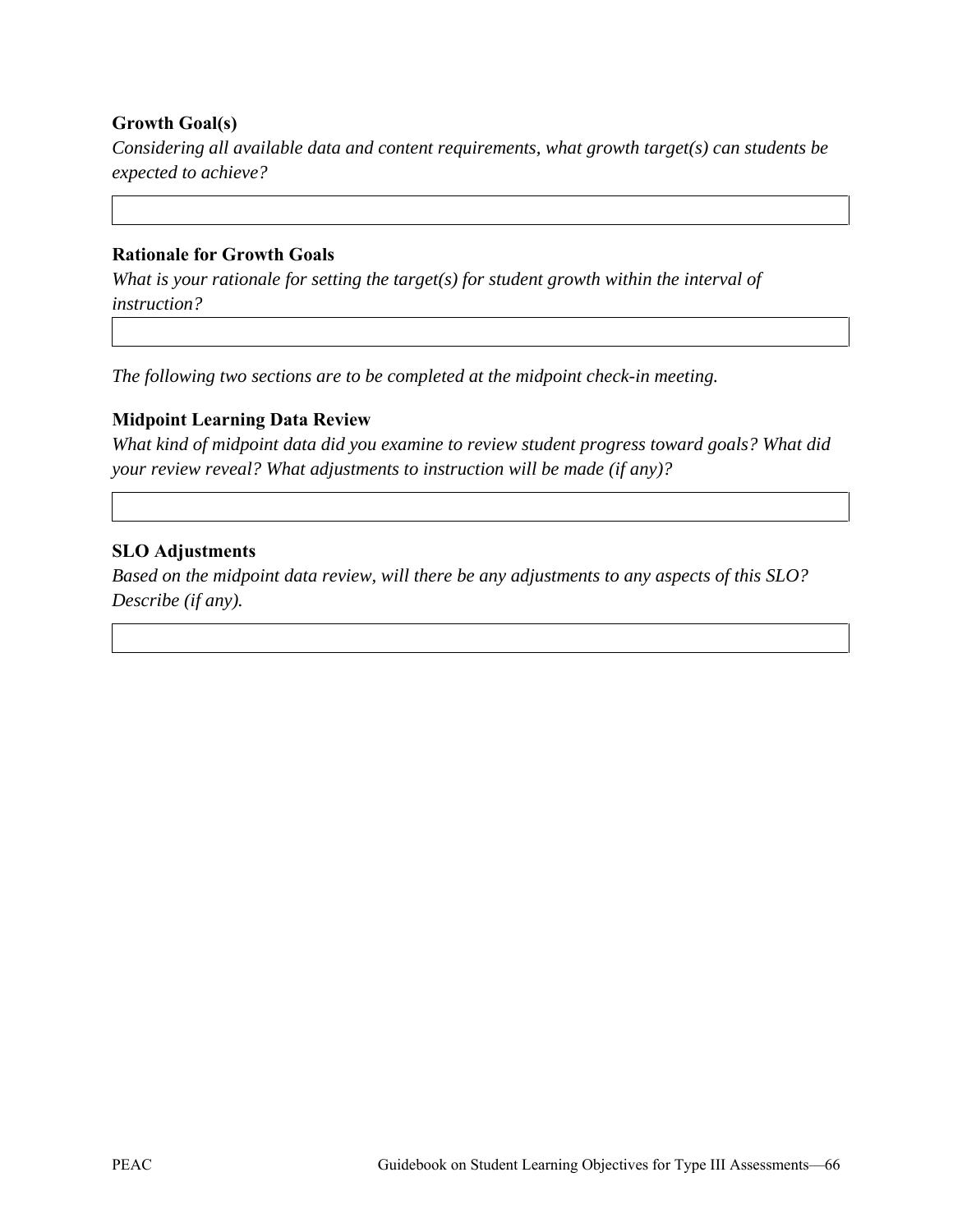#### **Growth Goal(s)**

*Considering all available data and content requirements, what growth target(s) can students be expected to achieve?* 

#### **Rationale for Growth Goals**

*What is your rationale for setting the target(s) for student growth within the interval of instruction?* 

*The following two sections are to be completed at the midpoint check-in meeting.* 

#### **Midpoint Learning Data Review**

*What kind of midpoint data did you examine to review student progress toward goals? What did your review reveal? What adjustments to instruction will be made (if any)?* 

#### **SLO Adjustments**

*Based on the midpoint data review, will there be any adjustments to any aspects of this SLO? Describe (if any).*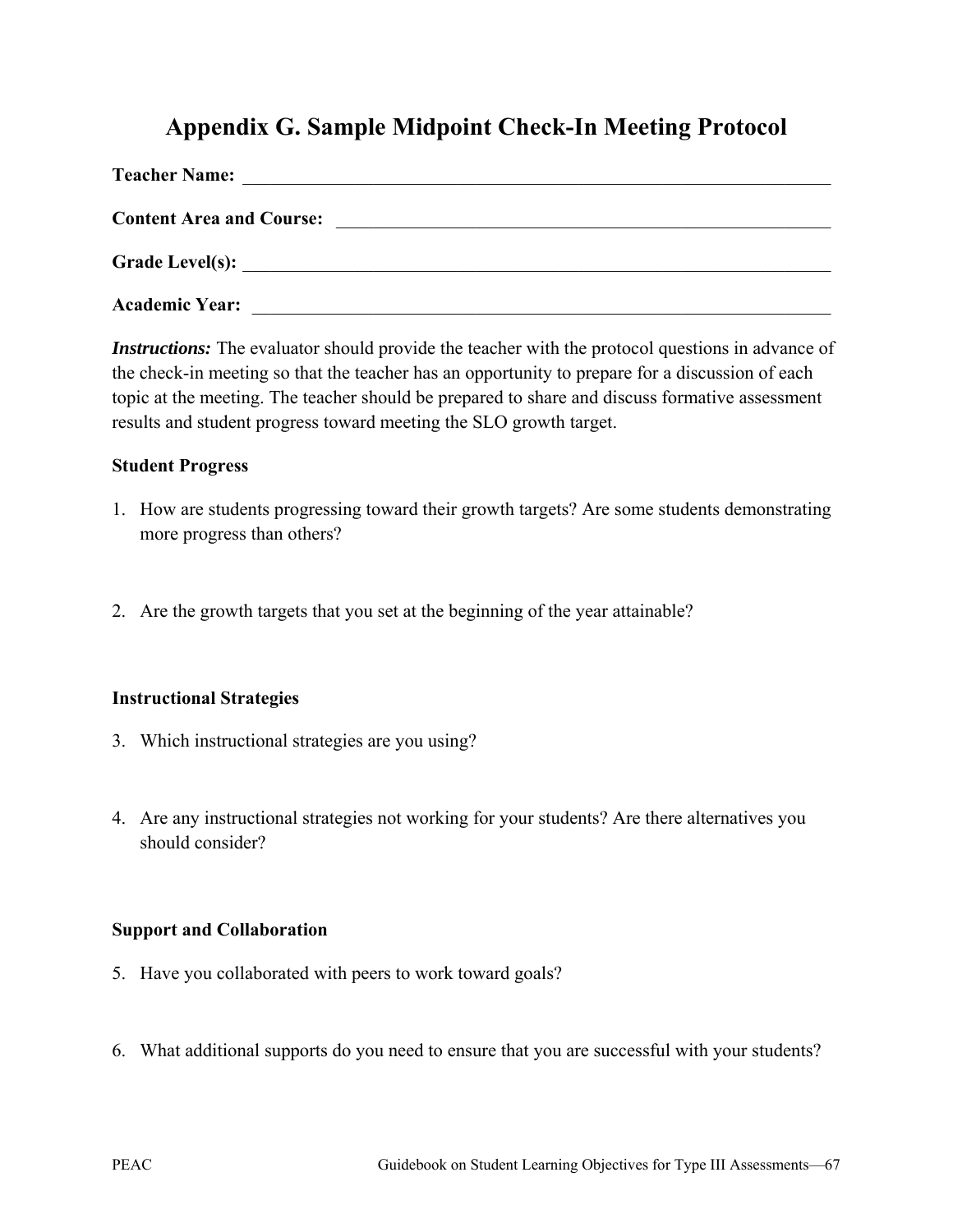# **Appendix G. Sample Midpoint Check-In Meeting Protocol**

| <b>Teacher Name:</b>            |                                                           |
|---------------------------------|-----------------------------------------------------------|
| <b>Content Area and Course:</b> | <u> 1989 - John Stein, Amerikaansk politiker (* 1989)</u> |
|                                 |                                                           |
| <b>Academic Year:</b>           |                                                           |

*Instructions:* The evaluator should provide the teacher with the protocol questions in advance of the check-in meeting so that the teacher has an opportunity to prepare for a discussion of each topic at the meeting. The teacher should be prepared to share and discuss formative assessment results and student progress toward meeting the SLO growth target.

#### **Student Progress**

- 1. How are students progressing toward their growth targets? Are some students demonstrating more progress than others?
- 2. Are the growth targets that you set at the beginning of the year attainable?

### **Instructional Strategies**

- 3. Which instructional strategies are you using?
- 4. Are any instructional strategies not working for your students? Are there alternatives you should consider?

#### **Support and Collaboration**

- 5. Have you collaborated with peers to work toward goals?
- 6. What additional supports do you need to ensure that you are successful with your students?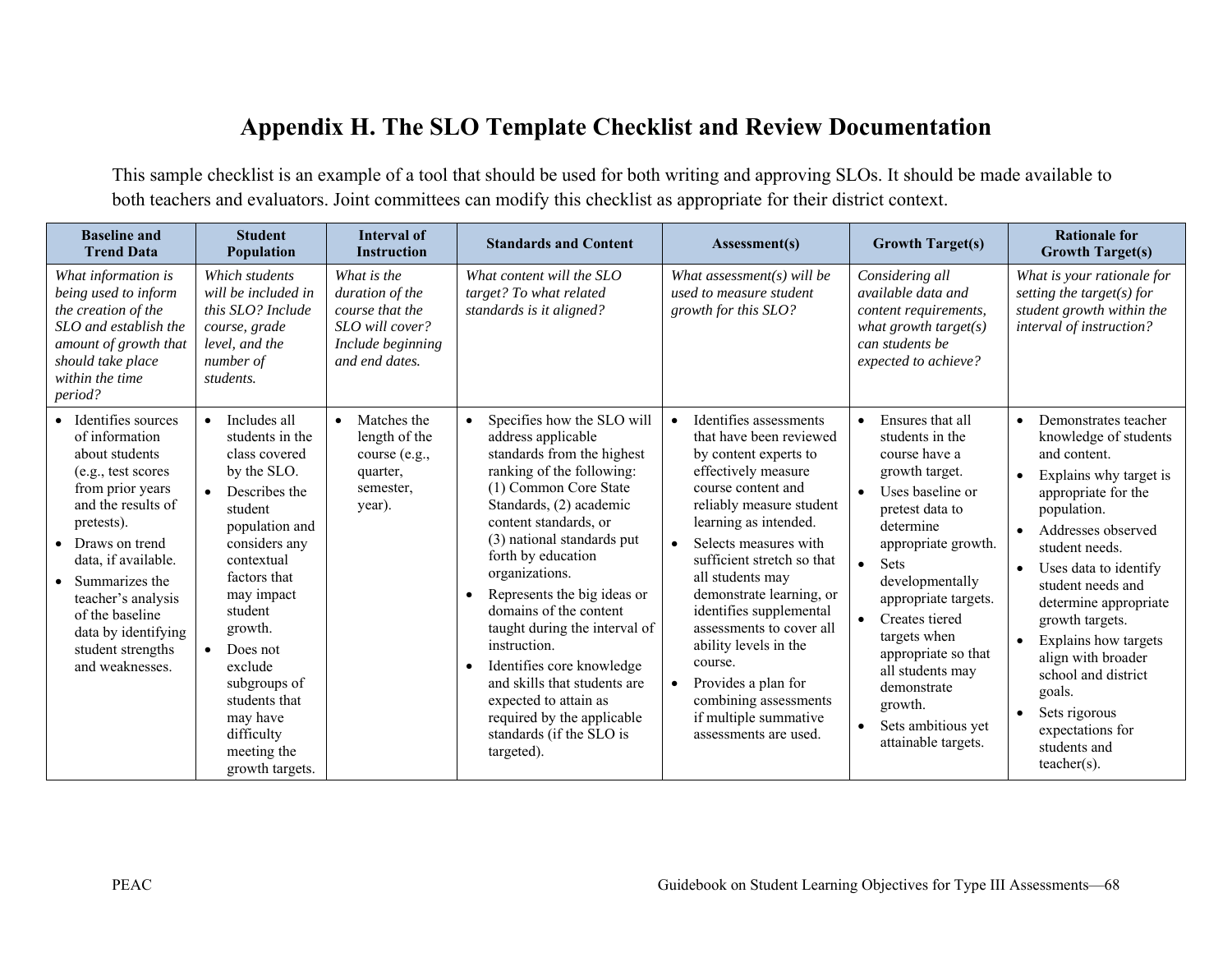# **Appendix H. The SLO Template Checklist and Review Documentation**

This sample checklist is an example of a tool that should be used for both writing and approving SLOs. It should be made available to both teachers and evaluators. Joint committees can modify this checklist as appropriate for their district context.

| <b>Baseline and</b><br><b>Trend Data</b>                                                                                                                                                                                                                                                                 | <b>Student</b><br><b>Population</b>                                                                                                                                                                                                                                                                                                            | <b>Interval of</b><br><b>Instruction</b>                                                                    | <b>Standards and Content</b>                                                                                                                                                                                                                                                                                                                                                                                                                                                                                                                                     | Assessment(s)                                                                                                                                                                                                                                                                                                                                                                                                                                                                                              | <b>Growth Target(s)</b>                                                                                                                                                                                                                                                                                                                                                                                             | <b>Rationale for</b><br><b>Growth Target(s)</b>                                                                                                                                                                                                                                                                                                                                                                                                 |
|----------------------------------------------------------------------------------------------------------------------------------------------------------------------------------------------------------------------------------------------------------------------------------------------------------|------------------------------------------------------------------------------------------------------------------------------------------------------------------------------------------------------------------------------------------------------------------------------------------------------------------------------------------------|-------------------------------------------------------------------------------------------------------------|------------------------------------------------------------------------------------------------------------------------------------------------------------------------------------------------------------------------------------------------------------------------------------------------------------------------------------------------------------------------------------------------------------------------------------------------------------------------------------------------------------------------------------------------------------------|------------------------------------------------------------------------------------------------------------------------------------------------------------------------------------------------------------------------------------------------------------------------------------------------------------------------------------------------------------------------------------------------------------------------------------------------------------------------------------------------------------|---------------------------------------------------------------------------------------------------------------------------------------------------------------------------------------------------------------------------------------------------------------------------------------------------------------------------------------------------------------------------------------------------------------------|-------------------------------------------------------------------------------------------------------------------------------------------------------------------------------------------------------------------------------------------------------------------------------------------------------------------------------------------------------------------------------------------------------------------------------------------------|
| What information is<br>being used to inform<br>the creation of the<br>SLO and establish the<br>amount of growth that<br>should take place<br>within the time<br>period?                                                                                                                                  | Which students<br>will be included in<br>this SLO? Include<br>course, grade<br>level, and the<br>number of<br>students.                                                                                                                                                                                                                        | What is the<br>duration of the<br>course that the<br>SLO will cover?<br>Include beginning<br>and end dates. | What content will the SLO<br>target? To what related<br>standards is it aligned?                                                                                                                                                                                                                                                                                                                                                                                                                                                                                 | What assessment(s) will be<br>used to measure student<br>growth for this SLO?                                                                                                                                                                                                                                                                                                                                                                                                                              | Considering all<br>available data and<br>content requirements,<br>what growth target( $s$ )<br>can students be<br>expected to achieve?                                                                                                                                                                                                                                                                              | What is your rationale for<br>setting the target(s) for<br>student growth within the<br>interval of instruction?                                                                                                                                                                                                                                                                                                                                |
| Identifies sources<br>of information<br>about students<br>(e.g., test scores)<br>from prior years<br>and the results of<br>pretests).<br>Draws on trend<br>data, if available.<br>Summarizes the<br>teacher's analysis<br>of the baseline<br>data by identifying<br>student strengths<br>and weaknesses. | Includes all<br>$\bullet$<br>students in the<br>class covered<br>by the SLO.<br>Describes the<br>student<br>population and<br>considers any<br>contextual<br>factors that<br>may impact<br>student<br>growth.<br>Does not<br>$\bullet$<br>exclude<br>subgroups of<br>students that<br>may have<br>difficulty<br>meeting the<br>growth targets. | Matches the<br>$\bullet$<br>length of the<br>course (e.g.,<br>quarter,<br>semester,<br>year).               | Specifies how the SLO will<br>address applicable<br>standards from the highest<br>ranking of the following:<br>(1) Common Core State<br>Standards, (2) academic<br>content standards, or<br>(3) national standards put<br>forth by education<br>organizations.<br>Represents the big ideas or<br>$\bullet$<br>domains of the content<br>taught during the interval of<br>instruction.<br>Identifies core knowledge<br>$\bullet$<br>and skills that students are<br>expected to attain as<br>required by the applicable<br>standards (if the SLO is<br>targeted). | Identifies assessments<br>$\bullet$<br>that have been reviewed<br>by content experts to<br>effectively measure<br>course content and<br>reliably measure student<br>learning as intended.<br>Selects measures with<br>sufficient stretch so that<br>all students may<br>demonstrate learning, or<br>identifies supplemental<br>assessments to cover all<br>ability levels in the<br>course.<br>Provides a plan for<br>$\bullet$<br>combining assessments<br>if multiple summative<br>assessments are used. | Ensures that all<br>$\bullet$<br>students in the<br>course have a<br>growth target.<br>Uses baseline or<br>pretest data to<br>determine<br>appropriate growth.<br><b>Sets</b><br>$\bullet$<br>developmentally<br>appropriate targets.<br>Creates tiered<br>$\bullet$<br>targets when<br>appropriate so that<br>all students may<br>demonstrate<br>growth.<br>Sets ambitious yet<br>$\bullet$<br>attainable targets. | Demonstrates teacher<br>knowledge of students<br>and content.<br>Explains why target is<br>appropriate for the<br>population.<br>Addresses observed<br>student needs.<br>Uses data to identify<br>$\bullet$<br>student needs and<br>determine appropriate<br>growth targets.<br>Explains how targets<br>$\bullet$<br>align with broader<br>school and district<br>goals.<br>Sets rigorous<br>expectations for<br>students and<br>$teacher(s)$ . |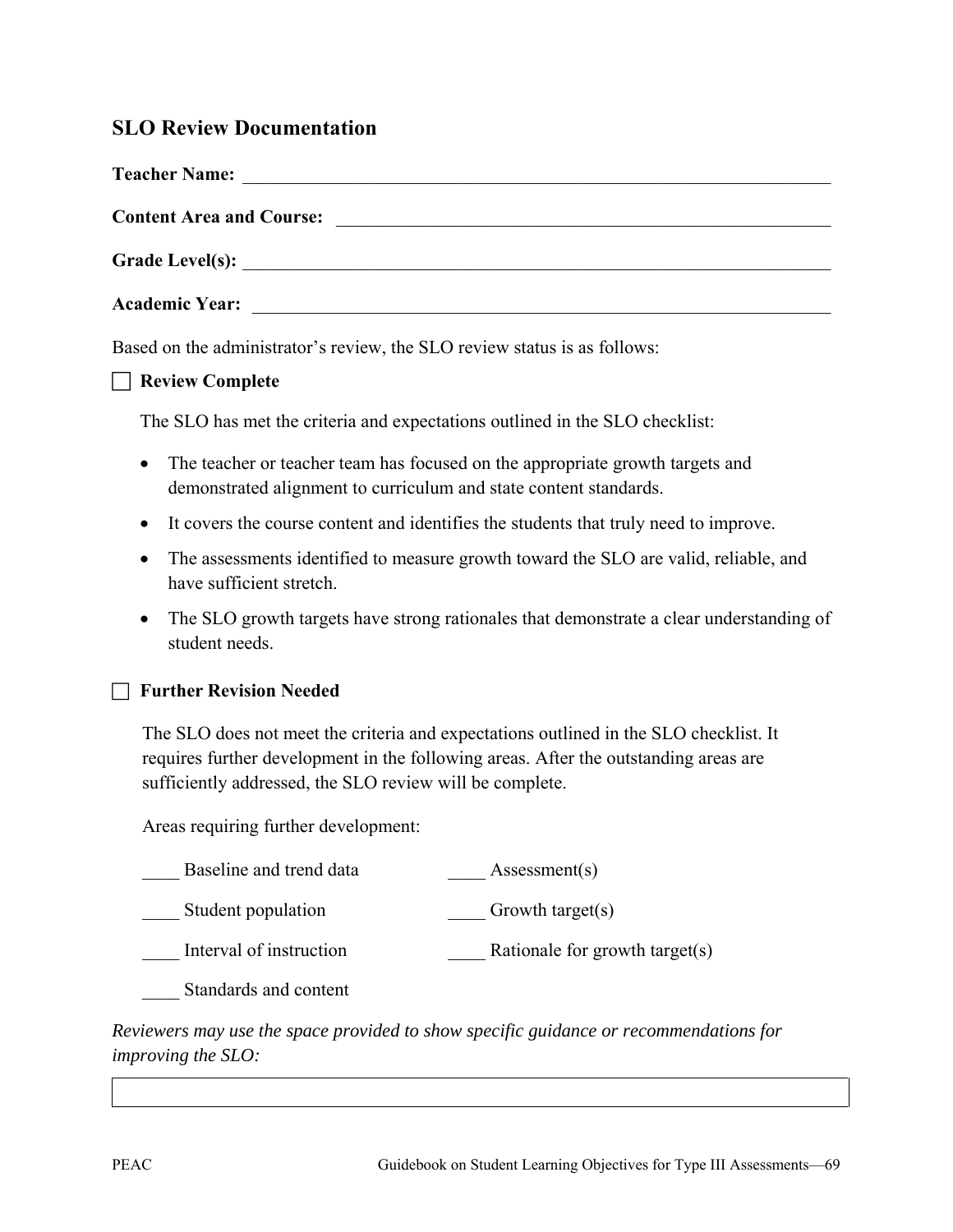# **SLO Review Documentation**

| <b>Teacher Name:</b>            |                                               |  |
|---------------------------------|-----------------------------------------------|--|
| <b>Content Area and Course:</b> | <u> 1980 - Andrea Andrew Maria (h. 1980).</u> |  |
|                                 |                                               |  |
|                                 |                                               |  |
|                                 |                                               |  |

Based on the administrator's review, the SLO review status is as follows:

**Review Complete**

The SLO has met the criteria and expectations outlined in the SLO checklist:

- The teacher or teacher team has focused on the appropriate growth targets and demonstrated alignment to curriculum and state content standards.
- It covers the course content and identifies the students that truly need to improve.
- The assessments identified to measure growth toward the SLO are valid, reliable, and have sufficient stretch.
- The SLO growth targets have strong rationales that demonstrate a clear understanding of student needs.

#### **Further Revision Needed**

The SLO does not meet the criteria and expectations outlined in the SLO checklist. It requires further development in the following areas. After the outstanding areas are sufficiently addressed, the SLO review will be complete.

Areas requiring further development:

| Baseline and trend data | Assessment(s)                  |
|-------------------------|--------------------------------|
| Student population      | Growth target(s)               |
| Interval of instruction | Rationale for growth target(s) |
| Standards and content   |                                |

*Reviewers may use the space provided to show specific guidance or recommendations for improving the SLO:*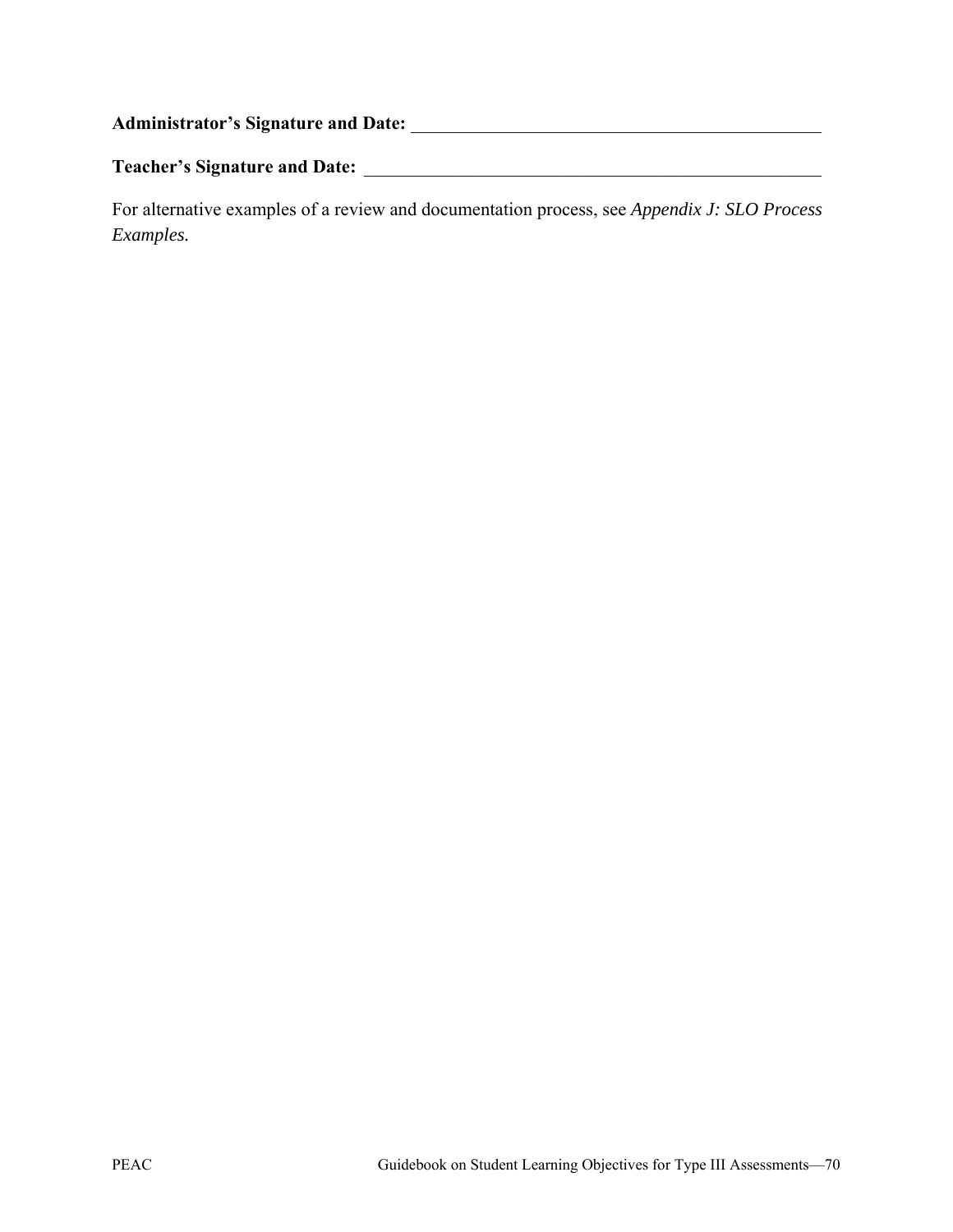**Administrator's Signature and Date:** \_\_\_\_\_\_\_\_\_\_\_\_\_\_\_\_\_\_\_\_\_\_\_\_\_\_\_\_\_\_\_\_\_\_\_\_\_\_\_\_\_\_\_\_ **Teacher's Signature and Date:** \_\_\_\_\_\_\_\_\_\_\_\_\_\_\_\_\_\_\_\_\_\_\_\_\_\_\_\_\_\_\_\_\_\_\_\_\_\_\_\_\_\_\_\_\_\_\_\_\_

For alternative examples of a review and documentation process, see *Appendix J: SLO Process Examples.*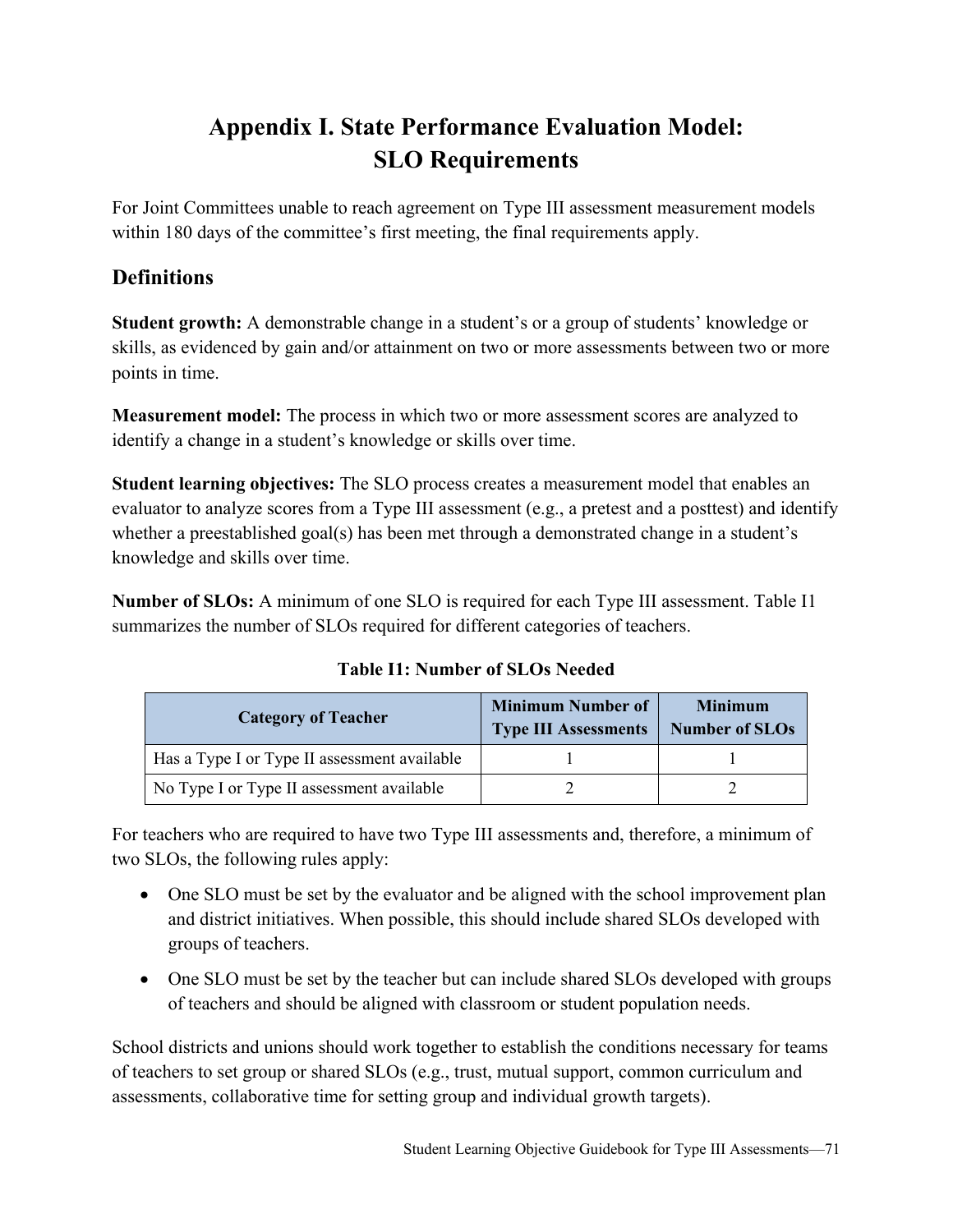# **Appendix I. State Performance Evaluation Model: SLO Requirements**

For Joint Committees unable to reach agreement on Type III assessment measurement models within 180 days of the committee's first meeting, the final requirements apply.

# **Definitions**

**Student growth:** A demonstrable change in a student's or a group of students' knowledge or skills, as evidenced by gain and/or attainment on two or more assessments between two or more points in time.

**Measurement model:** The process in which two or more assessment scores are analyzed to identify a change in a student's knowledge or skills over time.

**Student learning objectives:** The SLO process creates a measurement model that enables an evaluator to analyze scores from a Type III assessment (e.g., a pretest and a posttest) and identify whether a preestablished goal(s) has been met through a demonstrated change in a student's knowledge and skills over time.

**Number of SLOs:** A minimum of one SLO is required for each Type III assessment. Table I1 summarizes the number of SLOs required for different categories of teachers.

**Table I1: Number of SLOs Needed**

| <b>Category of Teacher</b>                   | <b>Minimum Number of</b><br><b>Type III Assessments</b> | <b>Minimum</b><br>Number of SLOs |
|----------------------------------------------|---------------------------------------------------------|----------------------------------|
| Has a Type I or Type II assessment available |                                                         |                                  |
| No Type I or Type II assessment available    |                                                         |                                  |

For teachers who are required to have two Type III assessments and, therefore, a minimum of two SLOs, the following rules apply:

- One SLO must be set by the evaluator and be aligned with the school improvement plan and district initiatives. When possible, this should include shared SLOs developed with groups of teachers.
- One SLO must be set by the teacher but can include shared SLOs developed with groups of teachers and should be aligned with classroom or student population needs.

School districts and unions should work together to establish the conditions necessary for teams of teachers to set group or shared SLOs (e.g., trust, mutual support, common curriculum and assessments, collaborative time for setting group and individual growth targets).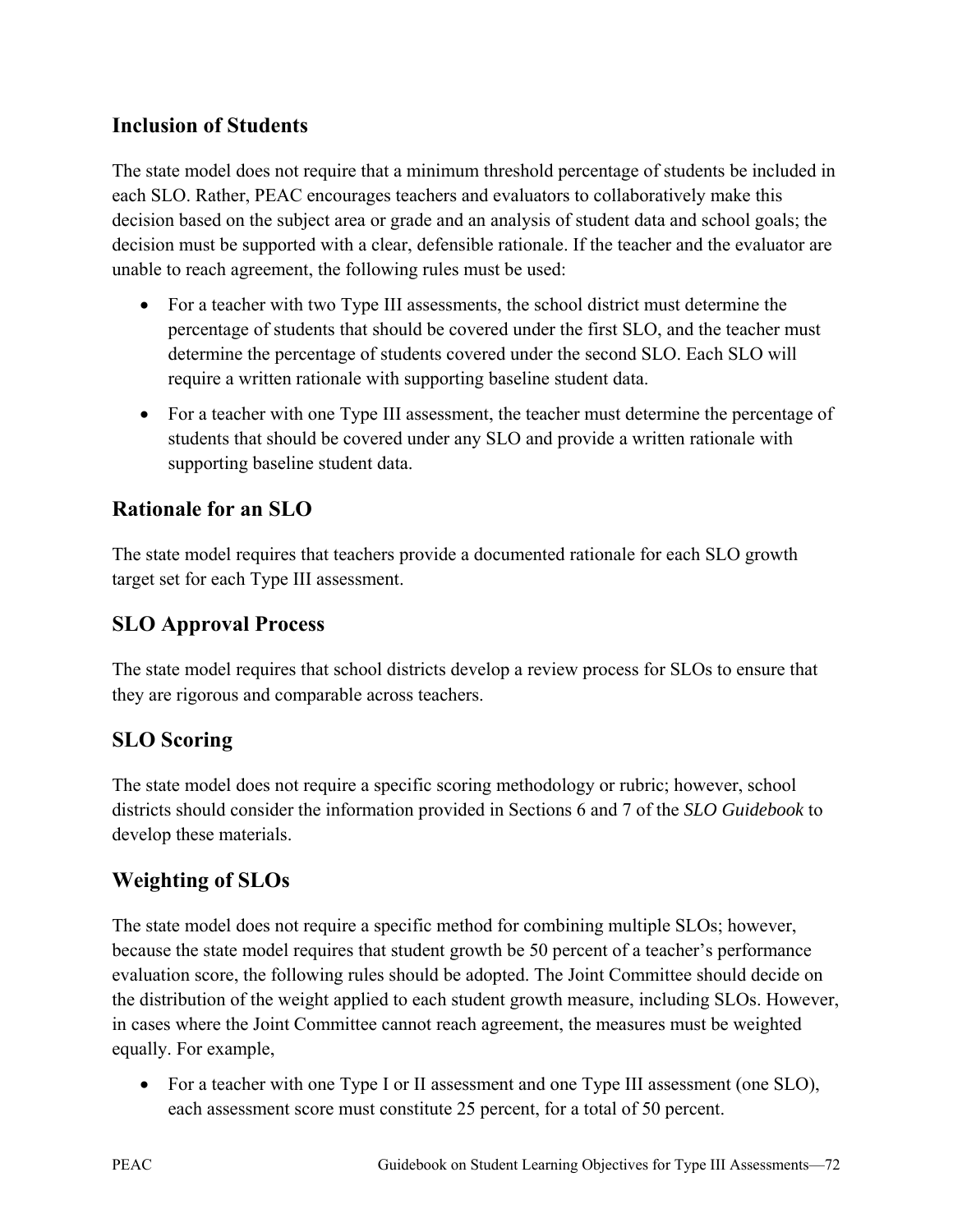# **Inclusion of Students**

The state model does not require that a minimum threshold percentage of students be included in each SLO. Rather, PEAC encourages teachers and evaluators to collaboratively make this decision based on the subject area or grade and an analysis of student data and school goals; the decision must be supported with a clear, defensible rationale. If the teacher and the evaluator are unable to reach agreement, the following rules must be used:

- For a teacher with two Type III assessments, the school district must determine the percentage of students that should be covered under the first SLO, and the teacher must determine the percentage of students covered under the second SLO. Each SLO will require a written rationale with supporting baseline student data.
- For a teacher with one Type III assessment, the teacher must determine the percentage of students that should be covered under any SLO and provide a written rationale with supporting baseline student data.

# **Rationale for an SLO**

The state model requires that teachers provide a documented rationale for each SLO growth target set for each Type III assessment.

# **SLO Approval Process**

The state model requires that school districts develop a review process for SLOs to ensure that they are rigorous and comparable across teachers.

# **SLO Scoring**

The state model does not require a specific scoring methodology or rubric; however, school districts should consider the information provided in Sections 6 and 7 of the *SLO Guidebook* to develop these materials.

# **Weighting of SLOs**

The state model does not require a specific method for combining multiple SLOs; however, because the state model requires that student growth be 50 percent of a teacher's performance evaluation score, the following rules should be adopted. The Joint Committee should decide on the distribution of the weight applied to each student growth measure, including SLOs. However, in cases where the Joint Committee cannot reach agreement, the measures must be weighted equally. For example,

• For a teacher with one Type I or II assessment and one Type III assessment (one SLO), each assessment score must constitute 25 percent, for a total of 50 percent.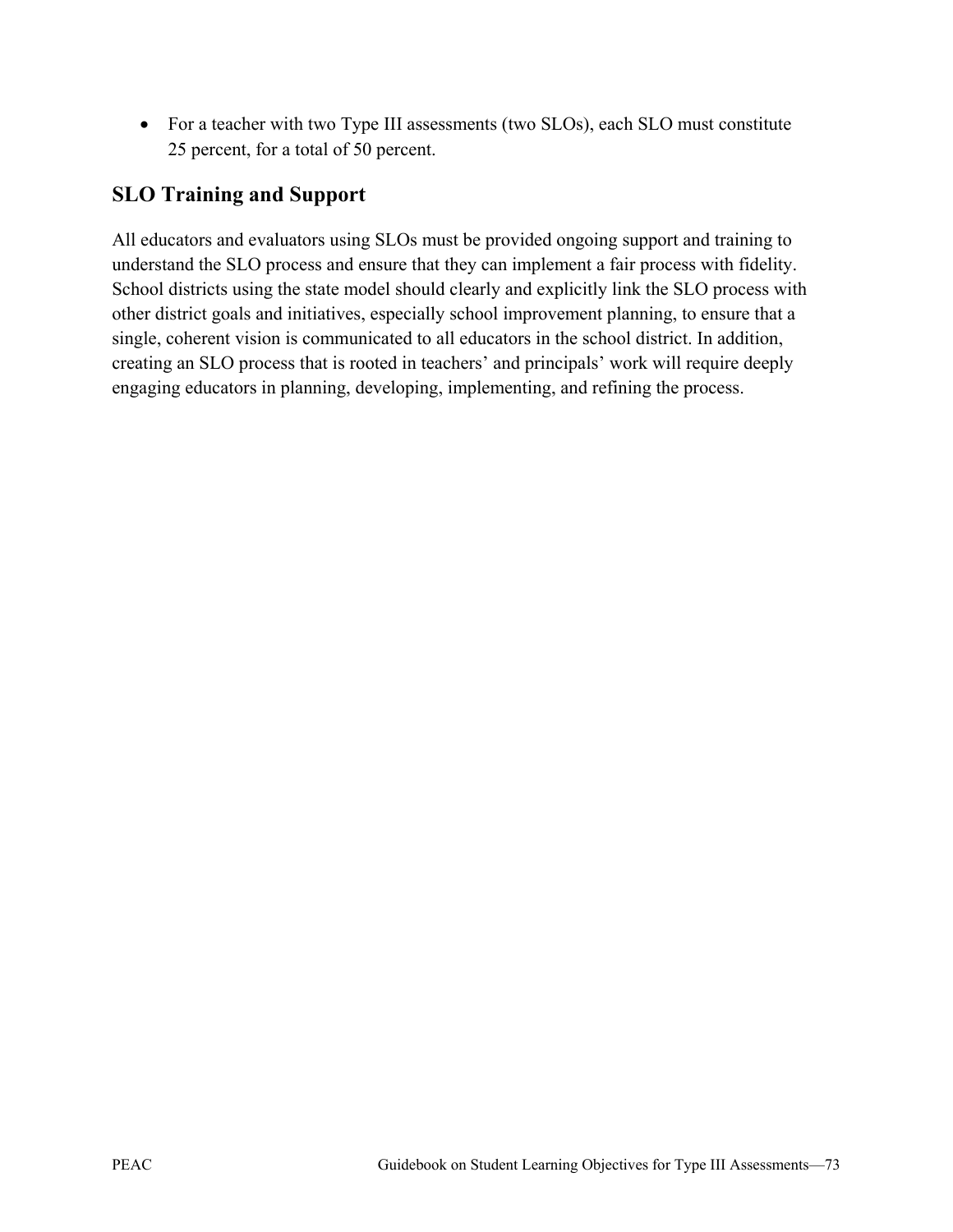• For a teacher with two Type III assessments (two SLOs), each SLO must constitute 25 percent, for a total of 50 percent.

# **SLO Training and Support**

All educators and evaluators using SLOs must be provided ongoing support and training to understand the SLO process and ensure that they can implement a fair process with fidelity. School districts using the state model should clearly and explicitly link the SLO process with other district goals and initiatives, especially school improvement planning, to ensure that a single, coherent vision is communicated to all educators in the school district. In addition, creating an SLO process that is rooted in teachers' and principals' work will require deeply engaging educators in planning, developing, implementing, and refining the process.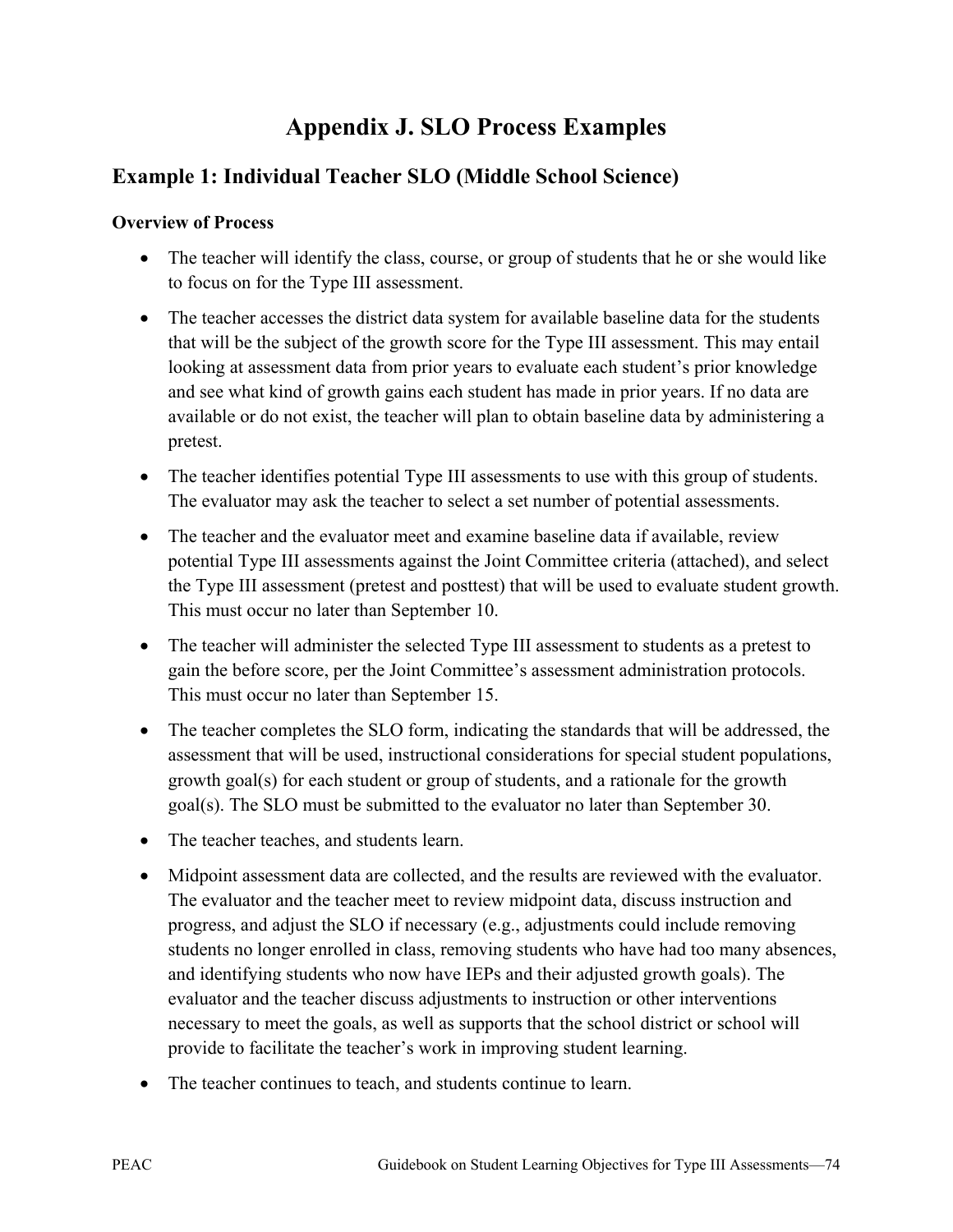# **Appendix J. SLO Process Examples**

# **Example 1: Individual Teacher SLO (Middle School Science)**

## **Overview of Process**

- The teacher will identify the class, course, or group of students that he or she would like to focus on for the Type III assessment.
- The teacher accesses the district data system for available baseline data for the students that will be the subject of the growth score for the Type III assessment. This may entail looking at assessment data from prior years to evaluate each student's prior knowledge and see what kind of growth gains each student has made in prior years. If no data are available or do not exist, the teacher will plan to obtain baseline data by administering a pretest.
- The teacher identifies potential Type III assessments to use with this group of students. The evaluator may ask the teacher to select a set number of potential assessments.
- The teacher and the evaluator meet and examine baseline data if available, review potential Type III assessments against the Joint Committee criteria (attached), and select the Type III assessment (pretest and posttest) that will be used to evaluate student growth. This must occur no later than September 10.
- The teacher will administer the selected Type III assessment to students as a pretest to gain the before score, per the Joint Committee's assessment administration protocols. This must occur no later than September 15.
- The teacher completes the SLO form, indicating the standards that will be addressed, the assessment that will be used, instructional considerations for special student populations, growth goal(s) for each student or group of students, and a rationale for the growth goal(s). The SLO must be submitted to the evaluator no later than September 30.
- The teacher teaches, and students learn.
- Midpoint assessment data are collected, and the results are reviewed with the evaluator. The evaluator and the teacher meet to review midpoint data, discuss instruction and progress, and adjust the SLO if necessary (e.g., adjustments could include removing students no longer enrolled in class, removing students who have had too many absences, and identifying students who now have IEPs and their adjusted growth goals). The evaluator and the teacher discuss adjustments to instruction or other interventions necessary to meet the goals, as well as supports that the school district or school will provide to facilitate the teacher's work in improving student learning.
- The teacher continues to teach, and students continue to learn.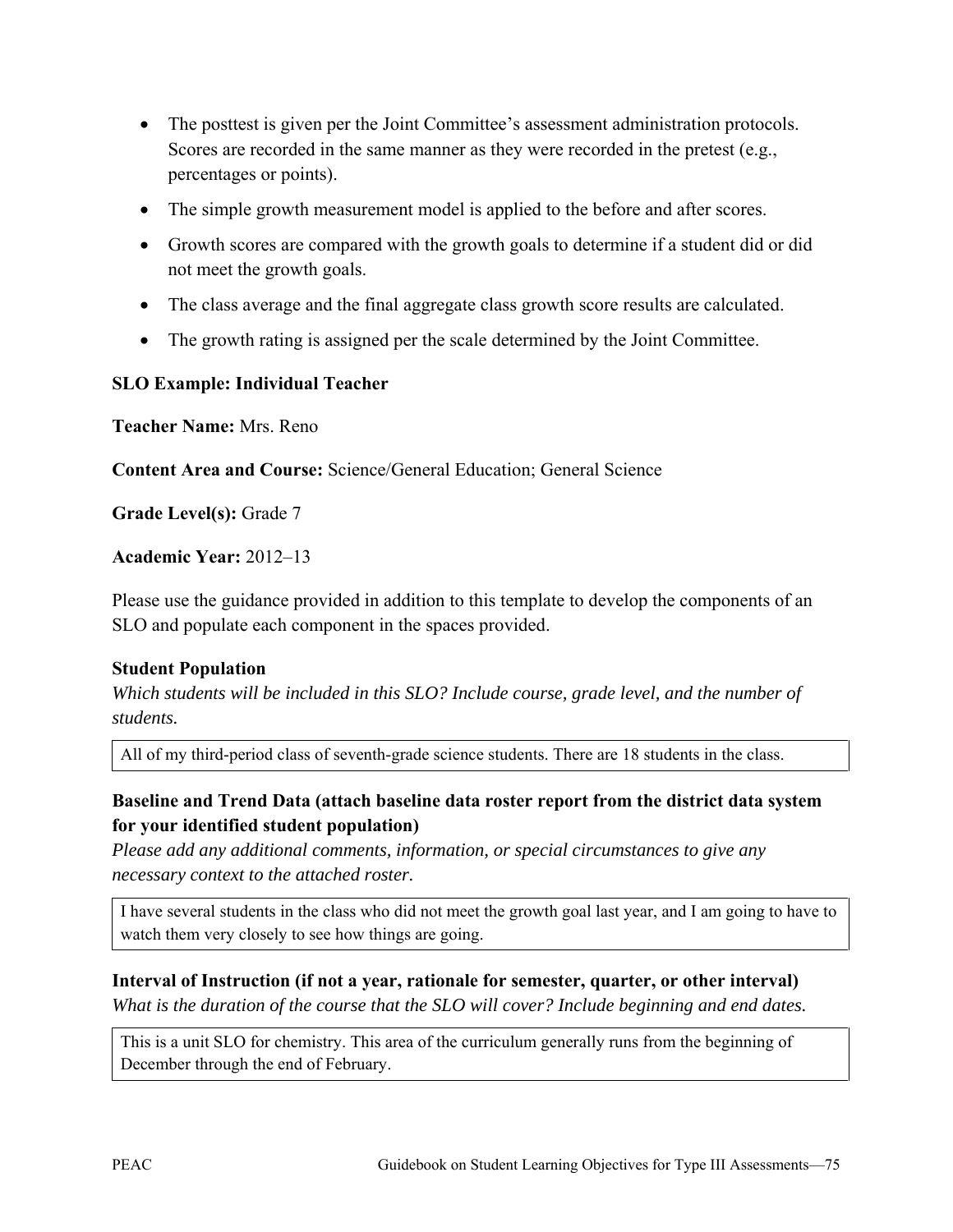- The posttest is given per the Joint Committee's assessment administration protocols. Scores are recorded in the same manner as they were recorded in the pretest (e.g., percentages or points).
- The simple growth measurement model is applied to the before and after scores.
- Growth scores are compared with the growth goals to determine if a student did or did not meet the growth goals.
- The class average and the final aggregate class growth score results are calculated.
- The growth rating is assigned per the scale determined by the Joint Committee.

### **SLO Example: Individual Teacher**

**Teacher Name:** Mrs. Reno

**Content Area and Course:** Science/General Education; General Science

**Grade Level(s):** Grade 7

#### **Academic Year:** 2012–13

Please use the guidance provided in addition to this template to develop the components of an SLO and populate each component in the spaces provided.

#### **Student Population**

*Which students will be included in this SLO? Include course, grade level, and the number of students.* 

All of my third-period class of seventh-grade science students. There are 18 students in the class.

## **Baseline and Trend Data (attach baseline data roster report from the district data system for your identified student population)**

*Please add any additional comments, information, or special circumstances to give any necessary context to the attached roster.* 

I have several students in the class who did not meet the growth goal last year, and I am going to have to watch them very closely to see how things are going.

#### **Interval of Instruction (if not a year, rationale for semester, quarter, or other interval)**

*What is the duration of the course that the SLO will cover? Include beginning and end dates.*

This is a unit SLO for chemistry. This area of the curriculum generally runs from the beginning of December through the end of February.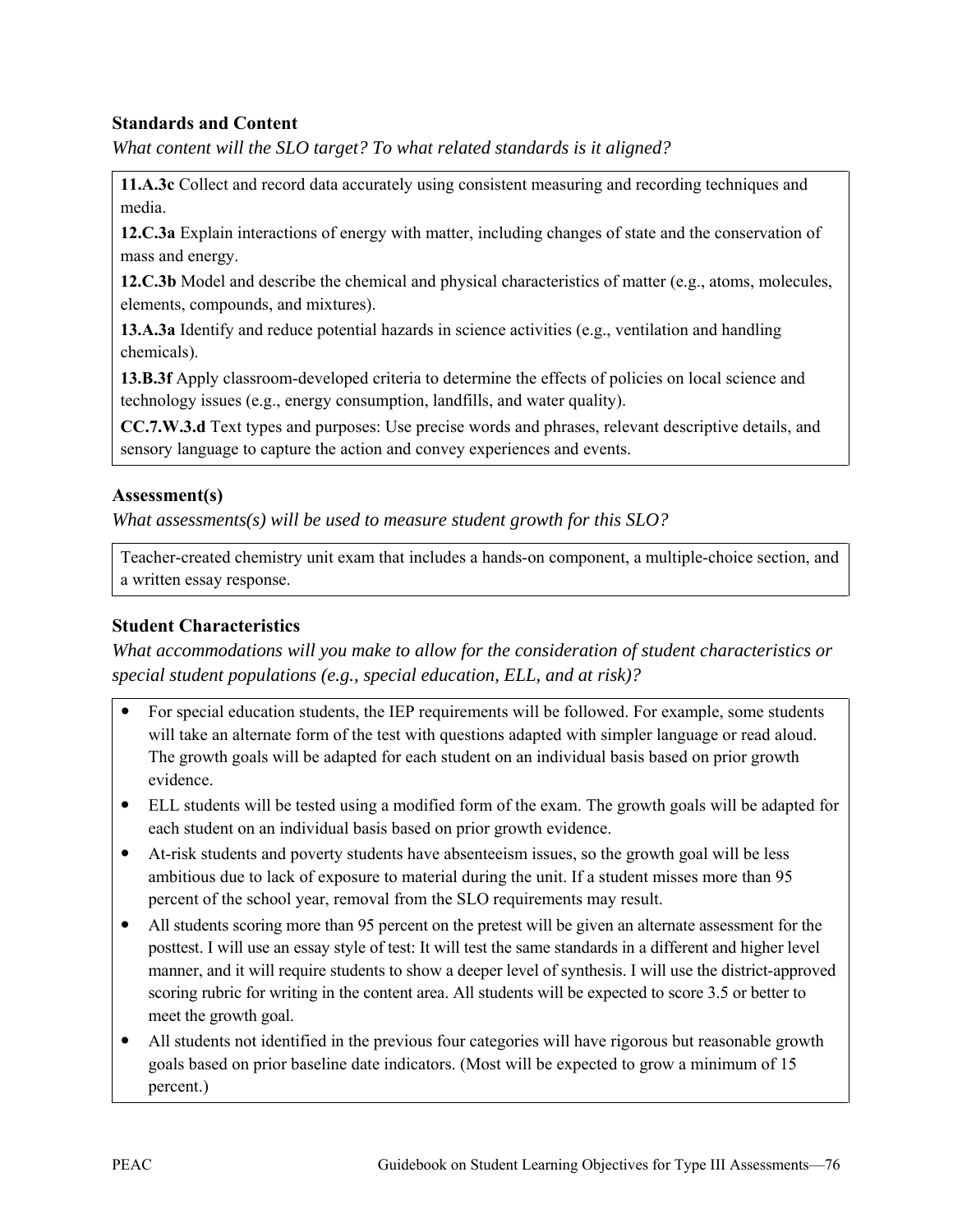### **Standards and Content**

*What content will the SLO target? To what related standards is it aligned?* 

**11.A.3c** Collect and record data accurately using consistent measuring and recording techniques and media.

**12.C.3a** Explain interactions of energy with matter, including changes of state and the conservation of mass and energy.

**12.C.3b** Model and describe the chemical and physical characteristics of matter (e.g., atoms, molecules, elements, compounds, and mixtures).

**13.A.3a** Identify and reduce potential hazards in science activities (e.g., ventilation and handling chemicals).

**13.B.3f** Apply classroom-developed criteria to determine the effects of policies on local science and technology issues (e.g., energy consumption, landfills, and water quality).

**CC.7.W.3.d** Text types and purposes: Use precise words and phrases, relevant descriptive details, and sensory language to capture the action and convey experiences and events.

#### **Assessment(s)**

*What assessments(s) will be used to measure student growth for this SLO?* 

Teacher-created chemistry unit exam that includes a hands-on component, a multiple-choice section, and a written essay response.

### **Student Characteristics**

*What accommodations will you make to allow for the consideration of student characteristics or special student populations (e.g., special education, ELL, and at risk)?*

- For special education students, the IEP requirements will be followed. For example, some students will take an alternate form of the test with questions adapted with simpler language or read aloud. The growth goals will be adapted for each student on an individual basis based on prior growth evidence.
- ELL students will be tested using a modified form of the exam. The growth goals will be adapted for each student on an individual basis based on prior growth evidence.
- At-risk students and poverty students have absenteeism issues, so the growth goal will be less ambitious due to lack of exposure to material during the unit. If a student misses more than 95 percent of the school year, removal from the SLO requirements may result.
- All students scoring more than 95 percent on the pretest will be given an alternate assessment for the posttest. I will use an essay style of test: It will test the same standards in a different and higher level manner, and it will require students to show a deeper level of synthesis. I will use the district-approved scoring rubric for writing in the content area. All students will be expected to score 3.5 or better to meet the growth goal.
- All students not identified in the previous four categories will have rigorous but reasonable growth goals based on prior baseline date indicators. (Most will be expected to grow a minimum of 15 percent.)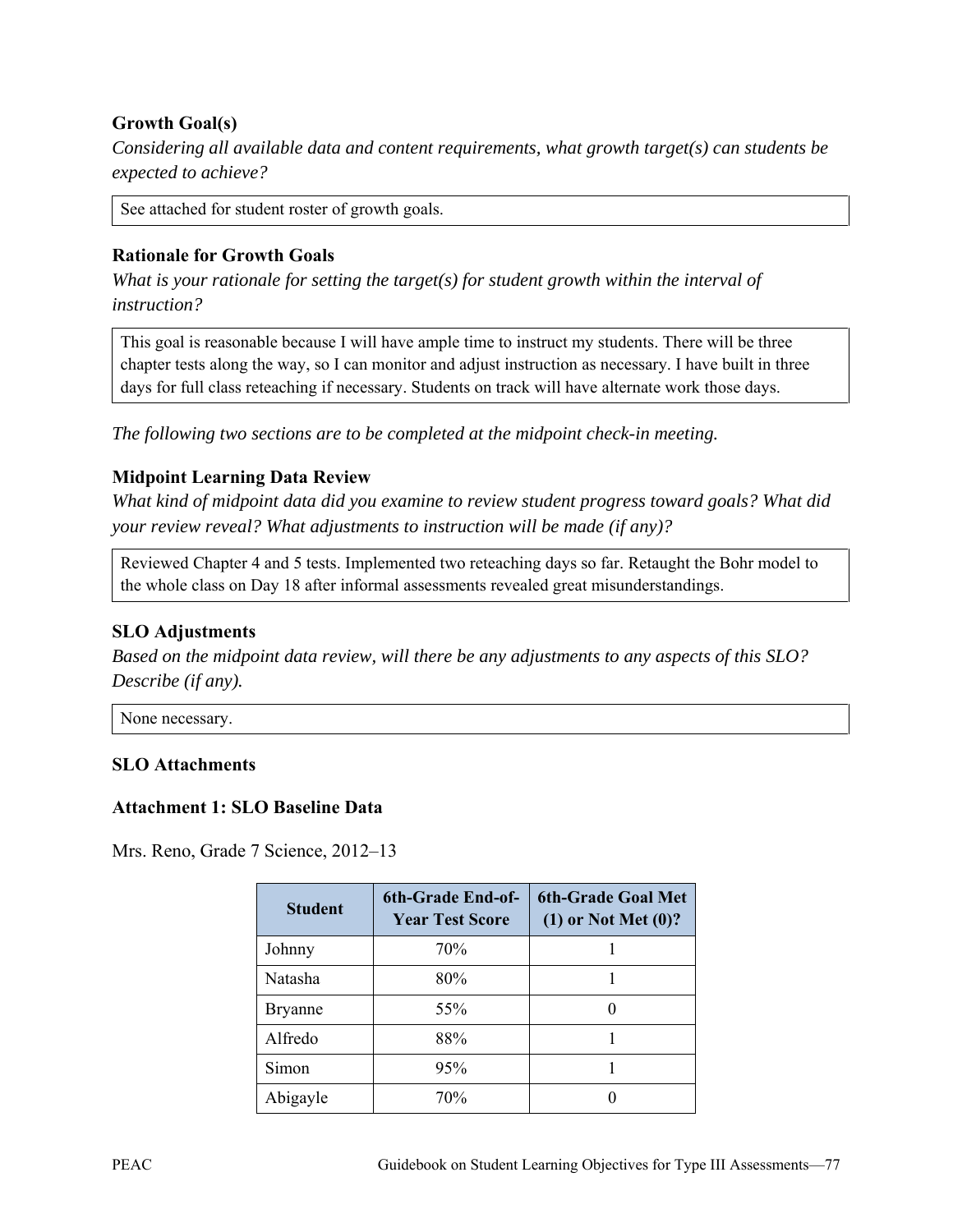## **Growth Goal(s)**

*Considering all available data and content requirements, what growth target(s) can students be expected to achieve?* 

See attached for student roster of growth goals.

#### **Rationale for Growth Goals**

*What is your rationale for setting the target(s) for student growth within the interval of instruction?* 

This goal is reasonable because I will have ample time to instruct my students. There will be three chapter tests along the way, so I can monitor and adjust instruction as necessary. I have built in three days for full class reteaching if necessary. Students on track will have alternate work those days.

*The following two sections are to be completed at the midpoint check-in meeting.* 

### **Midpoint Learning Data Review**

*What kind of midpoint data did you examine to review student progress toward goals? What did your review reveal? What adjustments to instruction will be made (if any)?* 

Reviewed Chapter 4 and 5 tests. Implemented two reteaching days so far. Retaught the Bohr model to the whole class on Day 18 after informal assessments revealed great misunderstandings.

### **SLO Adjustments**

*Based on the midpoint data review, will there be any adjustments to any aspects of this SLO? Describe (if any).* 

None necessary.

#### **SLO Attachments**

#### **Attachment 1: SLO Baseline Data**

| <b>Student</b> | 6th-Grade End-of-<br><b>Year Test Score</b> | <b>6th-Grade Goal Met</b><br>$(1)$ or Not Met $(0)$ ? |
|----------------|---------------------------------------------|-------------------------------------------------------|
| Johnny         | 70%                                         |                                                       |
| Natasha        | 80%                                         |                                                       |
| <b>Bryanne</b> | 55%                                         | $\mathbf{\Omega}$                                     |
| Alfredo        | 88%                                         |                                                       |
| Simon          | 95%                                         |                                                       |
| Abigayle       | 70%                                         |                                                       |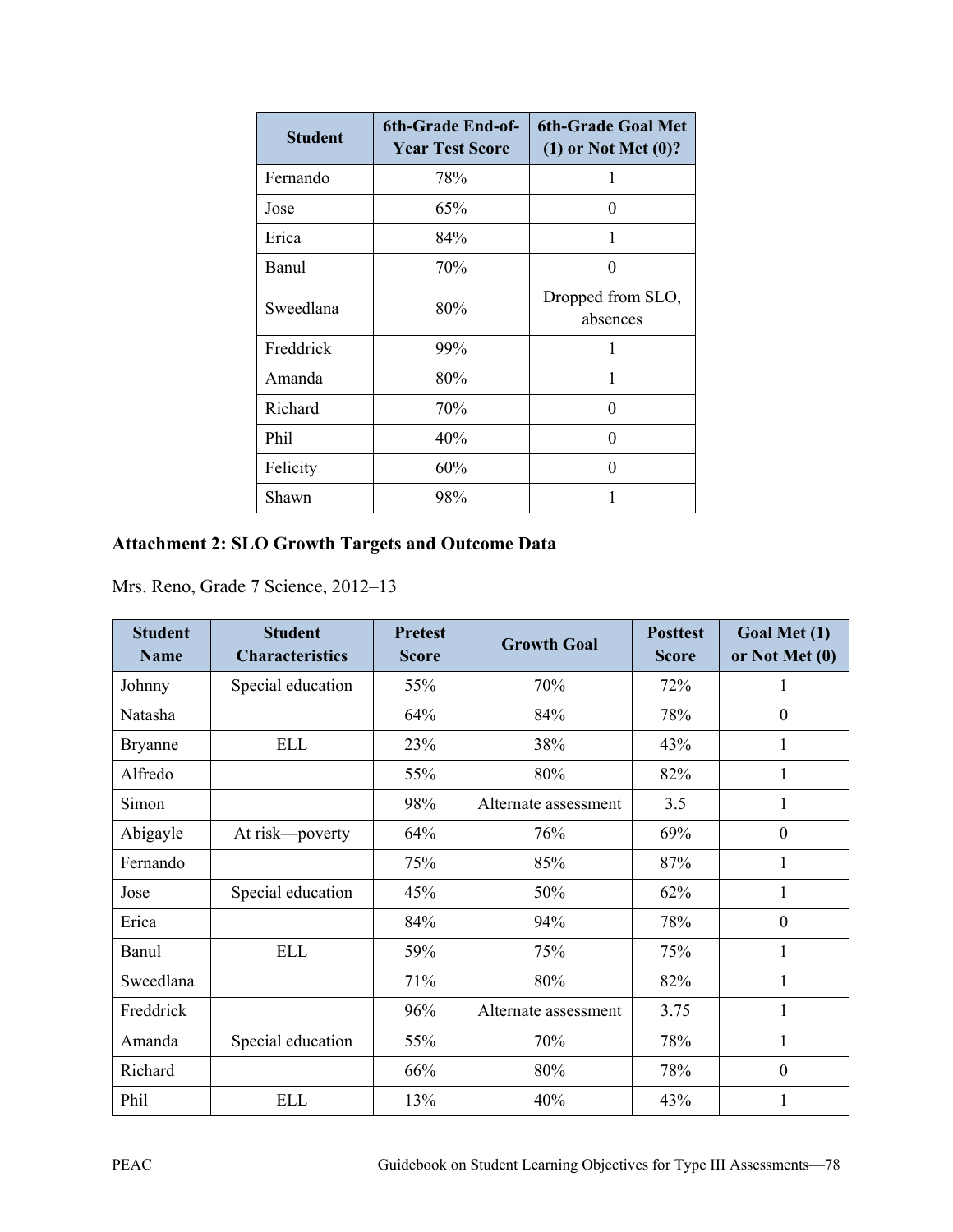| <b>Student</b> | 6th-Grade End-of-<br><b>Year Test Score</b> | <b>6th-Grade Goal Met</b><br>$(1)$ or Not Met $(0)$ ? |
|----------------|---------------------------------------------|-------------------------------------------------------|
| Fernando       | 78%                                         | 1                                                     |
| Jose           | 65%                                         | $\mathbf{\Omega}$                                     |
| Erica          | 84%                                         | 1                                                     |
| Banul          | 70%                                         | 0                                                     |
| Sweedlana      | 80%                                         | Dropped from SLO,<br>absences                         |
| Freddrick      | 99%                                         | 1                                                     |
| Amanda         | 80%                                         | 1                                                     |
| Richard        | 70%                                         | 0                                                     |
| Phil           | 40%                                         | 0                                                     |
| Felicity       | 60%                                         | $\theta$                                              |
| Shawn          | 98%                                         |                                                       |

# **Attachment 2: SLO Growth Targets and Outcome Data**

| <b>Student</b><br><b>Name</b> | <b>Student</b><br><b>Characteristics</b> | <b>Pretest</b><br><b>Score</b> | <b>Growth Goal</b>   | <b>Posttest</b><br><b>Score</b> | Goal Met (1)<br>or Not Met (0) |
|-------------------------------|------------------------------------------|--------------------------------|----------------------|---------------------------------|--------------------------------|
| Johnny                        | Special education                        | 55%                            | 70%                  | 72%                             | 1                              |
| Natasha                       |                                          | 64%                            | 84%                  | 78%                             | $\theta$                       |
| <b>Bryanne</b>                | <b>ELL</b>                               | 23%                            | 38%                  | 43%                             |                                |
| Alfredo                       |                                          | 55%                            | 80%                  | 82%                             | 1                              |
| Simon                         |                                          | 98%                            | Alternate assessment | 3.5                             | 1                              |
| Abigayle                      | At risk—poverty                          | 64%                            | 76%                  | 69%                             | $\theta$                       |
| Fernando                      |                                          | 75%                            | 85%                  | 87%                             | 1                              |
| Jose                          | Special education                        | 45%                            | 50%                  | 62%                             |                                |
| Erica                         |                                          | 84%                            | 94%                  | 78%                             | $\boldsymbol{0}$               |
| Banul                         | <b>ELL</b>                               | 59%                            | 75%                  | 75%                             | 1                              |
| Sweedlana                     |                                          | 71%                            | 80%                  | 82%                             | 1                              |
| Freddrick                     |                                          | 96%                            | Alternate assessment | 3.75                            |                                |
| Amanda                        | Special education                        | 55%                            | 70%                  | 78%                             | 1                              |
| Richard                       |                                          | 66%                            | 80%                  | 78%                             | $\theta$                       |
| Phil                          | <b>ELL</b>                               | 13%                            | 40%                  | 43%                             |                                |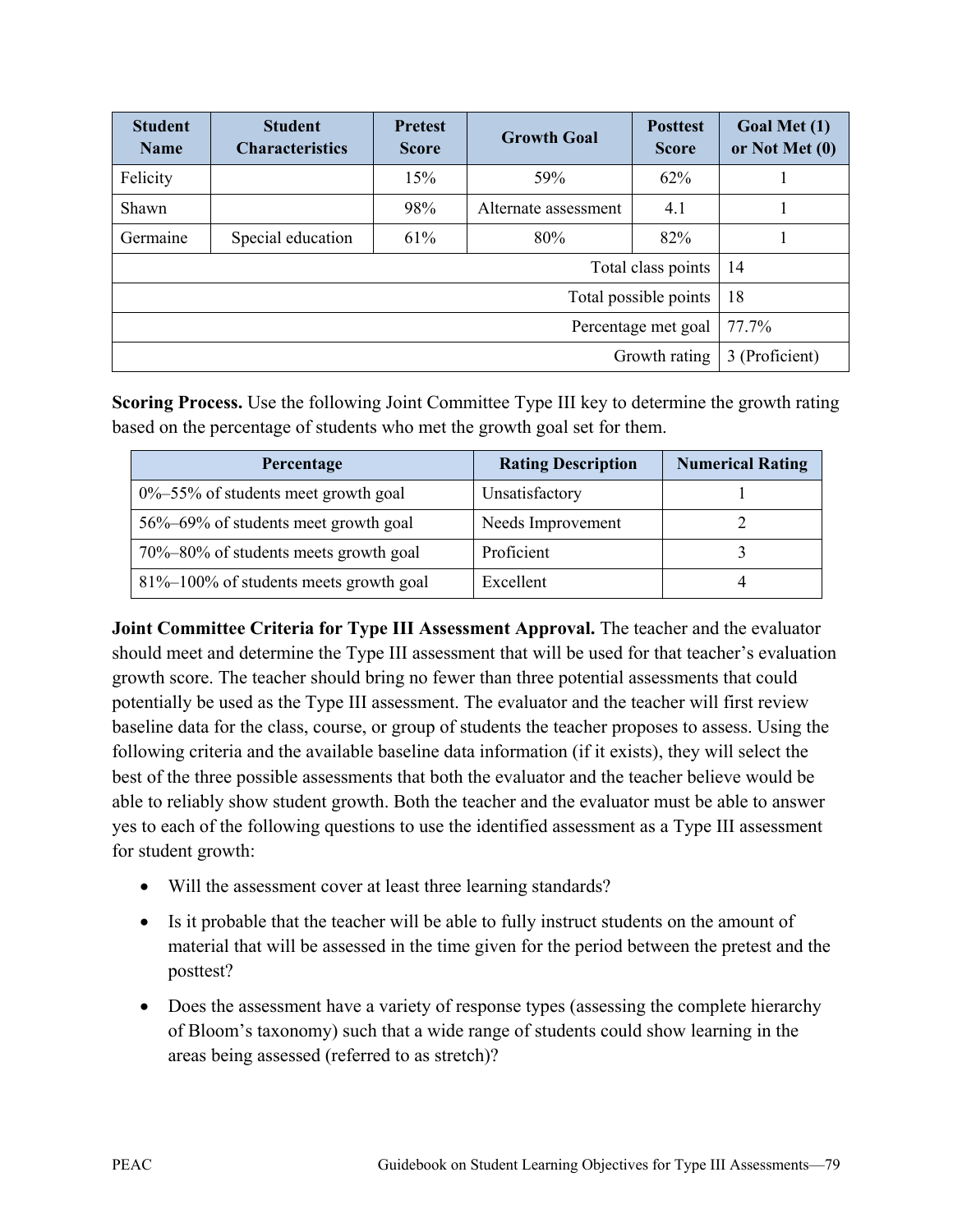| <b>Student</b><br><b>Name</b> | <b>Student</b><br><b>Characteristics</b> | <b>Pretest</b><br><b>Score</b> | <b>Growth Goal</b>   | <b>Posttest</b><br><b>Score</b> | Goal Met (1)<br>or Not Met (0) |
|-------------------------------|------------------------------------------|--------------------------------|----------------------|---------------------------------|--------------------------------|
| Felicity                      |                                          | 15%                            | 59%                  | 62%                             |                                |
| Shawn                         |                                          | 98%                            | Alternate assessment | 4.1                             |                                |
| Germaine                      | Special education                        | 61%                            | 80%                  | 82%                             |                                |
| Total class points            |                                          |                                | 14                   |                                 |                                |
| 18<br>Total possible points   |                                          |                                |                      |                                 |                                |
| 77.7%<br>Percentage met goal  |                                          |                                |                      |                                 |                                |
| Growth rating                 |                                          | 3 (Proficient)                 |                      |                                 |                                |

**Scoring Process.** Use the following Joint Committee Type III key to determine the growth rating based on the percentage of students who met the growth goal set for them.

| Percentage                                | <b>Rating Description</b> | <b>Numerical Rating</b> |
|-------------------------------------------|---------------------------|-------------------------|
| $0\% - 55\%$ of students meet growth goal | Unsatisfactory            |                         |
| 56%–69% of students meet growth goal      | Needs Improvement         |                         |
| 70%–80% of students meets growth goal     | Proficient                |                         |
| 81%–100% of students meets growth goal    | Excellent                 |                         |

**Joint Committee Criteria for Type III Assessment Approval.** The teacher and the evaluator should meet and determine the Type III assessment that will be used for that teacher's evaluation growth score. The teacher should bring no fewer than three potential assessments that could potentially be used as the Type III assessment. The evaluator and the teacher will first review baseline data for the class, course, or group of students the teacher proposes to assess. Using the following criteria and the available baseline data information (if it exists), they will select the best of the three possible assessments that both the evaluator and the teacher believe would be able to reliably show student growth. Both the teacher and the evaluator must be able to answer yes to each of the following questions to use the identified assessment as a Type III assessment for student growth:

- Will the assessment cover at least three learning standards?
- Is it probable that the teacher will be able to fully instruct students on the amount of material that will be assessed in the time given for the period between the pretest and the posttest?
- Does the assessment have a variety of response types (assessing the complete hierarchy of Bloom's taxonomy) such that a wide range of students could show learning in the areas being assessed (referred to as stretch)?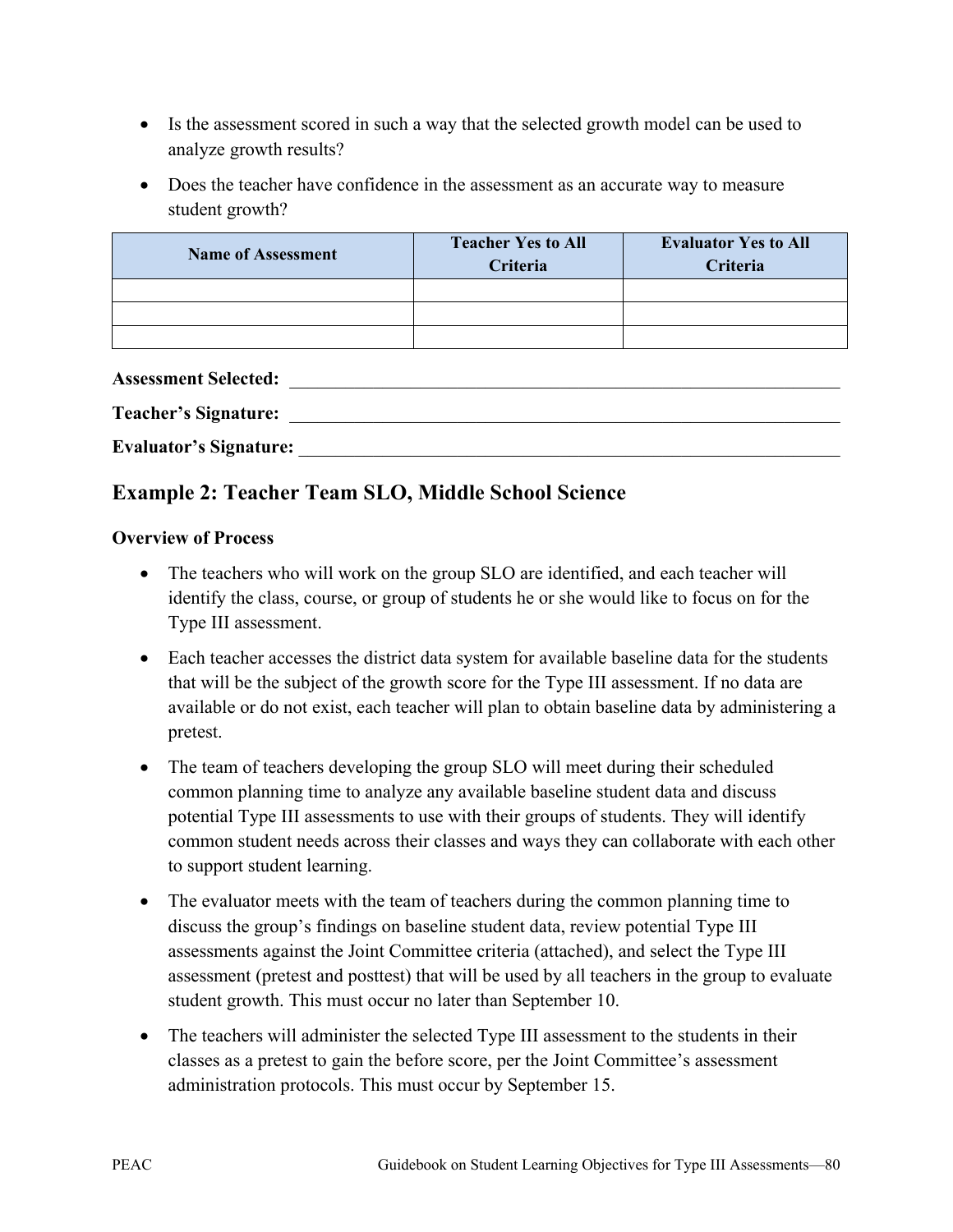- Is the assessment scored in such a way that the selected growth model can be used to analyze growth results?
- Does the teacher have confidence in the assessment as an accurate way to measure student growth?

| <b>Name of Assessment</b> | <b>Teacher Yes to All</b><br>Criteria | <b>Evaluator Yes to All</b><br>Criteria |
|---------------------------|---------------------------------------|-----------------------------------------|
|                           |                                       |                                         |
|                           |                                       |                                         |
|                           |                                       |                                         |

| <b>Assessment Selected:</b>   |  |
|-------------------------------|--|
| <b>Teacher's Signature:</b>   |  |
| <b>Evaluator's Signature:</b> |  |

# **Example 2: Teacher Team SLO, Middle School Science**

### **Overview of Process**

- The teachers who will work on the group SLO are identified, and each teacher will identify the class, course, or group of students he or she would like to focus on for the Type III assessment.
- Each teacher accesses the district data system for available baseline data for the students that will be the subject of the growth score for the Type III assessment. If no data are available or do not exist, each teacher will plan to obtain baseline data by administering a pretest.
- The team of teachers developing the group SLO will meet during their scheduled common planning time to analyze any available baseline student data and discuss potential Type III assessments to use with their groups of students. They will identify common student needs across their classes and ways they can collaborate with each other to support student learning.
- The evaluator meets with the team of teachers during the common planning time to discuss the group's findings on baseline student data, review potential Type III assessments against the Joint Committee criteria (attached), and select the Type III assessment (pretest and posttest) that will be used by all teachers in the group to evaluate student growth. This must occur no later than September 10.
- The teachers will administer the selected Type III assessment to the students in their classes as a pretest to gain the before score, per the Joint Committee's assessment administration protocols. This must occur by September 15.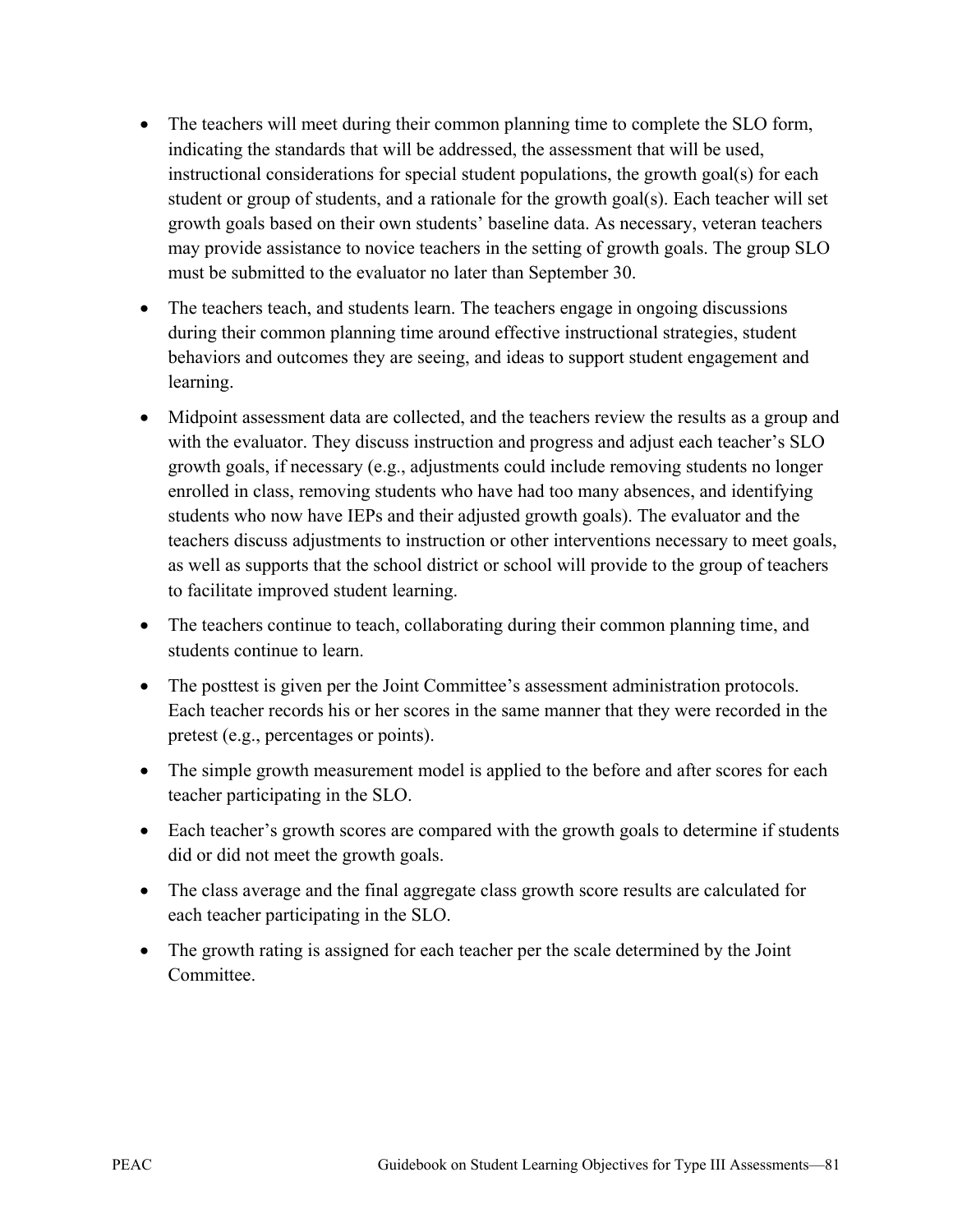- The teachers will meet during their common planning time to complete the SLO form, indicating the standards that will be addressed, the assessment that will be used, instructional considerations for special student populations, the growth goal(s) for each student or group of students, and a rationale for the growth goal(s). Each teacher will set growth goals based on their own students' baseline data. As necessary, veteran teachers may provide assistance to novice teachers in the setting of growth goals. The group SLO must be submitted to the evaluator no later than September 30.
- The teachers teach, and students learn. The teachers engage in ongoing discussions during their common planning time around effective instructional strategies, student behaviors and outcomes they are seeing, and ideas to support student engagement and learning.
- Midpoint assessment data are collected, and the teachers review the results as a group and with the evaluator. They discuss instruction and progress and adjust each teacher's SLO growth goals, if necessary (e.g., adjustments could include removing students no longer enrolled in class, removing students who have had too many absences, and identifying students who now have IEPs and their adjusted growth goals). The evaluator and the teachers discuss adjustments to instruction or other interventions necessary to meet goals, as well as supports that the school district or school will provide to the group of teachers to facilitate improved student learning.
- The teachers continue to teach, collaborating during their common planning time, and students continue to learn.
- The posttest is given per the Joint Committee's assessment administration protocols. Each teacher records his or her scores in the same manner that they were recorded in the pretest (e.g., percentages or points).
- The simple growth measurement model is applied to the before and after scores for each teacher participating in the SLO.
- Each teacher's growth scores are compared with the growth goals to determine if students did or did not meet the growth goals.
- The class average and the final aggregate class growth score results are calculated for each teacher participating in the SLO.
- The growth rating is assigned for each teacher per the scale determined by the Joint **Committee**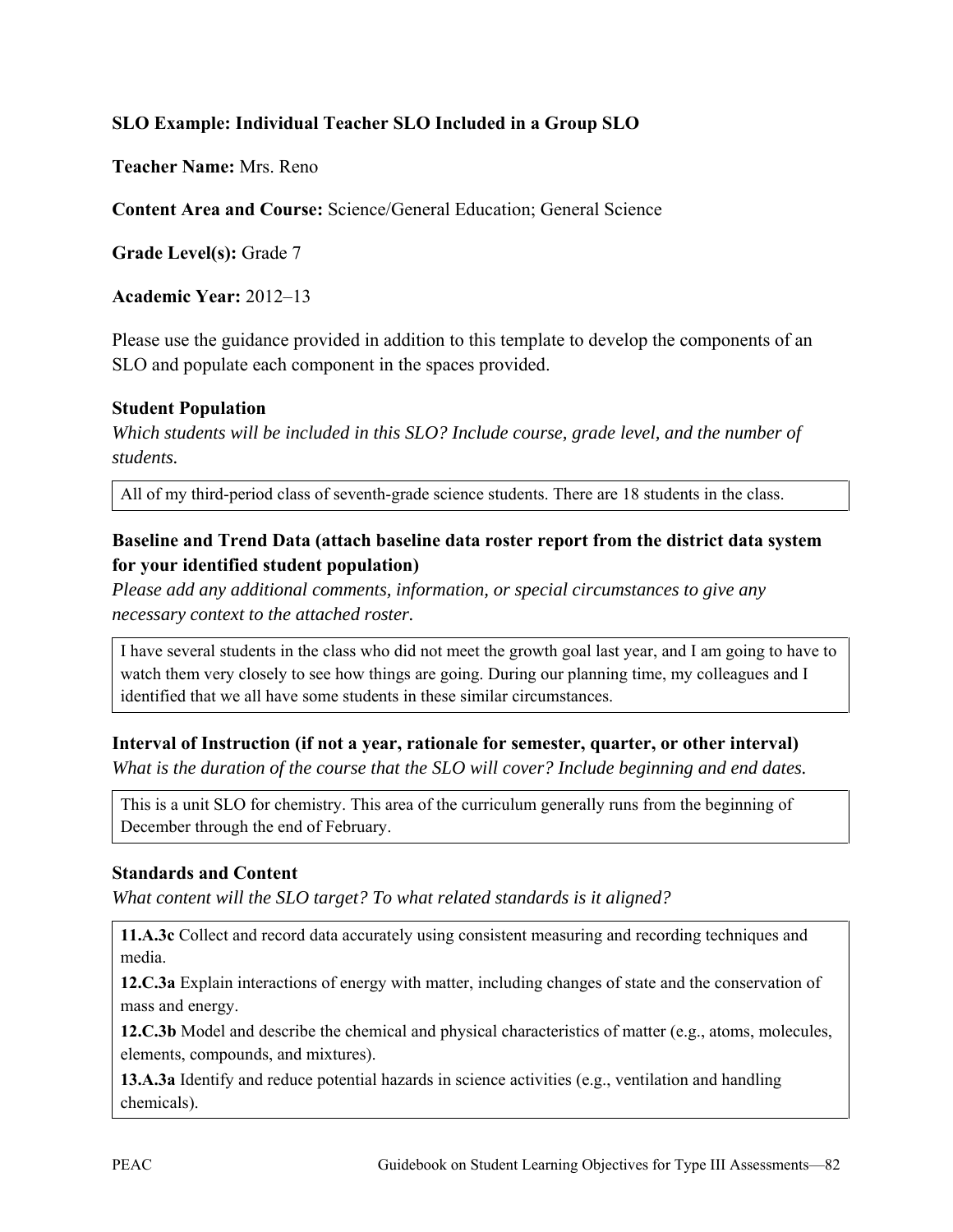## **SLO Example: Individual Teacher SLO Included in a Group SLO**

**Teacher Name:** Mrs. Reno

**Content Area and Course:** Science/General Education; General Science

**Grade Level(s):** Grade 7

**Academic Year:** 2012–13

Please use the guidance provided in addition to this template to develop the components of an SLO and populate each component in the spaces provided.

#### **Student Population**

*Which students will be included in this SLO? Include course, grade level, and the number of students.* 

All of my third-period class of seventh-grade science students. There are 18 students in the class.

### **Baseline and Trend Data (attach baseline data roster report from the district data system for your identified student population)**

*Please add any additional comments, information, or special circumstances to give any necessary context to the attached roster.* 

I have several students in the class who did not meet the growth goal last year, and I am going to have to watch them very closely to see how things are going. During our planning time, my colleagues and I identified that we all have some students in these similar circumstances.

**Interval of Instruction (if not a year, rationale for semester, quarter, or other interval)**

*What is the duration of the course that the SLO will cover? Include beginning and end dates.*

This is a unit SLO for chemistry. This area of the curriculum generally runs from the beginning of December through the end of February.

#### **Standards and Content**

*What content will the SLO target? To what related standards is it aligned?* 

**11.A.3c** Collect and record data accurately using consistent measuring and recording techniques and media.

**12.C.3a** Explain interactions of energy with matter, including changes of state and the conservation of mass and energy.

**12.C.3b** Model and describe the chemical and physical characteristics of matter (e.g., atoms, molecules, elements, compounds, and mixtures).

**13.A.3a** Identify and reduce potential hazards in science activities (e.g., ventilation and handling chemicals).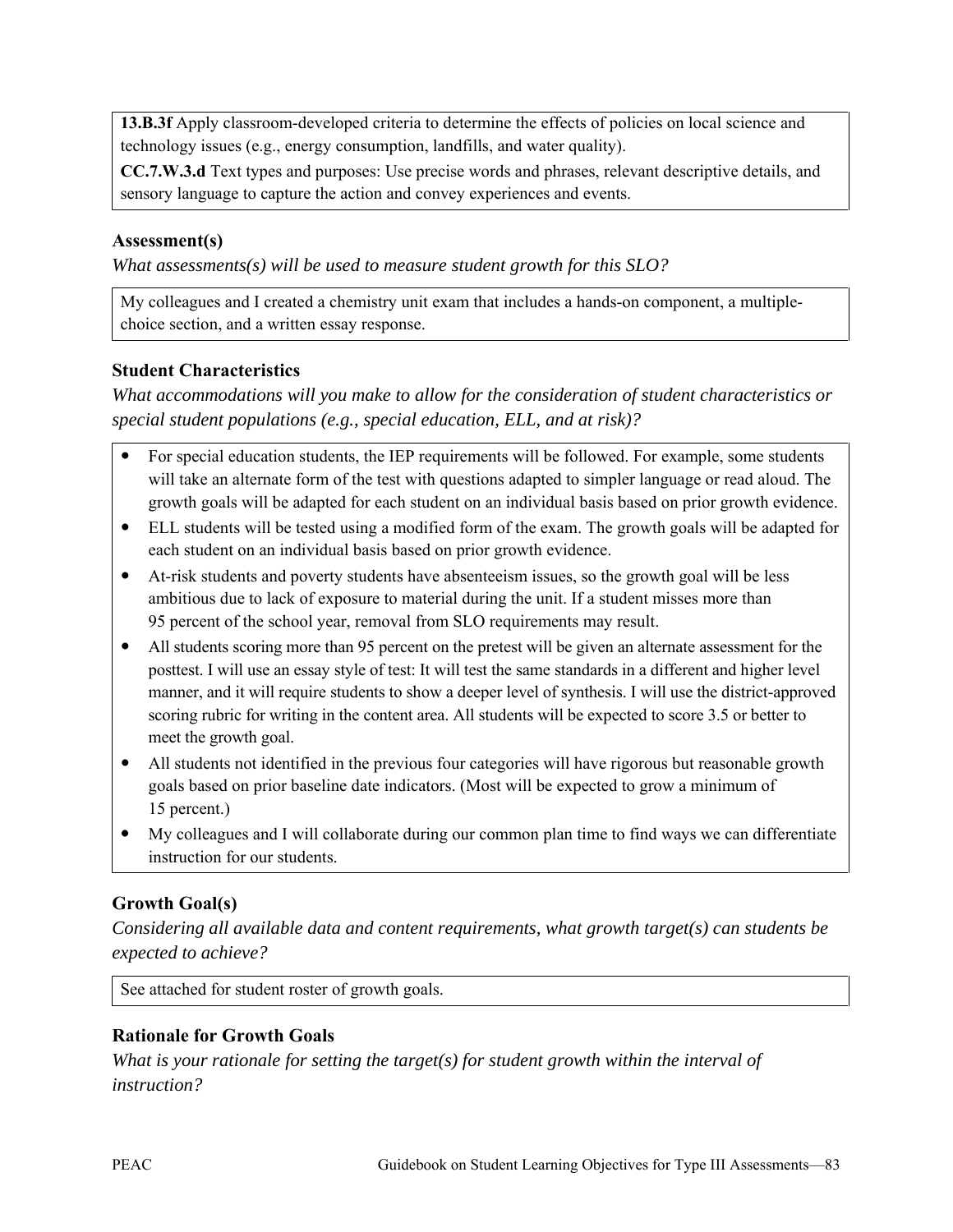**13.B.3f** Apply classroom-developed criteria to determine the effects of policies on local science and technology issues (e.g., energy consumption, landfills, and water quality).

**CC.7.W.3.d** Text types and purposes: Use precise words and phrases, relevant descriptive details, and sensory language to capture the action and convey experiences and events.

### **Assessment(s)**

*What assessments(s) will be used to measure student growth for this SLO?* 

My colleagues and I created a chemistry unit exam that includes a hands-on component, a multiplechoice section, and a written essay response.

## **Student Characteristics**

*What accommodations will you make to allow for the consideration of student characteristics or special student populations (e.g., special education, ELL, and at risk)?*

- For special education students, the IEP requirements will be followed. For example, some students will take an alternate form of the test with questions adapted to simpler language or read aloud. The growth goals will be adapted for each student on an individual basis based on prior growth evidence.
- ELL students will be tested using a modified form of the exam. The growth goals will be adapted for each student on an individual basis based on prior growth evidence.
- At-risk students and poverty students have absenteeism issues, so the growth goal will be less ambitious due to lack of exposure to material during the unit. If a student misses more than 95 percent of the school year, removal from SLO requirements may result.
- All students scoring more than 95 percent on the pretest will be given an alternate assessment for the posttest. I will use an essay style of test: It will test the same standards in a different and higher level manner, and it will require students to show a deeper level of synthesis. I will use the district-approved scoring rubric for writing in the content area. All students will be expected to score 3.5 or better to meet the growth goal.
- All students not identified in the previous four categories will have rigorous but reasonable growth goals based on prior baseline date indicators. (Most will be expected to grow a minimum of 15 percent.)
- My colleagues and I will collaborate during our common plan time to find ways we can differentiate instruction for our students.

## **Growth Goal(s)**

*Considering all available data and content requirements, what growth target(s) can students be expected to achieve?* 

See attached for student roster of growth goals.

## **Rationale for Growth Goals**

*What is your rationale for setting the target(s) for student growth within the interval of instruction?*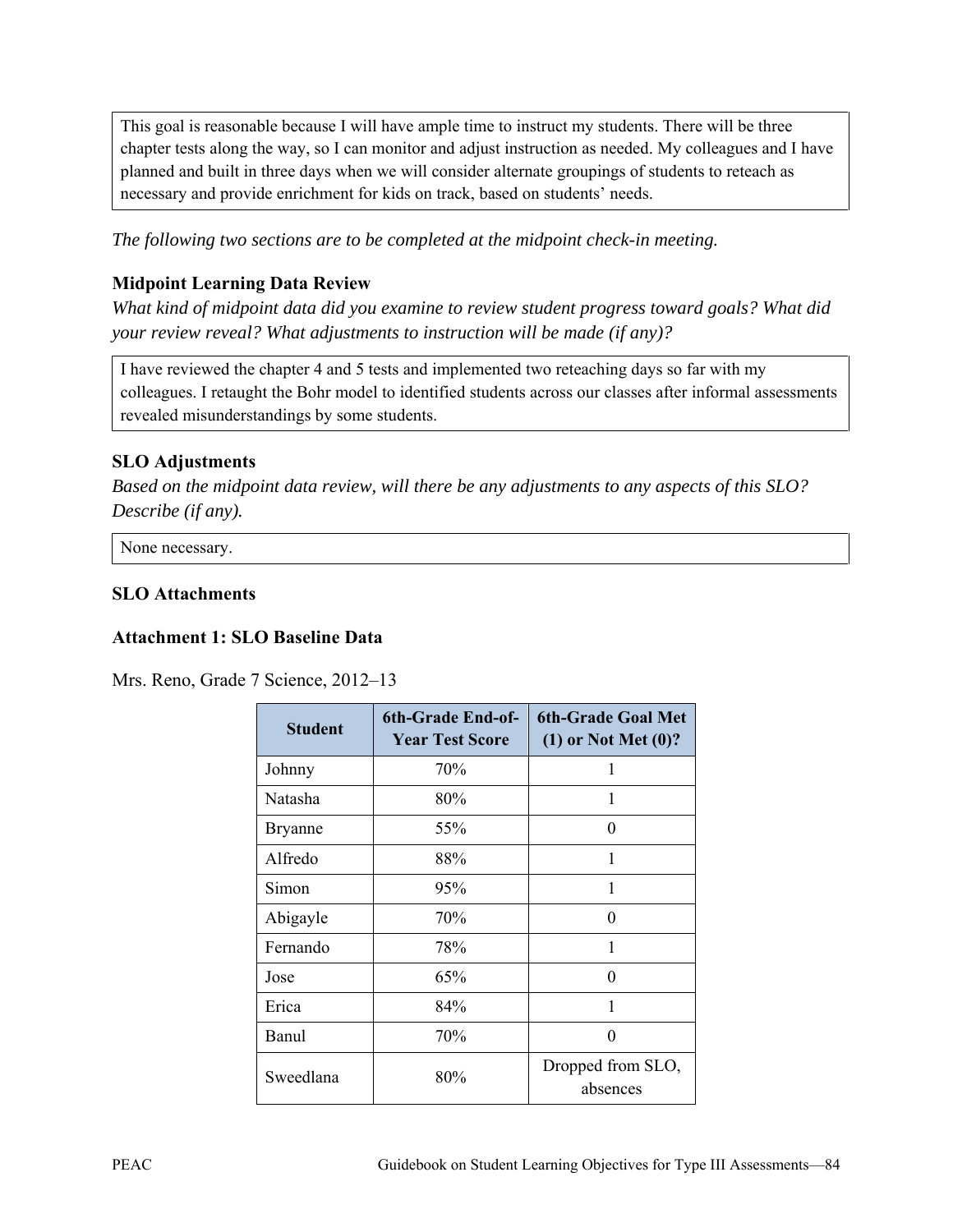This goal is reasonable because I will have ample time to instruct my students. There will be three chapter tests along the way, so I can monitor and adjust instruction as needed. My colleagues and I have planned and built in three days when we will consider alternate groupings of students to reteach as necessary and provide enrichment for kids on track, based on students' needs.

*The following two sections are to be completed at the midpoint check-in meeting.* 

#### **Midpoint Learning Data Review**

*What kind of midpoint data did you examine to review student progress toward goals? What did your review reveal? What adjustments to instruction will be made (if any)?* 

I have reviewed the chapter 4 and 5 tests and implemented two reteaching days so far with my colleagues. I retaught the Bohr model to identified students across our classes after informal assessments revealed misunderstandings by some students.

#### **SLO Adjustments**

*Based on the midpoint data review, will there be any adjustments to any aspects of this SLO? Describe (if any).* 

None necessary.

#### **SLO Attachments**

#### **Attachment 1: SLO Baseline Data**

| <b>Student</b> | <b>6th-Grade End-of-</b><br><b>Year Test Score</b> | <b>6th-Grade Goal Met</b><br>$(1)$ or Not Met $(0)$ ? |
|----------------|----------------------------------------------------|-------------------------------------------------------|
| Johnny         | 70%                                                | 1                                                     |
| Natasha        | 80%                                                | 1                                                     |
| <b>Bryanne</b> | 55%                                                | $\Omega$                                              |
| Alfredo        | 88%                                                | 1                                                     |
| Simon          | 95%                                                | 1                                                     |
| Abigayle       | 70%                                                | 0                                                     |
| Fernando       | 78%                                                | 1                                                     |
| Jose           | 65%                                                | 0                                                     |
| Erica          | 84%                                                | 1                                                     |
| Banul          | 70%                                                | 0                                                     |
| Sweedlana      | 80%                                                | Dropped from SLO,<br>absences                         |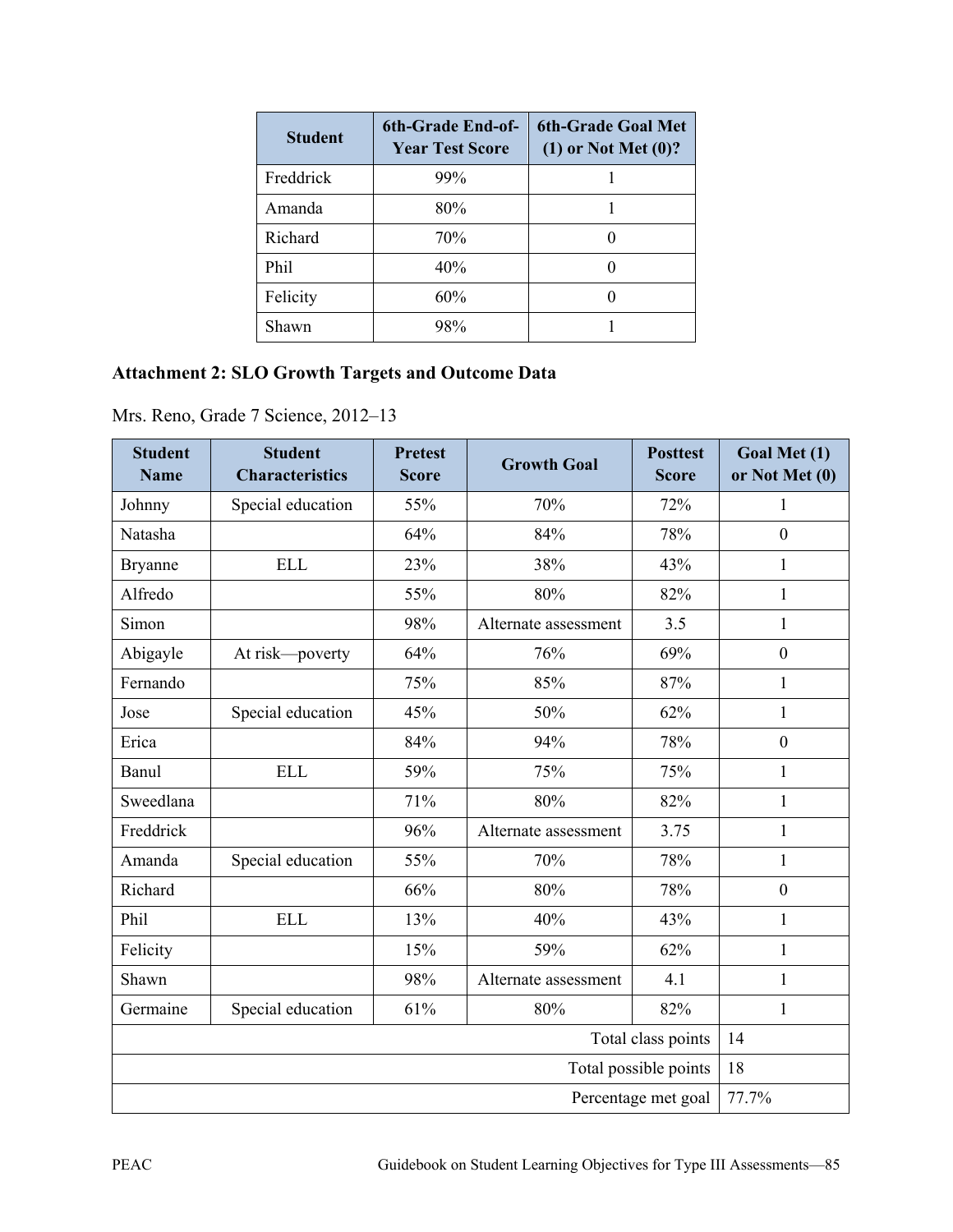| <b>Student</b> | 6th-Grade End-of-<br><b>Year Test Score</b> | <b>6th-Grade Goal Met</b><br>$(1)$ or Not Met $(0)$ ? |
|----------------|---------------------------------------------|-------------------------------------------------------|
| Freddrick      | 99%                                         |                                                       |
| Amanda         | 80%                                         |                                                       |
| Richard        | 70%                                         |                                                       |
| Phil           | 40%                                         | 0                                                     |
| Felicity       | 60%                                         |                                                       |
| Shawn          | 98%                                         |                                                       |

# **Attachment 2: SLO Growth Targets and Outcome Data**

| <b>Student</b><br><b>Name</b> | <b>Student</b><br><b>Characteristics</b> | <b>Pretest</b><br><b>Score</b> | <b>Growth Goal</b>   | <b>Posttest</b><br><b>Score</b> | Goal Met (1)<br>or Not Met (0) |
|-------------------------------|------------------------------------------|--------------------------------|----------------------|---------------------------------|--------------------------------|
| Johnny                        | Special education                        | 55%                            | 70%                  | 72%                             | 1                              |
| Natasha                       |                                          | 64%                            | 84%                  | 78%                             | $\mathbf{0}$                   |
| <b>Bryanne</b>                | <b>ELL</b>                               | 23%                            | 38%                  | 43%                             | $\mathbf{1}$                   |
| Alfredo                       |                                          | 55%                            | 80%                  | 82%                             | 1                              |
| Simon                         |                                          | 98%                            | Alternate assessment | 3.5                             | $\mathbf{1}$                   |
| Abigayle                      | At risk-poverty                          | 64%                            | 76%                  | 69%                             | $\boldsymbol{0}$               |
| Fernando                      |                                          | 75%                            | 85%                  | 87%                             | $\mathbf{1}$                   |
| Jose                          | Special education                        | 45%                            | 50%                  | 62%                             | 1                              |
| Erica                         |                                          | 84%                            | 94%                  | 78%                             | $\mathbf{0}$                   |
| Banul                         | <b>ELL</b>                               | 59%                            | 75%                  | 75%                             | $\mathbf{1}$                   |
| Sweedlana                     |                                          | 71%                            | 80%                  | 82%                             | $\mathbf{1}$                   |
| Freddrick                     |                                          | 96%                            | Alternate assessment | 3.75                            | $\mathbf{1}$                   |
| Amanda                        | Special education                        | 55%                            | 70%                  | 78%                             | $\mathbf{1}$                   |
| Richard                       |                                          | 66%                            | 80%                  | 78%                             | $\mathbf{0}$                   |
| Phil                          | <b>ELL</b>                               | 13%                            | 40%                  | 43%                             | $\mathbf{1}$                   |
| Felicity                      |                                          | 15%                            | 59%                  | 62%                             | $\mathbf{1}$                   |
| Shawn                         |                                          | 98%                            | Alternate assessment | 4.1                             | $\mathbf{1}$                   |
| Germaine                      | Special education                        | 61%                            | 80%                  | 82%                             | $\mathbf{1}$                   |
| Total class points            |                                          |                                | 14                   |                                 |                                |
| Total possible points         |                                          |                                |                      | 18                              |                                |
| Percentage met goal           |                                          |                                | 77.7%                |                                 |                                |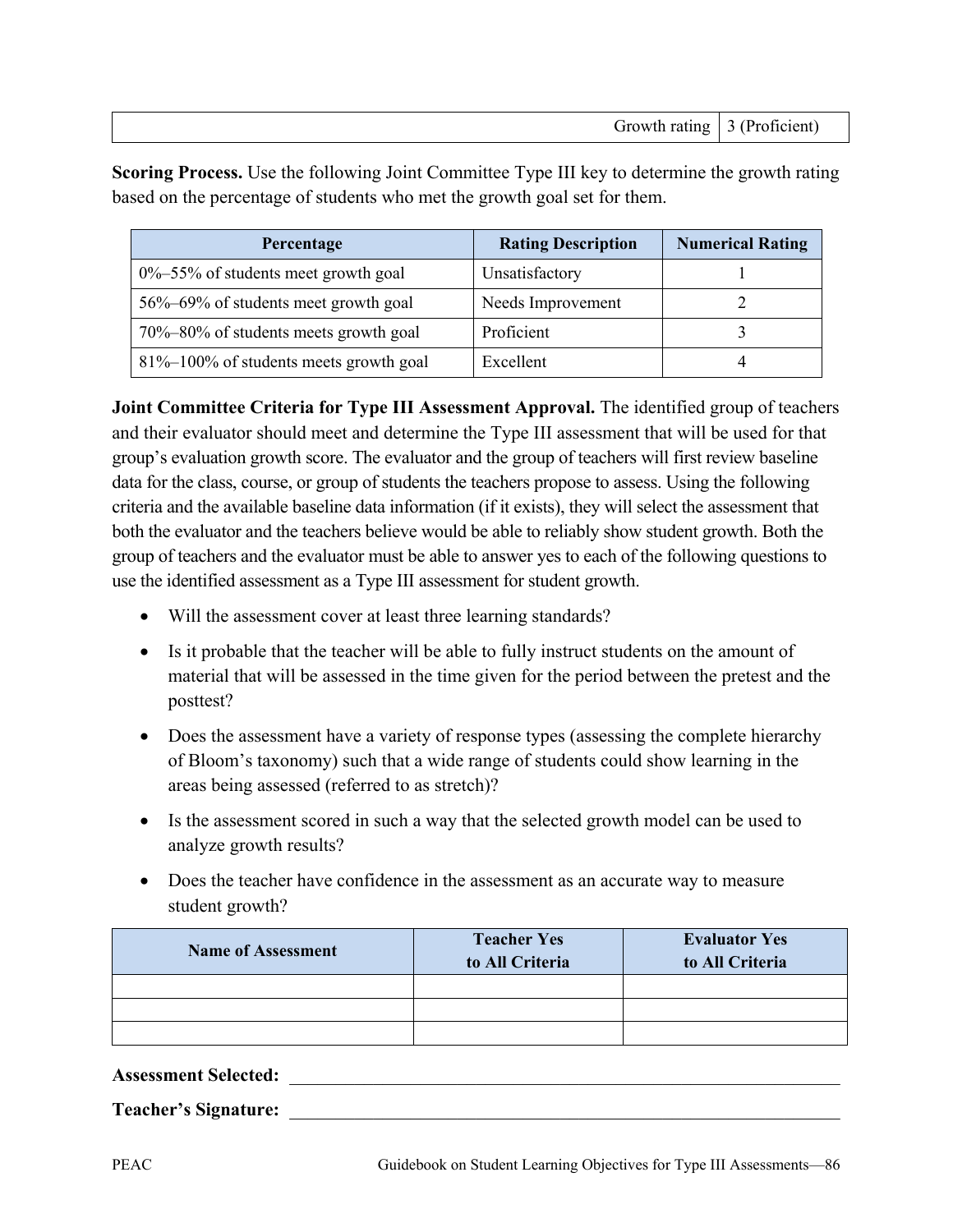| Growth rating $\vert 3$ (Proficient) |  |
|--------------------------------------|--|

**Scoring Process.** Use the following Joint Committee Type III key to determine the growth rating based on the percentage of students who met the growth goal set for them.

| Percentage                                | <b>Rating Description</b> | <b>Numerical Rating</b> |
|-------------------------------------------|---------------------------|-------------------------|
| $0\% - 55\%$ of students meet growth goal | Unsatisfactory            |                         |
| 56%–69% of students meet growth goal      | Needs Improvement         |                         |
| 70%-80% of students meets growth goal     | Proficient                |                         |
| 81%–100% of students meets growth goal    | Excellent                 |                         |

**Joint Committee Criteria for Type III Assessment Approval.** The identified group of teachers and their evaluator should meet and determine the Type III assessment that will be used for that group's evaluation growth score. The evaluator and the group of teachers will first review baseline data for the class, course, or group of students the teachers propose to assess. Using the following criteria and the available baseline data information (if it exists), they will select the assessment that both the evaluator and the teachers believe would be able to reliably show student growth. Both the group of teachers and the evaluator must be able to answer yes to each of the following questions to use the identified assessment as a Type III assessment for student growth.

- Will the assessment cover at least three learning standards?
- Is it probable that the teacher will be able to fully instruct students on the amount of material that will be assessed in the time given for the period between the pretest and the posttest?
- Does the assessment have a variety of response types (assessing the complete hierarchy of Bloom's taxonomy) such that a wide range of students could show learning in the areas being assessed (referred to as stretch)?
- Is the assessment scored in such a way that the selected growth model can be used to analyze growth results?
- Does the teacher have confidence in the assessment as an accurate way to measure student growth?

| <b>Name of Assessment</b> | <b>Teacher Yes</b><br>to All Criteria | <b>Evaluator Yes</b><br>to All Criteria |
|---------------------------|---------------------------------------|-----------------------------------------|
|                           |                                       |                                         |
|                           |                                       |                                         |
|                           |                                       |                                         |

Assessment Selected: **We are also assessment Selected:**  $\qquad \qquad$ 

Teacher's Signature: